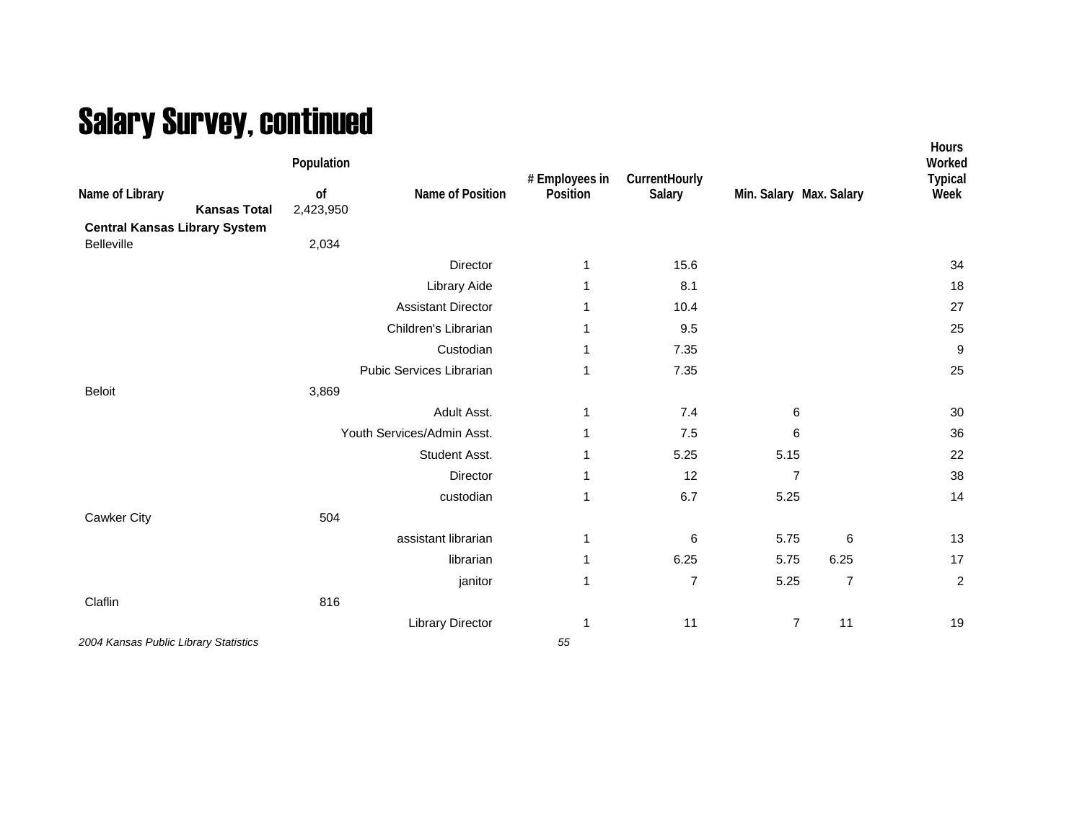## Salary Survey, continued

| Name of Library<br><b>Kansas Total</b><br><b>Central Kansas Library System</b> | Population<br>of<br>2,423,950 | Name of Position           | # Employees in<br>Position | CurrentHourly<br>Salary |                | Min. Salary Max. Salary | Hours<br>Worked<br><b>Typical</b><br>Week |
|--------------------------------------------------------------------------------|-------------------------------|----------------------------|----------------------------|-------------------------|----------------|-------------------------|-------------------------------------------|
| Belleville                                                                     | 2,034                         |                            |                            |                         |                |                         |                                           |
|                                                                                |                               | Director                   | $\mathbf{1}$               | 15.6                    |                |                         | 34                                        |
|                                                                                |                               | Library Aide               | 1                          | 8.1                     |                |                         | 18                                        |
|                                                                                |                               | <b>Assistant Director</b>  |                            | 10.4                    |                |                         | 27                                        |
|                                                                                |                               | Children's Librarian       | 1                          | 9.5                     |                |                         | 25                                        |
|                                                                                |                               | Custodian                  | 1                          | 7.35                    |                |                         | $\boldsymbol{9}$                          |
|                                                                                |                               | Pubic Services Librarian   | 1                          | 7.35                    |                |                         | 25                                        |
| <b>Beloit</b>                                                                  | 3,869                         |                            |                            |                         |                |                         |                                           |
|                                                                                |                               | Adult Asst.                | $\mathbf 1$                | 7.4                     | 6              |                         | 30                                        |
|                                                                                |                               | Youth Services/Admin Asst. | 1                          | 7.5                     | 6              |                         | 36                                        |
|                                                                                |                               | Student Asst.              |                            | 5.25                    | 5.15           |                         | 22                                        |
|                                                                                |                               | Director                   | 1                          | 12                      | 7              |                         | 38                                        |
|                                                                                |                               | custodian                  | 1                          | 6.7                     | 5.25           |                         | 14                                        |
| Cawker City                                                                    | 504                           |                            |                            |                         |                |                         |                                           |
|                                                                                |                               | assistant librarian        | $\mathbf{1}$               | 6                       | 5.75           | 6                       | 13                                        |
|                                                                                |                               | librarian                  | $\mathbf{1}$               | 6.25                    | 5.75           | 6.25                    | 17                                        |
|                                                                                |                               | janitor                    | $\mathbf{1}$               | $\overline{7}$          | 5.25           | $\overline{7}$          | $\overline{c}$                            |
| Claflin                                                                        | 816                           |                            |                            |                         |                |                         |                                           |
|                                                                                |                               | <b>Library Director</b>    | -1                         | 11                      | $\overline{7}$ | 11                      | 19                                        |
| 2004 Kansas Public Library Statistics                                          |                               |                            | 55                         |                         |                |                         |                                           |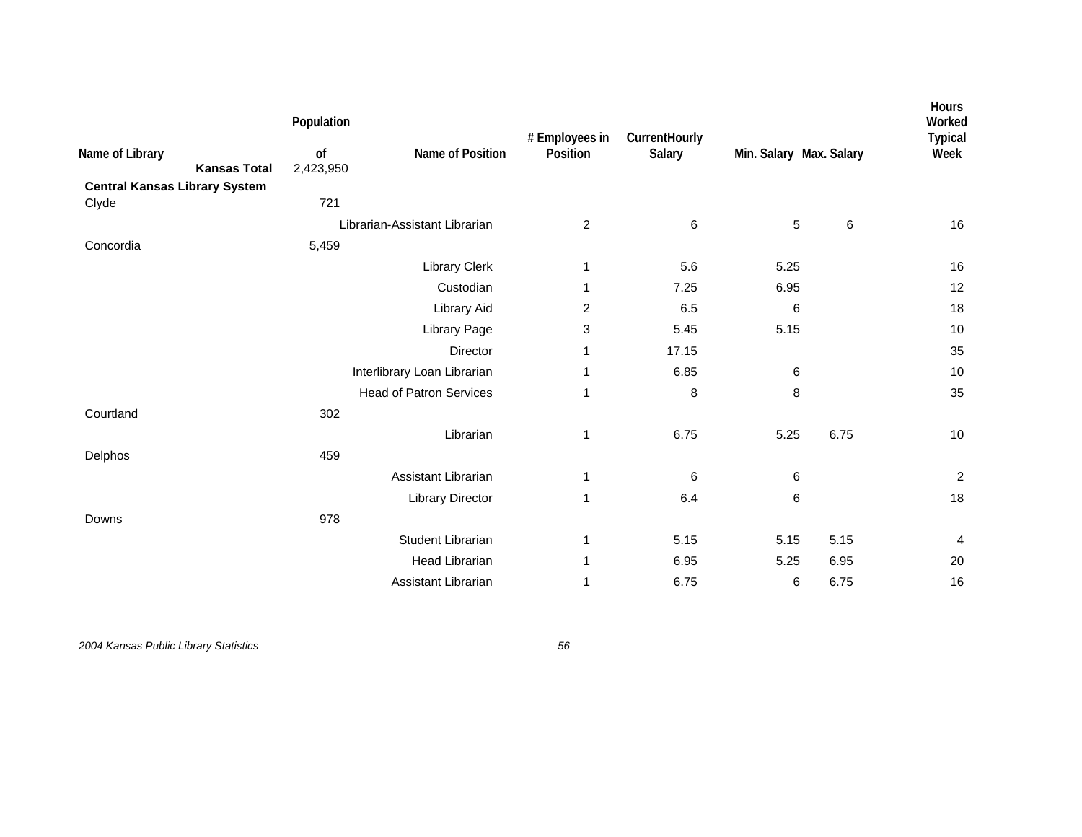| Name of Library<br><b>Kansas Total</b> | Population<br>of<br>2,423,950 | Name of Position               | # Employees in<br>Position | CurrentHourly<br>Salary | Min. Salary Max. Salary |       | Hours<br>Worked<br><b>Typical</b><br>Week |
|----------------------------------------|-------------------------------|--------------------------------|----------------------------|-------------------------|-------------------------|-------|-------------------------------------------|
| <b>Central Kansas Library System</b>   | 721                           |                                |                            |                         |                         |       |                                           |
| Clyde                                  |                               |                                |                            |                         |                         |       |                                           |
|                                        |                               | Librarian-Assistant Librarian  | $\overline{2}$             | 6                       | 5                       | $\,6$ | 16                                        |
| Concordia                              | 5,459                         |                                |                            |                         |                         |       |                                           |
|                                        |                               | Library Clerk                  | 1                          | 5.6                     | 5.25                    |       | 16                                        |
|                                        |                               | Custodian                      | 1                          | 7.25                    | 6.95                    |       | 12                                        |
|                                        |                               | Library Aid                    | 2                          | 6.5                     | 6                       |       | 18                                        |
|                                        |                               | Library Page                   | 3                          | 5.45                    | 5.15                    |       | 10                                        |
|                                        |                               | Director                       | 1                          | 17.15                   |                         |       | 35                                        |
|                                        |                               | Interlibrary Loan Librarian    | 1                          | 6.85                    | 6                       |       | 10                                        |
|                                        |                               | <b>Head of Patron Services</b> | 1                          | 8                       | 8                       |       | 35                                        |
| Courtland                              | 302                           |                                |                            |                         |                         |       |                                           |
|                                        |                               | Librarian                      | 1                          | 6.75                    | 5.25                    | 6.75  | 10                                        |
| Delphos                                | 459                           |                                |                            |                         |                         |       |                                           |
|                                        |                               | Assistant Librarian            | 1                          | 6                       | 6                       |       | $\boldsymbol{2}$                          |
|                                        |                               | <b>Library Director</b>        | 1                          | 6.4                     | 6                       |       | 18                                        |
| Downs                                  | 978                           |                                |                            |                         |                         |       |                                           |
|                                        |                               | Student Librarian              | 1                          | 5.15                    | 5.15                    | 5.15  | 4                                         |
|                                        |                               |                                |                            |                         |                         |       |                                           |
|                                        |                               | <b>Head Librarian</b>          | 1                          | 6.95                    | 5.25                    | 6.95  | 20                                        |
|                                        |                               | Assistant Librarian            | 1                          | 6.75                    | 6                       | 6.75  | 16                                        |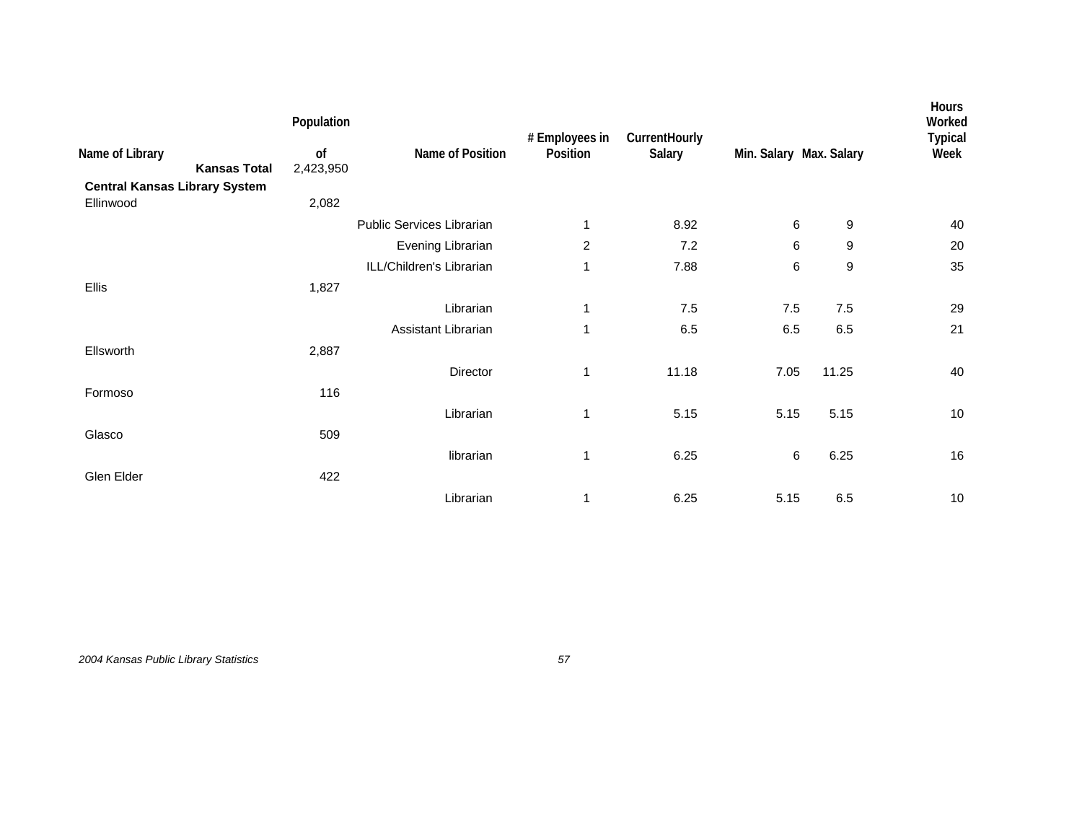|                                                   | Population      |                           | # Employees in | CurrentHourly |                         |                  | Hours<br>Worked<br><b>Typical</b> |
|---------------------------------------------------|-----------------|---------------------------|----------------|---------------|-------------------------|------------------|-----------------------------------|
| Name of Library<br><b>Kansas Total</b>            | of<br>2,423,950 | Name of Position          | Position       | Salary        | Min. Salary Max. Salary |                  | Week                              |
| <b>Central Kansas Library System</b><br>Ellinwood | 2,082           |                           |                |               |                         |                  |                                   |
|                                                   |                 | Public Services Librarian | 1              | 8.92          | 6                       | 9                | 40                                |
|                                                   |                 | Evening Librarian         | $\overline{2}$ | 7.2           | 6                       | 9                | 20                                |
|                                                   |                 | ILL/Children's Librarian  | 1              | 7.88          | 6                       | $\boldsymbol{9}$ | 35                                |
| Ellis                                             | 1,827           |                           |                |               |                         |                  |                                   |
|                                                   |                 | Librarian                 | 1              | 7.5           | 7.5                     | 7.5              | 29                                |
|                                                   |                 | Assistant Librarian       | 1              | 6.5           | 6.5                     | 6.5              | 21                                |
| Ellsworth                                         | 2,887           |                           |                |               |                         |                  |                                   |
|                                                   |                 | Director                  | 1              | 11.18         | 7.05                    | 11.25            | 40                                |
| Formoso                                           | 116             |                           |                |               |                         |                  |                                   |
|                                                   |                 | Librarian                 | 1              | 5.15          | 5.15                    | 5.15             | 10                                |
| Glasco                                            | 509             |                           |                |               |                         |                  |                                   |
|                                                   |                 | librarian                 | 1              | 6.25          | 6                       | 6.25             | 16                                |
| Glen Elder                                        | 422             |                           |                |               |                         |                  |                                   |
|                                                   |                 | Librarian                 | 1              | 6.25          | 5.15                    | 6.5              | $10$                              |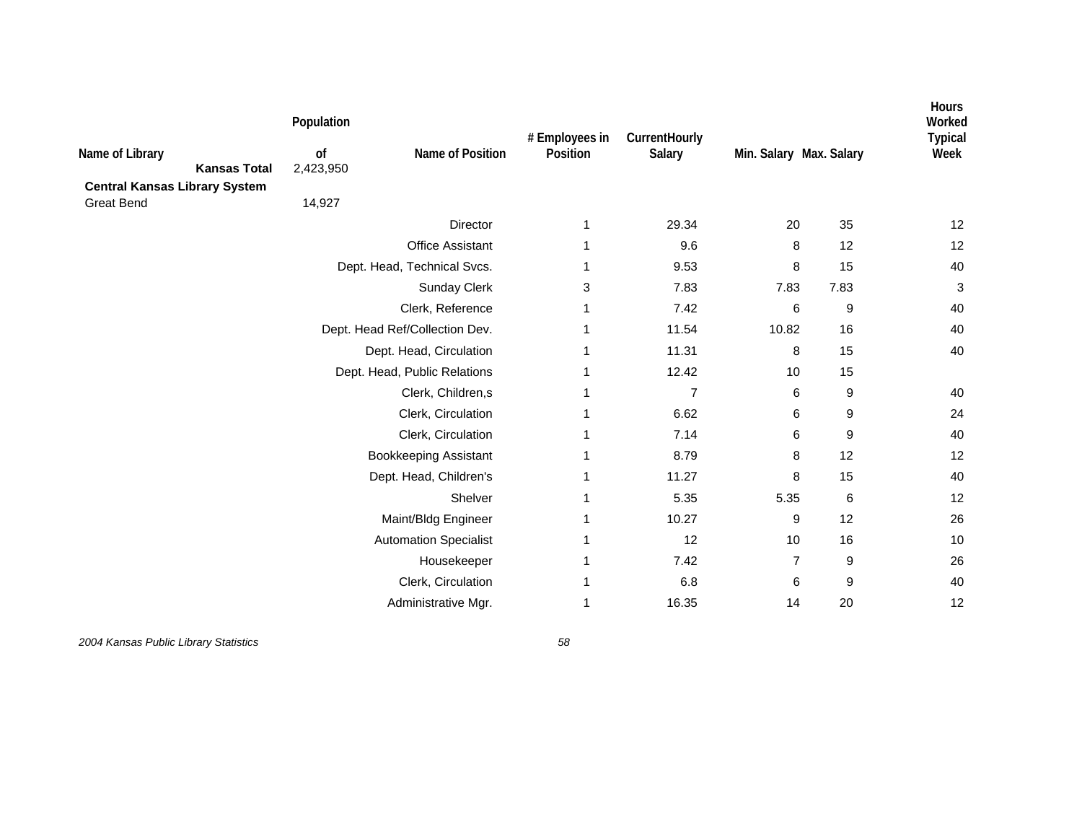| Name of Library<br><b>Kansas Total</b><br><b>Central Kansas Library System</b> | Population<br>of<br>2,423,950 | Name of Position               | # Employees in<br>Position | CurrentHourly<br>Salary | Min. Salary Max. Salary |                  | <b>Hours</b><br>Worked<br><b>Typical</b><br>Week |
|--------------------------------------------------------------------------------|-------------------------------|--------------------------------|----------------------------|-------------------------|-------------------------|------------------|--------------------------------------------------|
| <b>Great Bend</b>                                                              | 14,927                        |                                |                            |                         |                         |                  |                                                  |
|                                                                                |                               | Director                       | 1                          | 29.34                   | 20                      | 35               | 12                                               |
|                                                                                |                               | <b>Office Assistant</b>        | 1                          | 9.6                     | 8                       | 12               | 12                                               |
|                                                                                | Dept. Head, Technical Svcs.   |                                | 1                          | 9.53                    | 8                       | 15               | 40                                               |
|                                                                                |                               | Sunday Clerk                   | 3                          | 7.83                    | 7.83                    | 7.83             | 3                                                |
|                                                                                |                               | Clerk, Reference               | 1                          | 7.42                    | 6                       | 9                | 40                                               |
|                                                                                |                               | Dept. Head Ref/Collection Dev. | 1                          | 11.54                   | 10.82                   | 16               | 40                                               |
|                                                                                |                               | Dept. Head, Circulation        | 1                          | 11.31                   | 8                       | 15               | 40                                               |
|                                                                                |                               | Dept. Head, Public Relations   | 1                          | 12.42                   | 10                      | 15               |                                                  |
|                                                                                | Clerk, Children,s             |                                | 1                          | $\overline{7}$          | 6                       | 9                | 40                                               |
|                                                                                |                               | Clerk, Circulation             | 1                          | 6.62                    | 6                       | 9                | 24                                               |
|                                                                                |                               | Clerk, Circulation             | 1                          | 7.14                    | 6                       | $\boldsymbol{9}$ | 40                                               |
|                                                                                |                               | <b>Bookkeeping Assistant</b>   | 1                          | 8.79                    | 8                       | 12               | 12                                               |
|                                                                                |                               | Dept. Head, Children's         | 1                          | 11.27                   | 8                       | 15               | 40                                               |
|                                                                                |                               | Shelver                        | 1                          | 5.35                    | 5.35                    | $\,6$            | 12                                               |
|                                                                                |                               | Maint/Bldg Engineer            | 1                          | 10.27                   | 9                       | 12               | 26                                               |
|                                                                                |                               | <b>Automation Specialist</b>   | 1                          | 12                      | 10                      | 16               | 10                                               |
|                                                                                |                               | Housekeeper                    | 1                          | 7.42                    | $\overline{7}$          | 9                | 26                                               |
|                                                                                |                               | Clerk, Circulation             | 1                          | 6.8                     | 6                       | 9                | 40                                               |
|                                                                                |                               | Administrative Mgr.            | 1                          | 16.35                   | 14                      | 20               | 12                                               |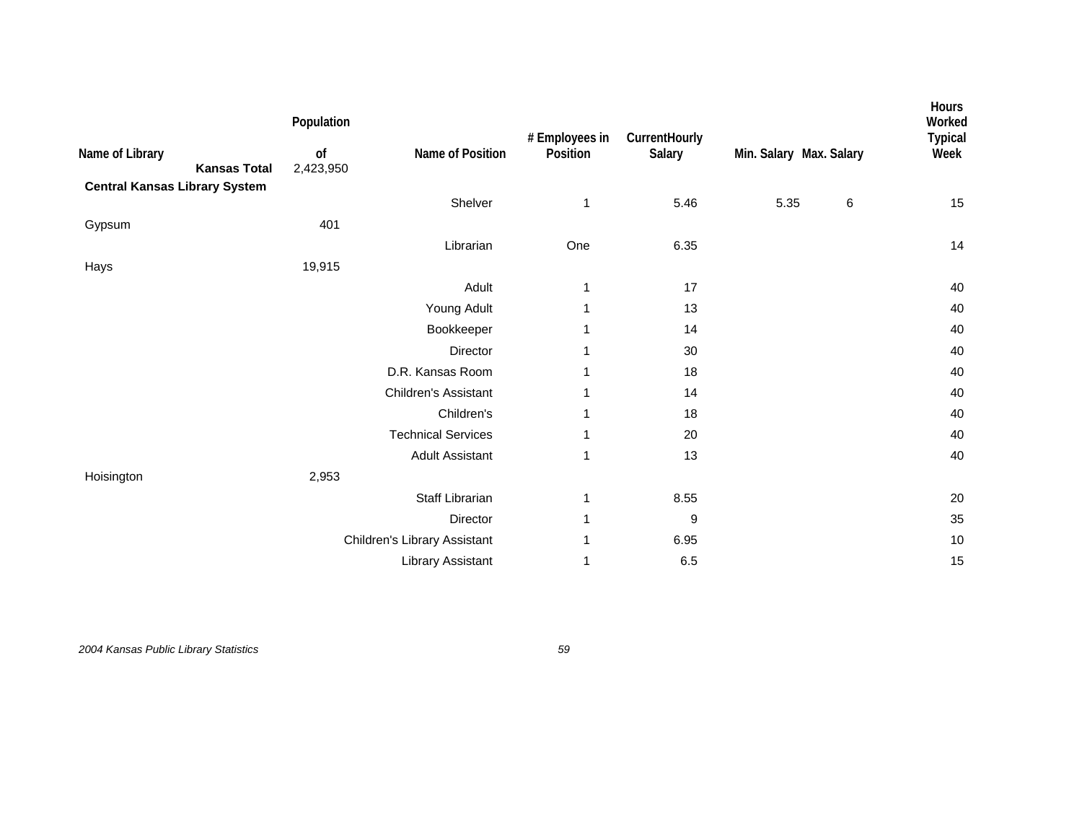| Name of Library<br><b>Kansas Total</b><br><b>Central Kansas Library System</b> | Population<br>of<br>2,423,950 | Name of Position             | # Employees in<br>Position | CurrentHourly<br>Salary |      | Min. Salary Max. Salary | Hours<br>Worked<br><b>Typical</b><br>Week |
|--------------------------------------------------------------------------------|-------------------------------|------------------------------|----------------------------|-------------------------|------|-------------------------|-------------------------------------------|
|                                                                                |                               | Shelver                      | 1                          | 5.46                    | 5.35 | 6                       | 15                                        |
| Gypsum                                                                         | 401                           |                              |                            |                         |      |                         |                                           |
|                                                                                |                               | Librarian                    | One                        | 6.35                    |      |                         | 14                                        |
| Hays                                                                           | 19,915                        |                              |                            |                         |      |                         |                                           |
|                                                                                |                               | Adult                        | 1                          | 17                      |      |                         | 40                                        |
|                                                                                |                               | Young Adult                  | 1                          | 13                      |      |                         | 40                                        |
|                                                                                |                               | Bookkeeper                   | 1                          | 14                      |      |                         | 40                                        |
|                                                                                |                               | Director                     | 1                          | 30                      |      |                         | 40                                        |
|                                                                                |                               | D.R. Kansas Room             | 1                          | 18                      |      |                         | 40                                        |
|                                                                                |                               | <b>Children's Assistant</b>  | 1                          | 14                      |      |                         | 40                                        |
|                                                                                |                               | Children's                   | 1                          | 18                      |      |                         | 40                                        |
|                                                                                |                               | <b>Technical Services</b>    | 1                          | 20                      |      |                         | 40                                        |
|                                                                                |                               | <b>Adult Assistant</b>       | 1                          | 13                      |      |                         | 40                                        |
| Hoisington                                                                     | 2,953                         |                              |                            |                         |      |                         |                                           |
|                                                                                |                               | Staff Librarian              | 1                          | 8.55                    |      |                         | 20                                        |
|                                                                                |                               | Director                     | 1                          | 9                       |      |                         | 35                                        |
|                                                                                |                               | Children's Library Assistant | 1                          | 6.95                    |      |                         | 10                                        |
|                                                                                |                               | Library Assistant            | 1                          | 6.5                     |      |                         | 15                                        |
|                                                                                |                               |                              |                            |                         |      |                         |                                           |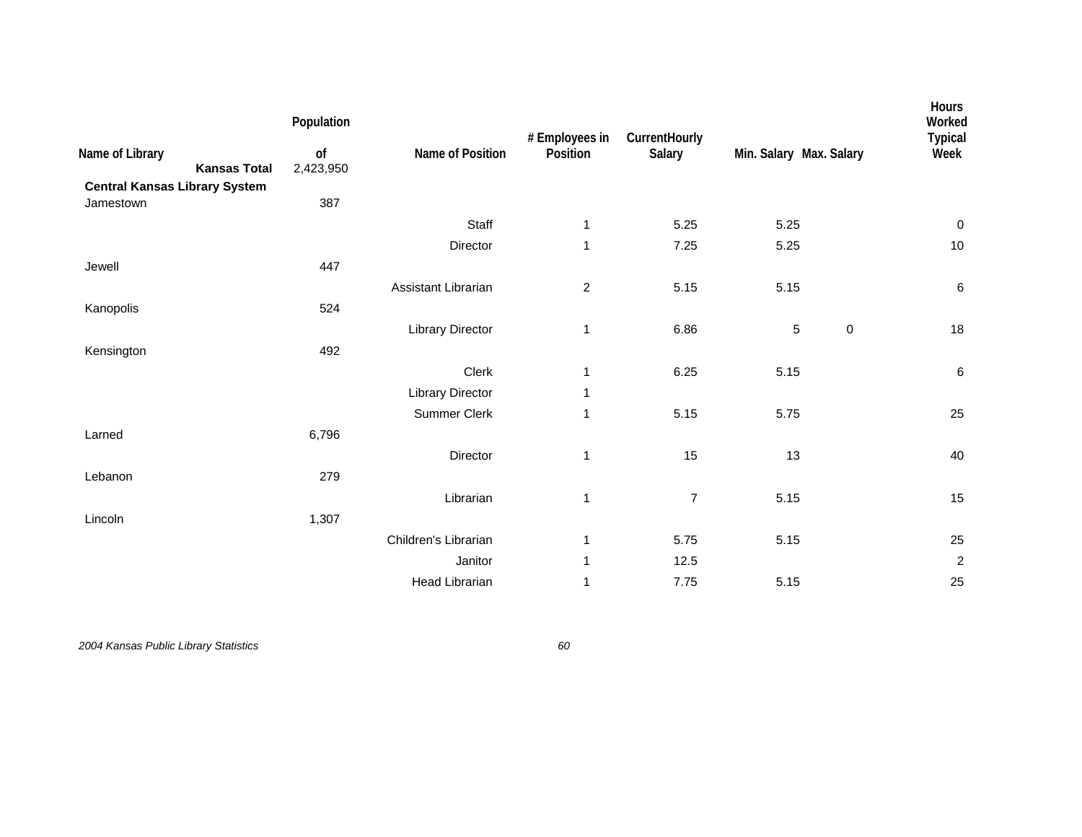| Name of Library<br><b>Kansas Total</b>            | Population<br>of<br>2,423,950 | Name of Position        | # Employees in<br>Position | CurrentHourly<br>Salary | Min. Salary Max. Salary | Hours<br>Worked<br><b>Typical</b><br>Week |
|---------------------------------------------------|-------------------------------|-------------------------|----------------------------|-------------------------|-------------------------|-------------------------------------------|
| <b>Central Kansas Library System</b><br>Jamestown | 387                           |                         |                            |                         |                         |                                           |
|                                                   |                               | Staff                   | 1                          | 5.25                    | 5.25                    | $\mathbf 0$                               |
|                                                   |                               | Director                | $\mathbf{1}$               | 7.25                    | 5.25                    | 10                                        |
| Jewell                                            | 447                           |                         |                            |                         |                         |                                           |
|                                                   |                               | Assistant Librarian     | $\overline{c}$             | 5.15                    | 5.15                    | $\,6\,$                                   |
| Kanopolis                                         | 524                           |                         |                            |                         |                         |                                           |
|                                                   |                               | <b>Library Director</b> | 1                          | 6.86                    | 5<br>$\pmb{0}$          | 18                                        |
| Kensington                                        | 492                           |                         |                            |                         |                         |                                           |
|                                                   |                               | Clerk                   | 1                          | 6.25                    | 5.15                    | $\,6\,$                                   |
|                                                   |                               | <b>Library Director</b> | 1                          |                         |                         |                                           |
|                                                   |                               | Summer Clerk            | 1                          | 5.15                    | 5.75                    | 25                                        |
| Larned                                            | 6,796                         |                         |                            |                         |                         |                                           |
|                                                   |                               | Director                | $\mathbf 1$                | 15                      | 13                      | 40                                        |
| Lebanon                                           | 279                           |                         |                            |                         |                         |                                           |
|                                                   |                               | Librarian               | 1                          | $\overline{7}$          | 5.15                    | 15                                        |
| Lincoln                                           | 1,307                         |                         |                            |                         |                         |                                           |
|                                                   |                               | Children's Librarian    | 1                          | 5.75                    | 5.15                    | 25                                        |
|                                                   |                               | Janitor                 | 1                          | 12.5                    |                         | $\sqrt{2}$                                |
|                                                   |                               | <b>Head Librarian</b>   | 1                          | 7.75                    | 5.15                    | 25                                        |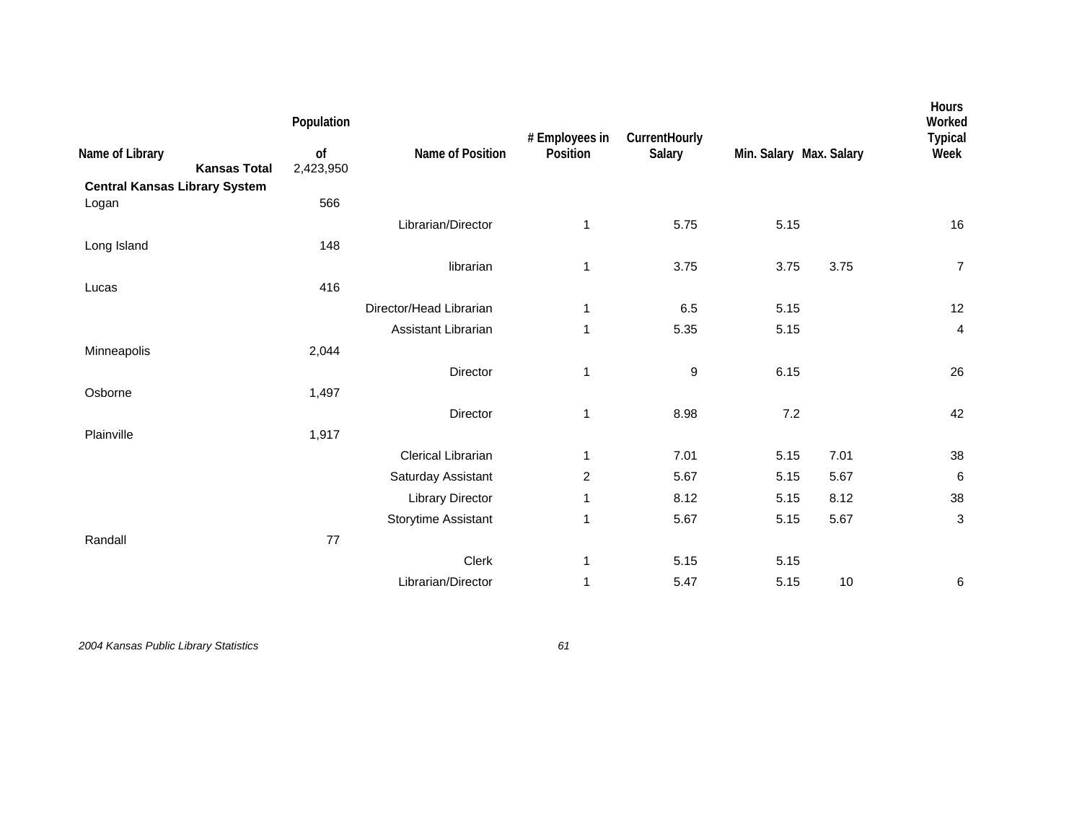| Name of Library<br><b>Kansas Total</b>        | Population<br>of<br>2,423,950 | Name of Position        | # Employees in<br>Position | CurrentHourly<br>Salary | Min. Salary Max. Salary |      | Hours<br>Worked<br><b>Typical</b><br>Week |
|-----------------------------------------------|-------------------------------|-------------------------|----------------------------|-------------------------|-------------------------|------|-------------------------------------------|
| <b>Central Kansas Library System</b><br>Logan | 566                           |                         |                            |                         |                         |      |                                           |
|                                               |                               | Librarian/Director      | 1                          | 5.75                    | 5.15                    |      | 16                                        |
| Long Island                                   | 148                           |                         |                            |                         |                         |      |                                           |
|                                               |                               | librarian               | 1                          | 3.75                    | 3.75                    | 3.75 | $\overline{7}$                            |
| Lucas                                         | 416                           |                         |                            |                         |                         |      |                                           |
|                                               |                               | Director/Head Librarian | 1                          | 6.5                     | 5.15                    |      | 12                                        |
|                                               |                               | Assistant Librarian     | 1                          | 5.35                    | 5.15                    |      | 4                                         |
| Minneapolis                                   | 2,044                         |                         |                            |                         |                         |      |                                           |
|                                               |                               | Director                | 1                          | 9                       | 6.15                    |      | 26                                        |
| Osborne                                       | 1,497                         |                         |                            |                         |                         |      |                                           |
|                                               |                               | Director                | 1                          | 8.98                    | 7.2                     |      | 42                                        |
| Plainville                                    | 1,917                         |                         |                            |                         |                         |      |                                           |
|                                               |                               | Clerical Librarian      | 1                          | 7.01                    | 5.15                    | 7.01 | 38                                        |
|                                               |                               | Saturday Assistant      | $\overline{2}$             | 5.67                    | 5.15                    | 5.67 | 6                                         |
|                                               |                               | <b>Library Director</b> | 1                          | 8.12                    | 5.15                    | 8.12 | 38                                        |
|                                               |                               | Storytime Assistant     | 1                          | 5.67                    | 5.15                    | 5.67 | 3                                         |
| Randall                                       | 77                            |                         |                            |                         |                         |      |                                           |
|                                               |                               | Clerk                   | 1                          | 5.15                    | 5.15                    |      |                                           |
|                                               |                               | Librarian/Director      | $\mathbf{1}$               | 5.47                    | 5.15                    | 10   | 6                                         |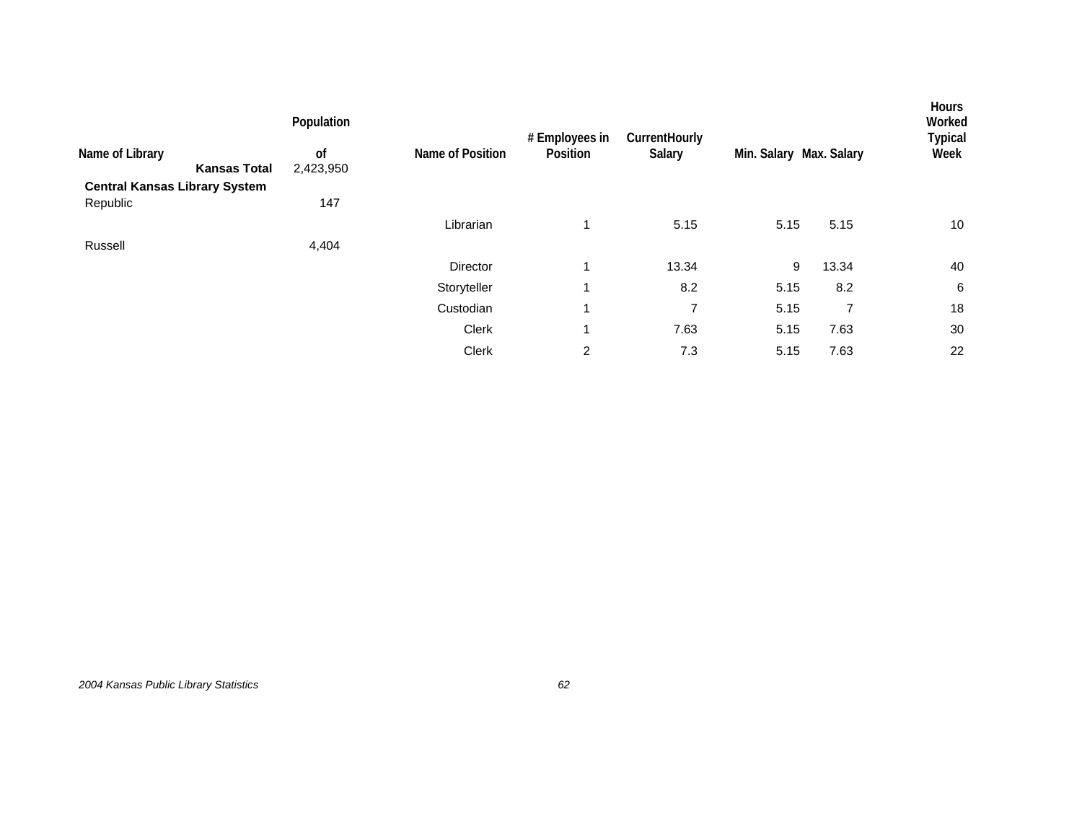|                                      | Population    |                  | # Employees in | CurrentHourly |                         |       | Hours<br>Worked<br><b>Typical</b> |
|--------------------------------------|---------------|------------------|----------------|---------------|-------------------------|-------|-----------------------------------|
| Name of Library                      | <sub>of</sub> | Name of Position | Position       | Salary        | Min. Salary Max. Salary |       | Week                              |
| <b>Kansas Total</b>                  | 2,423,950     |                  |                |               |                         |       |                                   |
| <b>Central Kansas Library System</b> |               |                  |                |               |                         |       |                                   |
| Republic                             | 147           |                  |                |               |                         |       |                                   |
|                                      |               | Librarian        |                | 5.15          | 5.15                    | 5.15  | 10                                |
| Russell                              | 4,404         |                  |                |               |                         |       |                                   |
|                                      |               | <b>Director</b>  |                | 13.34         | 9                       | 13.34 | 40                                |
|                                      |               | Storyteller      |                | 8.2           | 5.15                    | 8.2   | 6                                 |
|                                      |               | Custodian        |                | 7             | 5.15                    | 7     | 18                                |
|                                      |               | Clerk            |                | 7.63          | 5.15                    | 7.63  | 30                                |
|                                      |               | Clerk            | 2              | 7.3           | 5.15                    | 7.63  | 22                                |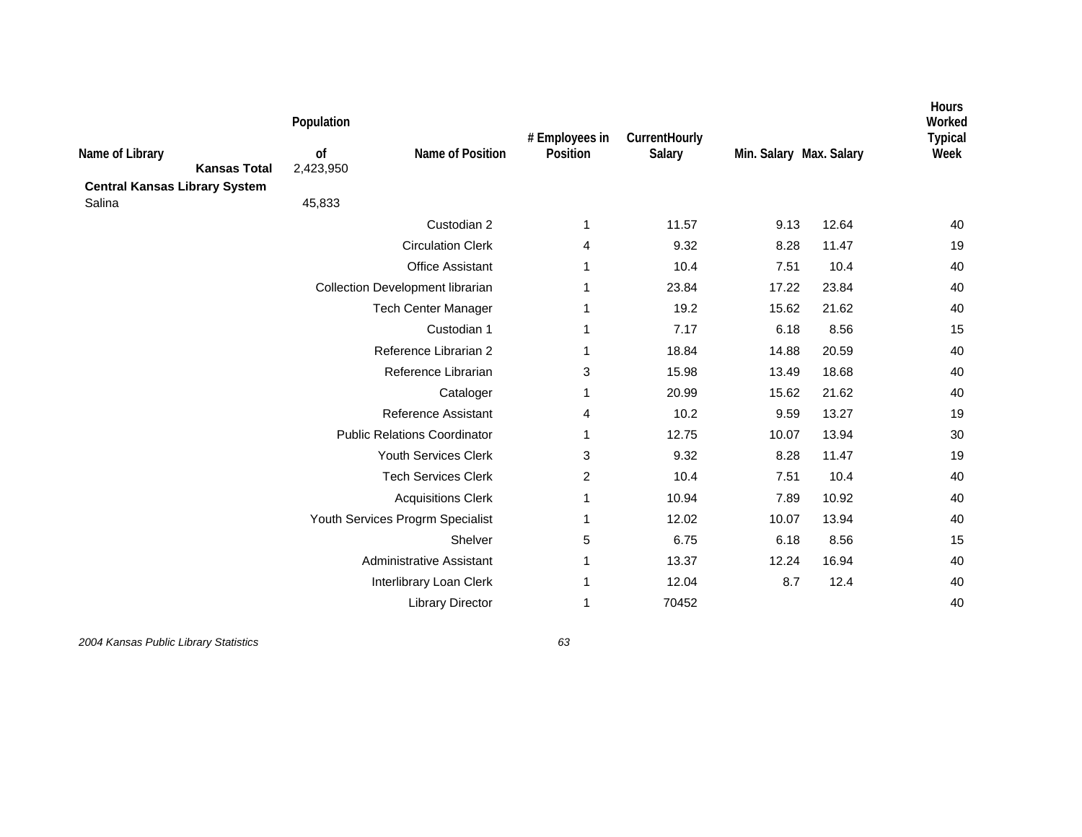| Name of Library<br><b>Kansas Total</b><br><b>Central Kansas Library System</b> | Population<br>of<br>2,423,950 | Name of Position                    | # Employees in<br>Position | CurrentHourly<br>Salary | Min. Salary Max. Salary |       | Hours<br>Worked<br><b>Typical</b><br>Week |
|--------------------------------------------------------------------------------|-------------------------------|-------------------------------------|----------------------------|-------------------------|-------------------------|-------|-------------------------------------------|
| Salina                                                                         | 45,833                        |                                     |                            |                         |                         |       |                                           |
|                                                                                |                               | Custodian 2                         | 1                          | 11.57                   | 9.13                    | 12.64 | 40                                        |
|                                                                                |                               | <b>Circulation Clerk</b>            | 4                          | 9.32                    | 8.28                    | 11.47 | 19                                        |
|                                                                                |                               | <b>Office Assistant</b>             | 1                          | 10.4                    | 7.51                    | 10.4  | 40                                        |
|                                                                                |                               | Collection Development librarian    | 1                          | 23.84                   | 17.22                   | 23.84 | 40                                        |
|                                                                                |                               | <b>Tech Center Manager</b>          | 1                          | 19.2                    | 15.62                   | 21.62 | 40                                        |
|                                                                                |                               | Custodian 1                         | 1                          | 7.17                    | 6.18                    | 8.56  | 15                                        |
|                                                                                |                               | Reference Librarian 2               | 1                          | 18.84                   | 14.88                   | 20.59 | 40                                        |
|                                                                                |                               | Reference Librarian                 | 3                          | 15.98                   | 13.49                   | 18.68 | 40                                        |
|                                                                                |                               | Cataloger                           | 1                          | 20.99                   | 15.62                   | 21.62 | 40                                        |
|                                                                                |                               | <b>Reference Assistant</b>          | 4                          | 10.2                    | 9.59                    | 13.27 | 19                                        |
|                                                                                |                               | <b>Public Relations Coordinator</b> | 1                          | 12.75                   | 10.07                   | 13.94 | 30                                        |
|                                                                                |                               | <b>Youth Services Clerk</b>         | 3                          | 9.32                    | 8.28                    | 11.47 | 19                                        |
|                                                                                |                               | <b>Tech Services Clerk</b>          | 2                          | 10.4                    | 7.51                    | 10.4  | 40                                        |
|                                                                                |                               | <b>Acquisitions Clerk</b>           | 1                          | 10.94                   | 7.89                    | 10.92 | 40                                        |
|                                                                                |                               | Youth Services Progrm Specialist    | 1                          | 12.02                   | 10.07                   | 13.94 | 40                                        |
|                                                                                |                               | Shelver                             | 5                          | 6.75                    | 6.18                    | 8.56  | 15                                        |
|                                                                                |                               | <b>Administrative Assistant</b>     | 1                          | 13.37                   | 12.24                   | 16.94 | 40                                        |
|                                                                                |                               | Interlibrary Loan Clerk             | 1                          | 12.04                   | 8.7                     | 12.4  | 40                                        |
|                                                                                |                               | <b>Library Director</b>             | 1                          | 70452                   |                         |       | 40                                        |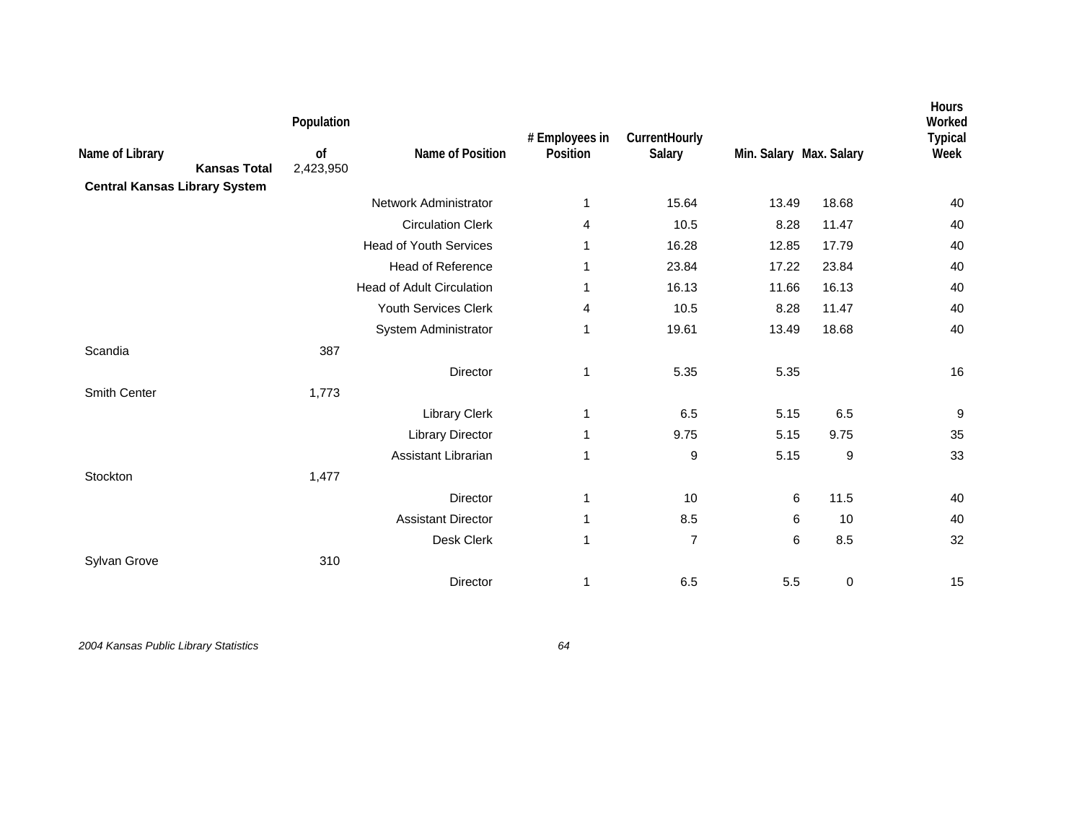|                                        | Population      |                                  | # Employees in | CurrentHourly  |                         |             | Hours<br>Worked<br><b>Typical</b> |
|----------------------------------------|-----------------|----------------------------------|----------------|----------------|-------------------------|-------------|-----------------------------------|
| Name of Library<br><b>Kansas Total</b> | of<br>2,423,950 | Name of Position                 | Position       | Salary         | Min. Salary Max. Salary |             | Week                              |
| <b>Central Kansas Library System</b>   |                 |                                  |                |                |                         |             |                                   |
|                                        |                 | Network Administrator            | 1              | 15.64          | 13.49                   | 18.68       | 40                                |
|                                        |                 | <b>Circulation Clerk</b>         | 4              | 10.5           | 8.28                    | 11.47       | 40                                |
|                                        |                 | <b>Head of Youth Services</b>    | 1              | 16.28          | 12.85                   | 17.79       | 40                                |
|                                        |                 | <b>Head of Reference</b>         | 1              | 23.84          | 17.22                   | 23.84       | 40                                |
|                                        |                 | <b>Head of Adult Circulation</b> | 1              | 16.13          | 11.66                   | 16.13       | 40                                |
|                                        |                 | Youth Services Clerk             | 4              | 10.5           | 8.28                    | 11.47       | 40                                |
|                                        |                 | System Administrator             | 1              | 19.61          | 13.49                   | 18.68       | 40                                |
| Scandia                                | 387             |                                  |                |                |                         |             |                                   |
|                                        |                 | <b>Director</b>                  | 1              | 5.35           | 5.35                    |             | 16                                |
| Smith Center                           | 1,773           |                                  |                |                |                         |             |                                   |
|                                        |                 | <b>Library Clerk</b>             | 1              | 6.5            | 5.15                    | 6.5         | $\boldsymbol{9}$                  |
|                                        |                 | <b>Library Director</b>          | 1              | 9.75           | 5.15                    | 9.75        | 35                                |
|                                        |                 | Assistant Librarian              | 1              | 9              | 5.15                    | 9           | 33                                |
| Stockton                               | 1,477           |                                  |                |                |                         |             |                                   |
|                                        |                 | Director                         | 1              | 10             | 6                       | 11.5        | 40                                |
|                                        |                 | <b>Assistant Director</b>        | 1              | 8.5            | 6                       | 10          | 40                                |
|                                        |                 | Desk Clerk                       | $\mathbf{1}$   | $\overline{7}$ | 6                       | 8.5         | 32                                |
| Sylvan Grove                           | 310             |                                  |                |                |                         |             |                                   |
|                                        |                 | Director                         | 1              | 6.5            | 5.5                     | $\mathbf 0$ | 15                                |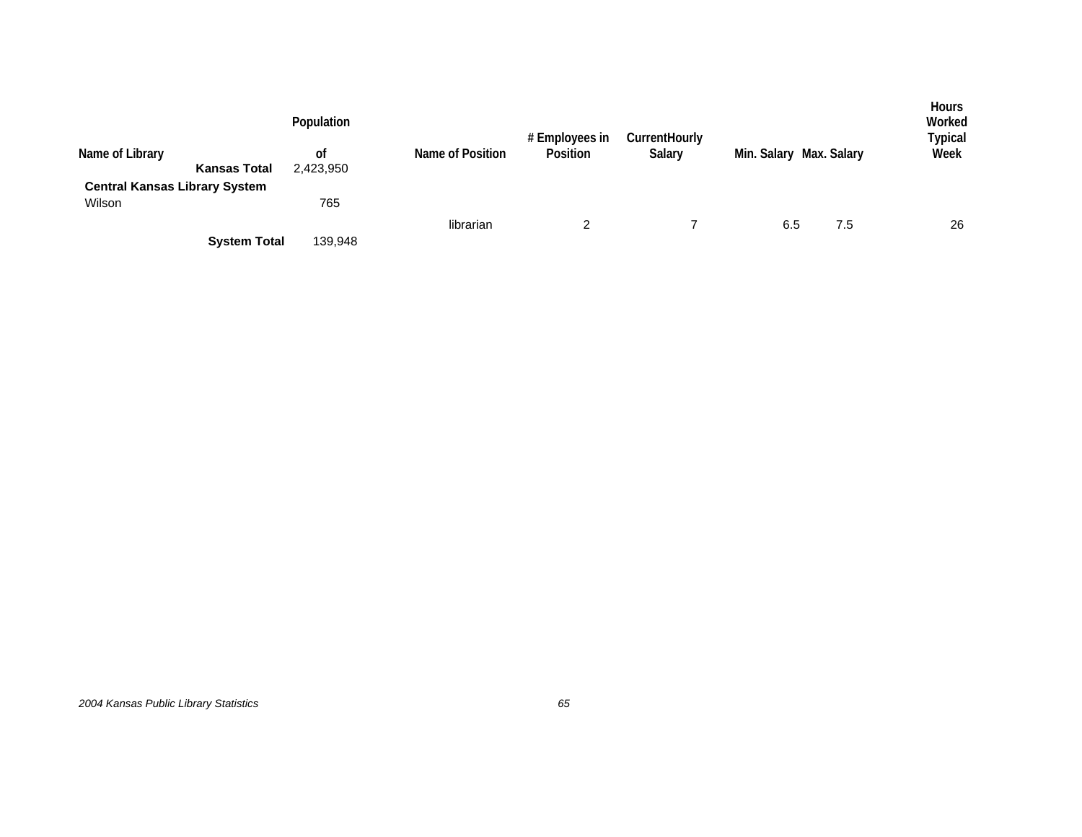| Name of Library<br><b>Central Kansas Library System</b> | <b>Kansas Total</b> | Population<br>0f<br>2,423,950 | Name of Position | # Employees in<br>Position | CurrentHourly<br>Salary | Min. Salary Max. Salary |     | <b>Hours</b><br>Worked<br>Typical<br>Week |
|---------------------------------------------------------|---------------------|-------------------------------|------------------|----------------------------|-------------------------|-------------------------|-----|-------------------------------------------|
| Wilson                                                  |                     | 765                           |                  |                            |                         |                         |     |                                           |
|                                                         | <b>System Total</b> | 139,948                       | librarian        | 2                          |                         | 6.5                     | 7.5 | 26                                        |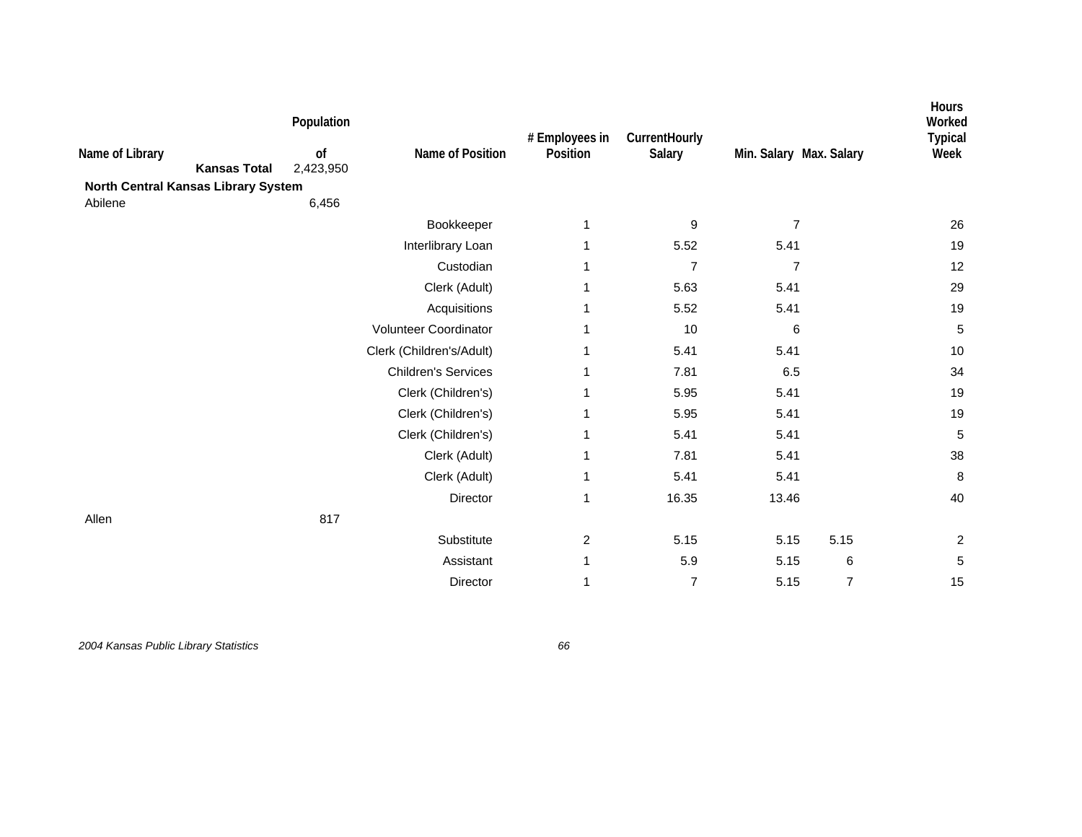| Name of Library<br><b>Kansas Total</b><br>North Central Kansas Library System | Population<br>of<br>2,423,950 | Name of Position           | # Employees in<br>Position | CurrentHourly<br>Salary | Min. Salary Max. Salary |                | Hours<br>Worked<br><b>Typical</b><br>Week |
|-------------------------------------------------------------------------------|-------------------------------|----------------------------|----------------------------|-------------------------|-------------------------|----------------|-------------------------------------------|
| Abilene                                                                       | 6,456                         |                            |                            |                         |                         |                |                                           |
|                                                                               |                               | Bookkeeper                 | 1                          | 9                       | $\overline{7}$          |                | 26                                        |
|                                                                               |                               | Interlibrary Loan          | 1                          | 5.52                    | 5.41                    |                | 19                                        |
|                                                                               |                               | Custodian                  | 1                          | $\overline{7}$          | $\overline{7}$          |                | 12                                        |
|                                                                               |                               | Clerk (Adult)              |                            | 5.63                    | 5.41                    |                | 29                                        |
|                                                                               |                               | Acquisitions               | 1                          | 5.52                    | 5.41                    |                | 19                                        |
|                                                                               |                               | Volunteer Coordinator      | 1                          | 10                      | 6                       |                | $\overline{5}$                            |
|                                                                               |                               | Clerk (Children's/Adult)   | 1                          | 5.41                    | 5.41                    |                | 10                                        |
|                                                                               |                               | <b>Children's Services</b> | 1                          | 7.81                    | 6.5                     |                | 34                                        |
|                                                                               |                               | Clerk (Children's)         | 1                          | 5.95                    | 5.41                    |                | 19                                        |
|                                                                               |                               | Clerk (Children's)         | 1                          | 5.95                    | 5.41                    |                | 19                                        |
|                                                                               |                               | Clerk (Children's)         | 1                          | 5.41                    | 5.41                    |                | 5                                         |
|                                                                               |                               | Clerk (Adult)              | 1                          | 7.81                    | 5.41                    |                | 38                                        |
|                                                                               |                               | Clerk (Adult)              | 1                          | 5.41                    | 5.41                    |                | 8                                         |
|                                                                               |                               | Director                   | 1                          | 16.35                   | 13.46                   |                | 40                                        |
| Allen                                                                         | 817                           |                            |                            |                         |                         |                |                                           |
|                                                                               |                               | Substitute                 | $\overline{c}$             | 5.15                    | 5.15                    | 5.15           | $\overline{c}$                            |
|                                                                               |                               | Assistant                  | 1                          | 5.9                     | 5.15                    | 6              | $\,$ 5 $\,$                               |
|                                                                               |                               | Director                   | 1                          | $\overline{7}$          | 5.15                    | $\overline{7}$ | 15                                        |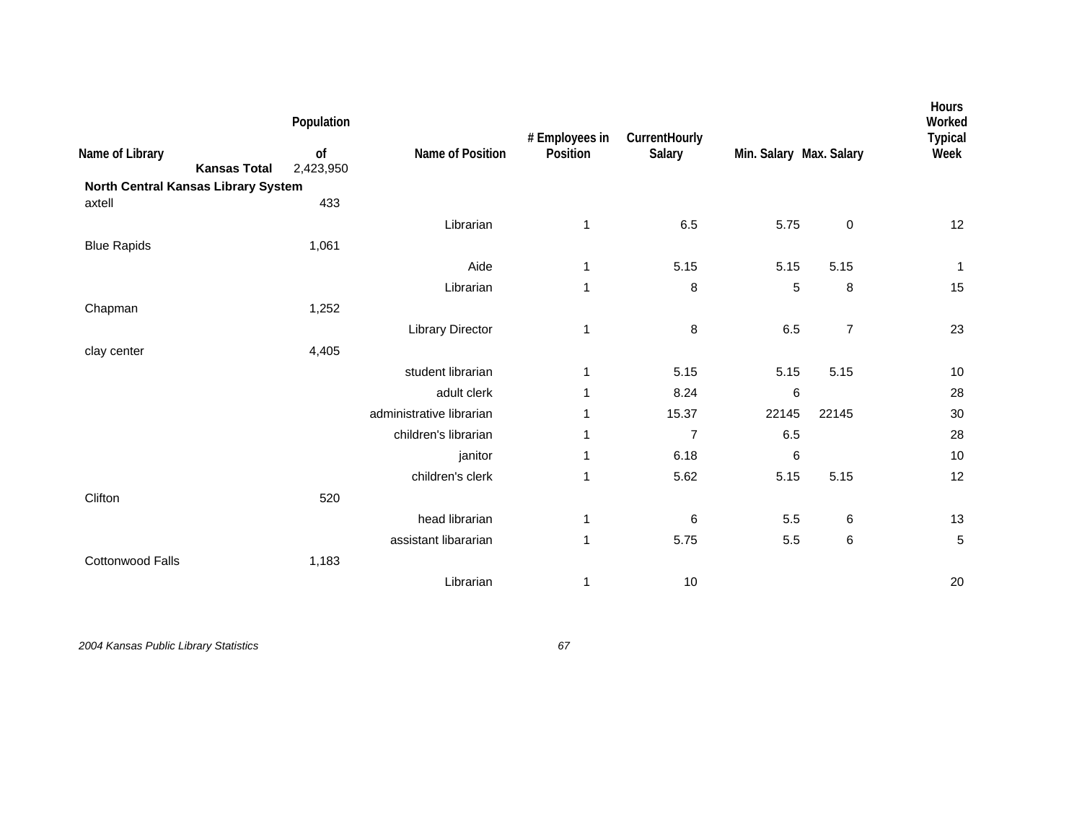| Name of Library<br><b>Kansas Total</b><br>North Central Kansas Library System | Population<br>of<br>2,423,950 | Name of Position         | # Employees in<br>Position | CurrentHourly<br>Salary | Min. Salary Max. Salary |                | Hours<br>Worked<br><b>Typical</b><br>Week |
|-------------------------------------------------------------------------------|-------------------------------|--------------------------|----------------------------|-------------------------|-------------------------|----------------|-------------------------------------------|
| axtell                                                                        | 433                           |                          |                            |                         |                         |                |                                           |
|                                                                               |                               | Librarian                | 1                          | 6.5                     | 5.75                    | $\pmb{0}$      | 12                                        |
| <b>Blue Rapids</b>                                                            | 1,061                         |                          |                            |                         |                         |                |                                           |
|                                                                               |                               | Aide                     | 1                          | 5.15                    | 5.15                    | 5.15           | $\mathbf{1}$                              |
|                                                                               |                               | Librarian                | 1                          | 8                       | 5                       | 8              | 15                                        |
| Chapman                                                                       | 1,252                         |                          |                            |                         |                         |                |                                           |
|                                                                               |                               | <b>Library Director</b>  | 1                          | 8                       | 6.5                     | $\overline{7}$ | 23                                        |
| clay center                                                                   | 4,405                         |                          |                            |                         |                         |                |                                           |
|                                                                               |                               | student librarian        | 1                          | 5.15                    | 5.15                    | 5.15           | 10                                        |
|                                                                               |                               | adult clerk              | 1                          | 8.24                    | 6                       |                | 28                                        |
|                                                                               |                               | administrative librarian | 1                          | 15.37                   | 22145                   | 22145          | 30                                        |
|                                                                               |                               | children's librarian     | 1                          | $\overline{7}$          | 6.5                     |                | 28                                        |
|                                                                               |                               | janitor                  | 1                          | 6.18                    | 6                       |                | 10                                        |
|                                                                               |                               | children's clerk         | 1                          | 5.62                    | 5.15                    | 5.15           | 12                                        |
| Clifton                                                                       | 520                           |                          |                            |                         |                         |                |                                           |
|                                                                               |                               | head librarian           | 1                          | 6                       | 5.5                     | 6              | 13                                        |
|                                                                               |                               | assistant libararian     | $\mathbf{1}$               | 5.75                    | 5.5                     | 6              | 5                                         |
| Cottonwood Falls                                                              | 1,183                         |                          |                            |                         |                         |                |                                           |
|                                                                               |                               | Librarian                | 1                          | 10                      |                         |                | 20                                        |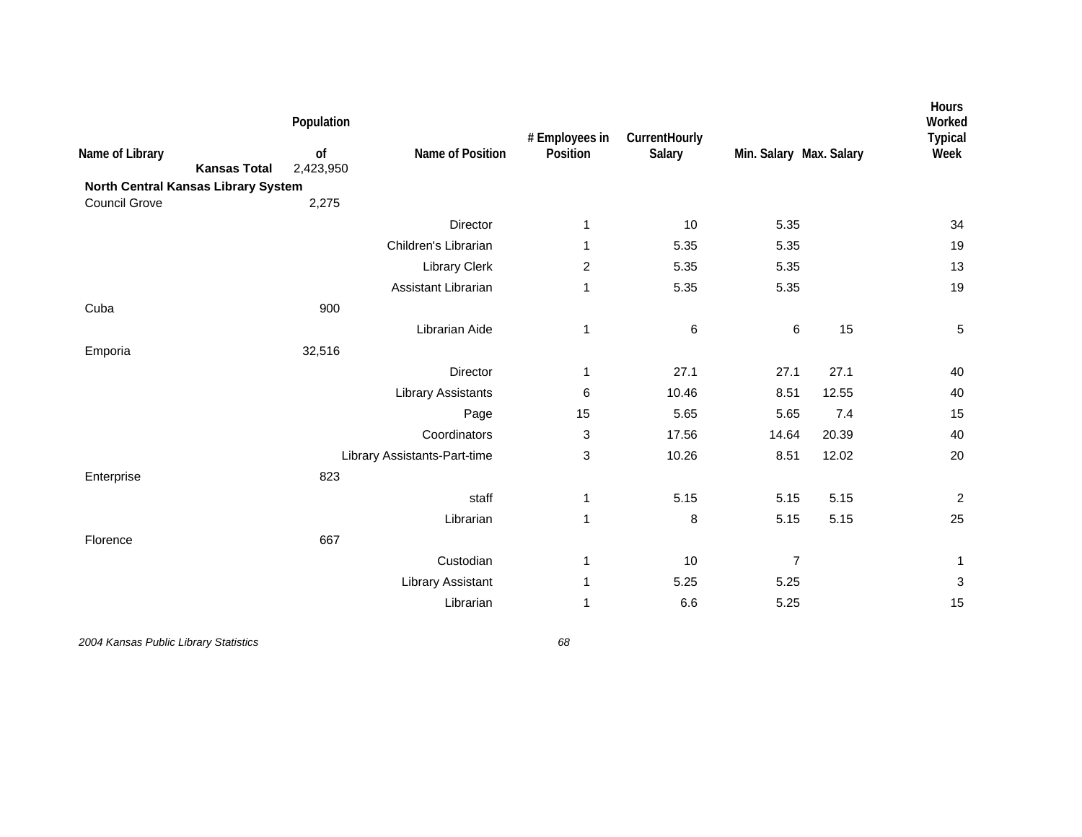| Name of Library      | <b>Kansas Total</b>                 | Population<br>of<br>2,423,950 | Name of Position             | # Employees in<br>Position | CurrentHourly<br>Salary | Min. Salary Max. Salary |       | Hours<br>Worked<br><b>Typical</b><br>Week |
|----------------------|-------------------------------------|-------------------------------|------------------------------|----------------------------|-------------------------|-------------------------|-------|-------------------------------------------|
| <b>Council Grove</b> | North Central Kansas Library System |                               |                              |                            |                         |                         |       |                                           |
|                      |                                     | 2,275                         | Director                     |                            | 10                      | 5.35                    |       | 34                                        |
|                      |                                     |                               |                              | 1                          |                         |                         |       |                                           |
|                      |                                     |                               | Children's Librarian         | 1                          | 5.35                    | 5.35                    |       | 19                                        |
|                      |                                     |                               | <b>Library Clerk</b>         | $\overline{2}$             | 5.35                    | 5.35                    |       | 13                                        |
|                      |                                     |                               | Assistant Librarian          | 1                          | 5.35                    | 5.35                    |       | 19                                        |
| Cuba                 |                                     | 900                           |                              |                            |                         |                         |       |                                           |
|                      |                                     |                               | Librarian Aide               | $\mathbf{1}$               | 6                       | 6                       | 15    | $\,$ 5 $\,$                               |
| Emporia              |                                     | 32,516                        |                              |                            |                         |                         |       |                                           |
|                      |                                     |                               | Director                     | 1                          | 27.1                    | 27.1                    | 27.1  | 40                                        |
|                      |                                     |                               | <b>Library Assistants</b>    | 6                          | 10.46                   | 8.51                    | 12.55 | 40                                        |
|                      |                                     |                               | Page                         | 15                         | 5.65                    | 5.65                    | 7.4   | 15                                        |
|                      |                                     |                               | Coordinators                 | 3                          | 17.56                   | 14.64                   | 20.39 | 40                                        |
|                      |                                     |                               | Library Assistants-Part-time | 3                          | 10.26                   | 8.51                    | 12.02 | 20                                        |
| Enterprise           |                                     | 823                           |                              |                            |                         |                         |       |                                           |
|                      |                                     |                               | staff                        | 1                          | 5.15                    | 5.15                    | 5.15  | $\overline{c}$                            |
|                      |                                     |                               | Librarian                    | $\mathbf{1}$               | 8                       | 5.15                    | 5.15  | 25                                        |
| Florence             |                                     | 667                           |                              |                            |                         |                         |       |                                           |
|                      |                                     |                               | Custodian                    | 1                          | 10                      | $\overline{7}$          |       | 1                                         |
|                      |                                     |                               | <b>Library Assistant</b>     | 1                          | 5.25                    | 5.25                    |       | 3                                         |
|                      |                                     |                               | Librarian                    | 1                          | 6.6                     | 5.25                    |       | 15                                        |
|                      |                                     |                               |                              |                            |                         |                         |       |                                           |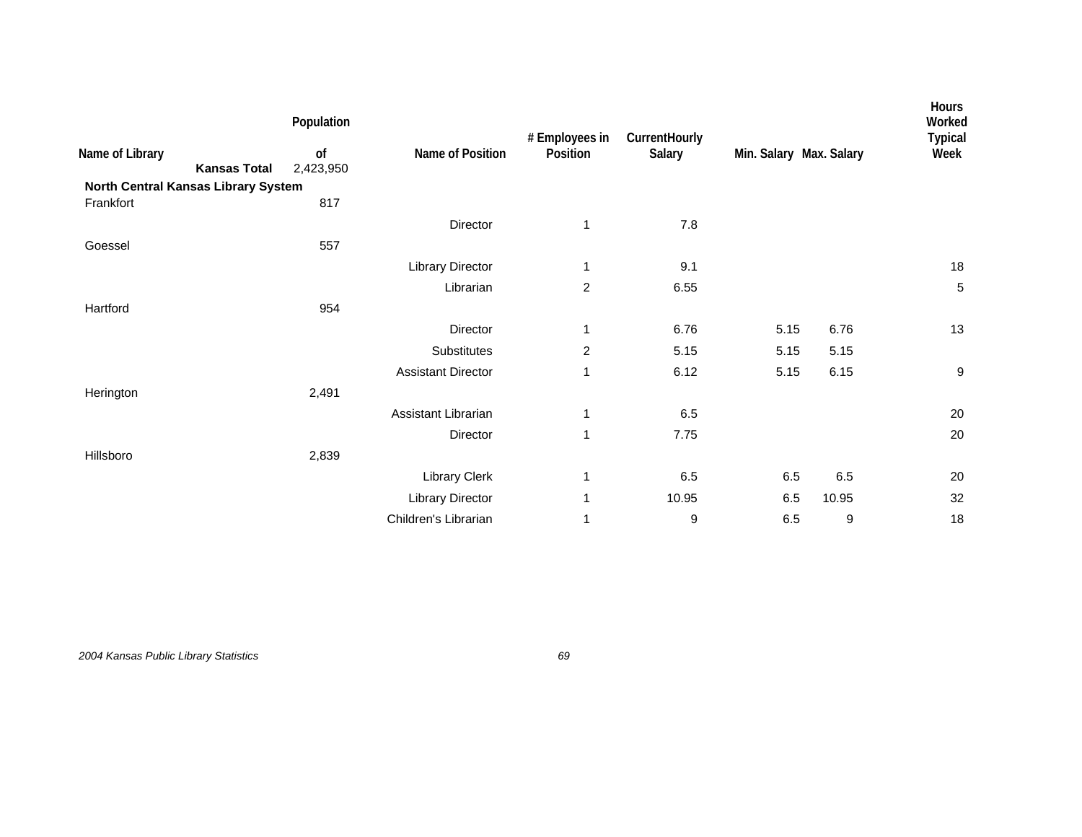| Population                             |                           | # Employees in | CurrentHourly |      |       | Hours<br>Worked<br><b>Typical</b> |
|----------------------------------------|---------------------------|----------------|---------------|------|-------|-----------------------------------|
| of<br><b>Kansas Total</b><br>2,423,950 | Name of Position          | Position       | Salary        |      |       | Week                              |
| North Central Kansas Library System    |                           |                |               |      |       |                                   |
| 817                                    |                           |                |               |      |       |                                   |
|                                        | Director                  | 1              | 7.8           |      |       |                                   |
| 557                                    |                           |                |               |      |       |                                   |
|                                        | Library Director          | 1              | 9.1           |      |       | 18                                |
|                                        | Librarian                 | $\overline{c}$ | 6.55          |      |       | 5                                 |
| 954                                    |                           |                |               |      |       |                                   |
|                                        | Director                  | 1              | 6.76          | 5.15 | 6.76  | 13                                |
|                                        | Substitutes               | $\overline{2}$ | 5.15          | 5.15 | 5.15  |                                   |
|                                        | <b>Assistant Director</b> | 1              | 6.12          | 5.15 | 6.15  | 9                                 |
| 2,491                                  |                           |                |               |      |       |                                   |
|                                        | Assistant Librarian       | 1              | 6.5           |      |       | 20                                |
|                                        | Director                  | $\mathbf{1}$   | 7.75          |      |       | 20                                |
| 2,839                                  |                           |                |               |      |       |                                   |
|                                        | Library Clerk             | 1              | 6.5           | 6.5  | 6.5   | 20                                |
|                                        | Library Director          | 1              | 10.95         | 6.5  | 10.95 | 32                                |
|                                        | Children's Librarian      | 1              | 9             | 6.5  | 9     | 18                                |
|                                        |                           |                |               |      |       | Min. Salary Max. Salary           |

*2004 Kansas Public Library Statistics 69*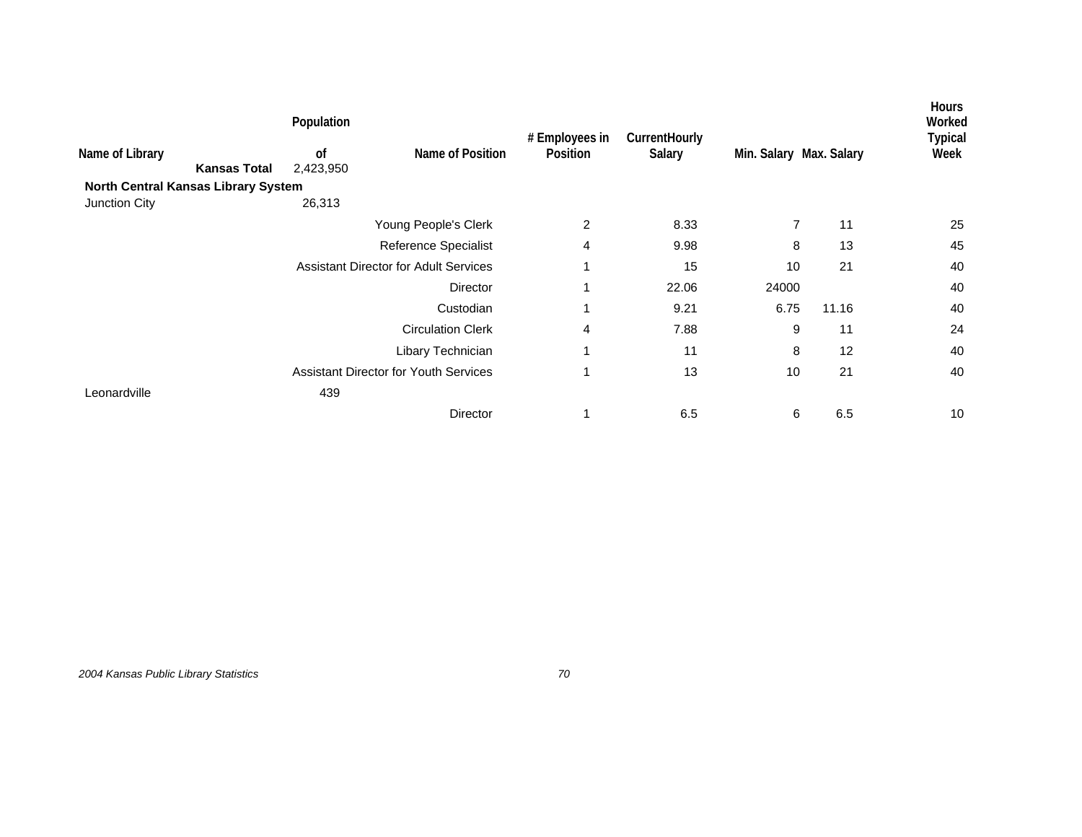|                                     |                     | Population      |                                              | # Employees in | CurrentHourly |                         |       | <b>Hours</b><br>Worked<br><b>Typical</b> |
|-------------------------------------|---------------------|-----------------|----------------------------------------------|----------------|---------------|-------------------------|-------|------------------------------------------|
| Name of Library                     | <b>Kansas Total</b> | of<br>2,423,950 | Name of Position                             | Position       | Salary        | Min. Salary Max. Salary |       | Week                                     |
| North Central Kansas Library System |                     |                 |                                              |                |               |                         |       |                                          |
| Junction City                       |                     | 26,313          |                                              |                |               |                         |       |                                          |
|                                     |                     |                 | Young People's Clerk                         | 2              | 8.33          | $\overline{7}$          | 11    | 25                                       |
|                                     |                     |                 | Reference Specialist                         | 4              | 9.98          | 8                       | 13    | 45                                       |
|                                     |                     |                 | <b>Assistant Director for Adult Services</b> | 1              | 15            | 10                      | 21    | 40                                       |
|                                     |                     |                 | Director                                     | 1              | 22.06         | 24000                   |       | 40                                       |
|                                     |                     |                 | Custodian                                    | 1              | 9.21          | 6.75                    | 11.16 | 40                                       |
|                                     |                     |                 | <b>Circulation Clerk</b>                     | 4              | 7.88          | 9                       | 11    | 24                                       |
|                                     |                     |                 | Libary Technician                            | 1              | 11            | 8                       | 12    | 40                                       |
|                                     |                     |                 | <b>Assistant Director for Youth Services</b> | 1              | 13            | 10                      | 21    | 40                                       |
| Leonardville                        |                     | 439             |                                              |                |               |                         |       |                                          |
|                                     |                     |                 | Director                                     | 1              | 6.5           | 6                       | 6.5   | 10                                       |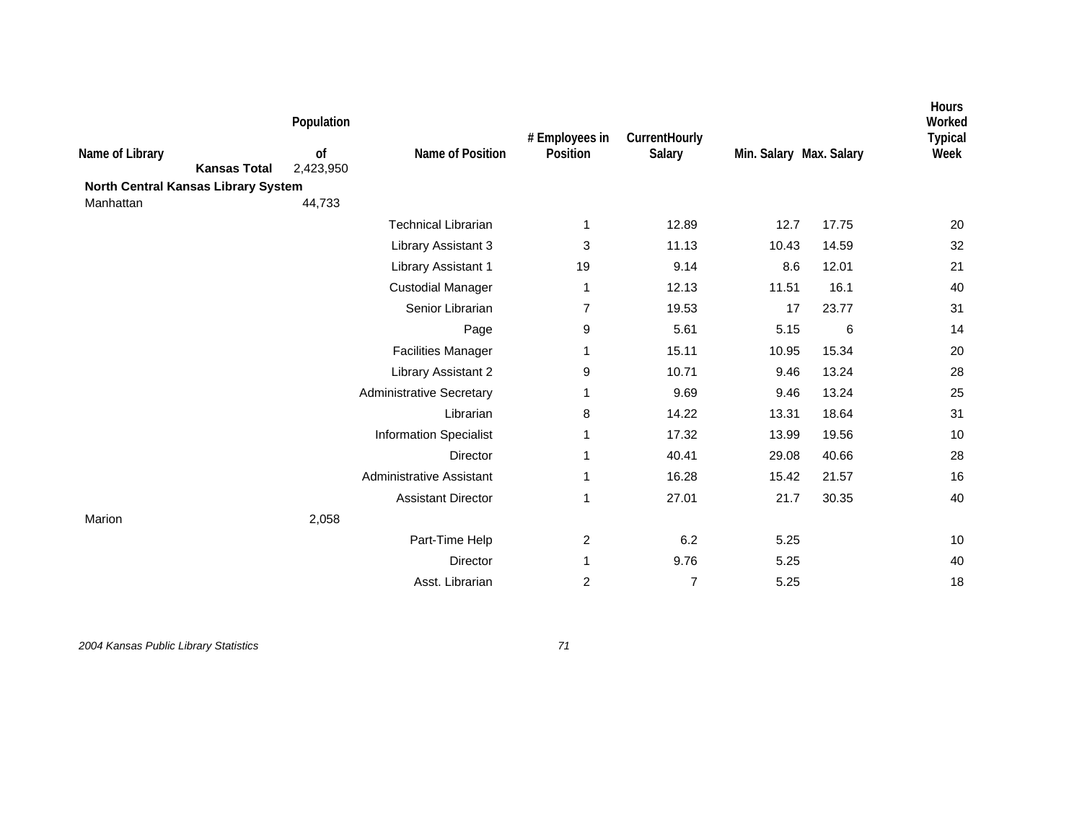| Name of Library<br><b>Kansas Total</b><br>North Central Kansas Library System | Population<br>of<br>2,423,950 | Name of Position                | # Employees in<br>Position | CurrentHourly<br>Salary | Min. Salary Max. Salary |       | <b>Hours</b><br>Worked<br><b>Typical</b><br>Week |
|-------------------------------------------------------------------------------|-------------------------------|---------------------------------|----------------------------|-------------------------|-------------------------|-------|--------------------------------------------------|
| Manhattan                                                                     | 44,733                        |                                 |                            |                         |                         |       |                                                  |
|                                                                               |                               | <b>Technical Librarian</b>      | 1                          | 12.89                   | 12.7                    | 17.75 | 20                                               |
|                                                                               |                               | Library Assistant 3             | 3                          | 11.13                   | 10.43                   | 14.59 | 32                                               |
|                                                                               |                               | <b>Library Assistant 1</b>      | 19                         | 9.14                    | 8.6                     | 12.01 | 21                                               |
|                                                                               |                               | <b>Custodial Manager</b>        | 1                          | 12.13                   | 11.51                   | 16.1  | 40                                               |
|                                                                               |                               | Senior Librarian                | 7                          | 19.53                   | 17                      | 23.77 | 31                                               |
|                                                                               |                               | Page                            | 9                          | 5.61                    | 5.15                    | 6     | 14                                               |
|                                                                               |                               | <b>Facilities Manager</b>       | 1                          | 15.11                   | 10.95                   | 15.34 | 20                                               |
|                                                                               |                               | Library Assistant 2             | 9                          | 10.71                   | 9.46                    | 13.24 | 28                                               |
|                                                                               |                               | <b>Administrative Secretary</b> | 1                          | 9.69                    | 9.46                    | 13.24 | 25                                               |
|                                                                               |                               | Librarian                       | 8                          | 14.22                   | 13.31                   | 18.64 | 31                                               |
|                                                                               |                               | <b>Information Specialist</b>   | 1                          | 17.32                   | 13.99                   | 19.56 | 10                                               |
|                                                                               |                               | <b>Director</b>                 | 1                          | 40.41                   | 29.08                   | 40.66 | 28                                               |
|                                                                               |                               | Administrative Assistant        | 1                          | 16.28                   | 15.42                   | 21.57 | 16                                               |
|                                                                               |                               | <b>Assistant Director</b>       | 1                          | 27.01                   | 21.7                    | 30.35 | 40                                               |
| Marion                                                                        | 2,058                         |                                 |                            |                         |                         |       |                                                  |
|                                                                               |                               | Part-Time Help                  | $\overline{c}$             | 6.2                     | 5.25                    |       | 10                                               |
|                                                                               |                               | <b>Director</b>                 | 1                          | 9.76                    | 5.25                    |       | 40                                               |
|                                                                               |                               | Asst. Librarian                 | 2                          | $\overline{7}$          | 5.25                    |       | 18                                               |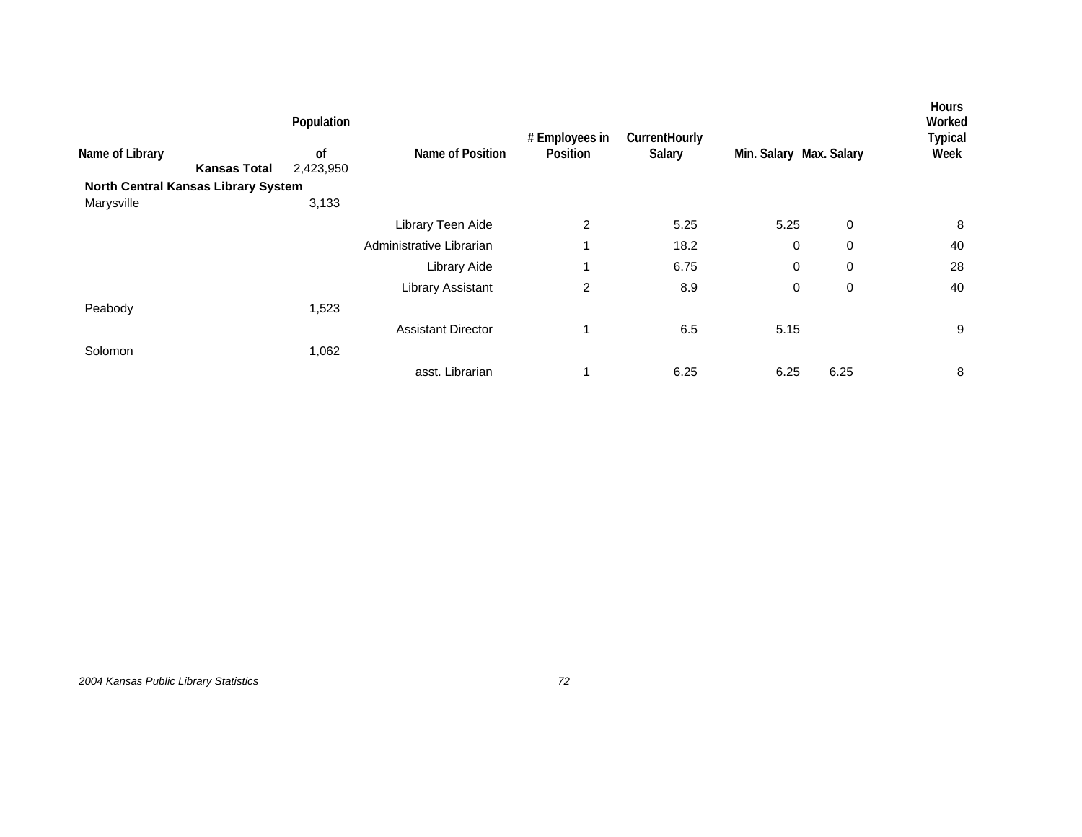|                                     |                     | Population    |                           | # Employees in | CurrentHourly |                         |             | Hours<br>Worked<br><b>Typical</b> |
|-------------------------------------|---------------------|---------------|---------------------------|----------------|---------------|-------------------------|-------------|-----------------------------------|
| Name of Library                     |                     | <sub>of</sub> | Name of Position          | Position       | Salary        | Min. Salary Max. Salary |             | Week                              |
|                                     | <b>Kansas Total</b> | 2,423,950     |                           |                |               |                         |             |                                   |
| North Central Kansas Library System |                     |               |                           |                |               |                         |             |                                   |
| Marysville                          |                     | 3,133         |                           |                |               |                         |             |                                   |
|                                     |                     |               | Library Teen Aide         | 2              | 5.25          | 5.25                    | $\mathbf 0$ | 8                                 |
|                                     |                     |               | Administrative Librarian  | 1              | 18.2          | 0                       | 0           | 40                                |
|                                     |                     |               | Library Aide              | 1              | 6.75          | 0                       | 0           | 28                                |
|                                     |                     |               | <b>Library Assistant</b>  | 2              | 8.9           | 0                       | 0           | 40                                |
| Peabody                             |                     | 1,523         |                           |                |               |                         |             |                                   |
|                                     |                     |               | <b>Assistant Director</b> | 1              | 6.5           | 5.15                    |             | 9                                 |
| Solomon                             |                     | 1,062         |                           |                |               |                         |             |                                   |
|                                     |                     |               | asst. Librarian           | 1              | 6.25          | 6.25                    | 6.25        | 8                                 |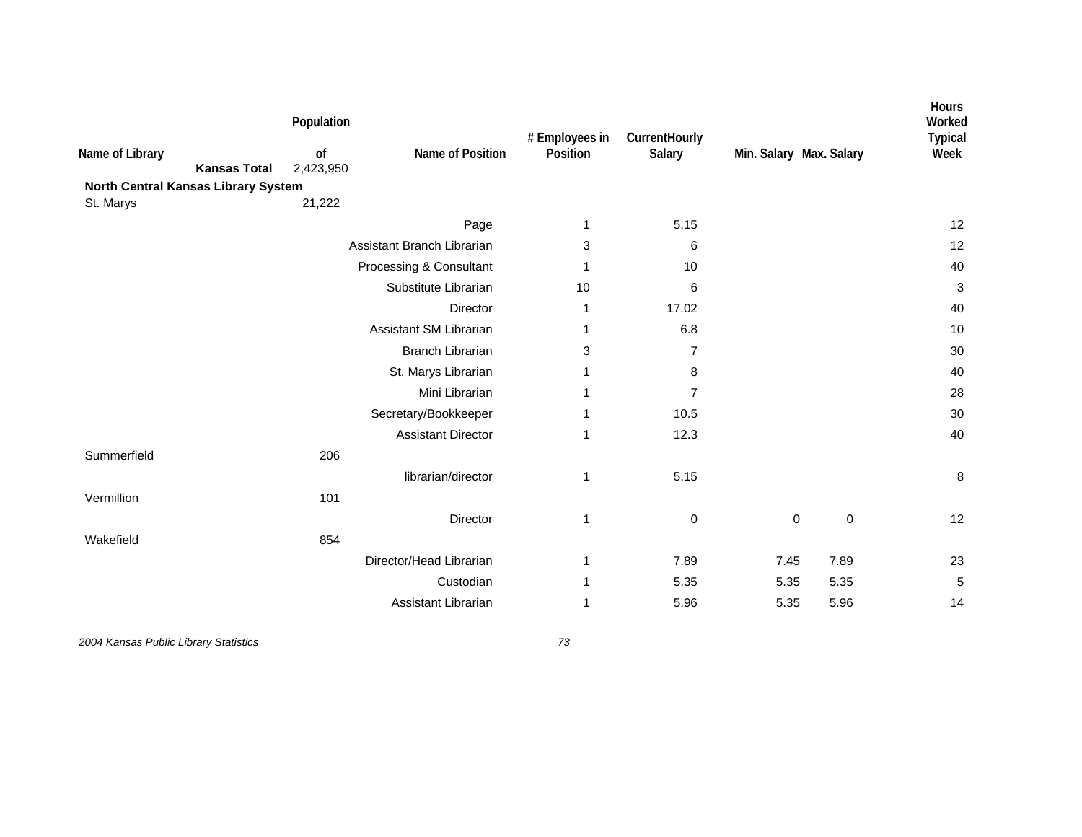| Name of Library | <b>Kansas Total</b><br>North Central Kansas Library System | Population<br>of<br>2,423,950 | Name of Position           | # Employees in<br>Position | CurrentHourly<br>Salary |             | Min. Salary Max. Salary | Hours<br>Worked<br><b>Typical</b><br>Week |
|-----------------|------------------------------------------------------------|-------------------------------|----------------------------|----------------------------|-------------------------|-------------|-------------------------|-------------------------------------------|
| St. Marys       |                                                            | 21,222                        |                            |                            |                         |             |                         |                                           |
|                 |                                                            |                               | Page                       | 1                          | 5.15                    |             |                         | 12                                        |
|                 |                                                            |                               | Assistant Branch Librarian | 3                          | 6                       |             |                         | 12                                        |
|                 |                                                            |                               | Processing & Consultant    | 1                          | 10                      |             |                         | 40                                        |
|                 |                                                            |                               | Substitute Librarian       | 10                         | 6                       |             |                         | 3                                         |
|                 |                                                            |                               | Director                   | 1                          | 17.02                   |             |                         | 40                                        |
|                 |                                                            |                               | Assistant SM Librarian     |                            | 6.8                     |             |                         | 10                                        |
|                 |                                                            |                               | <b>Branch Librarian</b>    | 3                          | $\overline{7}$          |             |                         | 30                                        |
|                 |                                                            |                               | St. Marys Librarian        | 1                          | 8                       |             |                         | 40                                        |
|                 |                                                            |                               | Mini Librarian             | 1                          | $\overline{7}$          |             |                         | 28                                        |
|                 |                                                            |                               | Secretary/Bookkeeper       | 1                          | 10.5                    |             |                         | 30                                        |
|                 |                                                            |                               | <b>Assistant Director</b>  | 1                          | 12.3                    |             |                         | 40                                        |
| Summerfield     |                                                            | 206                           |                            |                            |                         |             |                         |                                           |
|                 |                                                            |                               | librarian/director         | 1                          | 5.15                    |             |                         | 8                                         |
| Vermillion      |                                                            | 101                           |                            |                            |                         |             |                         |                                           |
|                 |                                                            |                               | Director                   | 1                          | $\mathbf 0$             | $\mathbf 0$ | $\mathbf 0$             | 12                                        |
| Wakefield       |                                                            | 854                           |                            |                            |                         |             |                         |                                           |
|                 |                                                            |                               | Director/Head Librarian    | 1                          | 7.89                    | 7.45        | 7.89                    | 23                                        |
|                 |                                                            |                               | Custodian                  | 1                          | 5.35                    | 5.35        | 5.35                    | 5                                         |
|                 |                                                            |                               | Assistant Librarian        | 1                          | 5.96                    | 5.35        | 5.96                    | 14                                        |
|                 |                                                            |                               |                            |                            |                         |             |                         |                                           |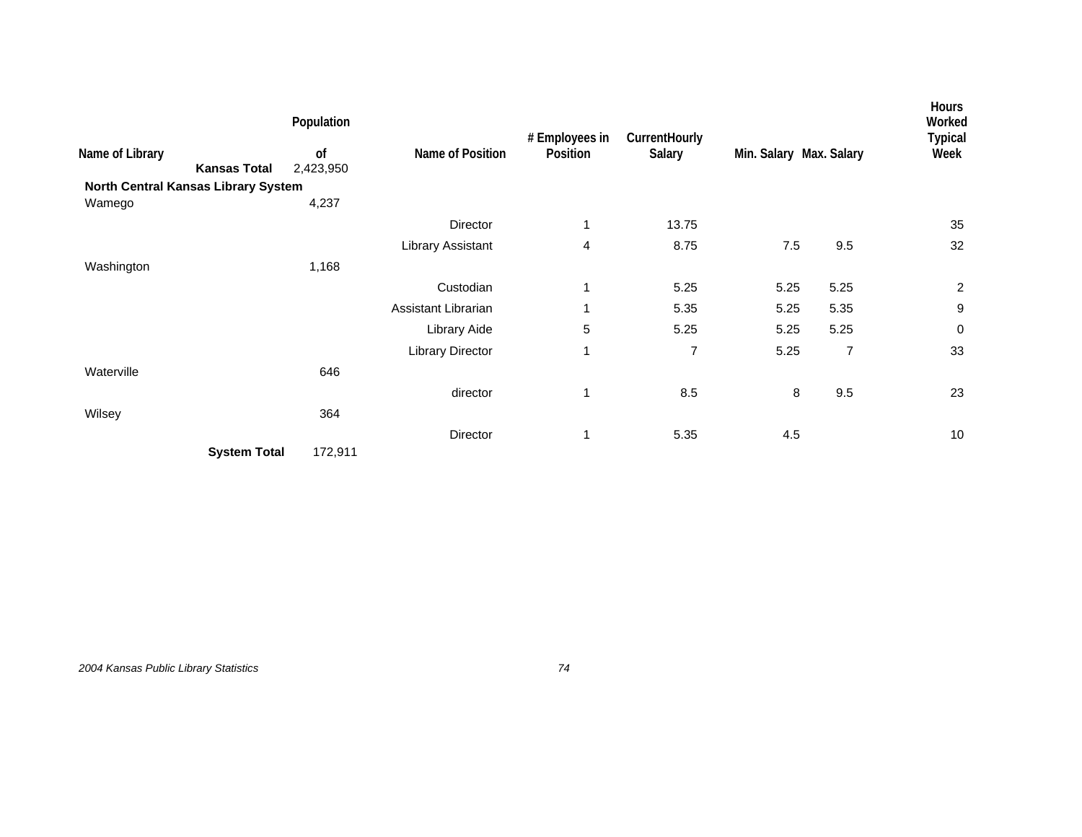|                                        | Population      |                         | # Employees in | CurrentHourly |                         |                | <b>Hours</b><br>Worked<br><b>Typical</b> |
|----------------------------------------|-----------------|-------------------------|----------------|---------------|-------------------------|----------------|------------------------------------------|
| Name of Library<br><b>Kansas Total</b> | of<br>2,423,950 | Name of Position        | Position       | Salary        | Min. Salary Max. Salary |                | Week                                     |
| North Central Kansas Library System    |                 |                         |                |               |                         |                |                                          |
| Wamego                                 | 4,237           |                         |                |               |                         |                |                                          |
|                                        |                 | Director                | 1              | 13.75         |                         |                | 35                                       |
|                                        |                 | Library Assistant       | 4              | 8.75          | $7.5\,$                 | 9.5            | 32                                       |
| Washington                             | 1,168           |                         |                |               |                         |                |                                          |
|                                        |                 | Custodian               | 1              | 5.25          | 5.25                    | 5.25           | $\overline{c}$                           |
|                                        |                 | Assistant Librarian     |                | 5.35          | 5.25                    | 5.35           | 9                                        |
|                                        |                 | Library Aide            | 5              | 5.25          | 5.25                    | 5.25           | 0                                        |
|                                        |                 | <b>Library Director</b> | 1              | 7             | 5.25                    | $\overline{7}$ | 33                                       |
| Waterville                             | 646             |                         |                |               |                         |                |                                          |
|                                        |                 | director                | 1              | 8.5           | 8                       | 9.5            | 23                                       |
| Wilsey                                 | 364             |                         |                |               |                         |                |                                          |
|                                        |                 | Director                | 1              | 5.35          | 4.5                     |                | 10                                       |
| <b>System Total</b>                    | 172,911         |                         |                |               |                         |                |                                          |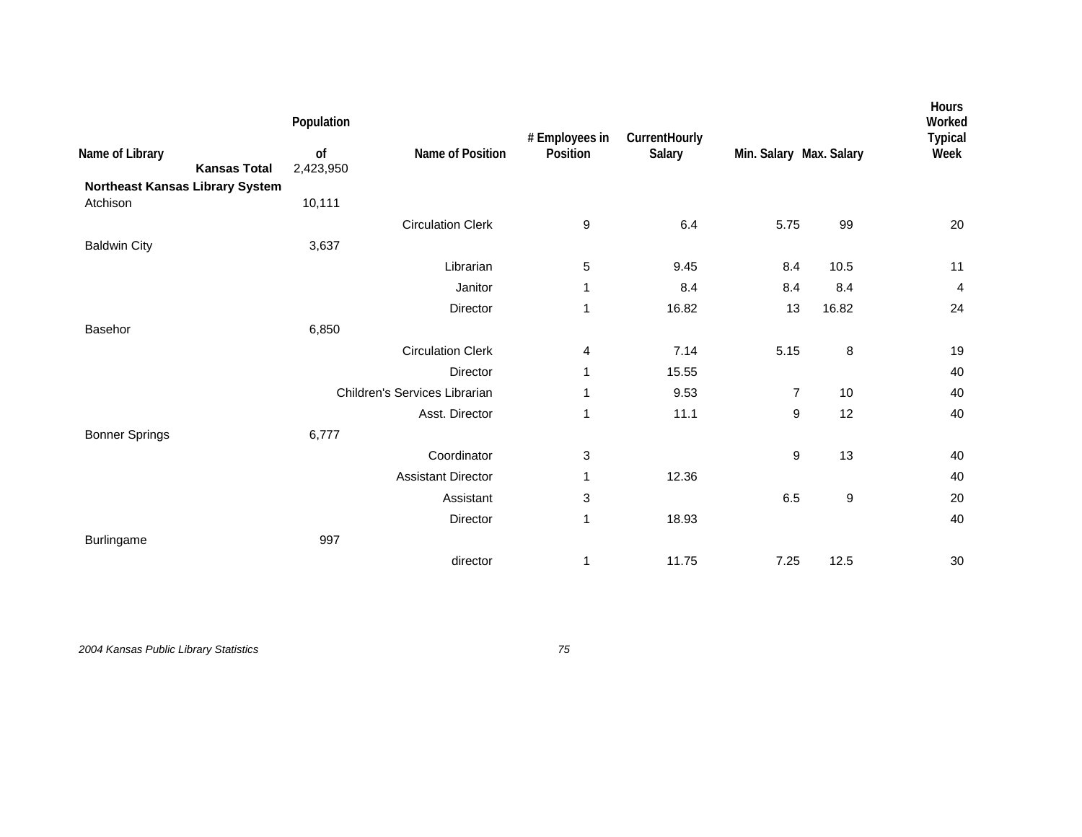|                                        | Population      |                               | # Employees in | CurrentHourly |                         |                  | Hours<br>Worked<br><b>Typical</b> |
|----------------------------------------|-----------------|-------------------------------|----------------|---------------|-------------------------|------------------|-----------------------------------|
| Name of Library<br><b>Kansas Total</b> | of<br>2,423,950 | Name of Position              | Position       | Salary        | Min. Salary Max. Salary |                  | Week                              |
| Northeast Kansas Library System        |                 |                               |                |               |                         |                  |                                   |
| Atchison                               | 10,111          |                               |                |               |                         |                  |                                   |
|                                        |                 | <b>Circulation Clerk</b>      | 9              | 6.4           | 5.75                    | 99               | 20                                |
| <b>Baldwin City</b>                    | 3,637           |                               |                |               |                         |                  |                                   |
|                                        |                 | Librarian                     | 5              | 9.45          | 8.4                     | 10.5             | 11                                |
|                                        |                 | Janitor                       | 1              | 8.4           | 8.4                     | 8.4              | 4                                 |
|                                        |                 | Director                      | 1              | 16.82         | 13                      | 16.82            | 24                                |
| Basehor                                | 6,850           |                               |                |               |                         |                  |                                   |
|                                        |                 | <b>Circulation Clerk</b>      | 4              | 7.14          | 5.15                    | $\bf 8$          | 19                                |
|                                        |                 | Director                      | 1              | 15.55         |                         |                  | 40                                |
|                                        |                 | Children's Services Librarian | 1              | 9.53          | $\overline{7}$          | 10               | 40                                |
|                                        |                 | Asst. Director                | 1              | 11.1          | 9                       | 12               | 40                                |
| <b>Bonner Springs</b>                  | 6,777           |                               |                |               |                         |                  |                                   |
|                                        |                 | Coordinator                   | 3              |               | 9                       | 13               | 40                                |
|                                        |                 | <b>Assistant Director</b>     | 1              | 12.36         |                         |                  | 40                                |
|                                        |                 | Assistant                     | 3              |               | 6.5                     | $\boldsymbol{9}$ | 20                                |
|                                        |                 | Director                      | 1              | 18.93         |                         |                  | 40                                |
| Burlingame                             | 997             |                               |                |               |                         |                  |                                   |
|                                        |                 | director                      | 1              | 11.75         | 7.25                    | 12.5             | 30                                |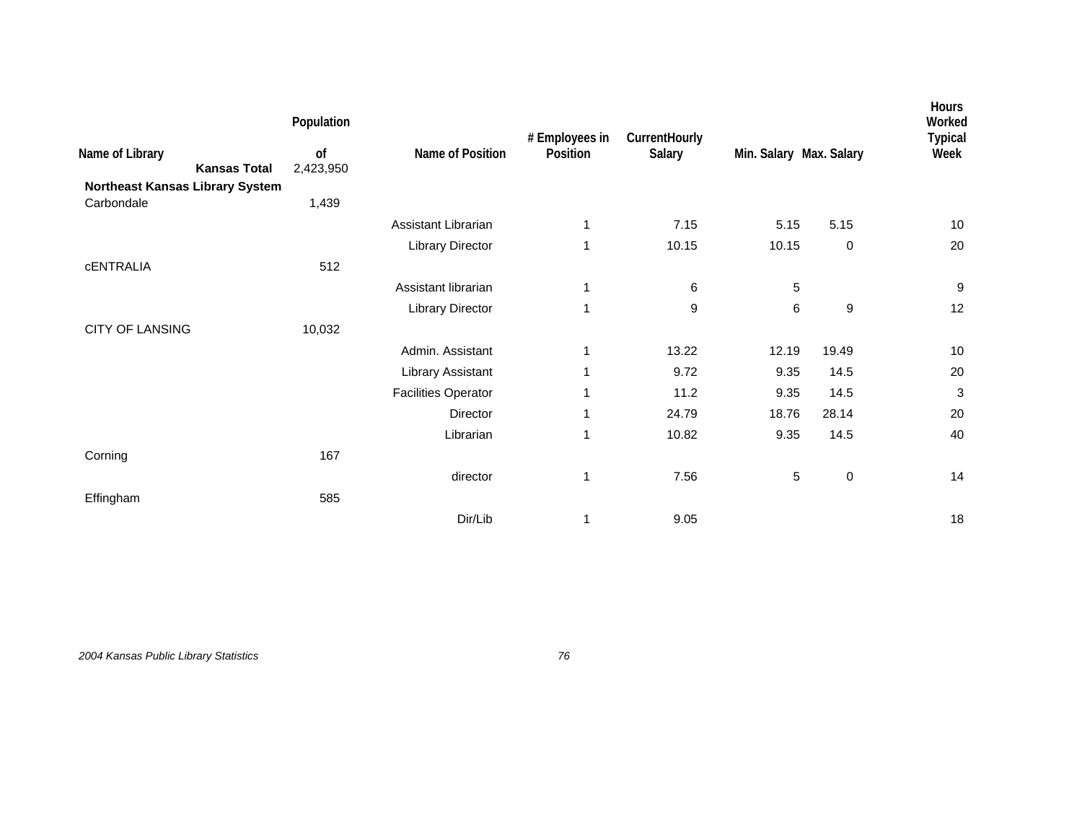| Name of Library<br><b>Kansas Total</b> | Population<br>of<br>2,423,950 | Name of Position           | # Employees in<br>Position | CurrentHourly<br>Salary | Min. Salary Max. Salary |                  | <b>Hours</b><br>Worked<br><b>Typical</b><br>Week |
|----------------------------------------|-------------------------------|----------------------------|----------------------------|-------------------------|-------------------------|------------------|--------------------------------------------------|
| Northeast Kansas Library System        |                               |                            |                            |                         |                         |                  |                                                  |
| Carbondale                             | 1,439                         |                            |                            |                         |                         |                  |                                                  |
|                                        |                               | Assistant Librarian        | 1                          | 7.15                    | 5.15                    | 5.15             | 10                                               |
|                                        |                               | <b>Library Director</b>    | 1                          | 10.15                   | 10.15                   | $\mathbf 0$      | 20                                               |
| <b>CENTRALIA</b>                       | 512                           |                            |                            |                         |                         |                  |                                                  |
|                                        |                               | Assistant librarian        | 1                          | 6                       | 5                       |                  | 9                                                |
|                                        |                               | <b>Library Director</b>    | 1                          | 9                       | 6                       | $\boldsymbol{9}$ | 12                                               |
| <b>CITY OF LANSING</b>                 | 10,032                        |                            |                            |                         |                         |                  |                                                  |
|                                        |                               | Admin. Assistant           | 1                          | 13.22                   | 12.19                   | 19.49            | 10                                               |
|                                        |                               | Library Assistant          | 1                          | 9.72                    | 9.35                    | 14.5             | 20                                               |
|                                        |                               | <b>Facilities Operator</b> | 1                          | 11.2                    | 9.35                    | 14.5             | 3                                                |
|                                        |                               | Director                   | 1                          | 24.79                   | 18.76                   | 28.14            | 20                                               |
|                                        |                               | Librarian                  | 1                          | 10.82                   | 9.35                    | 14.5             | 40                                               |
| Corning                                | 167                           |                            |                            |                         |                         |                  |                                                  |
|                                        |                               | director                   | 1                          | 7.56                    | 5                       | $\pmb{0}$        | 14                                               |
| Effingham                              | 585                           |                            |                            |                         |                         |                  |                                                  |
|                                        |                               | Dir/Lib                    | 1                          | 9.05                    |                         |                  | 18                                               |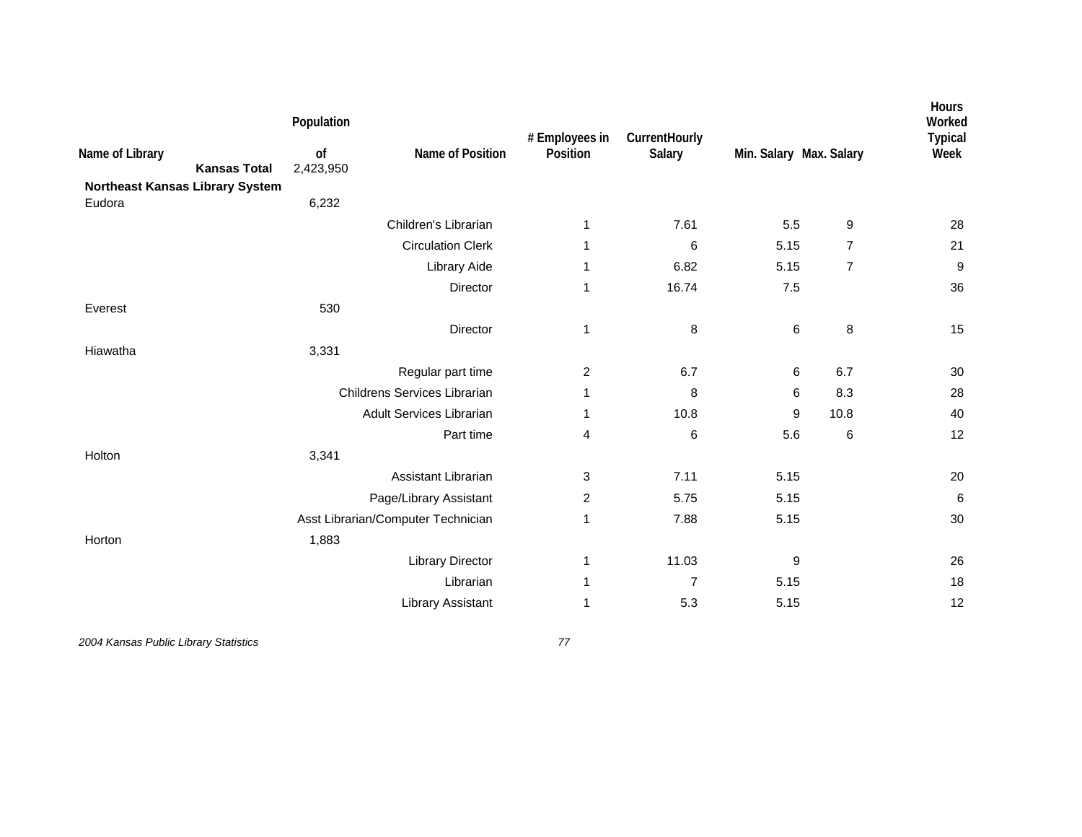| Name of Library<br>Northeast Kansas Library System | <b>Kansas Total</b> | Population<br>of<br>2,423,950 | Name of Position                   | # Employees in<br>Position | CurrentHourly<br>Salary | Min. Salary Max. Salary |                | Hours<br>Worked<br><b>Typical</b><br>Week |
|----------------------------------------------------|---------------------|-------------------------------|------------------------------------|----------------------------|-------------------------|-------------------------|----------------|-------------------------------------------|
| Eudora                                             |                     | 6,232                         |                                    |                            |                         |                         |                |                                           |
|                                                    |                     |                               | Children's Librarian               | $\mathbf 1$                | 7.61                    | 5.5                     | 9              | 28                                        |
|                                                    |                     |                               | <b>Circulation Clerk</b>           | 1                          | 6                       | 5.15                    | $\overline{7}$ | 21                                        |
|                                                    |                     |                               | Library Aide                       | 1                          | 6.82                    | 5.15                    | $\overline{7}$ | $\boldsymbol{9}$                          |
|                                                    |                     |                               | Director                           | 1                          | 16.74                   | 7.5                     |                | 36                                        |
| Everest                                            |                     | 530                           |                                    |                            |                         |                         |                |                                           |
|                                                    |                     |                               | Director                           | 1                          | 8                       | $\,6\,$                 | 8              | 15                                        |
| Hiawatha                                           |                     | 3,331                         |                                    |                            |                         |                         |                |                                           |
|                                                    |                     |                               | Regular part time                  | $\overline{c}$             | 6.7                     | 6                       | 6.7            | 30                                        |
|                                                    |                     |                               | Childrens Services Librarian       | 1                          | 8                       | 6                       | 8.3            | 28                                        |
|                                                    |                     |                               | <b>Adult Services Librarian</b>    | 1                          | 10.8                    | 9                       | 10.8           | 40                                        |
|                                                    |                     |                               | Part time                          | 4                          | 6                       | 5.6                     | $\,6\,$        | 12                                        |
| Holton                                             |                     | 3,341                         |                                    |                            |                         |                         |                |                                           |
|                                                    |                     |                               | Assistant Librarian                | 3                          | 7.11                    | 5.15                    |                | 20                                        |
|                                                    |                     |                               | Page/Library Assistant             | $\overline{2}$             | 5.75                    | 5.15                    |                | $\,6\,$                                   |
|                                                    |                     |                               | Asst Librarian/Computer Technician | 1                          | 7.88                    | 5.15                    |                | 30                                        |
| Horton                                             |                     | 1,883                         |                                    |                            |                         |                         |                |                                           |
|                                                    |                     |                               | <b>Library Director</b>            | 1                          | 11.03                   | 9                       |                | 26                                        |
|                                                    |                     |                               | Librarian                          | 1                          | $\overline{7}$          | 5.15                    |                | 18                                        |
|                                                    |                     |                               | Library Assistant                  | 1                          | 5.3                     | 5.15                    |                | 12                                        |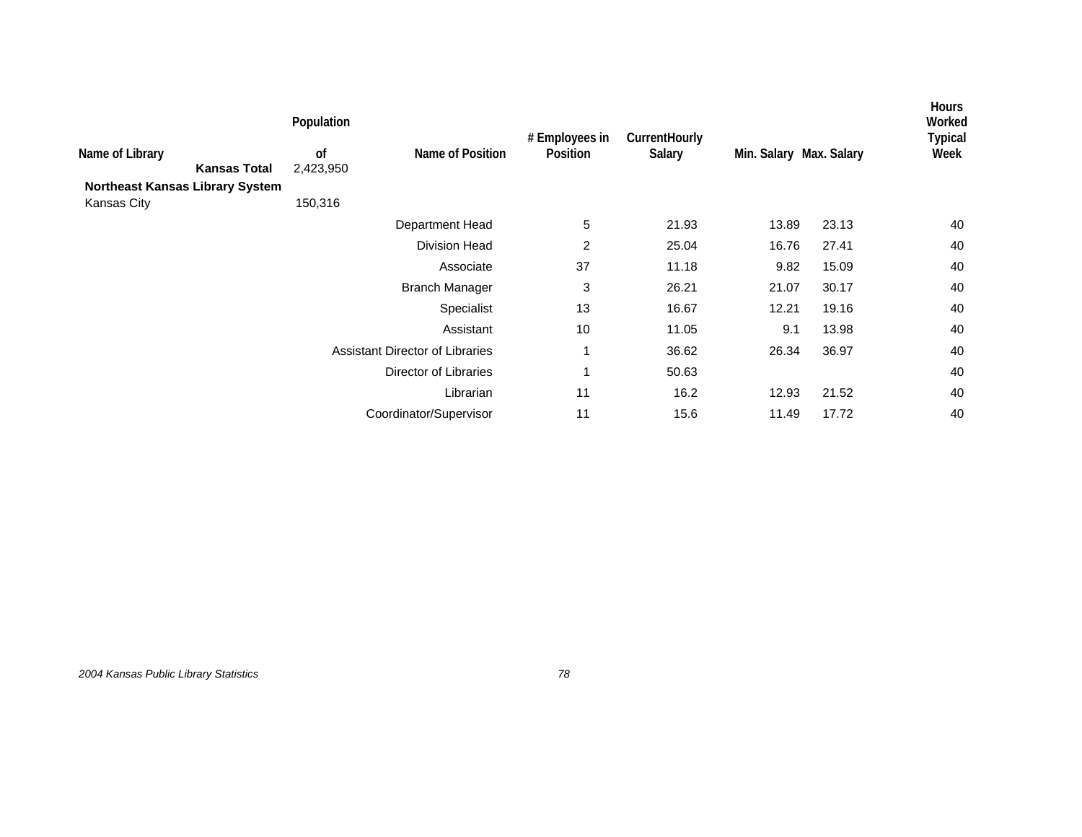|                                                       |                     | Population                 |                                        | # Employees in | CurrentHourly |                         |       | <b>Hours</b><br>Worked<br><b>Typical</b> |
|-------------------------------------------------------|---------------------|----------------------------|----------------------------------------|----------------|---------------|-------------------------|-------|------------------------------------------|
| Name of Library                                       | <b>Kansas Total</b> | <sub>of</sub><br>2,423,950 | Name of Position                       | Position       | Salary        | Min. Salary Max. Salary |       | Week                                     |
| <b>Northeast Kansas Library System</b><br>Kansas City |                     | 150,316                    |                                        |                |               |                         |       |                                          |
|                                                       |                     |                            | Department Head                        | 5              | 21.93         | 13.89                   | 23.13 | 40                                       |
|                                                       |                     |                            | <b>Division Head</b>                   | 2              | 25.04         | 16.76                   | 27.41 | 40                                       |
|                                                       |                     |                            | Associate                              | 37             | 11.18         | 9.82                    | 15.09 | 40                                       |
|                                                       |                     |                            | <b>Branch Manager</b>                  | 3              | 26.21         | 21.07                   | 30.17 | 40                                       |
|                                                       |                     |                            | Specialist                             | 13             | 16.67         | 12.21                   | 19.16 | 40                                       |
|                                                       |                     |                            | Assistant                              | 10             | 11.05         | 9.1                     | 13.98 | 40                                       |
|                                                       |                     |                            | <b>Assistant Director of Libraries</b> | 1              | 36.62         | 26.34                   | 36.97 | 40                                       |
|                                                       |                     |                            | Director of Libraries                  | 1              | 50.63         |                         |       | 40                                       |
|                                                       |                     |                            | Librarian                              | 11             | 16.2          | 12.93                   | 21.52 | 40                                       |
|                                                       |                     |                            | Coordinator/Supervisor                 | 11             | 15.6          | 11.49                   | 17.72 | 40                                       |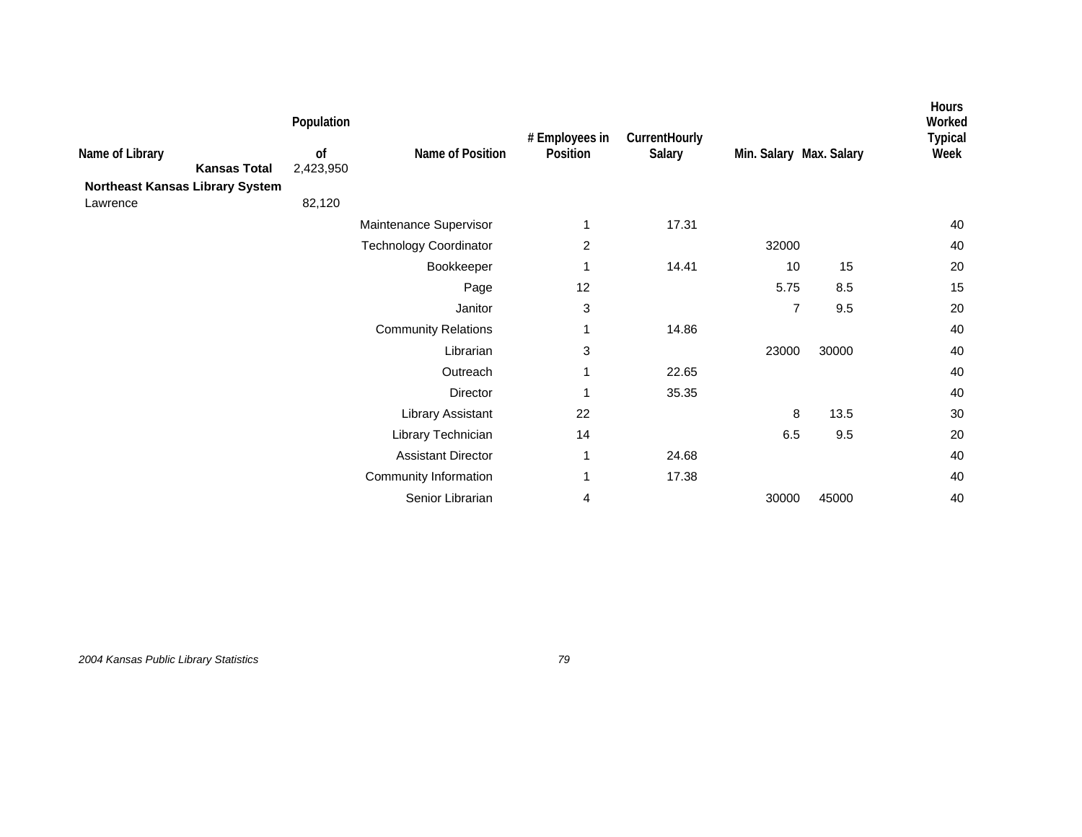| Name of Library<br><b>Kansas Total</b><br>Northeast Kansas Library System | Population<br>0f<br>2,423,950 | Name of Position              | # Employees in<br>Position | CurrentHourly<br>Salary | Min. Salary Max. Salary |       | Hours<br>Worked<br><b>Typical</b><br>Week |
|---------------------------------------------------------------------------|-------------------------------|-------------------------------|----------------------------|-------------------------|-------------------------|-------|-------------------------------------------|
| Lawrence                                                                  | 82,120                        |                               |                            |                         |                         |       |                                           |
|                                                                           |                               | Maintenance Supervisor        | 1                          | 17.31                   |                         |       | 40                                        |
|                                                                           |                               | <b>Technology Coordinator</b> | 2                          |                         | 32000                   |       | 40                                        |
|                                                                           |                               | Bookkeeper                    | 1                          | 14.41                   | 10                      | 15    | 20                                        |
|                                                                           |                               | Page                          | 12                         |                         | 5.75                    | 8.5   | 15                                        |
|                                                                           |                               | Janitor                       | 3                          |                         | $\overline{7}$          | 9.5   | 20                                        |
|                                                                           |                               | <b>Community Relations</b>    | 1                          | 14.86                   |                         |       | 40                                        |
|                                                                           |                               | Librarian                     | 3                          |                         | 23000                   | 30000 | 40                                        |
|                                                                           |                               | Outreach                      | 1                          | 22.65                   |                         |       | 40                                        |
|                                                                           |                               | Director                      | 1                          | 35.35                   |                         |       | 40                                        |
|                                                                           |                               | Library Assistant             | 22                         |                         | 8                       | 13.5  | 30                                        |
|                                                                           |                               | Library Technician            | 14                         |                         | 6.5                     | 9.5   | 20                                        |
|                                                                           |                               | <b>Assistant Director</b>     | 1                          | 24.68                   |                         |       | 40                                        |
|                                                                           |                               | Community Information         | 1                          | 17.38                   |                         |       | 40                                        |
|                                                                           |                               | Senior Librarian              | 4                          |                         | 30000                   | 45000 | 40                                        |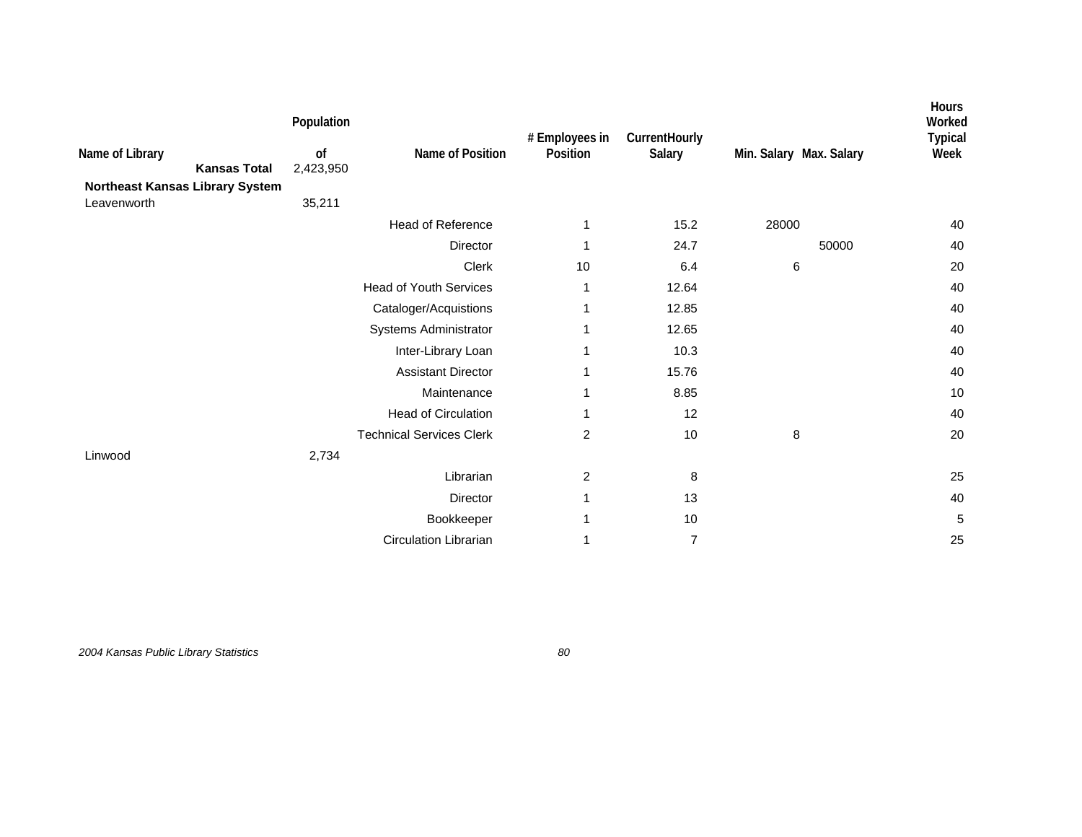| Name of Library<br><b>Kansas Total</b><br>Northeast Kansas Library System<br>Leavenworth | Population<br>of<br>2,423,950<br>35,211 | Name of Position                | # Employees in<br>Position | CurrentHourly<br>Salary | Min. Salary Max. Salary | Hours<br>Worked<br><b>Typical</b><br>Week |
|------------------------------------------------------------------------------------------|-----------------------------------------|---------------------------------|----------------------------|-------------------------|-------------------------|-------------------------------------------|
|                                                                                          |                                         | <b>Head of Reference</b>        | 1                          | 15.2                    | 28000                   | 40                                        |
|                                                                                          |                                         | Director                        | 1                          | 24.7                    | 50000                   | 40                                        |
|                                                                                          |                                         | Clerk                           | 10                         | 6.4                     | 6                       | 20                                        |
|                                                                                          |                                         | <b>Head of Youth Services</b>   | 1                          | 12.64                   |                         | 40                                        |
|                                                                                          |                                         | Cataloger/Acquistions           |                            | 12.85                   |                         | 40                                        |
|                                                                                          |                                         | Systems Administrator           |                            | 12.65                   |                         | 40                                        |
|                                                                                          |                                         | Inter-Library Loan              | 1                          | 10.3                    |                         | 40                                        |
|                                                                                          |                                         | <b>Assistant Director</b>       | 1                          | 15.76                   |                         | 40                                        |
|                                                                                          |                                         | Maintenance                     | 1                          | 8.85                    |                         | 10                                        |
|                                                                                          |                                         | <b>Head of Circulation</b>      | 1                          | 12                      |                         | 40                                        |
|                                                                                          |                                         | <b>Technical Services Clerk</b> | $\overline{c}$             | 10                      | 8                       | 20                                        |
| Linwood                                                                                  | 2,734                                   |                                 |                            |                         |                         |                                           |
|                                                                                          |                                         | Librarian                       | 2                          | 8                       |                         | 25                                        |
|                                                                                          |                                         | Director                        | 1                          | 13                      |                         | 40                                        |
|                                                                                          |                                         | Bookkeeper                      | 1                          | 10                      |                         | 5                                         |
|                                                                                          |                                         | <b>Circulation Librarian</b>    | 1                          | $\overline{7}$          |                         | 25                                        |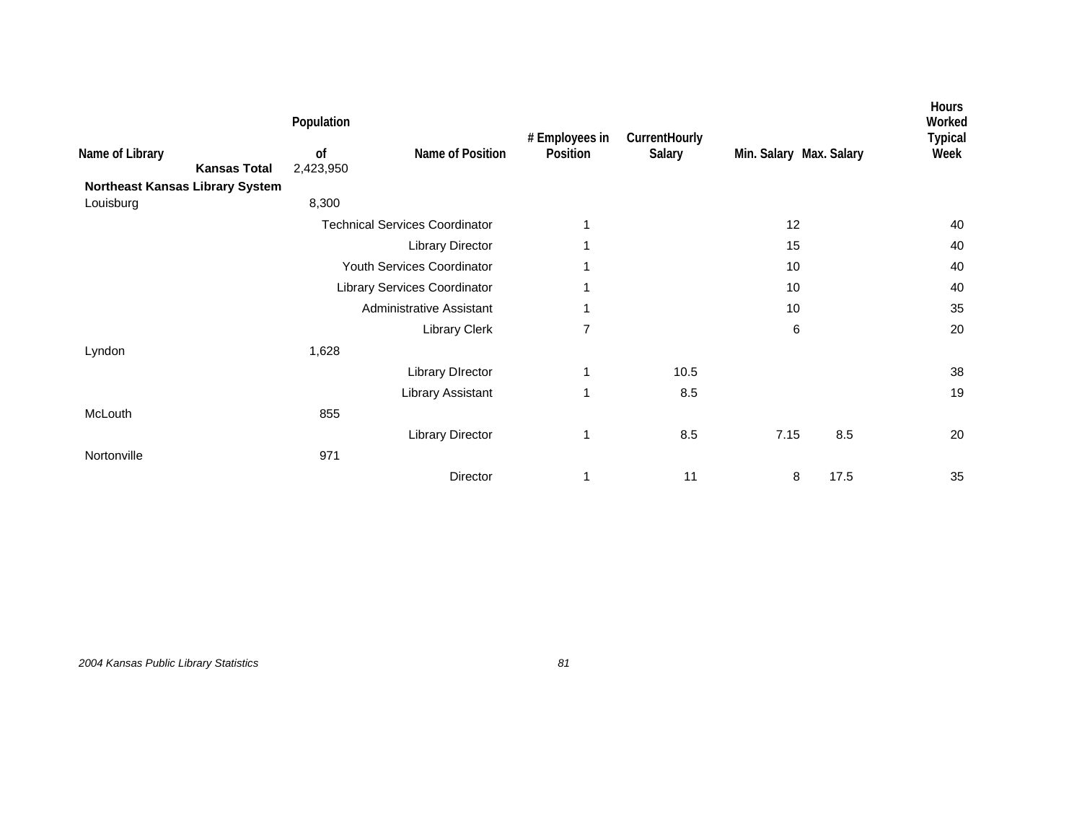|                 |                                 | Population      |                                       |                            |                         |                         |      | Hours<br>Worked        |
|-----------------|---------------------------------|-----------------|---------------------------------------|----------------------------|-------------------------|-------------------------|------|------------------------|
| Name of Library | <b>Kansas Total</b>             | of<br>2,423,950 | Name of Position                      | # Employees in<br>Position | CurrentHourly<br>Salary | Min. Salary Max. Salary |      | <b>Typical</b><br>Week |
|                 | Northeast Kansas Library System |                 |                                       |                            |                         |                         |      |                        |
| Louisburg       |                                 | 8,300           |                                       |                            |                         |                         |      |                        |
|                 |                                 |                 | <b>Technical Services Coordinator</b> |                            |                         | 12                      |      | 40                     |
|                 |                                 |                 | Library Director                      |                            |                         | 15                      |      | 40                     |
|                 |                                 |                 | Youth Services Coordinator            |                            |                         | 10                      |      | 40                     |
|                 |                                 |                 | Library Services Coordinator          |                            |                         | 10                      |      | 40                     |
|                 |                                 |                 | Administrative Assistant              | 1                          |                         | 10                      |      | 35                     |
|                 |                                 |                 | <b>Library Clerk</b>                  | $\overline{7}$             |                         | 6                       |      | 20                     |
| Lyndon          |                                 | 1,628           |                                       |                            |                         |                         |      |                        |
|                 |                                 |                 | <b>Library DIrector</b>               | 1                          | 10.5                    |                         |      | 38                     |
|                 |                                 |                 | Library Assistant                     | 1                          | 8.5                     |                         |      | 19                     |
| McLouth         |                                 | 855             |                                       |                            |                         |                         |      |                        |
|                 |                                 |                 | <b>Library Director</b>               | 1                          | 8.5                     | 7.15                    | 8.5  | 20                     |
| Nortonville     |                                 | 971             |                                       |                            |                         |                         |      |                        |
|                 |                                 |                 | Director                              |                            | 11                      | 8                       | 17.5 | 35                     |

*2004 Kansas Public Library Statistics 81*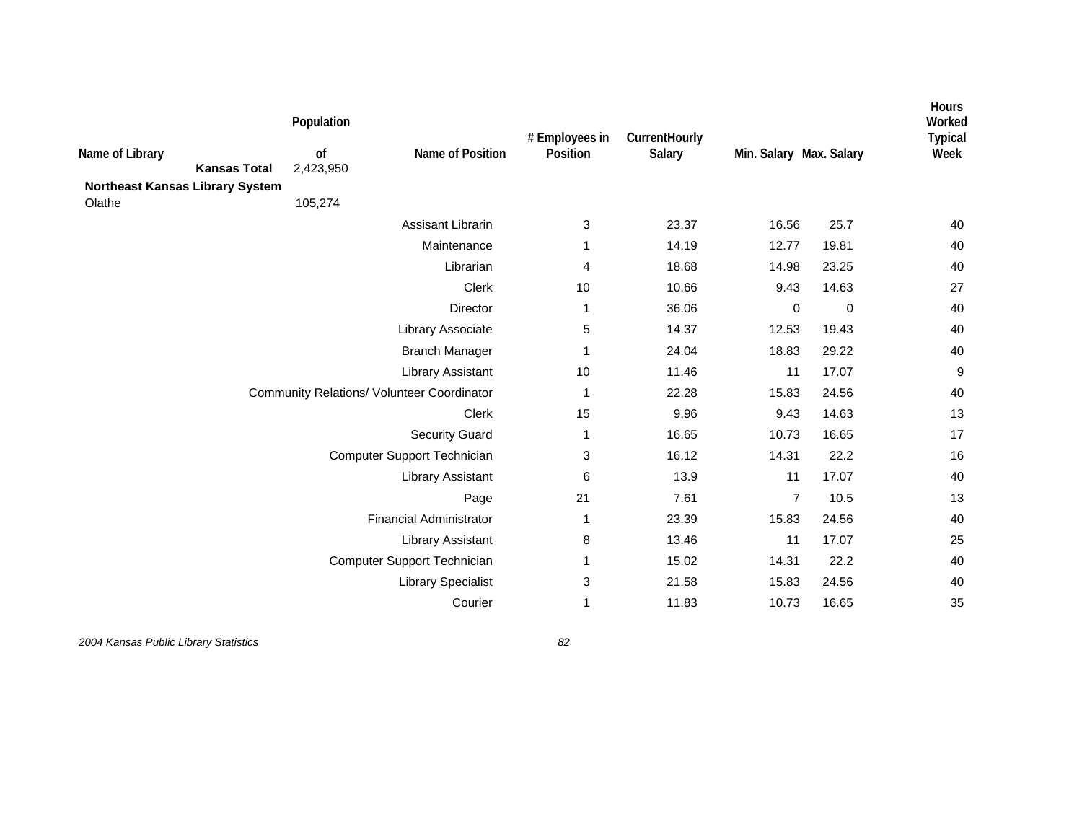| Name of Library<br><b>Northeast Kansas Library System</b> | <b>Kansas Total</b> | Population<br>of<br>2,423,950 | Name of Position                                  | # Employees in<br>Position | CurrentHourly<br>Salary | Min. Salary Max. Salary |             | <b>Hours</b><br>Worked<br><b>Typical</b><br>Week |
|-----------------------------------------------------------|---------------------|-------------------------------|---------------------------------------------------|----------------------------|-------------------------|-------------------------|-------------|--------------------------------------------------|
| Olathe                                                    |                     | 105,274                       |                                                   |                            |                         |                         |             |                                                  |
|                                                           |                     |                               | Assisant Librarin                                 | 3                          | 23.37                   | 16.56                   | 25.7        | 40                                               |
|                                                           |                     |                               | Maintenance                                       | 1                          | 14.19                   | 12.77                   | 19.81       | 40                                               |
|                                                           |                     |                               | Librarian                                         | 4                          | 18.68                   | 14.98                   | 23.25       | 40                                               |
|                                                           |                     |                               | Clerk                                             | 10                         | 10.66                   | 9.43                    | 14.63       | 27                                               |
|                                                           |                     |                               | Director                                          | $\mathbf 1$                | 36.06                   | $\mathbf 0$             | $\mathbf 0$ | 40                                               |
|                                                           |                     |                               | Library Associate                                 | 5                          | 14.37                   | 12.53                   | 19.43       | 40                                               |
|                                                           |                     |                               | <b>Branch Manager</b>                             | 1                          | 24.04                   | 18.83                   | 29.22       | 40                                               |
|                                                           |                     |                               | <b>Library Assistant</b>                          | 10                         | 11.46                   | 11                      | 17.07       | $\boldsymbol{9}$                                 |
|                                                           |                     |                               | <b>Community Relations/ Volunteer Coordinator</b> | $\mathbf{1}$               | 22.28                   | 15.83                   | 24.56       | 40                                               |
|                                                           |                     |                               | Clerk                                             | 15                         | 9.96                    | 9.43                    | 14.63       | 13                                               |
|                                                           |                     |                               | <b>Security Guard</b>                             | 1                          | 16.65                   | 10.73                   | 16.65       | 17                                               |
|                                                           |                     |                               | Computer Support Technician                       | 3                          | 16.12                   | 14.31                   | 22.2        | 16                                               |
|                                                           |                     |                               | <b>Library Assistant</b>                          | 6                          | 13.9                    | 11                      | 17.07       | 40                                               |
|                                                           |                     |                               | Page                                              | 21                         | 7.61                    | $\overline{7}$          | 10.5        | 13                                               |
|                                                           |                     |                               | <b>Financial Administrator</b>                    | 1                          | 23.39                   | 15.83                   | 24.56       | 40                                               |
|                                                           |                     |                               | <b>Library Assistant</b>                          | 8                          | 13.46                   | 11                      | 17.07       | 25                                               |
|                                                           |                     |                               | Computer Support Technician                       | 1                          | 15.02                   | 14.31                   | 22.2        | 40                                               |
|                                                           |                     |                               | <b>Library Specialist</b>                         | 3                          | 21.58                   | 15.83                   | 24.56       | 40                                               |
|                                                           |                     |                               | Courier                                           | $\mathbf 1$                | 11.83                   | 10.73                   | 16.65       | 35                                               |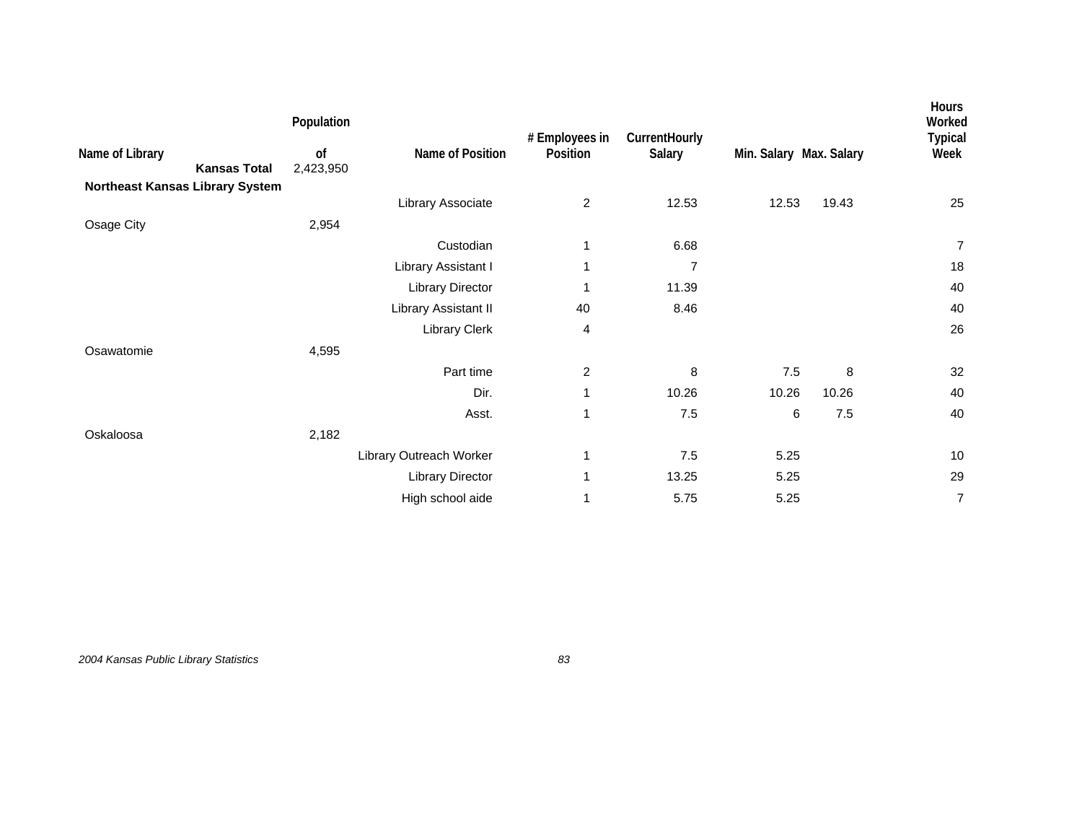| Name of Library                                        | Population<br>0f | Name of Position        | # Employees in<br>Position | CurrentHourly<br>Salary | Min. Salary Max. Salary |         | <b>Hours</b><br>Worked<br><b>Typical</b><br>Week |
|--------------------------------------------------------|------------------|-------------------------|----------------------------|-------------------------|-------------------------|---------|--------------------------------------------------|
| <b>Kansas Total</b><br>Northeast Kansas Library System | 2,423,950        |                         |                            |                         |                         |         |                                                  |
|                                                        |                  | Library Associate       | $\overline{c}$             | 12.53                   | 12.53                   | 19.43   | 25                                               |
| Osage City                                             | 2,954            |                         |                            |                         |                         |         |                                                  |
|                                                        |                  | Custodian               | 1                          | 6.68                    |                         |         | $\overline{7}$                                   |
|                                                        |                  | Library Assistant I     | 1                          | 7                       |                         |         | 18                                               |
|                                                        |                  | Library Director        | 1                          | 11.39                   |                         |         | 40                                               |
|                                                        |                  | Library Assistant II    | 40                         | 8.46                    |                         |         | 40                                               |
|                                                        |                  | <b>Library Clerk</b>    | 4                          |                         |                         |         | 26                                               |
| Osawatomie                                             | 4,595            |                         |                            |                         |                         |         |                                                  |
|                                                        |                  | Part time               | $\overline{c}$             | 8                       | $7.5$                   | 8       | 32                                               |
|                                                        |                  | Dir.                    | 1                          | 10.26                   | 10.26                   | 10.26   | 40                                               |
|                                                        |                  | Asst.                   | 1                          | 7.5                     | 6                       | $7.5\,$ | 40                                               |
| Oskaloosa                                              | 2,182            |                         |                            |                         |                         |         |                                                  |
|                                                        |                  | Library Outreach Worker | 1                          | $7.5\,$                 | 5.25                    |         | $10$                                             |
|                                                        |                  | <b>Library Director</b> | 1                          | 13.25                   | 5.25                    |         | 29                                               |
|                                                        |                  | High school aide        | 1                          | 5.75                    | 5.25                    |         | 7                                                |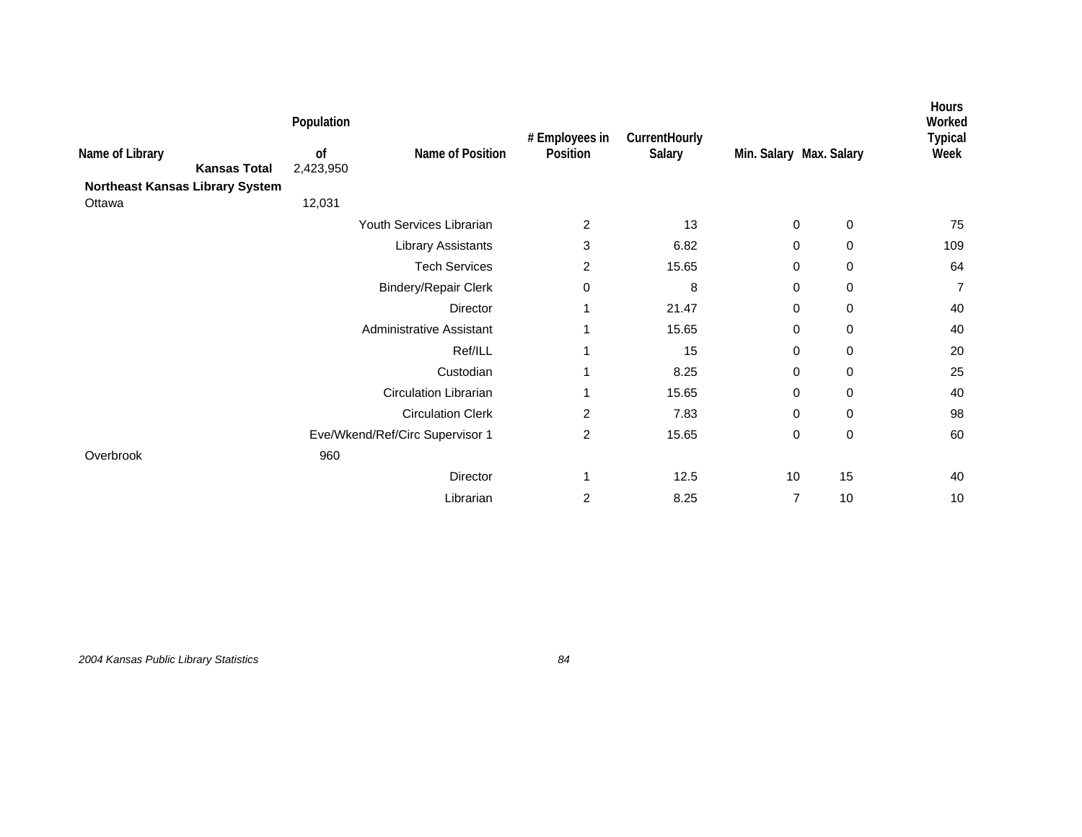| Name of Library<br><b>Kansas Total</b>    | Population<br>of<br>2,423,950 | Name of Position                | # Employees in<br>Position | CurrentHourly<br>Salary | Min. Salary Max. Salary |             | Hours<br>Worked<br><b>Typical</b><br>Week |
|-------------------------------------------|-------------------------------|---------------------------------|----------------------------|-------------------------|-------------------------|-------------|-------------------------------------------|
| Northeast Kansas Library System<br>Ottawa | 12,031                        |                                 |                            |                         |                         |             |                                           |
|                                           |                               | Youth Services Librarian        | 2                          | 13                      | 0                       | 0           | 75                                        |
|                                           |                               | <b>Library Assistants</b>       | 3                          | 6.82                    | 0                       | 0           | 109                                       |
|                                           |                               | <b>Tech Services</b>            | 2                          | 15.65                   | 0                       | 0           | 64                                        |
|                                           |                               | <b>Bindery/Repair Clerk</b>     | 0                          | 8                       | 0                       | 0           | $\overline{7}$                            |
|                                           |                               | Director                        |                            | 21.47                   | 0                       | 0           | 40                                        |
|                                           |                               | Administrative Assistant        | 1                          | 15.65                   | 0                       | 0           | 40                                        |
|                                           |                               | Ref/ILL                         | 1                          | 15                      | 0                       | 0           | 20                                        |
|                                           |                               | Custodian                       |                            | 8.25                    | 0                       | $\mathbf 0$ | 25                                        |
|                                           |                               | <b>Circulation Librarian</b>    |                            | 15.65                   | 0                       | 0           | 40                                        |
|                                           |                               | <b>Circulation Clerk</b>        | 2                          | 7.83                    | 0                       | 0           | 98                                        |
|                                           |                               | Eve/Wkend/Ref/Circ Supervisor 1 | 2                          | 15.65                   | 0                       | $\pmb{0}$   | 60                                        |
| Overbrook                                 | 960                           |                                 |                            |                         |                         |             |                                           |
|                                           |                               | Director                        |                            | 12.5                    | 10                      | 15          | 40                                        |
|                                           |                               | Librarian                       | 2                          | 8.25                    | $\overline{7}$          | 10          | 10                                        |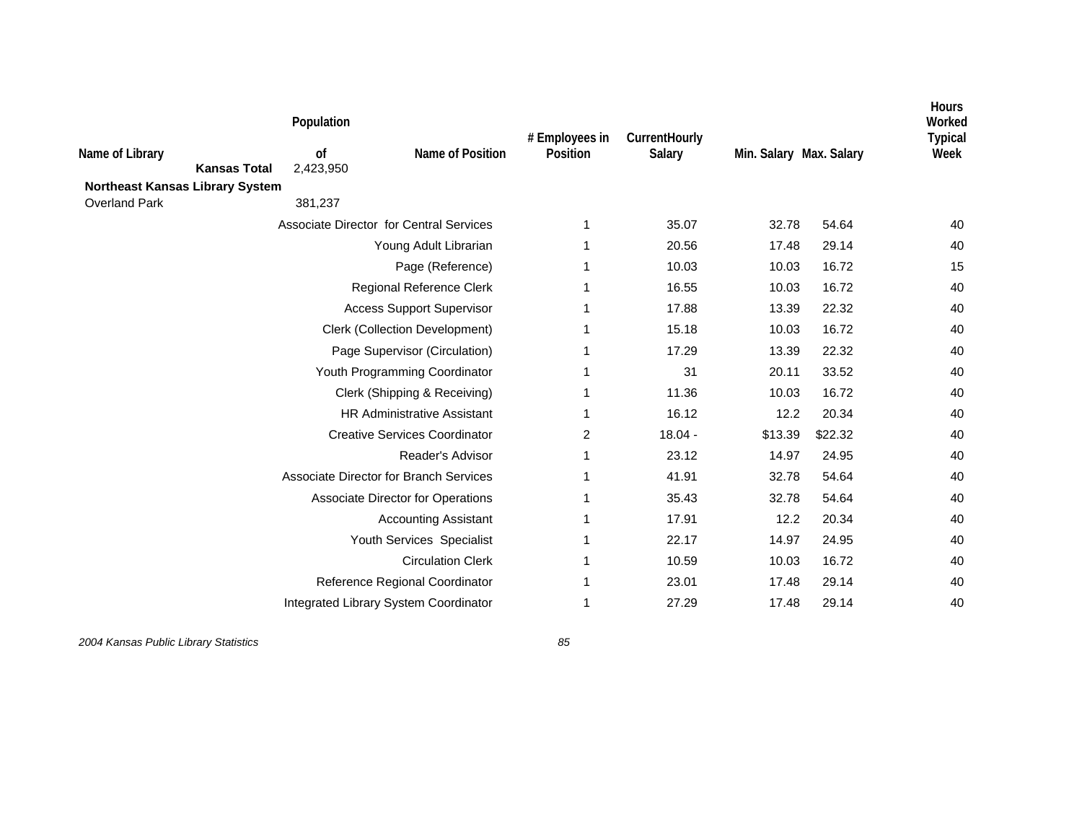| Name of Library                                                | Population<br>0f<br><b>Kansas Total</b><br>2,423,950 | Name of Position                        | # Employees in<br>Position | CurrentHourly<br>Salary | Min. Salary Max. Salary |         | <b>Hours</b><br>Worked<br><b>Typical</b><br>Week |
|----------------------------------------------------------------|------------------------------------------------------|-----------------------------------------|----------------------------|-------------------------|-------------------------|---------|--------------------------------------------------|
| <b>Northeast Kansas Library System</b><br><b>Overland Park</b> | 381,237                                              |                                         |                            |                         |                         |         |                                                  |
|                                                                |                                                      | Associate Director for Central Services | 1                          | 35.07                   | 32.78                   | 54.64   | 40                                               |
|                                                                |                                                      | Young Adult Librarian                   |                            | 20.56                   | 17.48                   | 29.14   | 40                                               |
|                                                                |                                                      | Page (Reference)                        |                            | 10.03                   | 10.03                   | 16.72   | 15                                               |
|                                                                |                                                      | Regional Reference Clerk                |                            | 16.55                   | 10.03                   | 16.72   | 40                                               |
|                                                                |                                                      | <b>Access Support Supervisor</b>        |                            | 17.88                   | 13.39                   | 22.32   | 40                                               |
|                                                                |                                                      | <b>Clerk (Collection Development)</b>   |                            | 15.18                   | 10.03                   | 16.72   | 40                                               |
|                                                                |                                                      | Page Supervisor (Circulation)           |                            | 17.29                   | 13.39                   | 22.32   | 40                                               |
|                                                                |                                                      | Youth Programming Coordinator           |                            | 31                      | 20.11                   | 33.52   | 40                                               |
|                                                                |                                                      | Clerk (Shipping & Receiving)            |                            | 11.36                   | 10.03                   | 16.72   | 40                                               |
|                                                                |                                                      | <b>HR Administrative Assistant</b>      |                            | 16.12                   | 12.2                    | 20.34   | 40                                               |
|                                                                |                                                      | <b>Creative Services Coordinator</b>    | 2                          | $18.04 -$               | \$13.39                 | \$22.32 | 40                                               |
|                                                                |                                                      | Reader's Advisor                        | 1                          | 23.12                   | 14.97                   | 24.95   | 40                                               |
|                                                                |                                                      | Associate Director for Branch Services  |                            | 41.91                   | 32.78                   | 54.64   | 40                                               |
|                                                                |                                                      | Associate Director for Operations       |                            | 35.43                   | 32.78                   | 54.64   | 40                                               |
|                                                                |                                                      | <b>Accounting Assistant</b>             |                            | 17.91                   | 12.2                    | 20.34   | 40                                               |
|                                                                |                                                      | Youth Services Specialist               |                            | 22.17                   | 14.97                   | 24.95   | 40                                               |
|                                                                |                                                      | <b>Circulation Clerk</b>                |                            | 10.59                   | 10.03                   | 16.72   | 40                                               |
|                                                                |                                                      | Reference Regional Coordinator          |                            | 23.01                   | 17.48                   | 29.14   | 40                                               |
|                                                                |                                                      | Integrated Library System Coordinator   |                            | 27.29                   | 17.48                   | 29.14   | 40                                               |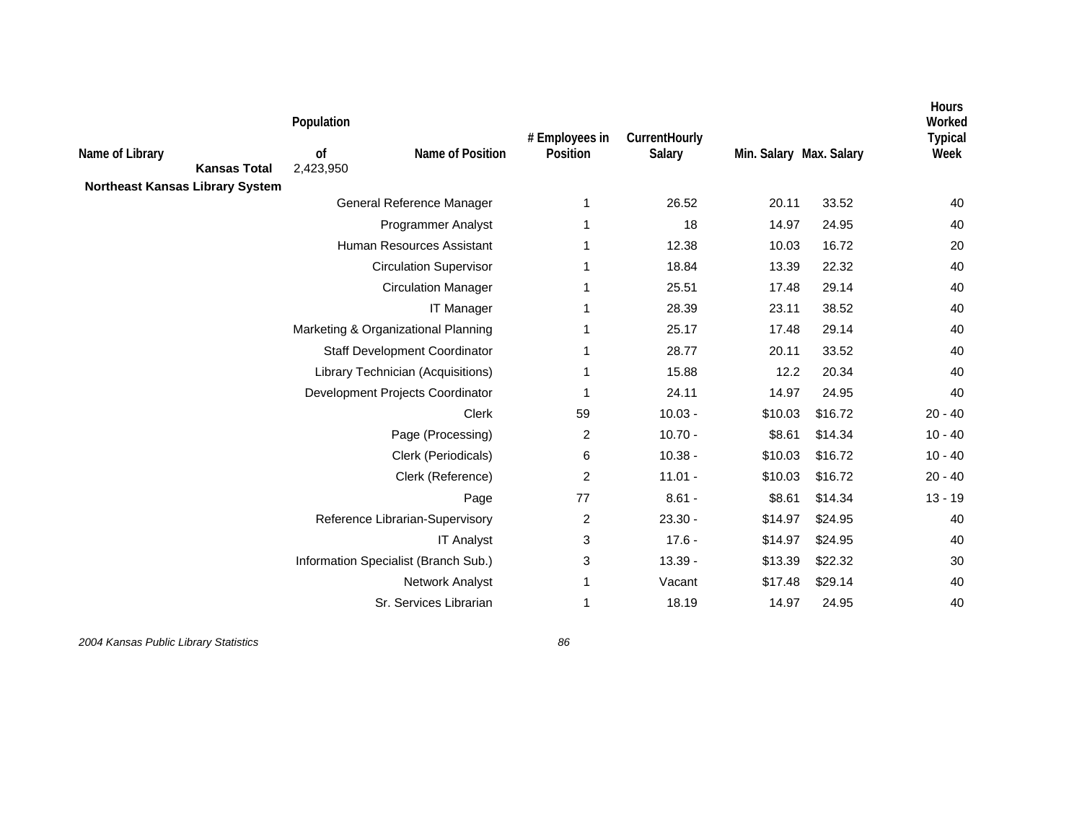|                                        |                     | Population      |                                      | # Employees in | CurrentHourly |                         |         | Hours<br>Worked        |
|----------------------------------------|---------------------|-----------------|--------------------------------------|----------------|---------------|-------------------------|---------|------------------------|
| Name of Library                        | <b>Kansas Total</b> | 0f<br>2,423,950 | Name of Position                     | Position       | Salary        | Min. Salary Max. Salary |         | <b>Typical</b><br>Week |
| <b>Northeast Kansas Library System</b> |                     |                 |                                      |                |               |                         |         |                        |
|                                        |                     |                 | General Reference Manager            | 1              | 26.52         | 20.11                   | 33.52   | 40                     |
|                                        |                     |                 | <b>Programmer Analyst</b>            |                | 18            | 14.97                   | 24.95   | 40                     |
|                                        |                     |                 | Human Resources Assistant            |                | 12.38         | 10.03                   | 16.72   | 20                     |
|                                        |                     |                 | <b>Circulation Supervisor</b>        |                | 18.84         | 13.39                   | 22.32   | 40                     |
|                                        |                     |                 | <b>Circulation Manager</b>           |                | 25.51         | 17.48                   | 29.14   | 40                     |
|                                        |                     |                 | <b>IT Manager</b>                    |                | 28.39         | 23.11                   | 38.52   | 40                     |
|                                        |                     |                 | Marketing & Organizational Planning  |                | 25.17         | 17.48                   | 29.14   | 40                     |
|                                        |                     |                 | Staff Development Coordinator        |                | 28.77         | 20.11                   | 33.52   | 40                     |
|                                        |                     |                 | Library Technician (Acquisitions)    |                | 15.88         | 12.2                    | 20.34   | 40                     |
|                                        |                     |                 | Development Projects Coordinator     |                | 24.11         | 14.97                   | 24.95   | 40                     |
|                                        |                     |                 | Clerk                                | 59             | $10.03 -$     | \$10.03                 | \$16.72 | $20 - 40$              |
|                                        |                     |                 | Page (Processing)                    | $\overline{2}$ | $10.70 -$     | \$8.61                  | \$14.34 | $10 - 40$              |
|                                        |                     |                 | Clerk (Periodicals)                  | 6              | $10.38 -$     | \$10.03                 | \$16.72 | $10 - 40$              |
|                                        |                     |                 | Clerk (Reference)                    | $\overline{2}$ | $11.01 -$     | \$10.03                 | \$16.72 | $20 - 40$              |
|                                        |                     |                 | Page                                 | 77             | $8.61 -$      | \$8.61                  | \$14.34 | $13 - 19$              |
|                                        |                     |                 | Reference Librarian-Supervisory      | $\overline{c}$ | $23.30 -$     | \$14.97                 | \$24.95 | 40                     |
|                                        |                     |                 | <b>IT Analyst</b>                    | 3              | $17.6 -$      | \$14.97                 | \$24.95 | 40                     |
|                                        |                     |                 | Information Specialist (Branch Sub.) | 3              | $13.39 -$     | \$13.39                 | \$22.32 | 30                     |
|                                        |                     |                 | Network Analyst                      | 1              | Vacant        | \$17.48                 | \$29.14 | 40                     |
|                                        |                     |                 | Sr. Services Librarian               |                | 18.19         | 14.97                   | 24.95   | 40                     |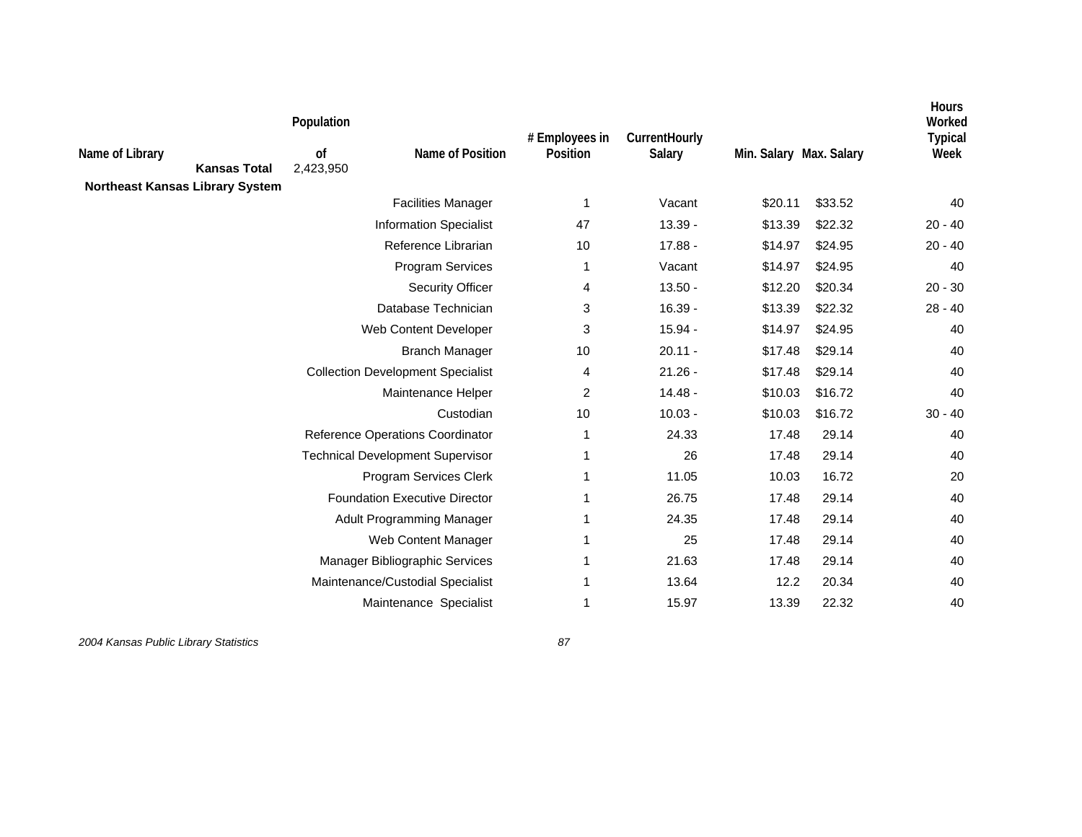| Name of Library                        | <b>Kansas Total</b> | Population<br><sub>of</sub><br>2,423,950 | Name of Position                         | # Employees in<br>Position | CurrentHourly<br>Salary | Min. Salary Max. Salary |         | Hours<br>Worked<br><b>Typical</b><br>Week |
|----------------------------------------|---------------------|------------------------------------------|------------------------------------------|----------------------------|-------------------------|-------------------------|---------|-------------------------------------------|
| <b>Northeast Kansas Library System</b> |                     |                                          | <b>Facilities Manager</b>                | 1                          | Vacant                  | \$20.11                 | \$33.52 | 40                                        |
|                                        |                     |                                          | <b>Information Specialist</b>            | 47                         | $13.39 -$               | \$13.39                 | \$22.32 | $20 - 40$                                 |
|                                        |                     |                                          | Reference Librarian                      | 10                         | $17.88 -$               | \$14.97                 | \$24.95 | $20 - 40$                                 |
|                                        |                     |                                          | <b>Program Services</b>                  | 1                          | Vacant                  | \$14.97                 | \$24.95 | 40                                        |
|                                        |                     |                                          | <b>Security Officer</b>                  | 4                          | $13.50 -$               | \$12.20                 | \$20.34 | $20 - 30$                                 |
|                                        |                     |                                          | Database Technician                      | 3                          | $16.39 -$               | \$13.39                 | \$22.32 | $28 - 40$                                 |
|                                        |                     |                                          | Web Content Developer                    | 3                          | $15.94 -$               | \$14.97                 | \$24.95 | 40                                        |
|                                        |                     |                                          | <b>Branch Manager</b>                    | 10                         | $20.11 -$               | \$17.48                 | \$29.14 | 40                                        |
|                                        |                     |                                          | <b>Collection Development Specialist</b> | 4                          | $21.26 -$               | \$17.48                 | \$29.14 | 40                                        |
|                                        |                     |                                          | Maintenance Helper                       | $\overline{2}$             | $14.48 -$               | \$10.03                 | \$16.72 | 40                                        |
|                                        |                     |                                          | Custodian                                | 10                         | $10.03 -$               | \$10.03                 | \$16.72 | $30 - 40$                                 |
|                                        |                     |                                          | Reference Operations Coordinator         | 1                          | 24.33                   | 17.48                   | 29.14   | 40                                        |
|                                        |                     |                                          | <b>Technical Development Supervisor</b>  |                            | 26                      | 17.48                   | 29.14   | 40                                        |
|                                        |                     |                                          | Program Services Clerk                   |                            | 11.05                   | 10.03                   | 16.72   | 20                                        |
|                                        |                     |                                          | <b>Foundation Executive Director</b>     |                            | 26.75                   | 17.48                   | 29.14   | 40                                        |
|                                        |                     |                                          | Adult Programming Manager                |                            | 24.35                   | 17.48                   | 29.14   | 40                                        |
|                                        |                     |                                          | Web Content Manager                      |                            | 25                      | 17.48                   | 29.14   | 40                                        |
|                                        |                     |                                          | Manager Bibliographic Services           | 1                          | 21.63                   | 17.48                   | 29.14   | 40                                        |
|                                        |                     |                                          | Maintenance/Custodial Specialist         |                            | 13.64                   | 12.2                    | 20.34   | 40                                        |
|                                        |                     |                                          | Maintenance Specialist                   | 1                          | 15.97                   | 13.39                   | 22.32   | 40                                        |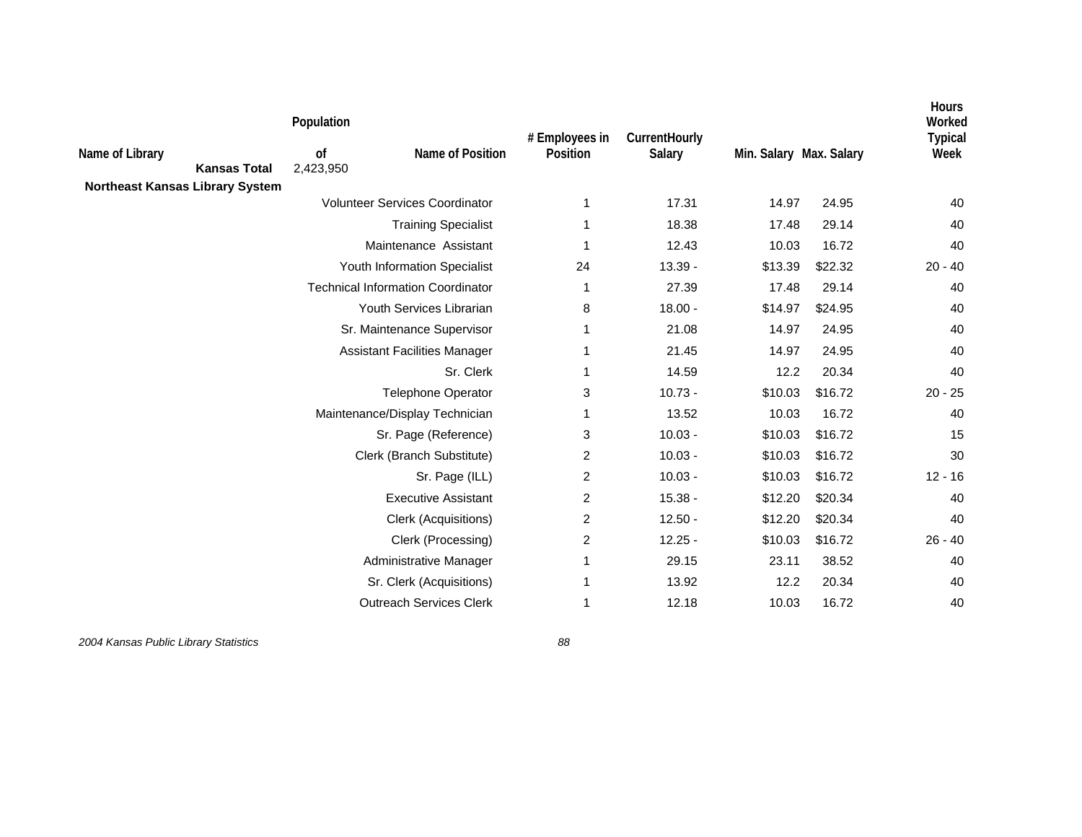|                                        |                     | Population      |                                          |                            |                         |                         |         | Hours<br>Worked        |
|----------------------------------------|---------------------|-----------------|------------------------------------------|----------------------------|-------------------------|-------------------------|---------|------------------------|
| Name of Library                        | <b>Kansas Total</b> | 0f<br>2,423,950 | Name of Position                         | # Employees in<br>Position | CurrentHourly<br>Salary | Min. Salary Max. Salary |         | <b>Typical</b><br>Week |
| <b>Northeast Kansas Library System</b> |                     |                 | <b>Volunteer Services Coordinator</b>    |                            |                         |                         |         |                        |
|                                        |                     |                 |                                          | 1                          | 17.31                   | 14.97                   | 24.95   | 40                     |
|                                        |                     |                 | <b>Training Specialist</b>               | 1                          | 18.38                   | 17.48                   | 29.14   | 40                     |
|                                        |                     |                 | Maintenance Assistant                    | 1                          | 12.43                   | 10.03                   | 16.72   | 40                     |
|                                        |                     |                 | Youth Information Specialist             | 24                         | $13.39 -$               | \$13.39                 | \$22.32 | $20 - 40$              |
|                                        |                     |                 | <b>Technical Information Coordinator</b> | 1                          | 27.39                   | 17.48                   | 29.14   | 40                     |
|                                        |                     |                 | Youth Services Librarian                 | 8                          | $18.00 -$               | \$14.97                 | \$24.95 | 40                     |
|                                        |                     |                 | Sr. Maintenance Supervisor               | 1                          | 21.08                   | 14.97                   | 24.95   | 40                     |
|                                        |                     |                 | <b>Assistant Facilities Manager</b>      | 1                          | 21.45                   | 14.97                   | 24.95   | 40                     |
|                                        |                     |                 | Sr. Clerk                                | 1                          | 14.59                   | 12.2                    | 20.34   | 40                     |
|                                        |                     |                 | Telephone Operator                       | 3                          | $10.73 -$               | \$10.03                 | \$16.72 | $20 - 25$              |
|                                        |                     |                 | Maintenance/Display Technician           | 1                          | 13.52                   | 10.03                   | 16.72   | 40                     |
|                                        |                     |                 | Sr. Page (Reference)                     | 3                          | $10.03 -$               | \$10.03                 | \$16.72 | 15                     |
|                                        |                     |                 | Clerk (Branch Substitute)                | 2                          | $10.03 -$               | \$10.03                 | \$16.72 | 30                     |
|                                        |                     |                 | Sr. Page (ILL)                           | 2                          | $10.03 -$               | \$10.03                 | \$16.72 | $12 - 16$              |
|                                        |                     |                 | <b>Executive Assistant</b>               | $\overline{c}$             | $15.38 -$               | \$12.20                 | \$20.34 | 40                     |
|                                        |                     |                 | Clerk (Acquisitions)                     | 2                          | $12.50 -$               | \$12.20                 | \$20.34 | 40                     |
|                                        |                     |                 | Clerk (Processing)                       | $\overline{2}$             | $12.25 -$               | \$10.03                 | \$16.72 | $26 - 40$              |
|                                        |                     |                 | Administrative Manager                   | 1                          | 29.15                   | 23.11                   | 38.52   | 40                     |
|                                        |                     |                 | Sr. Clerk (Acquisitions)                 | 1                          | 13.92                   | 12.2                    | 20.34   | 40                     |
|                                        |                     |                 | <b>Outreach Services Clerk</b>           | 1                          | 12.18                   | 10.03                   | 16.72   | 40                     |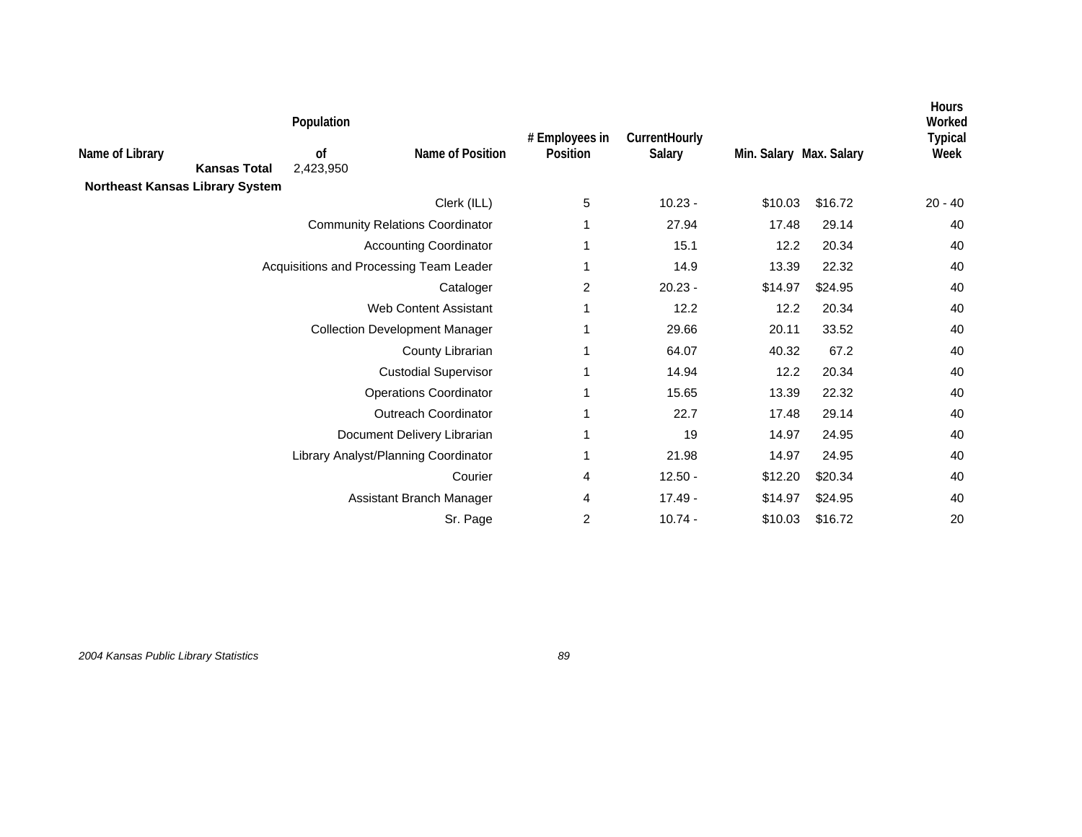|                                        |                     | Population      |                                         | # Employees in | CurrentHourly |                         |         | <b>Hours</b><br>Worked<br><b>Typical</b> |
|----------------------------------------|---------------------|-----------------|-----------------------------------------|----------------|---------------|-------------------------|---------|------------------------------------------|
| Name of Library                        | <b>Kansas Total</b> | 0f<br>2,423,950 | Name of Position                        | Position       | Salary        | Min. Salary Max. Salary |         | Week                                     |
| <b>Northeast Kansas Library System</b> |                     |                 |                                         |                |               |                         |         |                                          |
|                                        |                     |                 | Clerk (ILL)                             | 5              | $10.23 -$     | \$10.03                 | \$16.72 | $20 - 40$                                |
|                                        |                     |                 | <b>Community Relations Coordinator</b>  |                | 27.94         | 17.48                   | 29.14   | 40                                       |
|                                        |                     |                 | <b>Accounting Coordinator</b>           |                | 15.1          | 12.2                    | 20.34   | 40                                       |
|                                        |                     |                 | Acquisitions and Processing Team Leader |                | 14.9          | 13.39                   | 22.32   | 40                                       |
|                                        |                     |                 | Cataloger                               | 2              | $20.23 -$     | \$14.97                 | \$24.95 | 40                                       |
|                                        |                     |                 | <b>Web Content Assistant</b>            | -1             | 12.2          | 12.2                    | 20.34   | 40                                       |
|                                        |                     |                 | <b>Collection Development Manager</b>   |                | 29.66         | 20.11                   | 33.52   | 40                                       |
|                                        |                     |                 | County Librarian                        | -1             | 64.07         | 40.32                   | 67.2    | 40                                       |
|                                        |                     |                 | <b>Custodial Supervisor</b>             |                | 14.94         | 12.2                    | 20.34   | 40                                       |
|                                        |                     |                 | <b>Operations Coordinator</b>           |                | 15.65         | 13.39                   | 22.32   | 40                                       |
|                                        |                     |                 | <b>Outreach Coordinator</b>             |                | 22.7          | 17.48                   | 29.14   | 40                                       |
|                                        |                     |                 | Document Delivery Librarian             | -1             | 19            | 14.97                   | 24.95   | 40                                       |
|                                        |                     |                 | Library Analyst/Planning Coordinator    | -1             | 21.98         | 14.97                   | 24.95   | 40                                       |
|                                        |                     |                 | Courier                                 | 4              | $12.50 -$     | \$12.20                 | \$20.34 | 40                                       |
|                                        |                     |                 | Assistant Branch Manager                | 4              | $17.49 -$     | \$14.97                 | \$24.95 | 40                                       |
|                                        |                     |                 | Sr. Page                                | $\overline{c}$ | $10.74 -$     | \$10.03                 | \$16.72 | 20                                       |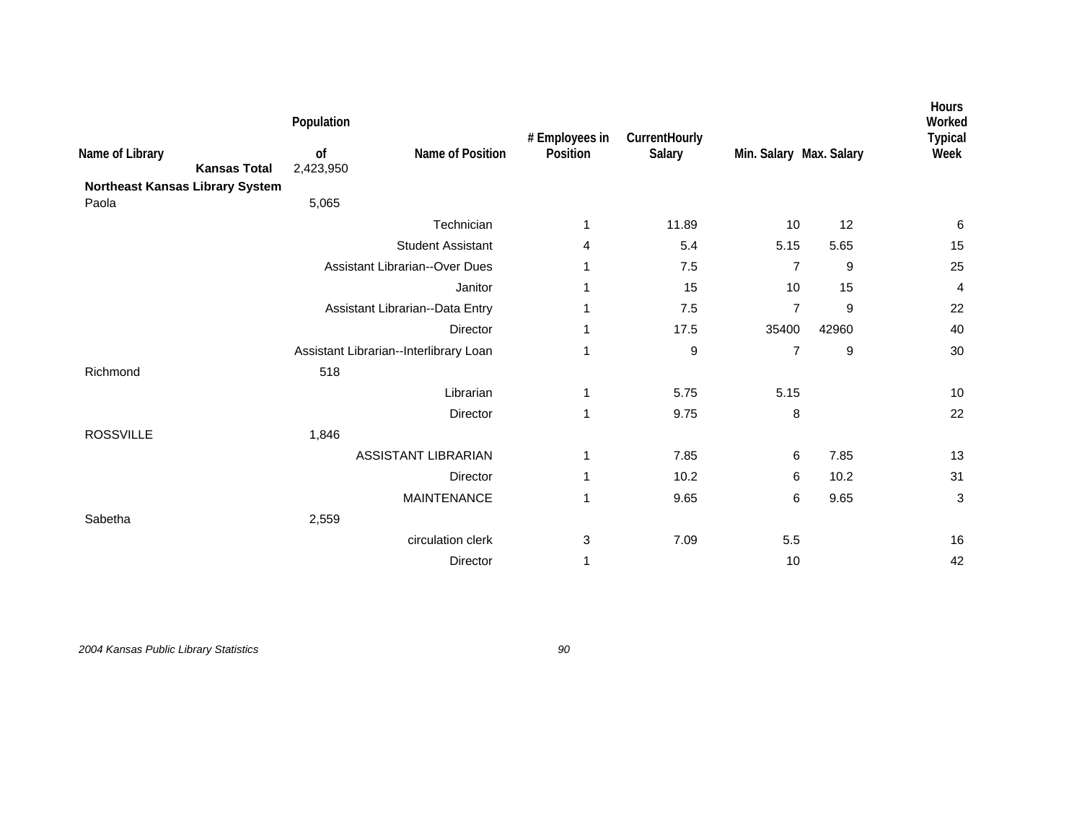|                                                        | Population |                                        | # Employees in | CurrentHourly |                         |       | Hours<br>Worked<br><b>Typical</b> |
|--------------------------------------------------------|------------|----------------------------------------|----------------|---------------|-------------------------|-------|-----------------------------------|
| Name of Library                                        | of         | Name of Position                       | Position       | Salary        | Min. Salary Max. Salary |       | Week                              |
| <b>Kansas Total</b><br>Northeast Kansas Library System | 2,423,950  |                                        |                |               |                         |       |                                   |
| Paola                                                  | 5,065      |                                        |                |               |                         |       |                                   |
|                                                        |            | Technician                             | 1              | 11.89         | 10                      | 12    | $\,6$                             |
|                                                        |            | <b>Student Assistant</b>               | 4              | 5.4           | 5.15                    | 5.65  | 15                                |
|                                                        |            | <b>Assistant Librarian--Over Dues</b>  | 1              | 7.5           | 7                       | 9     | 25                                |
|                                                        |            | Janitor                                | 1              | 15            | 10                      | 15    | 4                                 |
|                                                        |            | Assistant Librarian--Data Entry        | 1              | 7.5           | $\overline{7}$          | 9     | 22                                |
|                                                        |            | <b>Director</b>                        | 1              | 17.5          | 35400                   | 42960 | 40                                |
|                                                        |            | Assistant Librarian--Interlibrary Loan | 1              | 9             | $\overline{7}$          | 9     | 30                                |
| Richmond                                               | 518        |                                        |                |               |                         |       |                                   |
|                                                        |            | Librarian                              | 1              | 5.75          | 5.15                    |       | 10                                |
|                                                        |            | Director                               | 1              | 9.75          | 8                       |       | 22                                |
| <b>ROSSVILLE</b>                                       | 1,846      |                                        |                |               |                         |       |                                   |
|                                                        |            | <b>ASSISTANT LIBRARIAN</b>             | 1              | 7.85          | 6                       | 7.85  | 13                                |
|                                                        |            | Director                               | 1              | 10.2          | 6                       | 10.2  | 31                                |
|                                                        |            | MAINTENANCE                            | 1              | 9.65          | 6                       | 9.65  | 3                                 |
| Sabetha                                                | 2,559      |                                        |                |               |                         |       |                                   |
|                                                        |            | circulation clerk                      | 3              | 7.09          | 5.5                     |       | 16                                |
|                                                        |            | Director                               | 1              |               | 10                      |       | 42                                |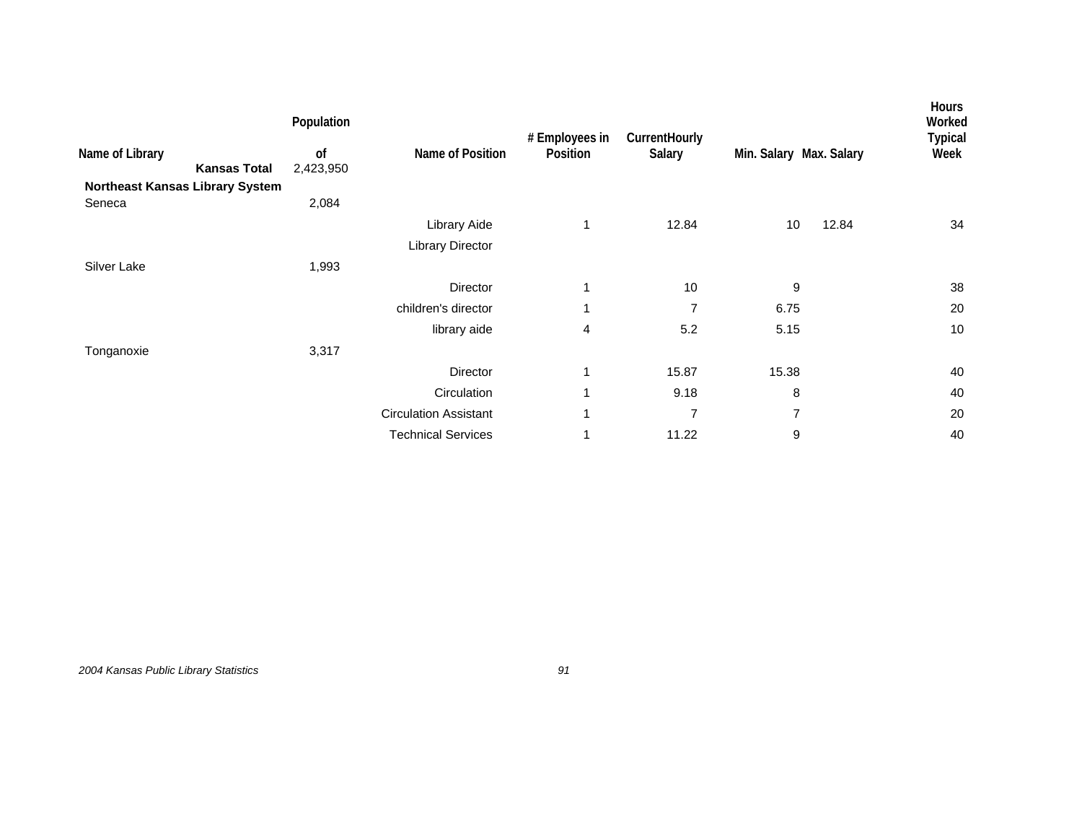|                                        |                     | Population      |                              | # Employees in | CurrentHourly  |                         |       | <b>Hours</b><br>Worked<br><b>Typical</b> |
|----------------------------------------|---------------------|-----------------|------------------------------|----------------|----------------|-------------------------|-------|------------------------------------------|
| Name of Library                        | <b>Kansas Total</b> | 0f<br>2,423,950 | Name of Position             | Position       | Salary         | Min. Salary Max. Salary |       | Week                                     |
| <b>Northeast Kansas Library System</b> |                     |                 |                              |                |                |                         |       |                                          |
| Seneca                                 |                     | 2,084           |                              |                |                |                         |       |                                          |
|                                        |                     |                 | Library Aide                 | 1              | 12.84          | 10                      | 12.84 | 34                                       |
|                                        |                     |                 | Library Director             |                |                |                         |       |                                          |
| Silver Lake                            |                     | 1,993           |                              |                |                |                         |       |                                          |
|                                        |                     |                 | Director                     | 1              | 10             | 9                       |       | 38                                       |
|                                        |                     |                 | children's director          | 1              | $\overline{7}$ | 6.75                    |       | 20                                       |
|                                        |                     |                 | library aide                 | 4              | 5.2            | 5.15                    |       | 10                                       |
| Tonganoxie                             |                     | 3,317           |                              |                |                |                         |       |                                          |
|                                        |                     |                 | Director                     | 1              | 15.87          | 15.38                   |       | 40                                       |
|                                        |                     |                 | Circulation                  | 1              | 9.18           | 8                       |       | 40                                       |
|                                        |                     |                 | <b>Circulation Assistant</b> | 1              | $\overline{7}$ | 7                       |       | 20                                       |
|                                        |                     |                 | <b>Technical Services</b>    | 1              | 11.22          | 9                       |       | 40                                       |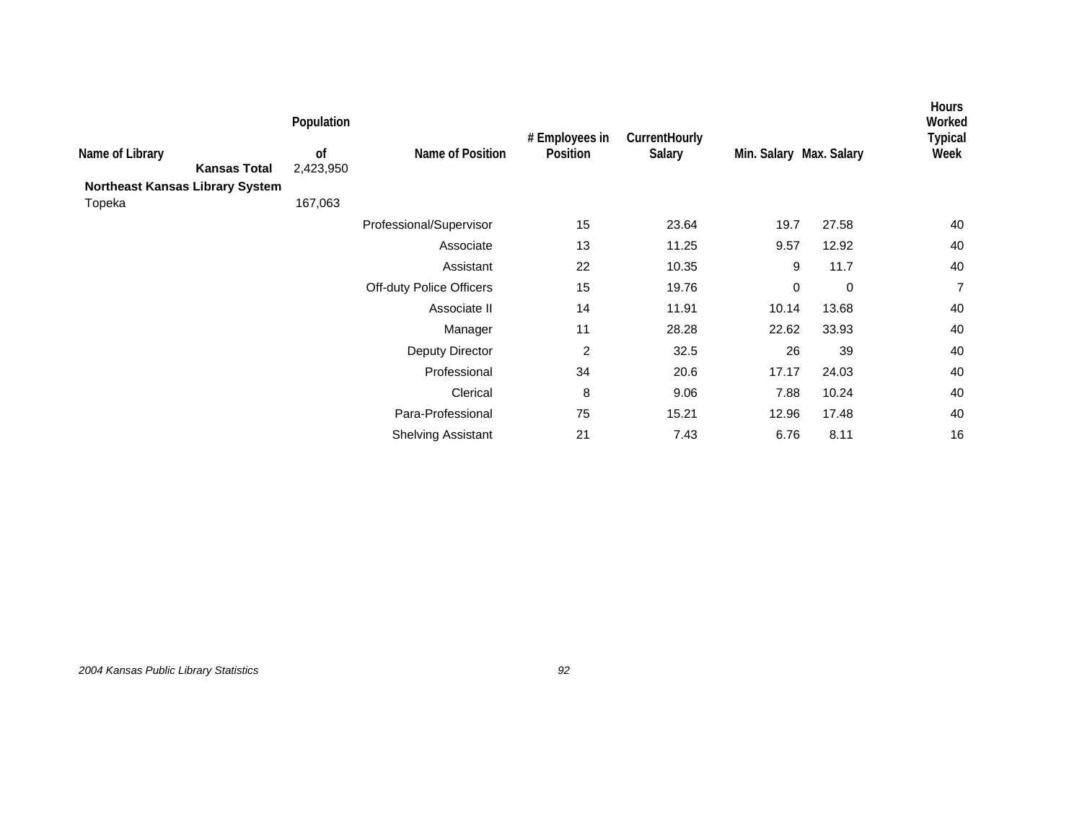| Name of Library<br><b>Kansas Total</b><br><b>Northeast Kansas Library System</b><br>Topeka | Population<br>0f<br>2,423,950<br>167,063 | Name of Position          | # Employees in<br>Position | CurrentHourly<br>Salary | Min. Salary Max. Salary |             | <b>Hours</b><br>Worked<br><b>Typical</b><br>Week |
|--------------------------------------------------------------------------------------------|------------------------------------------|---------------------------|----------------------------|-------------------------|-------------------------|-------------|--------------------------------------------------|
|                                                                                            |                                          | Professional/Supervisor   | 15                         | 23.64                   | 19.7                    | 27.58       | 40                                               |
|                                                                                            |                                          | Associate                 | 13                         | 11.25                   | 9.57                    | 12.92       | 40                                               |
|                                                                                            |                                          | Assistant                 | 22                         | 10.35                   | 9                       | 11.7        | 40                                               |
|                                                                                            |                                          | Off-duty Police Officers  | 15                         | 19.76                   | 0                       | $\mathbf 0$ | $\overline{7}$                                   |
|                                                                                            |                                          | Associate II              | 14                         | 11.91                   | 10.14                   | 13.68       | 40                                               |
|                                                                                            |                                          | Manager                   | 11                         | 28.28                   | 22.62                   | 33.93       | 40                                               |
|                                                                                            |                                          | Deputy Director           | $\overline{2}$             | 32.5                    | 26                      | 39          | 40                                               |
|                                                                                            |                                          | Professional              | 34                         | 20.6                    | 17.17                   | 24.03       | 40                                               |
|                                                                                            |                                          | Clerical                  | 8                          | 9.06                    | 7.88                    | 10.24       | 40                                               |
|                                                                                            |                                          | Para-Professional         | 75                         | 15.21                   | 12.96                   | 17.48       | 40                                               |
|                                                                                            |                                          | <b>Shelving Assistant</b> | 21                         | 7.43                    | 6.76                    | 8.11        | 16                                               |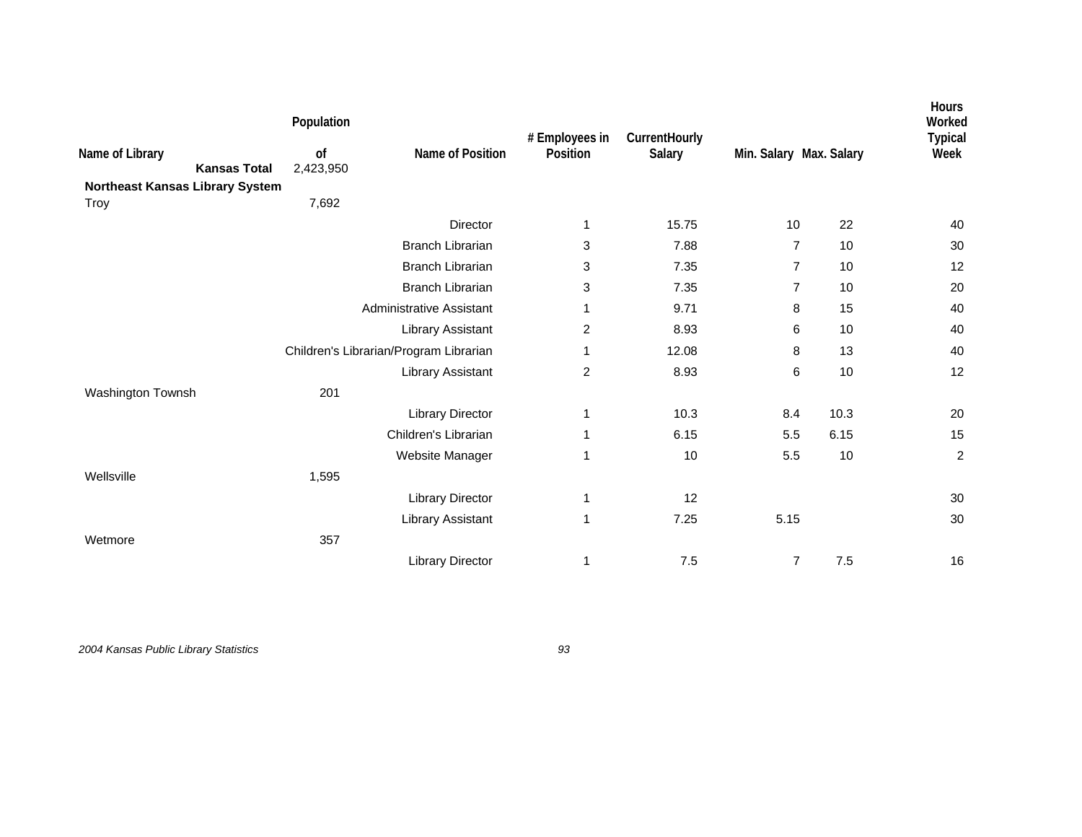|                                        | Population      |                                        | # Employees in | CurrentHourly |                         |      | Hours<br>Worked<br><b>Typical</b> |
|----------------------------------------|-----------------|----------------------------------------|----------------|---------------|-------------------------|------|-----------------------------------|
| Name of Library<br><b>Kansas Total</b> | of<br>2,423,950 | Name of Position                       | Position       | Salary        | Min. Salary Max. Salary |      | Week                              |
| Northeast Kansas Library System        |                 |                                        |                |               |                         |      |                                   |
| Troy                                   | 7,692           |                                        |                |               |                         |      |                                   |
|                                        |                 | <b>Director</b>                        | 1              | 15.75         | 10                      | 22   | 40                                |
|                                        |                 | <b>Branch Librarian</b>                | 3              | 7.88          | $\overline{7}$          | 10   | 30                                |
|                                        |                 | <b>Branch Librarian</b>                | 3              | 7.35          | $\overline{7}$          | 10   | 12                                |
|                                        |                 | <b>Branch Librarian</b>                | 3              | 7.35          | 7                       | 10   | 20                                |
|                                        |                 | <b>Administrative Assistant</b>        | 1              | 9.71          | 8                       | 15   | 40                                |
|                                        |                 | Library Assistant                      | 2              | 8.93          | 6                       | 10   | 40                                |
|                                        |                 | Children's Librarian/Program Librarian | 1              | 12.08         | 8                       | 13   | 40                                |
|                                        |                 | Library Assistant                      | $\overline{2}$ | 8.93          | 6                       | 10   | 12                                |
| Washington Townsh                      | 201             |                                        |                |               |                         |      |                                   |
|                                        |                 | <b>Library Director</b>                | 1              | 10.3          | 8.4                     | 10.3 | 20                                |
|                                        |                 | Children's Librarian                   | 1              | 6.15          | 5.5                     | 6.15 | 15                                |
|                                        |                 | Website Manager                        | 1              | 10            | 5.5                     | 10   | $\overline{c}$                    |
| Wellsville                             | 1,595           |                                        |                |               |                         |      |                                   |
|                                        |                 | <b>Library Director</b>                | 1              | 12            |                         |      | 30                                |
|                                        |                 | Library Assistant                      | 1              | 7.25          | 5.15                    |      | 30                                |
| Wetmore                                | 357             |                                        |                |               |                         |      |                                   |
|                                        |                 | <b>Library Director</b>                | 1              | 7.5           | $\overline{7}$          | 7.5  | 16                                |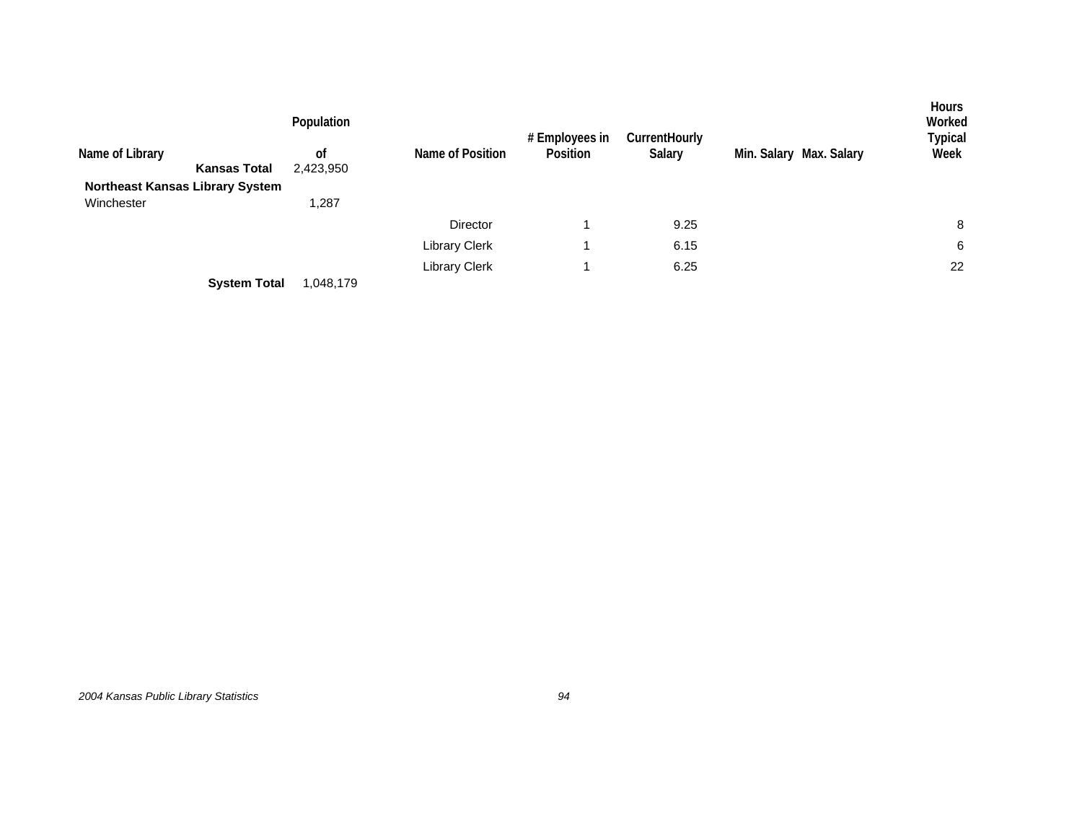| Name of Library<br><b>Kansas Total</b><br><b>Northeast Kansas Library System</b> | Population<br><sub>of</sub><br>2,423,950 | Name of Position     | # Employees in<br>Position | <b>CurrentHourly</b><br>Salary | Min. Salary Max. Salary | <b>Hours</b><br>Worked<br>Typical<br>Week |
|----------------------------------------------------------------------------------|------------------------------------------|----------------------|----------------------------|--------------------------------|-------------------------|-------------------------------------------|
| Winchester                                                                       | 1,287                                    |                      |                            |                                |                         |                                           |
|                                                                                  |                                          | Director             |                            | 9.25                           |                         | 8                                         |
|                                                                                  |                                          | <b>Library Clerk</b> |                            | 6.15                           |                         | 6                                         |
|                                                                                  |                                          | <b>Library Clerk</b> |                            | 6.25                           |                         | 22                                        |
| <b>System Total</b>                                                              | 1,048,179                                |                      |                            |                                |                         |                                           |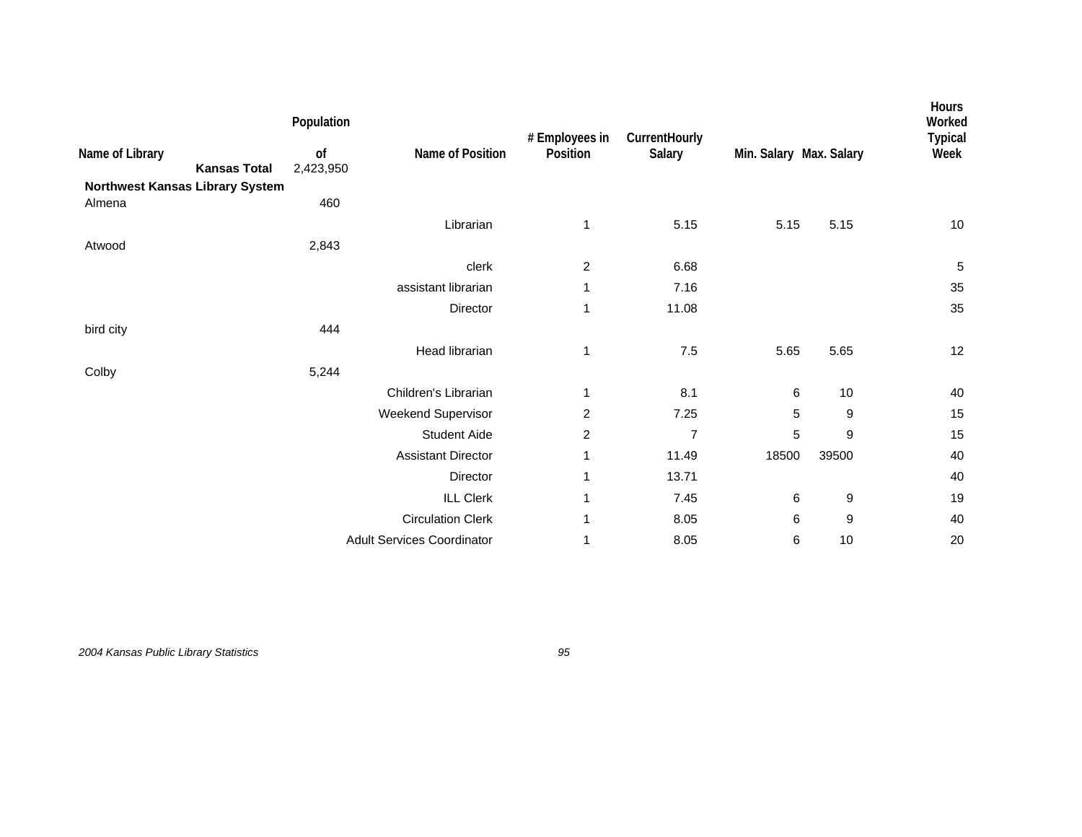| Name of Library<br><b>Kansas Total</b><br>Northwest Kansas Library System | Population<br>0f<br>2,423,950 | Name of Position                  | # Employees in<br>Position | CurrentHourly<br>Salary | Min. Salary Max. Salary |       | Hours<br>Worked<br><b>Typical</b><br>Week |
|---------------------------------------------------------------------------|-------------------------------|-----------------------------------|----------------------------|-------------------------|-------------------------|-------|-------------------------------------------|
| Almena                                                                    | 460                           | Librarian                         | 1                          | 5.15                    | 5.15                    | 5.15  | 10                                        |
| Atwood                                                                    | 2,843                         |                                   |                            |                         |                         |       |                                           |
|                                                                           |                               | clerk                             | $\overline{c}$             | 6.68                    |                         |       | 5                                         |
|                                                                           |                               | assistant librarian               | 1                          | 7.16                    |                         |       | 35                                        |
|                                                                           |                               | Director                          | 1                          | 11.08                   |                         |       | 35                                        |
| bird city                                                                 | 444                           |                                   |                            |                         |                         |       |                                           |
|                                                                           |                               | Head librarian                    | 1                          | 7.5                     | 5.65                    | 5.65  | 12                                        |
| Colby                                                                     | 5,244                         |                                   |                            |                         |                         |       |                                           |
|                                                                           |                               | Children's Librarian              | 1                          | 8.1                     | 6                       | 10    | 40                                        |
|                                                                           |                               | Weekend Supervisor                | $\overline{c}$             | 7.25                    | $\sqrt{5}$              | 9     | 15                                        |
|                                                                           |                               | <b>Student Aide</b>               | $\overline{c}$             | $\overline{7}$          | $\sqrt{5}$              | 9     | 15                                        |
|                                                                           |                               | <b>Assistant Director</b>         | 1                          | 11.49                   | 18500                   | 39500 | 40                                        |
|                                                                           |                               | Director                          | 1                          | 13.71                   |                         |       | 40                                        |
|                                                                           |                               | <b>ILL Clerk</b>                  | 1                          | 7.45                    | 6                       | 9     | 19                                        |
|                                                                           |                               | <b>Circulation Clerk</b>          | 1                          | 8.05                    | 6                       | 9     | 40                                        |
|                                                                           |                               | <b>Adult Services Coordinator</b> | 1                          | 8.05                    | 6                       | 10    | 20                                        |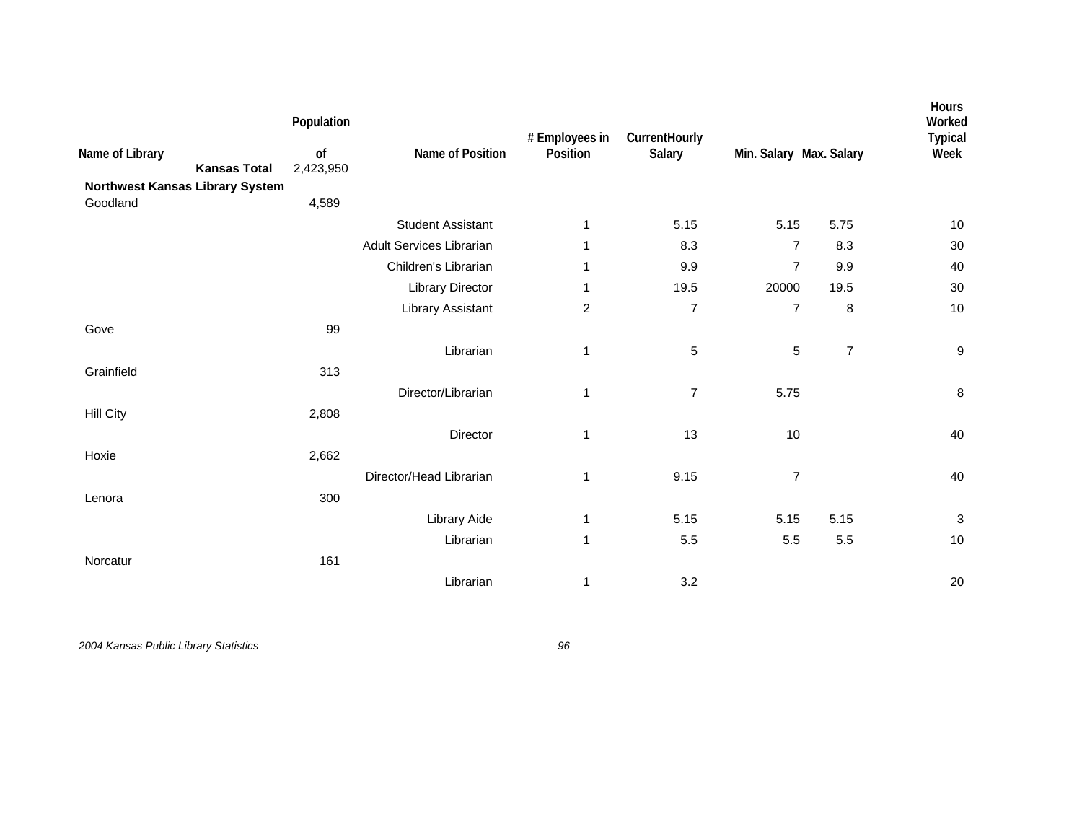| Name of Library<br>Northwest Kansas Library System | <b>Kansas Total</b> | Population<br>of<br>2,423,950 | Name of Position                | # Employees in<br>Position | CurrentHourly<br>Salary | Min. Salary Max. Salary |                | Hours<br>Worked<br><b>Typical</b><br>Week |
|----------------------------------------------------|---------------------|-------------------------------|---------------------------------|----------------------------|-------------------------|-------------------------|----------------|-------------------------------------------|
| Goodland                                           |                     | 4,589                         |                                 |                            |                         |                         |                |                                           |
|                                                    |                     |                               | <b>Student Assistant</b>        | $\mathbf 1$                | 5.15                    | 5.15                    | 5.75           | $10$                                      |
|                                                    |                     |                               | <b>Adult Services Librarian</b> | 1                          | 8.3                     | $\overline{7}$          | 8.3            | 30                                        |
|                                                    |                     |                               | Children's Librarian            | 1                          | 9.9                     | $\overline{7}$          | 9.9            | 40                                        |
|                                                    |                     |                               | <b>Library Director</b>         | 1                          | 19.5                    | 20000                   | 19.5           | 30                                        |
|                                                    |                     |                               | <b>Library Assistant</b>        | $\overline{c}$             | $\overline{7}$          | $\overline{7}$          | 8              | 10                                        |
| Gove                                               |                     | 99                            |                                 |                            |                         |                         |                |                                           |
|                                                    |                     |                               | Librarian                       | 1                          | 5                       | $\mathbf 5$             | $\overline{7}$ | $\boldsymbol{9}$                          |
| Grainfield                                         |                     | 313                           |                                 |                            |                         |                         |                |                                           |
|                                                    |                     |                               | Director/Librarian              | $\mathbf{1}$               | $\overline{7}$          | 5.75                    |                | 8                                         |
| <b>Hill City</b>                                   |                     | 2,808                         |                                 |                            |                         |                         |                |                                           |
|                                                    |                     |                               | Director                        | 1                          | 13                      | 10                      |                | 40                                        |
| Hoxie                                              |                     | 2,662                         |                                 |                            |                         |                         |                |                                           |
|                                                    |                     |                               | Director/Head Librarian         | 1                          | 9.15                    | $\overline{7}$          |                | 40                                        |
| Lenora                                             |                     | 300                           |                                 |                            |                         |                         |                |                                           |
|                                                    |                     |                               | Library Aide                    | $\mathbf{1}$               | 5.15                    | 5.15                    | 5.15           | $\sqrt{3}$                                |
|                                                    |                     |                               |                                 |                            |                         |                         |                |                                           |
|                                                    |                     |                               | Librarian                       | $\mathbf{1}$               | 5.5                     | 5.5                     | 5.5            | 10                                        |
| Norcatur                                           |                     | 161                           |                                 |                            |                         |                         |                |                                           |
|                                                    |                     |                               | Librarian                       | 1                          | 3.2                     |                         |                | 20                                        |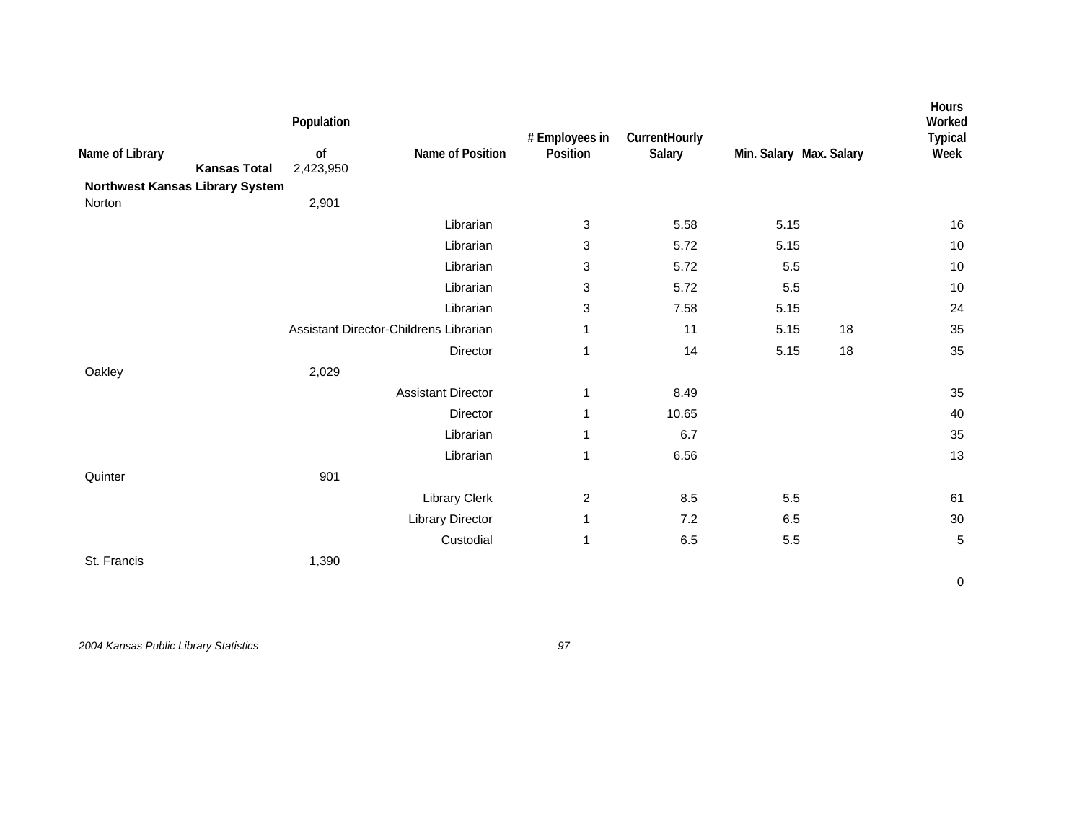| Name of Library<br>Northwest Kansas Library System | <b>Kansas Total</b> | Population<br>of<br>2,423,950 | Name of Position                       | # Employees in<br>Position | CurrentHourly<br>Salary | Min. Salary Max. Salary |    | Hours<br>Worked<br><b>Typical</b><br>Week |
|----------------------------------------------------|---------------------|-------------------------------|----------------------------------------|----------------------------|-------------------------|-------------------------|----|-------------------------------------------|
| Norton                                             |                     | 2,901                         |                                        |                            |                         |                         |    |                                           |
|                                                    |                     |                               | Librarian                              | 3                          | 5.58                    | 5.15                    |    | 16                                        |
|                                                    |                     |                               | Librarian                              | 3                          | 5.72                    | 5.15                    |    | 10                                        |
|                                                    |                     |                               | Librarian                              | 3                          | 5.72                    | $5.5\,$                 |    | $10$                                      |
|                                                    |                     |                               | Librarian                              | 3                          | 5.72                    | $5.5\,$                 |    | 10                                        |
|                                                    |                     |                               | Librarian                              | 3                          | 7.58                    | 5.15                    |    | 24                                        |
|                                                    |                     |                               | Assistant Director-Childrens Librarian | 1                          | 11                      | 5.15                    | 18 | 35                                        |
|                                                    |                     |                               | Director                               | $\mathbf{1}$               | 14                      | 5.15                    | 18 | 35                                        |
| Oakley                                             |                     | 2,029                         |                                        |                            |                         |                         |    |                                           |
|                                                    |                     |                               | <b>Assistant Director</b>              | $\mathbf{1}$               | 8.49                    |                         |    | 35                                        |
|                                                    |                     |                               | Director                               | $\mathbf{1}$               | 10.65                   |                         |    | 40                                        |
|                                                    |                     |                               | Librarian                              | 1                          | 6.7                     |                         |    | 35                                        |
|                                                    |                     |                               | Librarian                              | 1                          | 6.56                    |                         |    | 13                                        |
| Quinter                                            |                     | 901                           |                                        |                            |                         |                         |    |                                           |
|                                                    |                     |                               | <b>Library Clerk</b>                   | $\boldsymbol{2}$           | 8.5                     | $5.5\,$                 |    | 61                                        |
|                                                    |                     |                               | <b>Library Director</b>                | 1                          | 7.2                     | 6.5                     |    | 30                                        |
|                                                    |                     |                               | Custodial                              | 1                          | 6.5                     | $5.5\,$                 |    | $\sqrt{5}$                                |
| St. Francis                                        |                     | 1,390                         |                                        |                            |                         |                         |    |                                           |
|                                                    |                     |                               |                                        |                            |                         |                         |    | $\pmb{0}$                                 |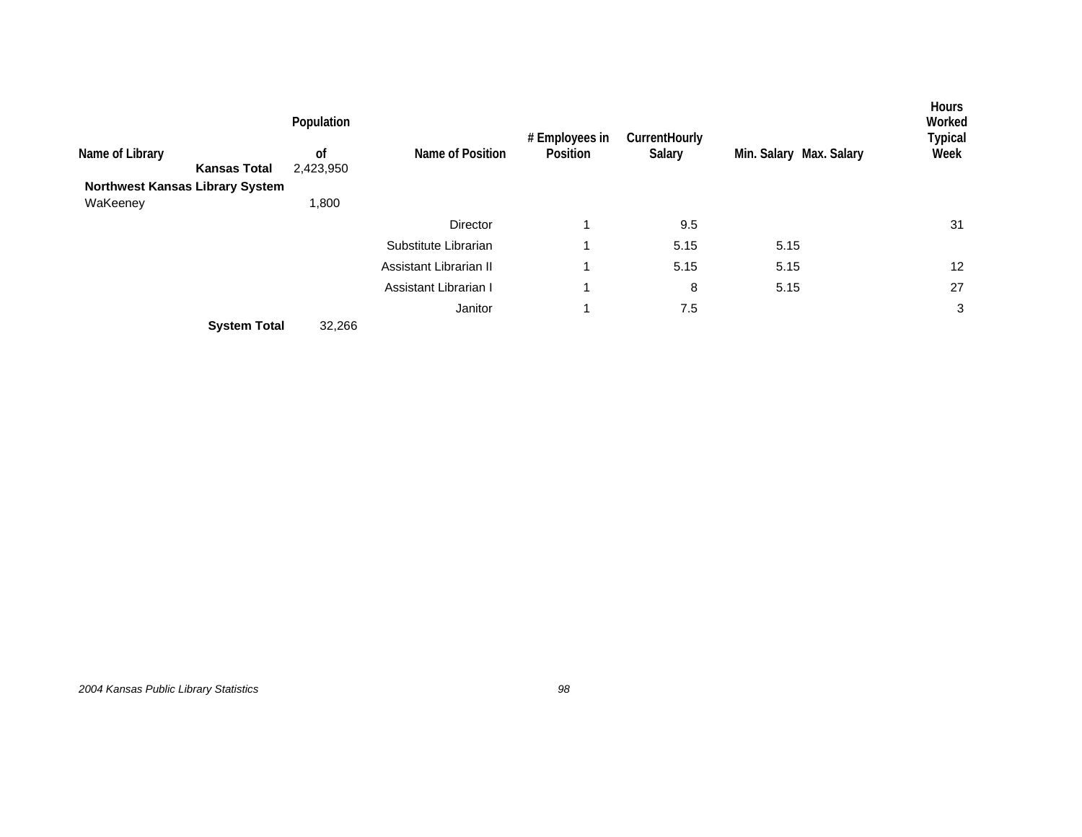|                                        | Population | Name of Position       | # Employees in<br>Position | <b>CurrentHourly</b><br>Salary |                         | <b>Hours</b><br>Worked<br>Typical |
|----------------------------------------|------------|------------------------|----------------------------|--------------------------------|-------------------------|-----------------------------------|
| Name of Library                        | 0f         |                        |                            |                                | Min. Salary Max. Salary | Week                              |
| <b>Kansas Total</b>                    | 2,423,950  |                        |                            |                                |                         |                                   |
| <b>Northwest Kansas Library System</b> |            |                        |                            |                                |                         |                                   |
| WaKeeney                               | 1,800      |                        |                            |                                |                         |                                   |
|                                        |            | Director               | 1                          | 9.5                            |                         | 31                                |
|                                        |            | Substitute Librarian   | и                          | 5.15                           | 5.15                    |                                   |
|                                        |            | Assistant Librarian II | 1                          | 5.15                           | 5.15                    | $12 \overline{ }$                 |
|                                        |            | Assistant Librarian I  | 1                          | 8                              | 5.15                    | 27                                |
|                                        |            | Janitor                | 1                          | 7.5                            |                         | 3                                 |
| <b>System Total</b>                    | 32,266     |                        |                            |                                |                         |                                   |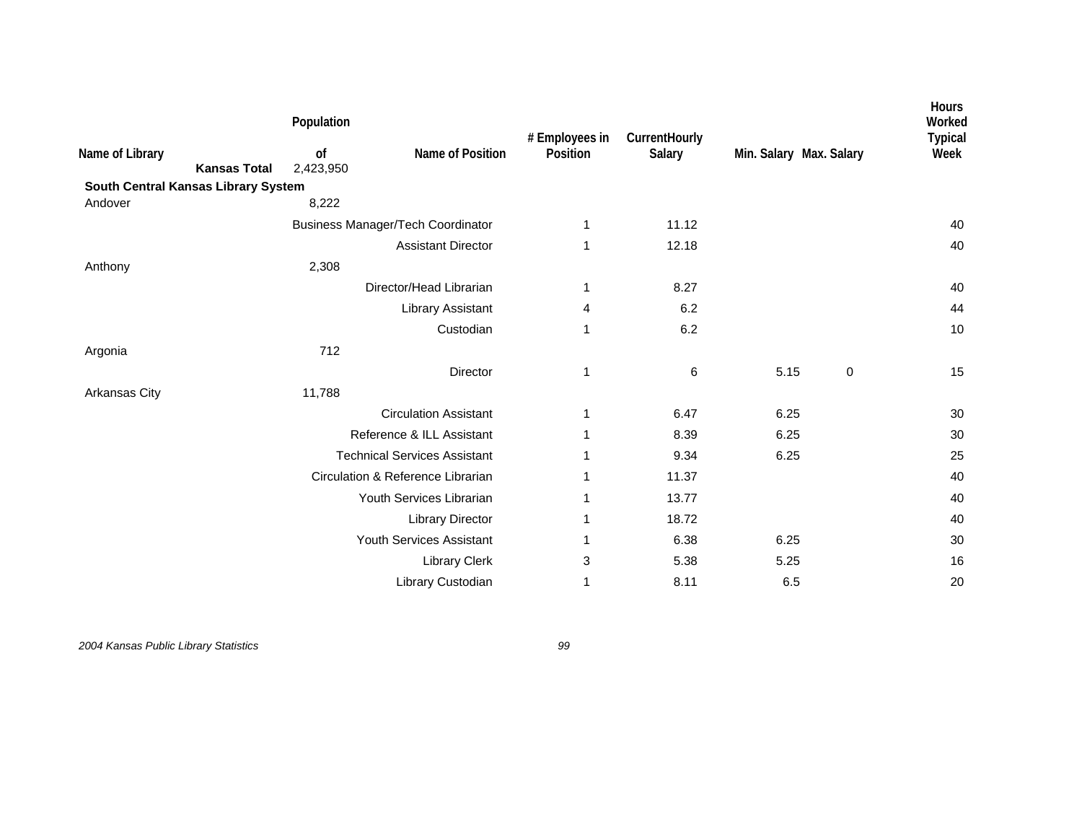|                                     |                     | Population      |                                          | # Employees in | CurrentHourly |      |                         | Hours<br>Worked<br><b>Typical</b> |
|-------------------------------------|---------------------|-----------------|------------------------------------------|----------------|---------------|------|-------------------------|-----------------------------------|
| Name of Library                     | <b>Kansas Total</b> | of<br>2,423,950 | Name of Position                         | Position       | Salary        |      | Min. Salary Max. Salary | Week                              |
| South Central Kansas Library System |                     |                 |                                          |                |               |      |                         |                                   |
| Andover                             |                     | 8,222           |                                          |                |               |      |                         |                                   |
|                                     |                     |                 | <b>Business Manager/Tech Coordinator</b> | 1              | 11.12         |      |                         | 40                                |
|                                     |                     |                 | <b>Assistant Director</b>                | 1              | 12.18         |      |                         | 40                                |
| Anthony                             |                     | 2,308           |                                          |                |               |      |                         |                                   |
|                                     |                     |                 | Director/Head Librarian                  | 1              | 8.27          |      |                         | 40                                |
|                                     |                     |                 | Library Assistant                        | 4              | 6.2           |      |                         | 44                                |
|                                     |                     |                 | Custodian                                | 1              | 6.2           |      |                         | 10                                |
| Argonia                             |                     | 712             |                                          |                |               |      |                         |                                   |
|                                     |                     |                 | <b>Director</b>                          | 1              | 6             | 5.15 | 0                       | 15                                |
| Arkansas City                       |                     | 11,788          |                                          |                |               |      |                         |                                   |
|                                     |                     |                 | <b>Circulation Assistant</b>             | 1              | 6.47          | 6.25 |                         | 30                                |
|                                     |                     |                 | Reference & ILL Assistant                | 1              | 8.39          | 6.25 |                         | 30                                |
|                                     |                     |                 | <b>Technical Services Assistant</b>      | 1              | 9.34          | 6.25 |                         | 25                                |
|                                     |                     |                 | Circulation & Reference Librarian        | 1              | 11.37         |      |                         | 40                                |
|                                     |                     |                 | Youth Services Librarian                 | 1              | 13.77         |      |                         | 40                                |
|                                     |                     |                 | <b>Library Director</b>                  | 1              | 18.72         |      |                         | 40                                |
|                                     |                     |                 | Youth Services Assistant                 | 1              | 6.38          | 6.25 |                         | 30                                |
|                                     |                     |                 | Library Clerk                            | 3              | 5.38          | 5.25 |                         | 16                                |
|                                     |                     |                 | Library Custodian                        | 1              | 8.11          | 6.5  |                         | 20                                |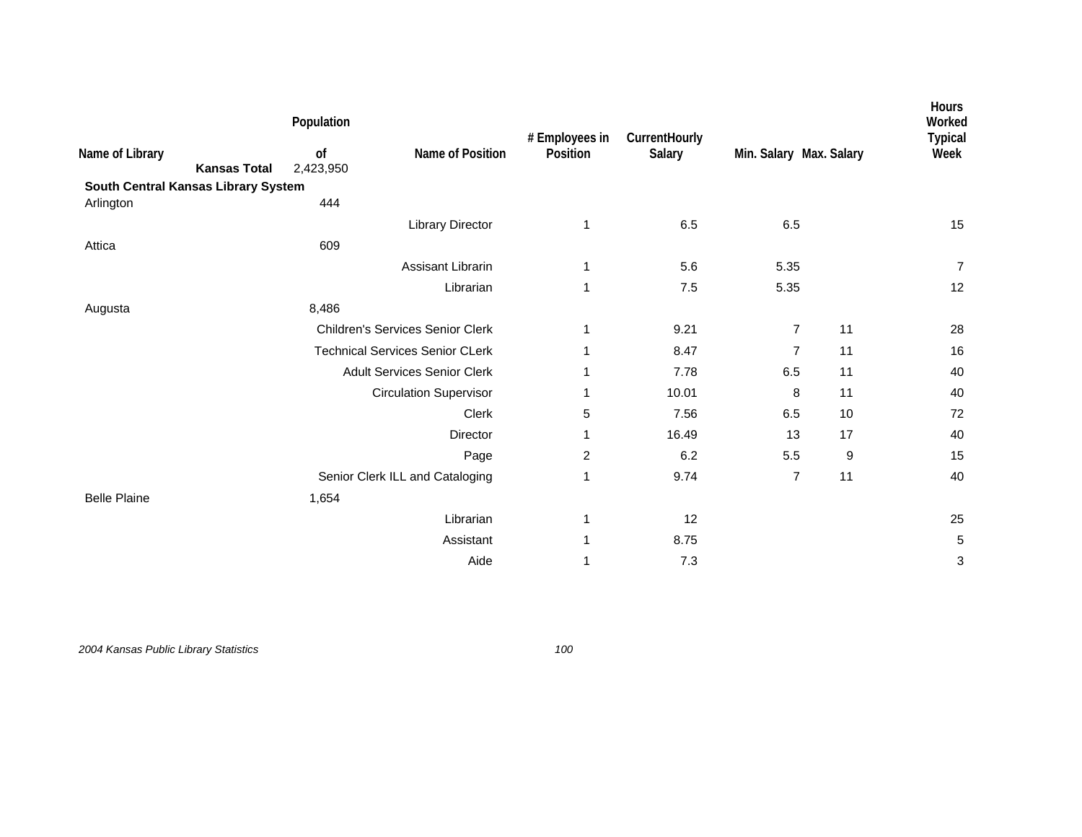|                                     |                     | Population      |                                         | # Employees in<br>Position | CurrentHourly<br>Salary | Min. Salary Max. Salary |       | Hours<br>Worked<br><b>Typical</b><br>Week |
|-------------------------------------|---------------------|-----------------|-----------------------------------------|----------------------------|-------------------------|-------------------------|-------|-------------------------------------------|
| Name of Library                     | <b>Kansas Total</b> | of<br>2,423,950 | Name of Position                        |                            |                         |                         |       |                                           |
| South Central Kansas Library System |                     |                 |                                         |                            |                         |                         |       |                                           |
| Arlington                           |                     | 444             |                                         |                            |                         |                         |       |                                           |
|                                     |                     |                 | <b>Library Director</b>                 | 1                          | 6.5                     | 6.5                     |       | 15                                        |
| Attica                              |                     | 609             |                                         |                            |                         |                         |       |                                           |
|                                     |                     |                 | Assisant Librarin                       | 1                          | 5.6                     | 5.35                    |       | $\overline{7}$                            |
|                                     |                     |                 | Librarian                               | 1                          | 7.5                     | 5.35                    |       | 12                                        |
| Augusta                             |                     | 8,486           |                                         |                            |                         |                         |       |                                           |
|                                     |                     |                 | <b>Children's Services Senior Clerk</b> | 1                          | 9.21                    | $\overline{7}$          | 11    | 28                                        |
|                                     |                     |                 | <b>Technical Services Senior CLerk</b>  | 1                          | 8.47                    | $\overline{7}$          | 11    | 16                                        |
|                                     |                     |                 | <b>Adult Services Senior Clerk</b>      | 1                          | 7.78                    | 6.5                     | 11    | 40                                        |
|                                     |                     |                 | <b>Circulation Supervisor</b>           | 1                          | 10.01                   | 8                       | 11    | 40                                        |
|                                     |                     |                 | <b>Clerk</b>                            | 5                          | 7.56                    | 6.5                     | 10    | 72                                        |
|                                     |                     |                 | <b>Director</b>                         | 1                          | 16.49                   | 13                      | 17    | 40                                        |
|                                     |                     |                 | Page                                    | $\overline{c}$             | 6.2                     | 5.5                     | $9\,$ | 15                                        |
|                                     |                     |                 | Senior Clerk ILL and Cataloging         | 1                          | 9.74                    | $\overline{7}$          | 11    | 40                                        |
| <b>Belle Plaine</b>                 |                     | 1,654           |                                         |                            |                         |                         |       |                                           |
|                                     |                     |                 | Librarian                               | 1                          | 12                      |                         |       | 25                                        |
|                                     |                     |                 | Assistant                               | 1                          | 8.75                    |                         |       | 5                                         |
|                                     |                     |                 | Aide                                    | 1                          | 7.3                     |                         |       | 3                                         |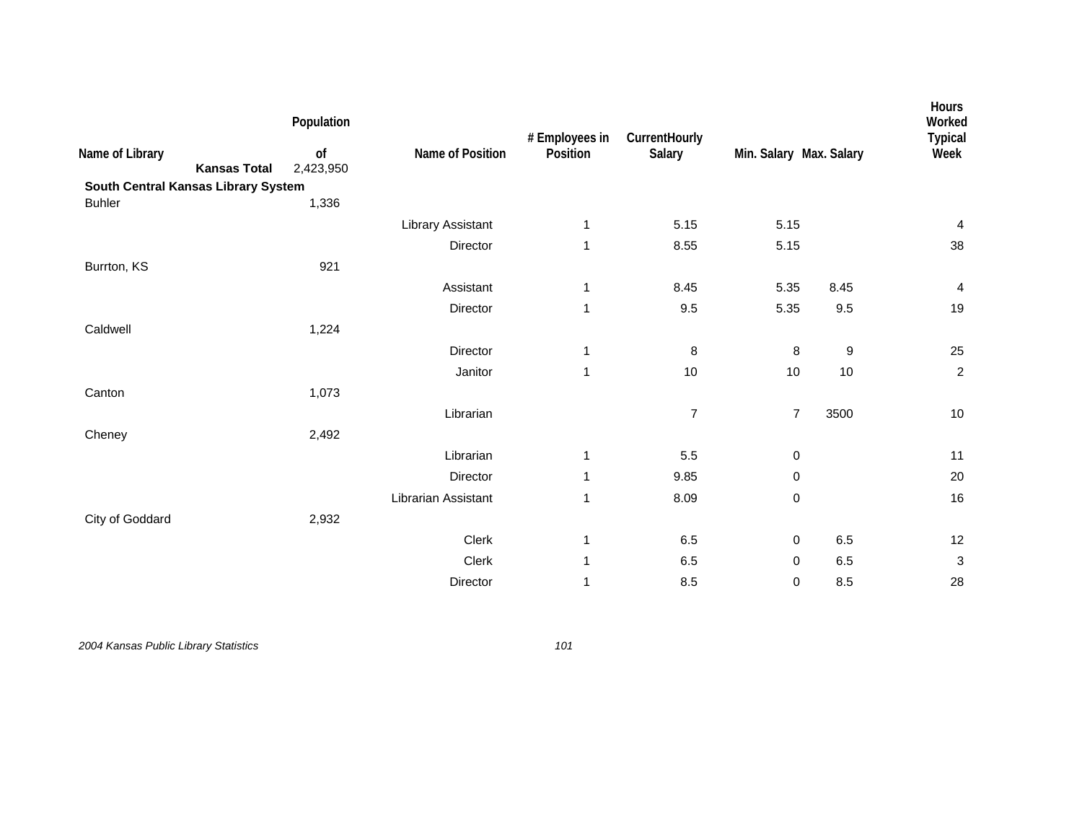| 5.15           |                |                                    |                           |
|----------------|----------------|------------------------------------|---------------------------|
|                |                |                                    |                           |
|                |                |                                    |                           |
|                |                |                                    | $\overline{4}$            |
| 8.55           |                |                                    | 38                        |
|                |                |                                    |                           |
| 8.45           |                | 8.45                               | $\overline{\mathbf{4}}$   |
| 9.5            |                | 9.5                                | 19                        |
|                |                |                                    |                           |
| $\bf 8$        | $\bf 8$        | $\boldsymbol{9}$                   | 25                        |
| 10             |                | 10                                 | $\overline{c}$            |
|                |                |                                    |                           |
| $\overline{7}$ | $\overline{7}$ | 3500                               | 10                        |
|                |                |                                    |                           |
| 5.5            | 0              |                                    | 11                        |
| 9.85           | 0              |                                    | 20                        |
| 8.09           | 0              |                                    | 16                        |
|                |                |                                    |                           |
| 6.5            | 0              | $6.5\,$                            | 12                        |
| 6.5            | 0              | 6.5                                | $\ensuremath{\mathsf{3}}$ |
| 8.5            | 0              | 8.5                                | 28                        |
|                |                | 5.15<br>5.15<br>5.35<br>5.35<br>10 |                           |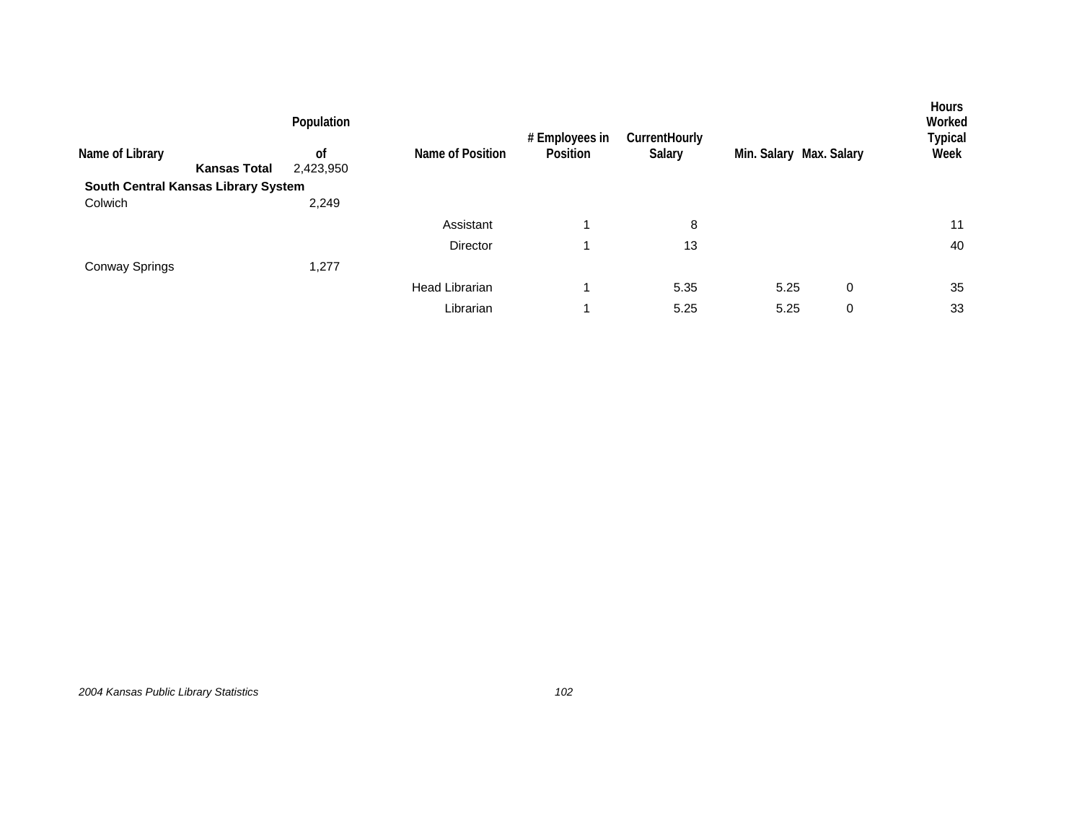| Name of Library                     | <b>Kansas Total</b> | Population<br><sub>of</sub><br>2,423,950 | Name of Position      | # Employees in<br>Position | CurrentHourly<br>Salary | Min. Salary Max. Salary |   | <b>Hours</b><br>Worked<br>Typical<br>Week |
|-------------------------------------|---------------------|------------------------------------------|-----------------------|----------------------------|-------------------------|-------------------------|---|-------------------------------------------|
| South Central Kansas Library System |                     |                                          |                       |                            |                         |                         |   |                                           |
| Colwich                             |                     | 2,249                                    |                       |                            |                         |                         |   |                                           |
|                                     |                     |                                          | Assistant             |                            | 8                       |                         |   | 11                                        |
|                                     |                     |                                          | <b>Director</b>       |                            | 13                      |                         |   | 40                                        |
| <b>Conway Springs</b>               |                     | 1,277                                    |                       |                            |                         |                         |   |                                           |
|                                     |                     |                                          | <b>Head Librarian</b> |                            | 5.35                    | 5.25                    | 0 | 35                                        |
|                                     |                     |                                          | Librarian             |                            | 5.25                    | 5.25                    | 0 | 33                                        |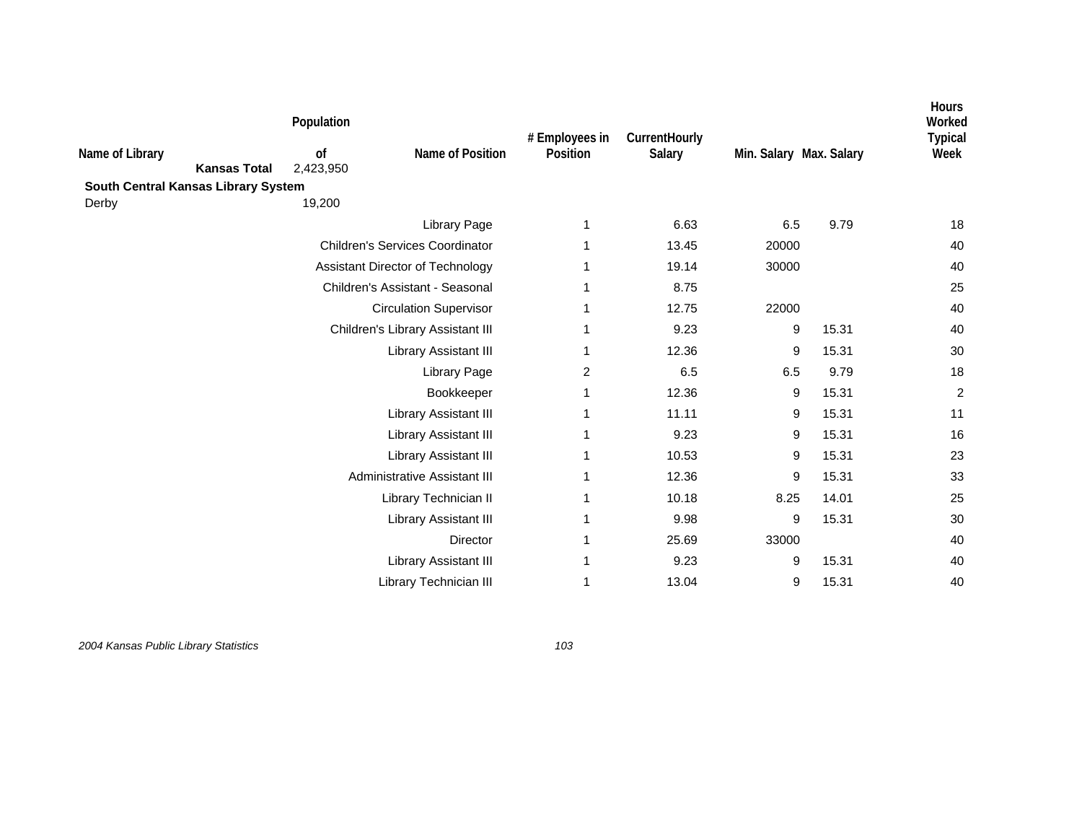| South Central Kansas Library System<br>19,200<br>Derby<br>6.63<br>6.5<br>9.79<br><b>Library Page</b><br>1<br><b>Children's Services Coordinator</b><br>13.45<br>20000<br>1<br>19.14<br>Assistant Director of Technology<br>30000<br>1<br>Children's Assistant - Seasonal<br>8.75<br>1<br>12.75<br>22000<br><b>Circulation Supervisor</b><br>1<br>9.23<br>9<br>Children's Library Assistant III<br>15.31<br>1<br>12.36<br>9<br>15.31<br>Library Assistant III<br>1<br>6.5<br>9.79<br><b>Library Page</b><br>2<br>6.5<br>12.36<br>9<br>15.31<br>Bookkeeper<br>1<br>11.11<br>9<br>15.31<br>Library Assistant III<br>1<br>9.23<br>9<br>15.31<br>Library Assistant III<br>1 | Worked<br><b>Typical</b><br>Week |
|------------------------------------------------------------------------------------------------------------------------------------------------------------------------------------------------------------------------------------------------------------------------------------------------------------------------------------------------------------------------------------------------------------------------------------------------------------------------------------------------------------------------------------------------------------------------------------------------------------------------------------------------------------------------|----------------------------------|
|                                                                                                                                                                                                                                                                                                                                                                                                                                                                                                                                                                                                                                                                        |                                  |
|                                                                                                                                                                                                                                                                                                                                                                                                                                                                                                                                                                                                                                                                        |                                  |
|                                                                                                                                                                                                                                                                                                                                                                                                                                                                                                                                                                                                                                                                        | 18                               |
|                                                                                                                                                                                                                                                                                                                                                                                                                                                                                                                                                                                                                                                                        | 40                               |
|                                                                                                                                                                                                                                                                                                                                                                                                                                                                                                                                                                                                                                                                        | 40                               |
|                                                                                                                                                                                                                                                                                                                                                                                                                                                                                                                                                                                                                                                                        | 25                               |
|                                                                                                                                                                                                                                                                                                                                                                                                                                                                                                                                                                                                                                                                        | 40                               |
|                                                                                                                                                                                                                                                                                                                                                                                                                                                                                                                                                                                                                                                                        | 40                               |
|                                                                                                                                                                                                                                                                                                                                                                                                                                                                                                                                                                                                                                                                        | 30                               |
|                                                                                                                                                                                                                                                                                                                                                                                                                                                                                                                                                                                                                                                                        | 18                               |
|                                                                                                                                                                                                                                                                                                                                                                                                                                                                                                                                                                                                                                                                        | $\overline{c}$                   |
|                                                                                                                                                                                                                                                                                                                                                                                                                                                                                                                                                                                                                                                                        | 11                               |
|                                                                                                                                                                                                                                                                                                                                                                                                                                                                                                                                                                                                                                                                        | 16                               |
| 10.53<br>9<br>15.31<br>Library Assistant III<br>1                                                                                                                                                                                                                                                                                                                                                                                                                                                                                                                                                                                                                      | 23                               |
| Administrative Assistant III<br>9<br>12.36<br>15.31<br>1                                                                                                                                                                                                                                                                                                                                                                                                                                                                                                                                                                                                               | 33                               |
| 10.18<br>8.25<br>14.01<br>Library Technician II<br>1                                                                                                                                                                                                                                                                                                                                                                                                                                                                                                                                                                                                                   | 25                               |
| 9.98<br>9<br>15.31<br>Library Assistant III<br>1                                                                                                                                                                                                                                                                                                                                                                                                                                                                                                                                                                                                                       | 30                               |
| 25.69<br>33000<br>Director<br>1                                                                                                                                                                                                                                                                                                                                                                                                                                                                                                                                                                                                                                        | 40                               |
| 9<br>15.31<br>Library Assistant III<br>9.23<br>1                                                                                                                                                                                                                                                                                                                                                                                                                                                                                                                                                                                                                       | 40                               |
| Library Technician III<br>13.04<br>9<br>15.31<br>1                                                                                                                                                                                                                                                                                                                                                                                                                                                                                                                                                                                                                     | 40                               |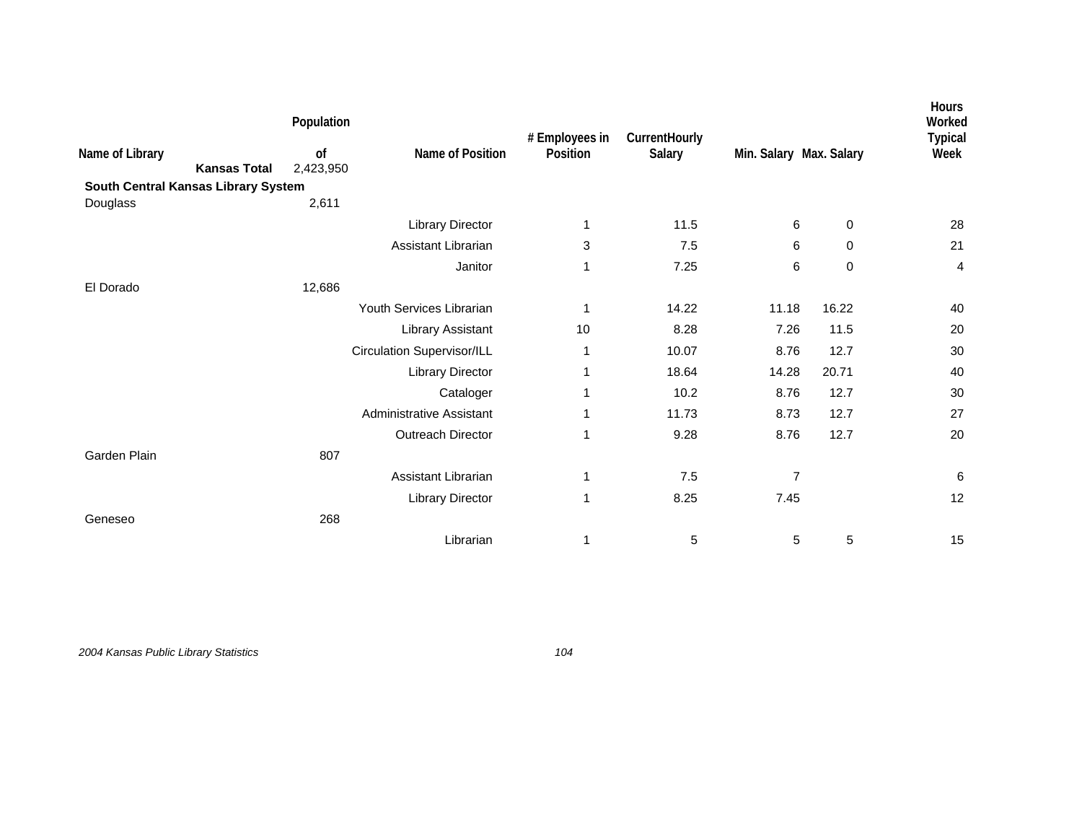|                                     |                     | Population      |                                   | # Employees in | CurrentHourly |                         |             | Hours<br>Worked<br><b>Typical</b> |
|-------------------------------------|---------------------|-----------------|-----------------------------------|----------------|---------------|-------------------------|-------------|-----------------------------------|
| Name of Library                     | <b>Kansas Total</b> | of<br>2,423,950 | Name of Position                  | Position       | Salary        | Min. Salary Max. Salary |             | Week                              |
| South Central Kansas Library System |                     |                 |                                   |                |               |                         |             |                                   |
| Douglass                            |                     | 2,611           |                                   |                |               |                         |             |                                   |
|                                     |                     |                 | <b>Library Director</b>           | 1              | 11.5          | 6                       | 0           | 28                                |
|                                     |                     |                 | Assistant Librarian               | 3              | 7.5           | 6                       | 0           | 21                                |
|                                     |                     |                 | Janitor                           | 1              | 7.25          | 6                       | $\mathbf 0$ | 4                                 |
| El Dorado                           |                     | 12,686          |                                   |                |               |                         |             |                                   |
|                                     |                     |                 | Youth Services Librarian          | 1              | 14.22         | 11.18                   | 16.22       | 40                                |
|                                     |                     |                 | Library Assistant                 | 10             | 8.28          | 7.26                    | 11.5        | 20                                |
|                                     |                     |                 | <b>Circulation Supervisor/ILL</b> | 1              | 10.07         | 8.76                    | 12.7        | 30                                |
|                                     |                     |                 | <b>Library Director</b>           | 1              | 18.64         | 14.28                   | 20.71       | 40                                |
|                                     |                     |                 | Cataloger                         | 1              | 10.2          | 8.76                    | 12.7        | 30                                |
|                                     |                     |                 | Administrative Assistant          | 1              | 11.73         | 8.73                    | 12.7        | 27                                |
|                                     |                     |                 | Outreach Director                 | $\mathbf 1$    | 9.28          | 8.76                    | 12.7        | 20                                |
| Garden Plain                        |                     | 807             |                                   |                |               |                         |             |                                   |
|                                     |                     |                 | Assistant Librarian               | $\mathbf{1}$   | 7.5           | $\overline{7}$          |             | 6                                 |
|                                     |                     |                 | <b>Library Director</b>           | 1              | 8.25          | 7.45                    |             | 12                                |
| Geneseo                             |                     | 268             |                                   |                |               |                         |             |                                   |
|                                     |                     |                 | Librarian                         | 1              | 5             | 5                       | 5           | 15                                |
|                                     |                     |                 |                                   |                |               |                         |             |                                   |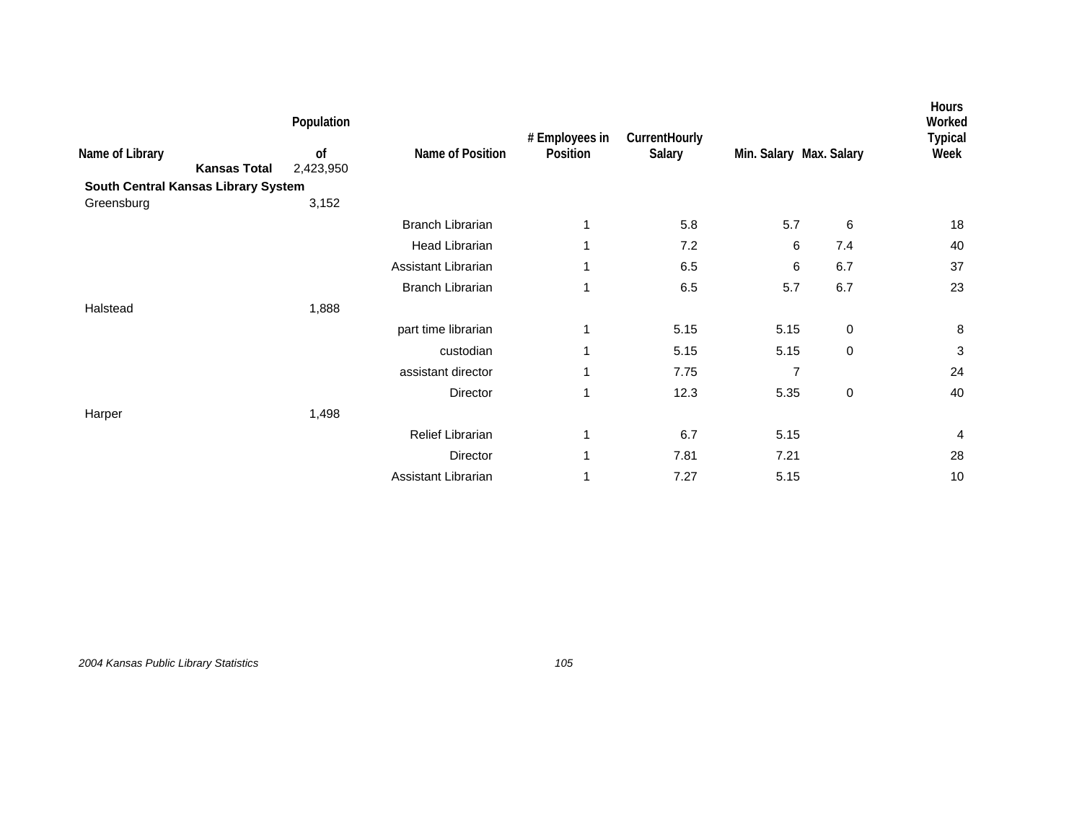|                                        | Population      |                         | # Employees in | CurrentHourly |                         |             | <b>Hours</b><br>Worked<br><b>Typical</b> |
|----------------------------------------|-----------------|-------------------------|----------------|---------------|-------------------------|-------------|------------------------------------------|
| Name of Library<br><b>Kansas Total</b> | of<br>2,423,950 | Name of Position        | Position       | Salary        | Min. Salary Max. Salary |             | Week                                     |
| South Central Kansas Library System    |                 |                         |                |               |                         |             |                                          |
| Greensburg                             | 3,152           |                         |                |               |                         |             |                                          |
|                                        |                 | <b>Branch Librarian</b> |                | 5.8           | 5.7                     | 6           | 18                                       |
|                                        |                 | <b>Head Librarian</b>   |                | 7.2           | 6                       | 7.4         | 40                                       |
|                                        |                 | Assistant Librarian     | 1              | 6.5           | 6                       | 6.7         | 37                                       |
|                                        |                 | <b>Branch Librarian</b> | 1              | 6.5           | 5.7                     | 6.7         | 23                                       |
| Halstead                               | 1,888           |                         |                |               |                         |             |                                          |
|                                        |                 | part time librarian     |                | 5.15          | 5.15                    | $\pmb{0}$   | $\bf 8$                                  |
|                                        |                 | custodian               |                | 5.15          | 5.15                    | $\mathbf 0$ | 3                                        |
|                                        |                 | assistant director      | 1              | 7.75          | $\overline{7}$          |             | 24                                       |
|                                        |                 | Director                | 1              | 12.3          | 5.35                    | $\pmb{0}$   | 40                                       |
| Harper                                 | 1,498           |                         |                |               |                         |             |                                          |
|                                        |                 | Relief Librarian        | 1              | 6.7           | 5.15                    |             | 4                                        |
|                                        |                 | Director                | 1              | 7.81          | 7.21                    |             | 28                                       |
|                                        |                 | Assistant Librarian     |                | 7.27          | 5.15                    |             | 10                                       |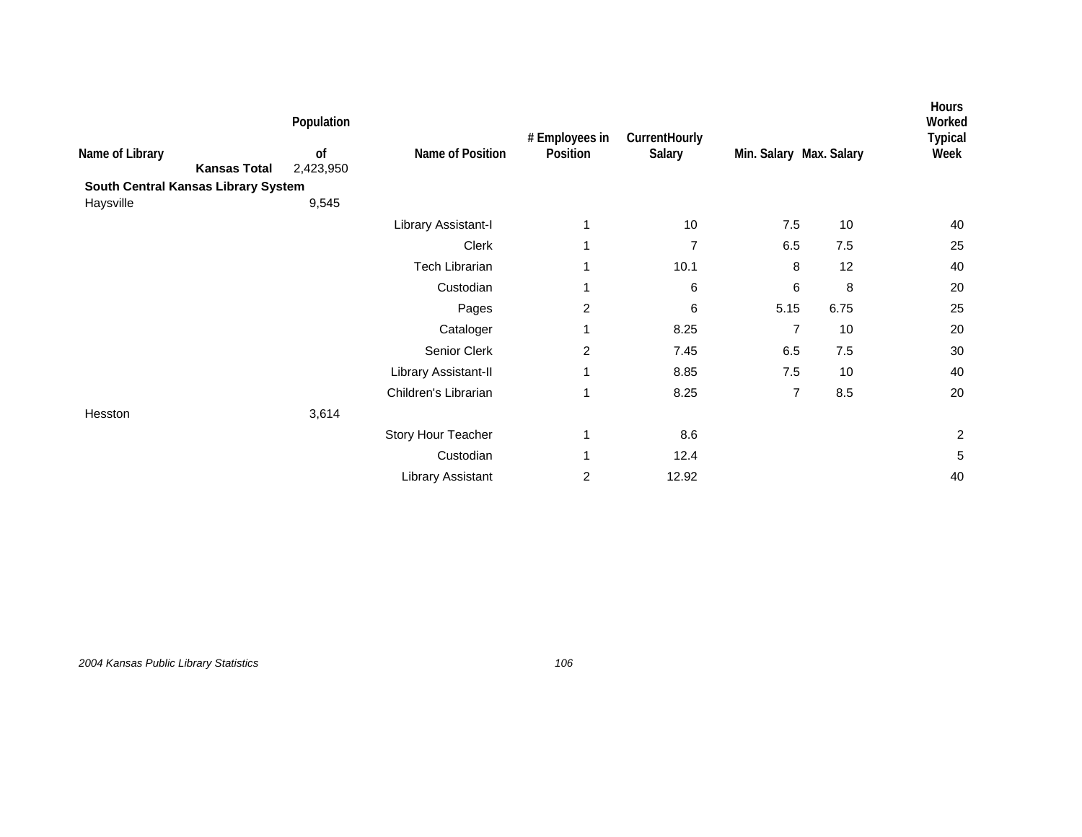|                                        | Population      |                       | # Employees in | CurrentHourly  |                         |      | <b>Hours</b><br>Worked<br><b>Typical</b> |
|----------------------------------------|-----------------|-----------------------|----------------|----------------|-------------------------|------|------------------------------------------|
| Name of Library<br><b>Kansas Total</b> | of<br>2,423,950 | Name of Position      | Position       | Salary         | Min. Salary Max. Salary |      | Week                                     |
| South Central Kansas Library System    |                 |                       |                |                |                         |      |                                          |
| Haysville                              | 9,545           |                       |                |                |                         |      |                                          |
|                                        |                 | Library Assistant-I   |                | 10             | 7.5                     | 10   | 40                                       |
|                                        |                 | Clerk                 | 1              | $\overline{7}$ | 6.5                     | 7.5  | 25                                       |
|                                        |                 | <b>Tech Librarian</b> | 1              | 10.1           | 8                       | 12   | 40                                       |
|                                        |                 | Custodian             | 1              | 6              | 6                       | 8    | 20                                       |
|                                        |                 | Pages                 | $\overline{c}$ | 6              | 5.15                    | 6.75 | 25                                       |
|                                        |                 | Cataloger             | 1              | 8.25           | $\overline{7}$          | 10   | 20                                       |
|                                        |                 | Senior Clerk          | $\overline{c}$ | 7.45           | 6.5                     | 7.5  | 30                                       |
|                                        |                 | Library Assistant-II  | 1              | 8.85           | $7.5$                   | 10   | 40                                       |
|                                        |                 | Children's Librarian  | 1              | 8.25           | $\overline{7}$          | 8.5  | 20                                       |
| Hesston                                | 3,614           |                       |                |                |                         |      |                                          |
|                                        |                 | Story Hour Teacher    | 1              | 8.6            |                         |      | $\overline{c}$                           |
|                                        |                 | Custodian             | 1              | 12.4           |                         |      | 5                                        |
|                                        |                 | Library Assistant     | $\overline{c}$ | 12.92          |                         |      | 40                                       |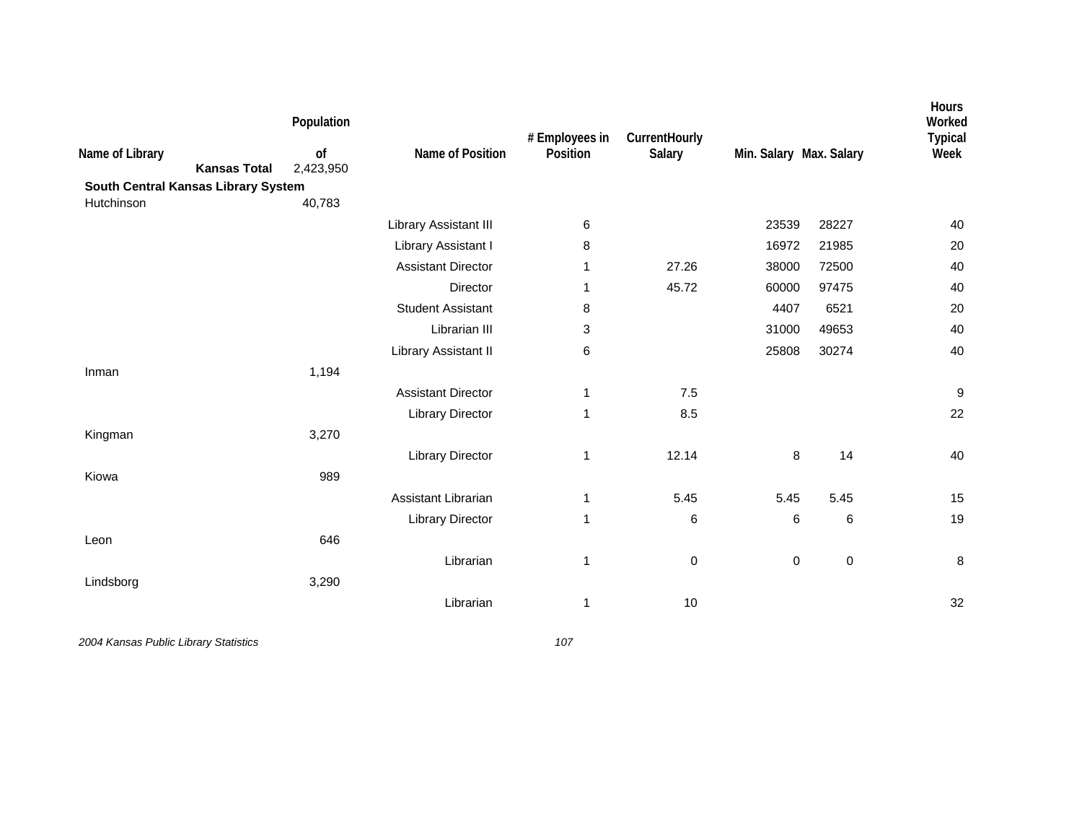| Name of Library<br>South Central Kansas Library System | <b>Kansas Total</b> | Population<br>of<br>2,423,950 | Name of Position          | # Employees in<br>Position | CurrentHourly<br>Salary | Min. Salary Max. Salary |             | Hours<br>Worked<br><b>Typical</b><br>Week |
|--------------------------------------------------------|---------------------|-------------------------------|---------------------------|----------------------------|-------------------------|-------------------------|-------------|-------------------------------------------|
| Hutchinson                                             |                     | 40,783                        |                           |                            |                         |                         |             |                                           |
|                                                        |                     |                               | Library Assistant III     | 6                          |                         | 23539                   | 28227       | 40                                        |
|                                                        |                     |                               | Library Assistant I       | 8                          |                         | 16972                   | 21985       | 20                                        |
|                                                        |                     |                               | <b>Assistant Director</b> | 1                          | 27.26                   | 38000                   | 72500       | 40                                        |
|                                                        |                     |                               | Director                  | 1                          | 45.72                   | 60000                   | 97475       | 40                                        |
|                                                        |                     |                               | <b>Student Assistant</b>  | 8                          |                         | 4407                    | 6521        | 20                                        |
|                                                        |                     |                               | Librarian III             | 3                          |                         | 31000                   | 49653       | 40                                        |
|                                                        |                     |                               | Library Assistant II      | 6                          |                         | 25808                   | 30274       | 40                                        |
| Inman                                                  |                     | 1,194                         |                           |                            |                         |                         |             |                                           |
|                                                        |                     |                               | <b>Assistant Director</b> | 1                          | 7.5                     |                         |             | $\boldsymbol{9}$                          |
|                                                        |                     |                               | <b>Library Director</b>   | 1                          | 8.5                     |                         |             | 22                                        |
| Kingman                                                |                     | 3,270                         |                           |                            |                         |                         |             |                                           |
|                                                        |                     |                               | <b>Library Director</b>   | 1                          | 12.14                   | 8                       | 14          | 40                                        |
| Kiowa                                                  |                     | 989                           |                           |                            |                         |                         |             |                                           |
|                                                        |                     |                               | Assistant Librarian       | 1                          | 5.45                    | 5.45                    | 5.45        | 15                                        |
|                                                        |                     |                               | <b>Library Director</b>   | 1                          | 6                       | 6                       | 6           | 19                                        |
| Leon                                                   |                     | 646                           |                           |                            |                         |                         |             |                                           |
|                                                        |                     |                               | Librarian                 | 1                          | 0                       | 0                       | $\mathbf 0$ | 8                                         |
| Lindsborg                                              |                     | 3,290                         |                           |                            |                         |                         |             |                                           |
|                                                        |                     |                               | Librarian                 | 1                          | 10                      |                         |             | 32                                        |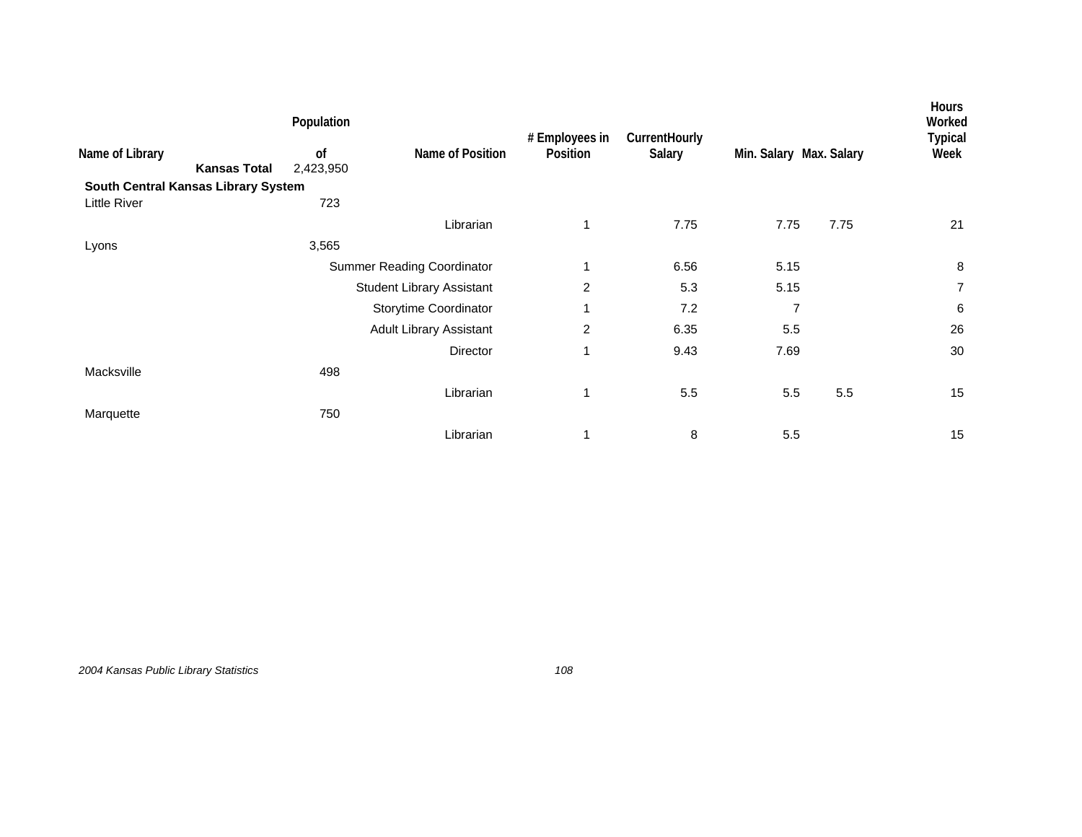|                     | Population      |                                     |                                                                                                                           |                |                         |      | <b>Hours</b><br>Worked<br><b>Typical</b> |
|---------------------|-----------------|-------------------------------------|---------------------------------------------------------------------------------------------------------------------------|----------------|-------------------------|------|------------------------------------------|
| <b>Kansas Total</b> | 0f<br>2,423,950 | Name of Position                    | Position                                                                                                                  | Salary         | Min. Salary Max. Salary |      | Week                                     |
|                     |                 |                                     |                                                                                                                           |                |                         |      |                                          |
|                     | 723             |                                     |                                                                                                                           |                |                         |      |                                          |
|                     |                 | Librarian                           | $\mathbf{1}$                                                                                                              | 7.75           | 7.75                    | 7.75 | 21                                       |
|                     | 3,565           |                                     |                                                                                                                           |                |                         |      |                                          |
|                     |                 |                                     | 1                                                                                                                         | 6.56           | 5.15                    |      | 8                                        |
|                     |                 |                                     | 2                                                                                                                         | 5.3            | 5.15                    |      | $\overline{7}$                           |
|                     |                 |                                     | 1                                                                                                                         | 7.2            | 7                       |      | 6                                        |
|                     |                 |                                     | 2                                                                                                                         | 6.35           | 5.5                     |      | 26                                       |
|                     |                 | Director                            | 1                                                                                                                         | 9.43           | 7.69                    |      | 30                                       |
|                     | 498             |                                     |                                                                                                                           |                |                         |      |                                          |
|                     |                 | Librarian                           | 1                                                                                                                         | 5.5            | 5.5                     | 5.5  | 15                                       |
|                     | 750             |                                     |                                                                                                                           |                |                         |      |                                          |
|                     |                 | Librarian                           | 1                                                                                                                         | 8              | 5.5                     |      | 15                                       |
|                     |                 | South Central Kansas Library System | <b>Summer Reading Coordinator</b><br><b>Student Library Assistant</b><br>Storytime Coordinator<br>Adult Library Assistant | # Employees in | CurrentHourly           |      |                                          |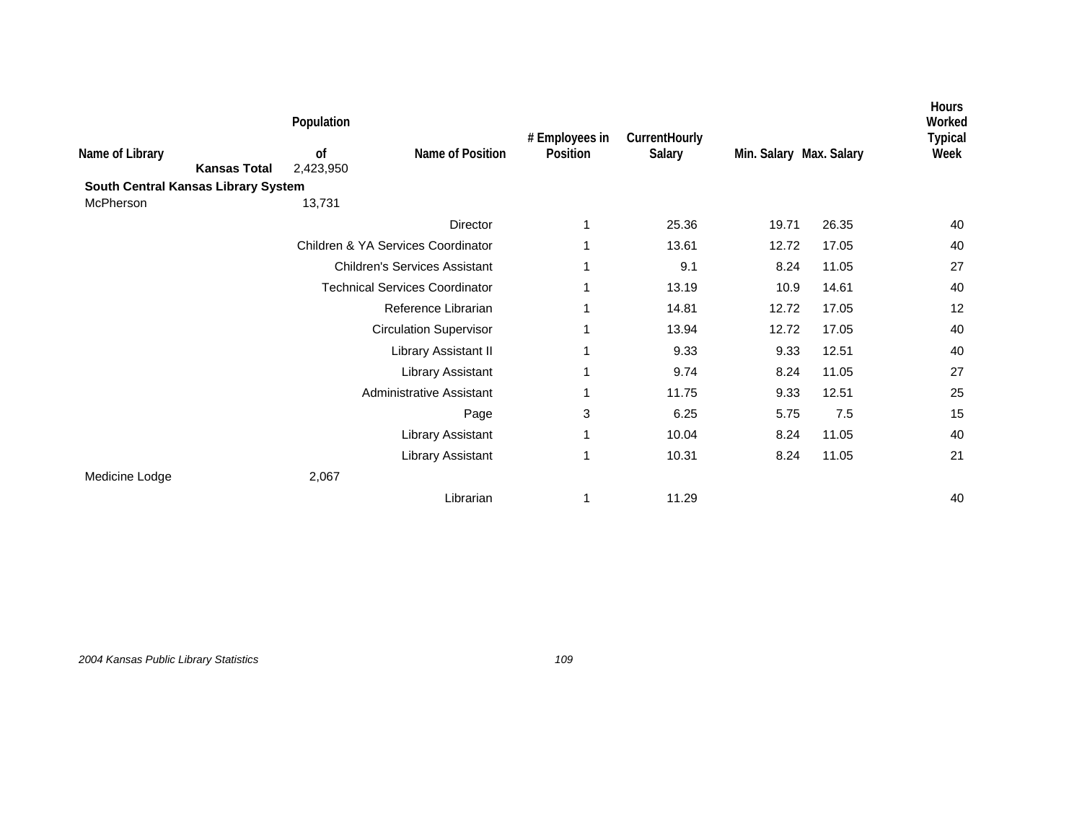|                                        | Population      |                                       | # Employees in | CurrentHourly |                         |       | Hours<br>Worked<br><b>Typical</b> |
|----------------------------------------|-----------------|---------------------------------------|----------------|---------------|-------------------------|-------|-----------------------------------|
| Name of Library<br><b>Kansas Total</b> | of<br>2,423,950 | Name of Position                      | Position       | Salary        | Min. Salary Max. Salary |       | Week                              |
| South Central Kansas Library System    |                 |                                       |                |               |                         |       |                                   |
| McPherson                              | 13,731          |                                       |                |               |                         |       |                                   |
|                                        |                 | Director                              | 1              | 25.36         | 19.71                   | 26.35 | 40                                |
|                                        |                 | Children & YA Services Coordinator    |                | 13.61         | 12.72                   | 17.05 | 40                                |
|                                        |                 | <b>Children's Services Assistant</b>  | 1              | 9.1           | 8.24                    | 11.05 | 27                                |
|                                        |                 | <b>Technical Services Coordinator</b> | 1              | 13.19         | 10.9                    | 14.61 | 40                                |
|                                        |                 | Reference Librarian                   | 1              | 14.81         | 12.72                   | 17.05 | 12                                |
|                                        |                 | <b>Circulation Supervisor</b>         | 1              | 13.94         | 12.72                   | 17.05 | 40                                |
|                                        |                 | Library Assistant II                  | 1              | 9.33          | 9.33                    | 12.51 | 40                                |
|                                        |                 | Library Assistant                     | 1              | 9.74          | 8.24                    | 11.05 | 27                                |
|                                        |                 | Administrative Assistant              | 1              | 11.75         | 9.33                    | 12.51 | 25                                |
|                                        |                 | Page                                  | 3              | 6.25          | 5.75                    | 7.5   | 15                                |
|                                        |                 | Library Assistant                     | 1              | 10.04         | 8.24                    | 11.05 | 40                                |
|                                        |                 | Library Assistant                     | 1              | 10.31         | 8.24                    | 11.05 | 21                                |
| Medicine Lodge                         | 2,067           |                                       |                |               |                         |       |                                   |
|                                        |                 | Librarian                             |                | 11.29         |                         |       | 40                                |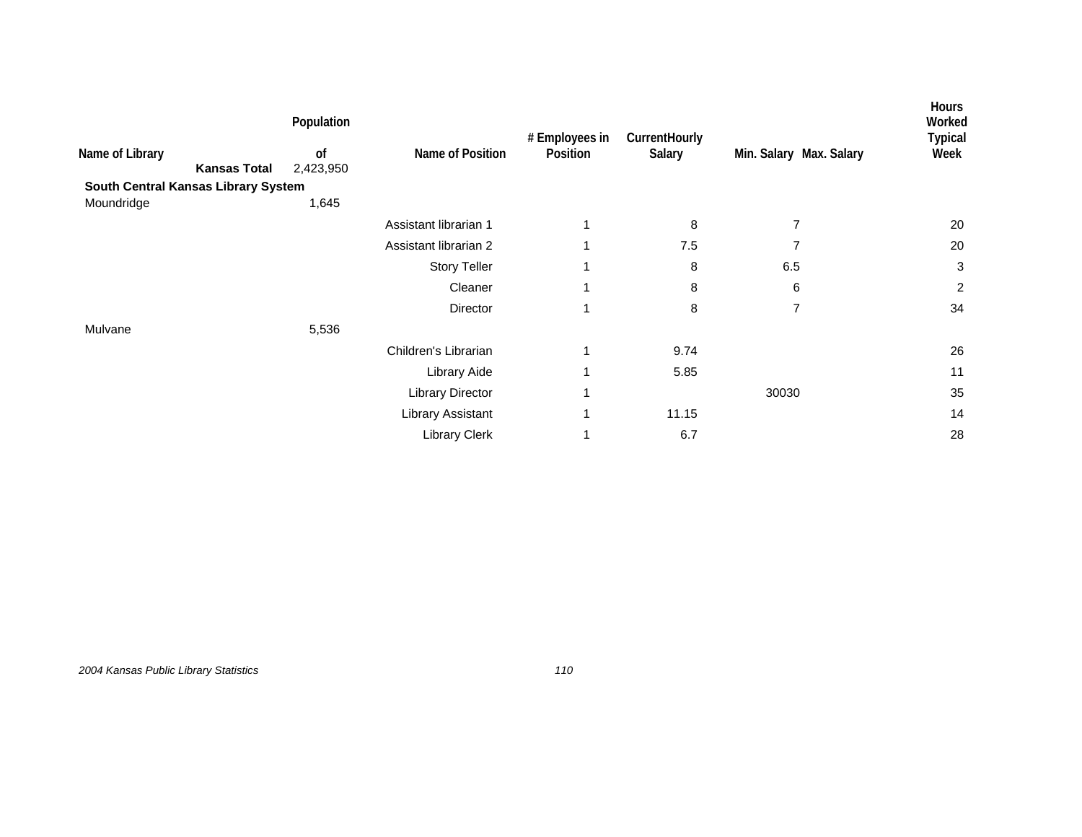|                 |                                     | Population                 |                          | # Employees in | CurrentHourly |                         | <b>Hours</b><br>Worked<br><b>Typical</b> |
|-----------------|-------------------------------------|----------------------------|--------------------------|----------------|---------------|-------------------------|------------------------------------------|
| Name of Library | <b>Kansas Total</b>                 | <sub>of</sub><br>2,423,950 | Name of Position         | Position       | Salary        | Min. Salary Max. Salary | Week                                     |
|                 | South Central Kansas Library System |                            |                          |                |               |                         |                                          |
| Moundridge      |                                     | 1,645                      |                          |                |               |                         |                                          |
|                 |                                     |                            | Assistant librarian 1    | 1              | 8             | 7                       | 20                                       |
|                 |                                     |                            | Assistant librarian 2    | 1              | 7.5           | $\overline{7}$          | 20                                       |
|                 |                                     |                            | <b>Story Teller</b>      | 1              | 8             | 6.5                     | 3                                        |
|                 |                                     |                            | Cleaner                  |                | 8             | 6                       | 2                                        |
|                 |                                     |                            | Director                 |                | 8             | $\overline{7}$          | 34                                       |
| Mulvane         |                                     | 5,536                      |                          |                |               |                         |                                          |
|                 |                                     |                            | Children's Librarian     | 1              | 9.74          |                         | 26                                       |
|                 |                                     |                            | Library Aide             | 1              | 5.85          |                         | 11                                       |
|                 |                                     |                            | <b>Library Director</b>  | 1              |               | 30030                   | 35                                       |
|                 |                                     |                            | <b>Library Assistant</b> | 1              | 11.15         |                         | 14                                       |
|                 |                                     |                            | <b>Library Clerk</b>     |                | 6.7           |                         | 28                                       |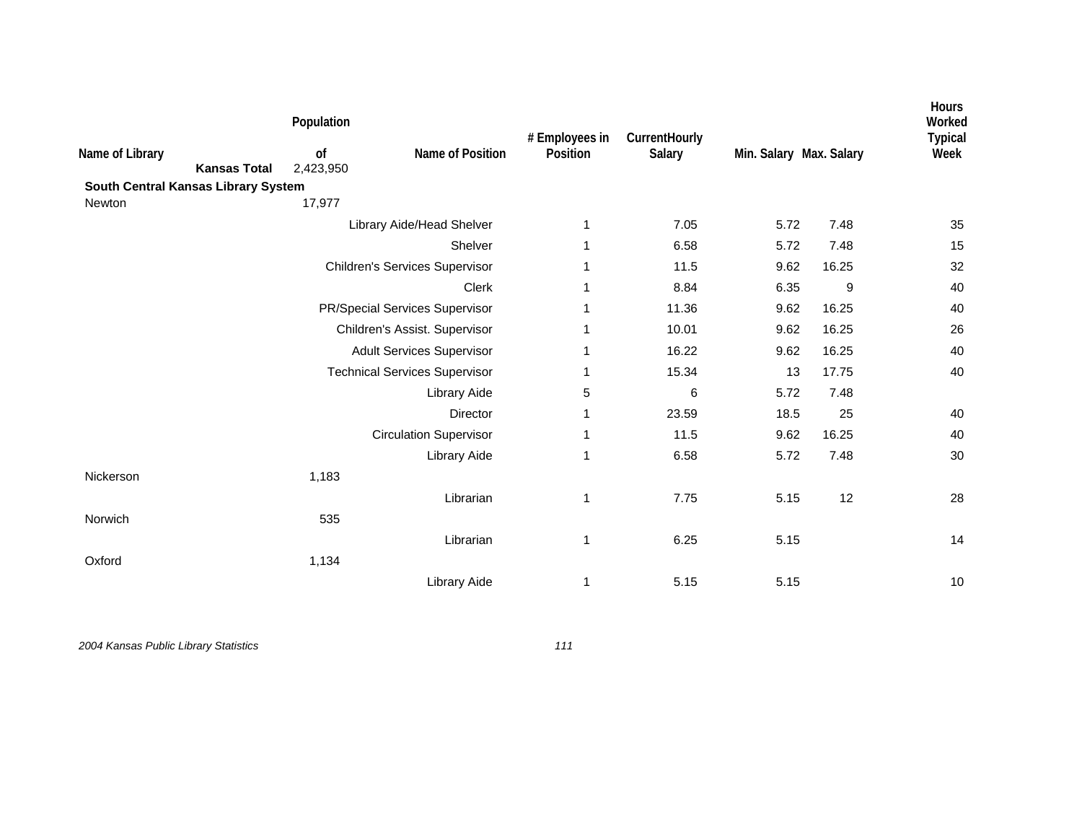|                                        | Population      |                                       | # Employees in | CurrentHourly |                         |       | Hours<br>Worked<br><b>Typical</b> |
|----------------------------------------|-----------------|---------------------------------------|----------------|---------------|-------------------------|-------|-----------------------------------|
| Name of Library<br><b>Kansas Total</b> | of<br>2,423,950 | Name of Position                      | Position       | Salary        | Min. Salary Max. Salary |       | Week                              |
| South Central Kansas Library System    |                 |                                       |                |               |                         |       |                                   |
| Newton                                 | 17,977          |                                       |                |               |                         |       |                                   |
|                                        |                 | Library Aide/Head Shelver             | 1              | 7.05          | 5.72                    | 7.48  | 35                                |
|                                        |                 | Shelver                               | 1              | 6.58          | 5.72                    | 7.48  | 15                                |
|                                        |                 | <b>Children's Services Supervisor</b> | 1              | 11.5          | 9.62                    | 16.25 | 32                                |
|                                        |                 | Clerk                                 | 1              | 8.84          | 6.35                    | 9     | 40                                |
|                                        |                 | PR/Special Services Supervisor        | 1              | 11.36         | 9.62                    | 16.25 | 40                                |
|                                        |                 | Children's Assist. Supervisor         | 1              | 10.01         | 9.62                    | 16.25 | 26                                |
|                                        |                 | <b>Adult Services Supervisor</b>      | 1              | 16.22         | 9.62                    | 16.25 | 40                                |
|                                        |                 | <b>Technical Services Supervisor</b>  | 1              | 15.34         | 13                      | 17.75 | 40                                |
|                                        |                 | Library Aide                          | 5              | 6             | 5.72                    | 7.48  |                                   |
|                                        |                 | Director                              | 1              | 23.59         | 18.5                    | 25    | 40                                |
|                                        |                 | <b>Circulation Supervisor</b>         | 1              | 11.5          | 9.62                    | 16.25 | 40                                |
|                                        |                 | Library Aide                          | 1              | 6.58          | 5.72                    | 7.48  | 30                                |
| Nickerson                              | 1,183           |                                       |                |               |                         |       |                                   |
|                                        |                 | Librarian                             | 1              | 7.75          | 5.15                    | 12    | 28                                |
| Norwich                                | 535             |                                       |                |               |                         |       |                                   |
|                                        |                 | Librarian                             | $\mathbf{1}$   | 6.25          | 5.15                    |       | 14                                |
| Oxford                                 | 1,134           |                                       |                |               |                         |       |                                   |
|                                        |                 | Library Aide                          | 1              | 5.15          | 5.15                    |       | 10                                |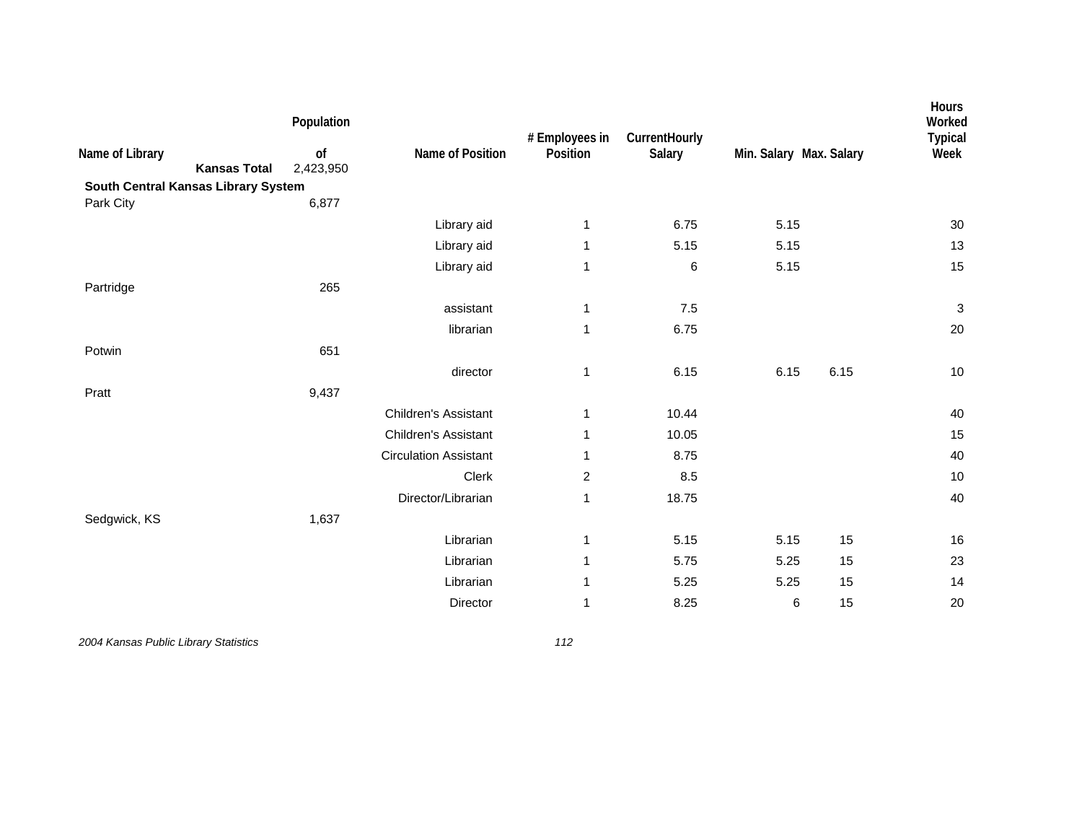| Name of Library<br>South Central Kansas Library System | <b>Kansas Total</b> | Population<br>of<br>2,423,950 | Name of Position             | # Employees in<br>Position | CurrentHourly<br>Salary | Min. Salary Max. Salary |      | Hours<br>Worked<br><b>Typical</b><br>Week |
|--------------------------------------------------------|---------------------|-------------------------------|------------------------------|----------------------------|-------------------------|-------------------------|------|-------------------------------------------|
| Park City                                              |                     | 6,877                         |                              |                            |                         |                         |      |                                           |
|                                                        |                     |                               | Library aid                  | 1                          | 6.75                    | 5.15                    |      | 30                                        |
|                                                        |                     |                               | Library aid                  | 1                          | 5.15                    | 5.15                    |      | 13                                        |
|                                                        |                     |                               | Library aid                  | 1                          | 6                       | 5.15                    |      | 15                                        |
| Partridge                                              |                     | 265                           |                              |                            |                         |                         |      |                                           |
|                                                        |                     |                               | assistant                    | 1                          | $7.5$                   |                         |      | $\ensuremath{\mathsf{3}}$                 |
|                                                        |                     |                               | librarian                    | 1                          | 6.75                    |                         |      | 20                                        |
| Potwin                                                 |                     | 651                           |                              |                            |                         |                         |      |                                           |
|                                                        |                     |                               | director                     | 1                          | 6.15                    | 6.15                    | 6.15 | 10                                        |
| Pratt                                                  |                     | 9,437                         |                              |                            |                         |                         |      |                                           |
|                                                        |                     |                               | Children's Assistant         | 1                          | 10.44                   |                         |      | 40                                        |
|                                                        |                     |                               | <b>Children's Assistant</b>  | $\mathbf 1$                | 10.05                   |                         |      | 15                                        |
|                                                        |                     |                               | <b>Circulation Assistant</b> | 1                          | 8.75                    |                         |      | 40                                        |
|                                                        |                     |                               | Clerk                        | 2                          | 8.5                     |                         |      | 10                                        |
|                                                        |                     |                               | Director/Librarian           | 1                          | 18.75                   |                         |      | 40                                        |
| Sedgwick, KS                                           |                     | 1,637                         |                              |                            |                         |                         |      |                                           |
|                                                        |                     |                               | Librarian                    | 1                          | 5.15                    | 5.15                    | 15   | $16\,$                                    |
|                                                        |                     |                               | Librarian                    | 1                          | 5.75                    | 5.25                    | 15   | 23                                        |
|                                                        |                     |                               | Librarian                    | 1                          | 5.25                    | 5.25                    | 15   | 14                                        |
|                                                        |                     |                               | Director                     | 1                          | 8.25                    | 6                       | 15   | 20                                        |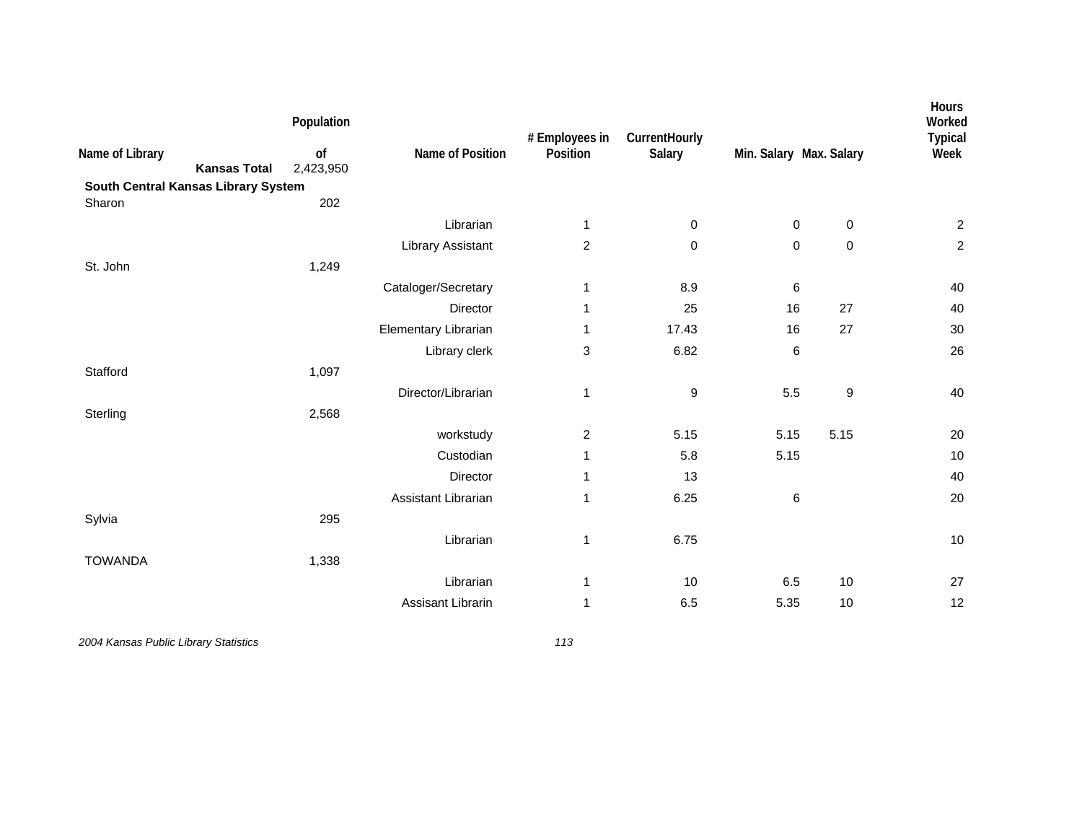| Name of Library<br>South Central Kansas Library System | Population<br>of<br><b>Kansas Total</b><br>2,423,950 | Name of Position         | # Employees in<br>Position | CurrentHourly<br>Salary | Min. Salary Max. Salary |                  | Hours<br>Worked<br><b>Typical</b><br>Week |
|--------------------------------------------------------|------------------------------------------------------|--------------------------|----------------------------|-------------------------|-------------------------|------------------|-------------------------------------------|
| Sharon                                                 | 202                                                  |                          |                            |                         |                         |                  |                                           |
|                                                        |                                                      | Librarian                | 1                          | 0                       | $\pmb{0}$               | $\mathbf 0$      | $\overline{c}$                            |
|                                                        |                                                      | <b>Library Assistant</b> | $\overline{c}$             | 0                       | 0                       | $\pmb{0}$        | $\overline{c}$                            |
| St. John                                               | 1,249                                                |                          |                            |                         |                         |                  |                                           |
|                                                        |                                                      | Cataloger/Secretary      | 1                          | 8.9                     | 6                       |                  | 40                                        |
|                                                        |                                                      | Director                 | 1                          | 25                      | 16                      | 27               | 40                                        |
|                                                        |                                                      | Elementary Librarian     | 1                          | 17.43                   | 16                      | 27               | $30\,$                                    |
|                                                        |                                                      | Library clerk            | 3                          | 6.82                    | $\,6$                   |                  | 26                                        |
| Stafford                                               | 1,097                                                |                          |                            |                         |                         |                  |                                           |
|                                                        |                                                      | Director/Librarian       | 1                          | 9                       | 5.5                     | $\boldsymbol{9}$ | 40                                        |
| Sterling                                               | 2,568                                                |                          |                            |                         |                         |                  |                                           |
|                                                        |                                                      | workstudy                | $\overline{c}$             | 5.15                    | 5.15                    | 5.15             | 20                                        |
|                                                        |                                                      | Custodian                | 1                          | 5.8                     | 5.15                    |                  | $10$                                      |
|                                                        |                                                      | Director                 | 1                          | 13                      |                         |                  | 40                                        |
|                                                        |                                                      | Assistant Librarian      | 1                          | 6.25                    | 6                       |                  | 20                                        |
| Sylvia                                                 | 295                                                  |                          |                            |                         |                         |                  |                                           |
|                                                        |                                                      | Librarian                | 1                          | 6.75                    |                         |                  | 10                                        |
| <b>TOWANDA</b>                                         | 1,338                                                |                          |                            |                         |                         |                  |                                           |
|                                                        |                                                      | Librarian                | 1                          | 10                      | 6.5                     | 10               | 27                                        |
|                                                        |                                                      | Assisant Librarin        | 1                          | 6.5                     | 5.35                    | 10               | 12                                        |
|                                                        |                                                      |                          |                            |                         |                         |                  |                                           |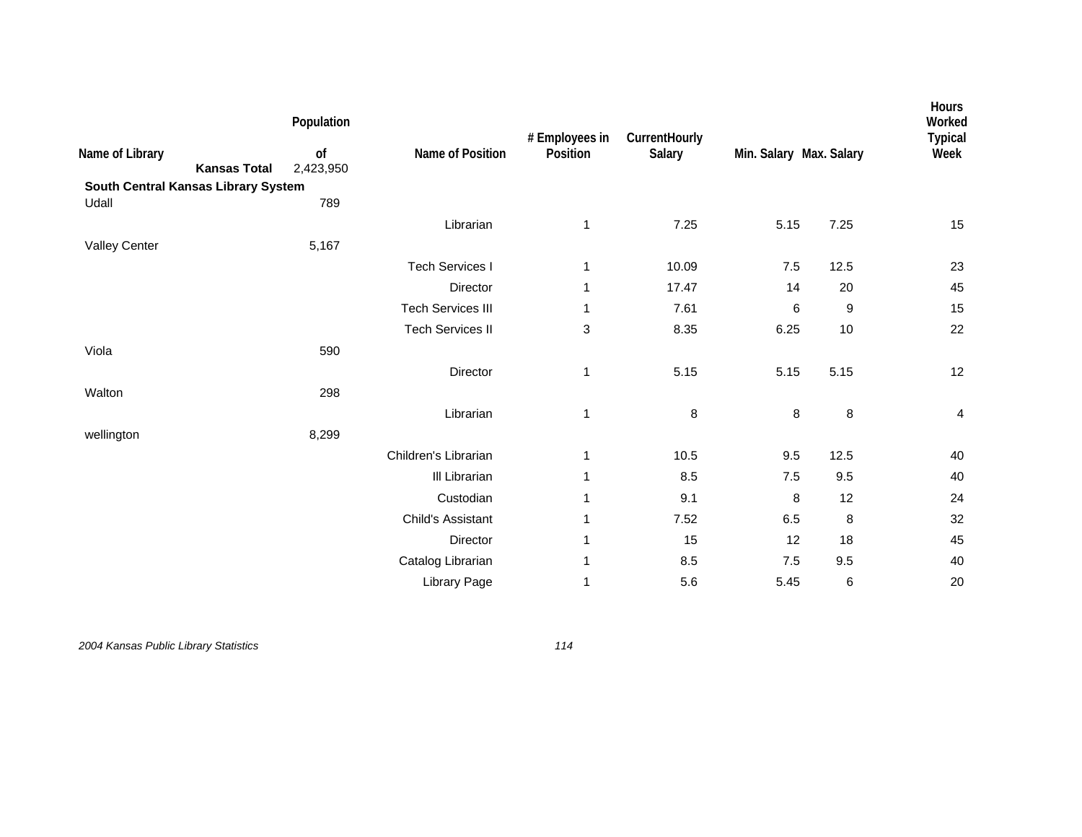| Name of Library<br><b>Kansas Total</b> | Population<br>of<br>2,423,950 | Name of Position         | # Employees in<br>Position | CurrentHourly<br>Salary | Min. Salary Max. Salary |      | Hours<br>Worked<br><b>Typical</b><br>Week |
|----------------------------------------|-------------------------------|--------------------------|----------------------------|-------------------------|-------------------------|------|-------------------------------------------|
| South Central Kansas Library System    |                               |                          |                            |                         |                         |      |                                           |
| Udall                                  | 789                           |                          |                            |                         |                         |      |                                           |
|                                        |                               | Librarian                | 1                          | 7.25                    | 5.15                    | 7.25 | 15                                        |
| <b>Valley Center</b>                   | 5,167                         |                          |                            |                         |                         |      |                                           |
|                                        |                               | <b>Tech Services I</b>   | 1                          | 10.09                   | 7.5                     | 12.5 | 23                                        |
|                                        |                               | Director                 | 1                          | 17.47                   | 14                      | 20   | 45                                        |
|                                        |                               | <b>Tech Services III</b> | 1                          | 7.61                    | 6                       | 9    | 15                                        |
|                                        |                               | <b>Tech Services II</b>  | 3                          | 8.35                    | 6.25                    | 10   | 22                                        |
| Viola                                  | 590                           |                          |                            |                         |                         |      |                                           |
|                                        |                               | Director                 | 1                          | 5.15                    | 5.15                    | 5.15 | 12                                        |
| Walton                                 | 298                           |                          |                            |                         |                         |      |                                           |
|                                        |                               | Librarian                | $\mathbf 1$                | 8                       | 8                       | 8    | 4                                         |
| wellington                             | 8,299                         |                          |                            |                         |                         |      |                                           |
|                                        |                               | Children's Librarian     | 1                          | 10.5                    | 9.5                     | 12.5 | 40                                        |
|                                        |                               | III Librarian            | 1                          | 8.5                     | $7.5\,$                 | 9.5  | 40                                        |
|                                        |                               | Custodian                | 1                          | 9.1                     | 8                       | 12   | 24                                        |
|                                        |                               | Child's Assistant        | 1                          | 7.52                    | 6.5                     | 8    | 32                                        |
|                                        |                               | Director                 | 1                          | 15                      | 12                      | 18   | 45                                        |
|                                        |                               |                          | 1                          | 8.5                     | 7.5                     | 9.5  | 40                                        |
|                                        |                               | Catalog Librarian        |                            |                         |                         |      |                                           |
|                                        |                               | Library Page             | 1                          | 5.6                     | 5.45                    | 6    | 20                                        |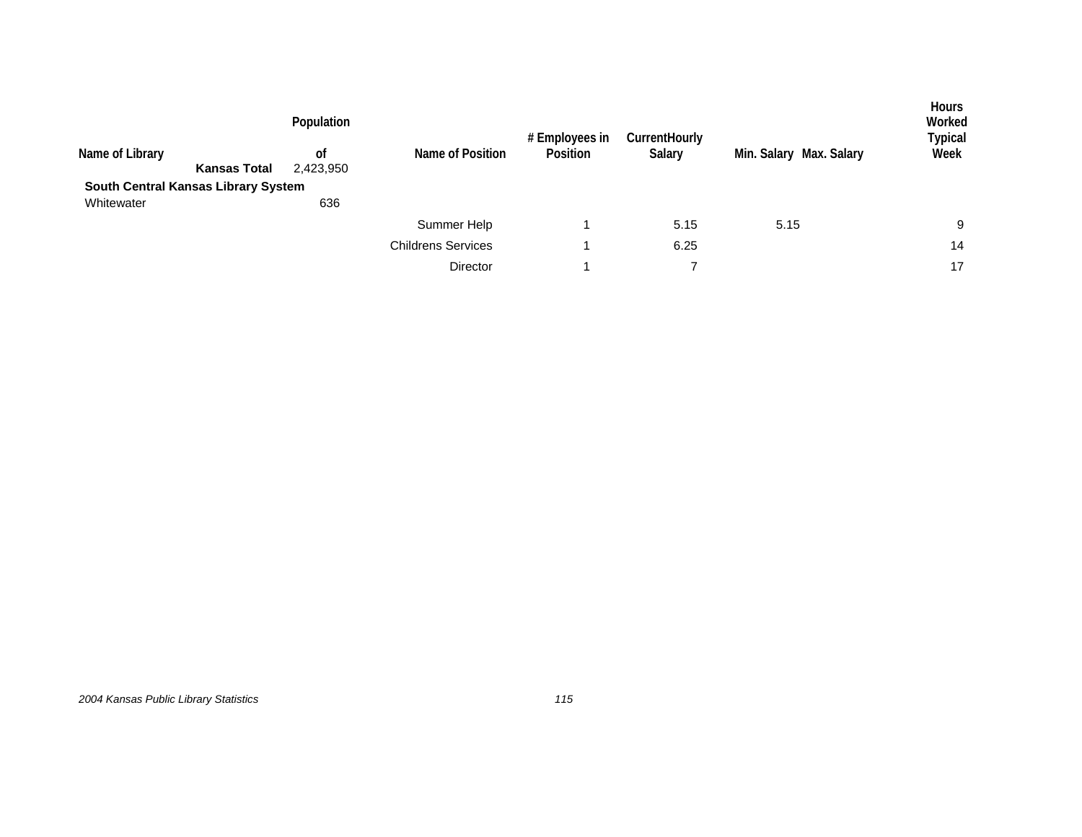|                                     |                     | Population      |                           | # Employees in | <b>CurrentHourly</b> |                         | <b>Hours</b><br>Worked<br>Typical |
|-------------------------------------|---------------------|-----------------|---------------------------|----------------|----------------------|-------------------------|-----------------------------------|
| Name of Library                     | <b>Kansas Total</b> | 0f<br>2,423,950 | Name of Position          | Position       | Salary               | Min. Salary Max. Salary | Week                              |
| South Central Kansas Library System |                     |                 |                           |                |                      |                         |                                   |
| Whitewater                          |                     | 636             |                           |                |                      |                         |                                   |
|                                     |                     |                 | Summer Help               |                | 5.15                 | 5.15                    | 9                                 |
|                                     |                     |                 | <b>Childrens Services</b> |                | 6.25                 |                         | 14                                |
|                                     |                     |                 | <b>Director</b>           |                |                      |                         | 17                                |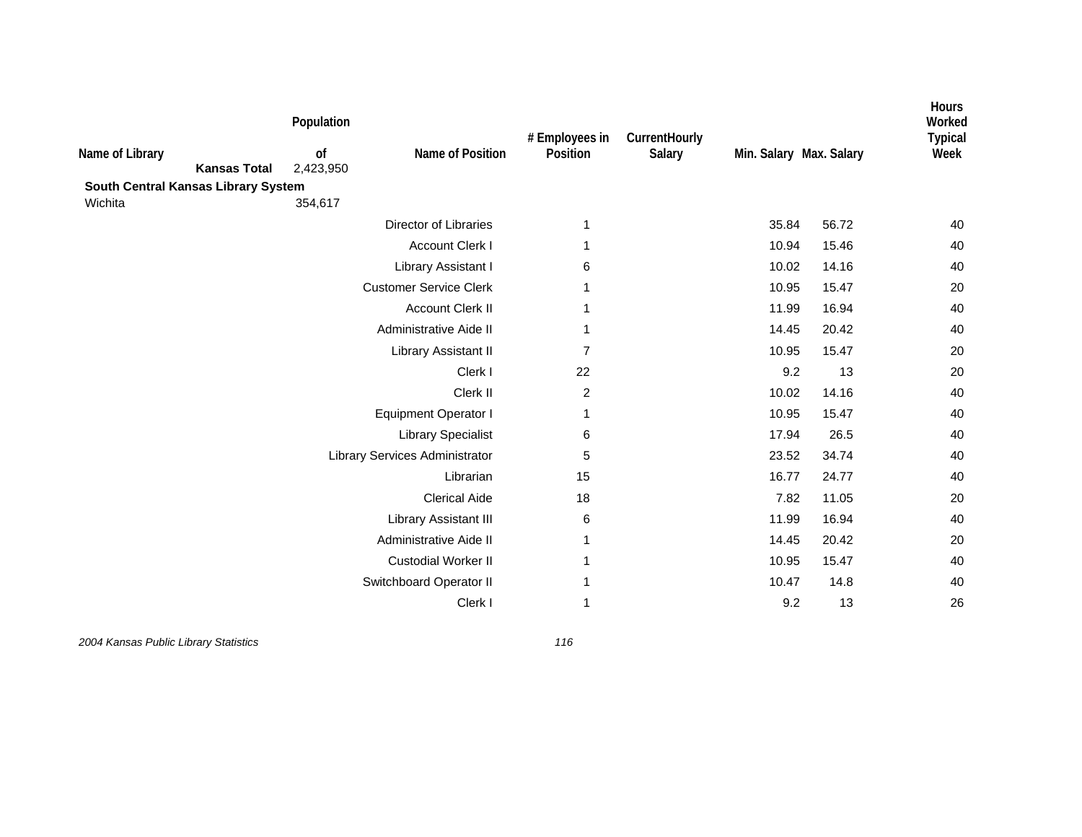| Name of Library<br><b>Kansas Total</b><br>South Central Kansas Library System | Population<br>of<br>2,423,950 | Name of Position               | # Employees in<br>Position | CurrentHourly<br>Salary | Min. Salary Max. Salary |       | Hours<br>Worked<br><b>Typical</b><br>Week |
|-------------------------------------------------------------------------------|-------------------------------|--------------------------------|----------------------------|-------------------------|-------------------------|-------|-------------------------------------------|
| Wichita                                                                       | 354,617                       |                                |                            |                         |                         |       |                                           |
|                                                                               |                               | <b>Director of Libraries</b>   | 1                          |                         | 35.84                   | 56.72 | 40                                        |
|                                                                               |                               | <b>Account Clerk I</b>         | 1                          |                         | 10.94                   | 15.46 | 40                                        |
|                                                                               |                               | Library Assistant I            | 6                          |                         | 10.02                   | 14.16 | 40                                        |
|                                                                               |                               | <b>Customer Service Clerk</b>  | 1                          |                         | 10.95                   | 15.47 | 20                                        |
|                                                                               |                               | <b>Account Clerk II</b>        | 1                          |                         | 11.99                   | 16.94 | 40                                        |
|                                                                               |                               | Administrative Aide II         | 1                          |                         | 14.45                   | 20.42 | 40                                        |
|                                                                               |                               | Library Assistant II           | $\overline{7}$             |                         | 10.95                   | 15.47 | 20                                        |
|                                                                               |                               | Clerk I                        | 22                         |                         | 9.2                     | 13    | 20                                        |
|                                                                               |                               | Clerk II                       | $\overline{c}$             |                         | 10.02                   | 14.16 | 40                                        |
|                                                                               |                               | <b>Equipment Operator I</b>    | 1                          |                         | 10.95                   | 15.47 | 40                                        |
|                                                                               |                               | <b>Library Specialist</b>      | 6                          |                         | 17.94                   | 26.5  | 40                                        |
|                                                                               |                               | Library Services Administrator | 5                          |                         | 23.52                   | 34.74 | 40                                        |
|                                                                               |                               | Librarian                      | 15                         |                         | 16.77                   | 24.77 | 40                                        |
|                                                                               |                               | <b>Clerical Aide</b>           | 18                         |                         | 7.82                    | 11.05 | 20                                        |
|                                                                               |                               | Library Assistant III          | 6                          |                         | 11.99                   | 16.94 | 40                                        |
|                                                                               |                               | Administrative Aide II         | 1                          |                         | 14.45                   | 20.42 | 20                                        |
|                                                                               |                               | <b>Custodial Worker II</b>     | 1                          |                         | 10.95                   | 15.47 | 40                                        |
|                                                                               |                               | Switchboard Operator II        |                            |                         | 10.47                   | 14.8  | 40                                        |
|                                                                               |                               | Clerk I                        | 1                          |                         | 9.2                     | 13    | 26                                        |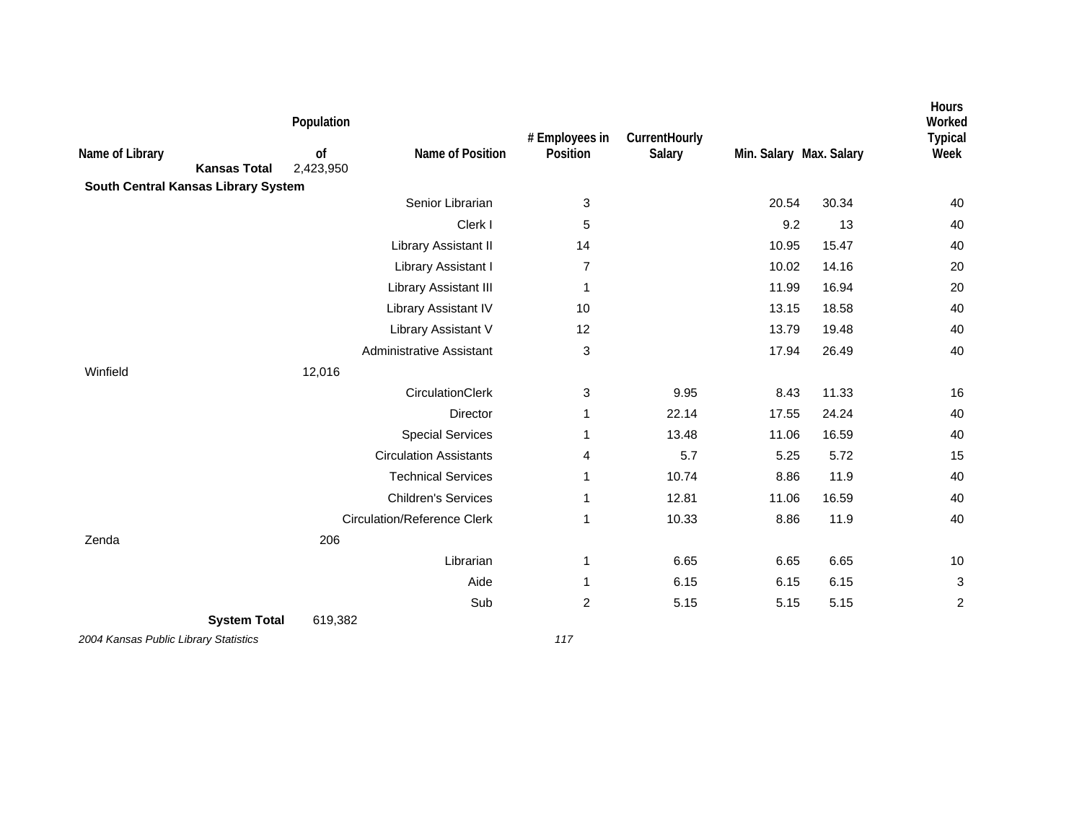| Name of Library<br><b>Kansas Total</b> | Population<br>of<br>2,423,950 | Name of Position                   | # Employees in<br>Position | CurrentHourly<br>Salary | Min. Salary Max. Salary |       | <b>Hours</b><br>Worked<br><b>Typical</b><br>Week |
|----------------------------------------|-------------------------------|------------------------------------|----------------------------|-------------------------|-------------------------|-------|--------------------------------------------------|
| South Central Kansas Library System    |                               |                                    |                            |                         |                         |       |                                                  |
|                                        |                               | Senior Librarian                   | 3                          |                         | 20.54                   | 30.34 | 40                                               |
|                                        |                               | Clerk I                            | 5                          |                         | 9.2                     | 13    | 40                                               |
|                                        |                               | Library Assistant II               | 14                         |                         | 10.95                   | 15.47 | 40                                               |
|                                        |                               | Library Assistant I                | $\overline{7}$             |                         | 10.02                   | 14.16 | 20                                               |
|                                        |                               | Library Assistant III              | 1                          |                         | 11.99                   | 16.94 | 20                                               |
|                                        |                               | Library Assistant IV               | 10                         |                         | 13.15                   | 18.58 | 40                                               |
|                                        |                               | Library Assistant V                | 12                         |                         | 13.79                   | 19.48 | 40                                               |
|                                        |                               | <b>Administrative Assistant</b>    | 3                          |                         | 17.94                   | 26.49 | 40                                               |
| Winfield                               | 12,016                        |                                    |                            |                         |                         |       |                                                  |
|                                        |                               | CirculationClerk                   | 3                          | 9.95                    | 8.43                    | 11.33 | 16                                               |
|                                        |                               | <b>Director</b>                    | 1                          | 22.14                   | 17.55                   | 24.24 | 40                                               |
|                                        |                               | <b>Special Services</b>            | 1                          | 13.48                   | 11.06                   | 16.59 | 40                                               |
|                                        |                               | <b>Circulation Assistants</b>      | 4                          | 5.7                     | 5.25                    | 5.72  | 15                                               |
|                                        |                               | <b>Technical Services</b>          | 1                          | 10.74                   | 8.86                    | 11.9  | 40                                               |
|                                        |                               | <b>Children's Services</b>         | 1                          | 12.81                   | 11.06                   | 16.59 | 40                                               |
|                                        |                               | <b>Circulation/Reference Clerk</b> | 1                          | 10.33                   | 8.86                    | 11.9  | 40                                               |
| Zenda                                  | 206                           |                                    |                            |                         |                         |       |                                                  |
|                                        |                               | Librarian                          | 1                          | 6.65                    | 6.65                    | 6.65  | $10$                                             |
|                                        |                               | Aide                               | 1                          | 6.15                    | 6.15                    | 6.15  | 3                                                |
|                                        |                               | Sub                                | $\overline{c}$             | 5.15                    | 5.15                    | 5.15  | $\overline{c}$                                   |
| <b>System Total</b>                    | 619,382                       |                                    |                            |                         |                         |       |                                                  |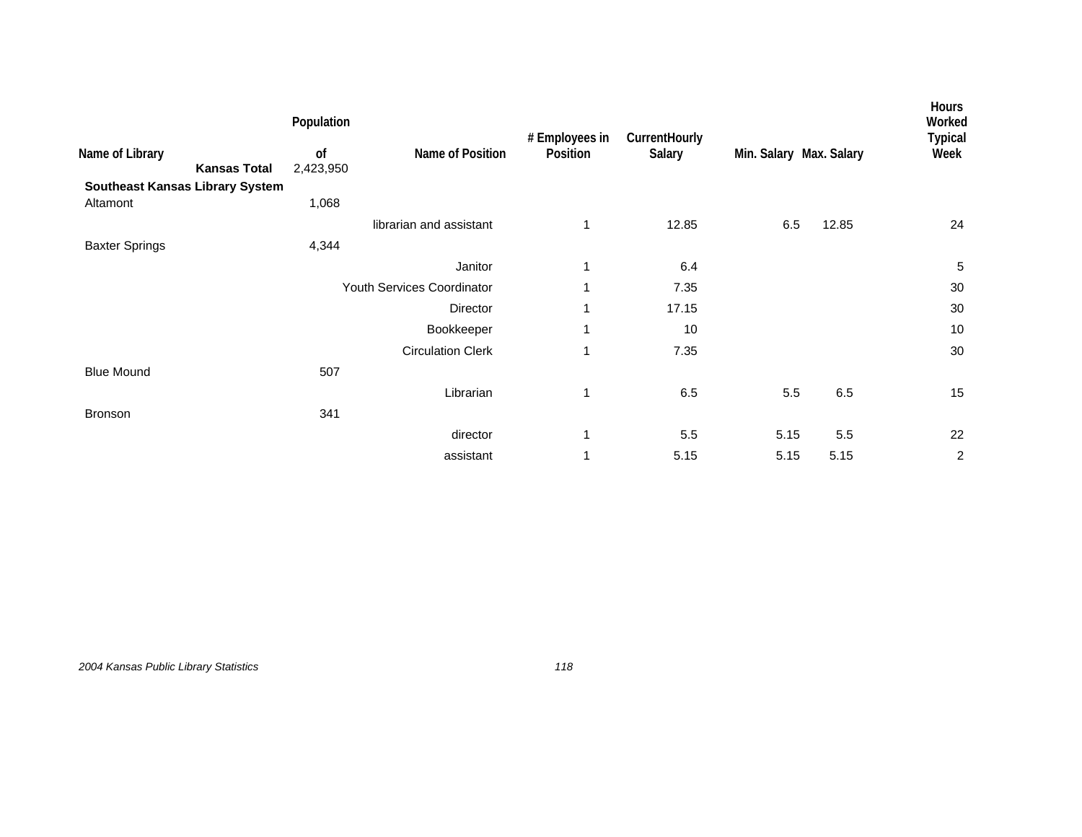|                                        |                     | Population      |                            | # Employees in | CurrentHourly |                         |       | <b>Hours</b><br>Worked<br><b>Typical</b> |
|----------------------------------------|---------------------|-----------------|----------------------------|----------------|---------------|-------------------------|-------|------------------------------------------|
| Name of Library                        | <b>Kansas Total</b> | 0f<br>2,423,950 | Name of Position           | Position       | Salary        | Min. Salary Max. Salary |       | Week                                     |
| <b>Southeast Kansas Library System</b> |                     |                 |                            |                |               |                         |       |                                          |
| Altamont                               |                     | 1,068           |                            |                |               |                         |       |                                          |
|                                        |                     |                 | librarian and assistant    | 1              | 12.85         | 6.5                     | 12.85 | 24                                       |
| <b>Baxter Springs</b>                  |                     | 4,344           |                            |                |               |                         |       |                                          |
|                                        |                     |                 | Janitor                    | 1              | 6.4           |                         |       | 5                                        |
|                                        |                     |                 | Youth Services Coordinator | 1              | 7.35          |                         |       | 30                                       |
|                                        |                     |                 | Director                   | 1              | 17.15         |                         |       | 30                                       |
|                                        |                     |                 | Bookkeeper                 | 1              | 10            |                         |       | 10                                       |
|                                        |                     |                 | <b>Circulation Clerk</b>   | 1              | 7.35          |                         |       | 30                                       |
| <b>Blue Mound</b>                      |                     | 507             |                            |                |               |                         |       |                                          |
|                                        |                     |                 | Librarian                  | $\mathbf{1}$   | 6.5           | 5.5                     | 6.5   | 15                                       |
| <b>Bronson</b>                         |                     | 341             |                            |                |               |                         |       |                                          |
|                                        |                     |                 | director                   | 1              | 5.5           | 5.15                    | 5.5   | 22                                       |
|                                        |                     |                 | assistant                  | 1              | 5.15          | 5.15                    | 5.15  | $\boldsymbol{2}$                         |

*2004 Kansas Public Library Statistics 118*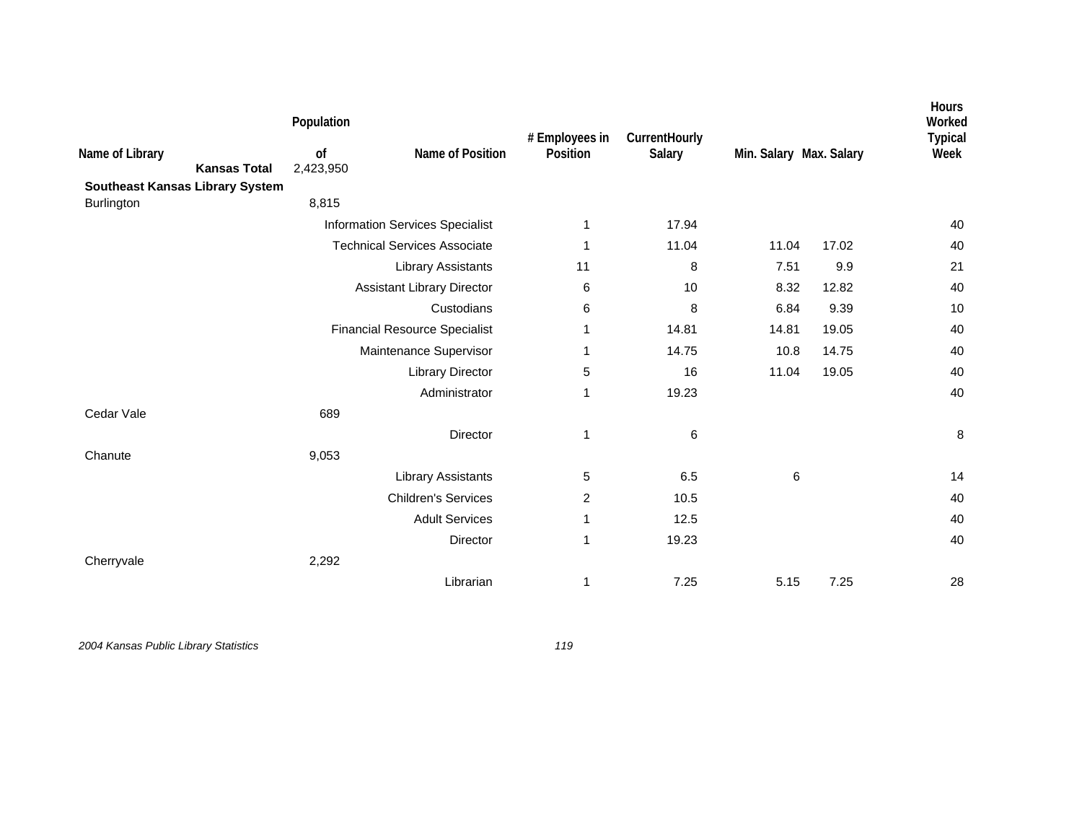|                                        |                     | Population      |                                        | # Employees in | CurrentHourly |                         |       | Hours<br>Worked<br><b>Typical</b> |
|----------------------------------------|---------------------|-----------------|----------------------------------------|----------------|---------------|-------------------------|-------|-----------------------------------|
| Name of Library                        | <b>Kansas Total</b> | of<br>2,423,950 | Name of Position                       | Position       | Salary        | Min. Salary Max. Salary |       | Week                              |
| <b>Southeast Kansas Library System</b> |                     |                 |                                        |                |               |                         |       |                                   |
| Burlington                             |                     | 8,815           |                                        |                |               |                         |       |                                   |
|                                        |                     |                 | <b>Information Services Specialist</b> | 1              | 17.94         |                         |       | 40                                |
|                                        |                     |                 | <b>Technical Services Associate</b>    | 1              | 11.04         | 11.04                   | 17.02 | 40                                |
|                                        |                     |                 | <b>Library Assistants</b>              | 11             | 8             | 7.51                    | 9.9   | 21                                |
|                                        |                     |                 | <b>Assistant Library Director</b>      | 6              | 10            | 8.32                    | 12.82 | 40                                |
|                                        |                     |                 | Custodians                             | 6              | 8             | 6.84                    | 9.39  | 10                                |
|                                        |                     |                 | <b>Financial Resource Specialist</b>   | 1              | 14.81         | 14.81                   | 19.05 | 40                                |
|                                        |                     |                 | Maintenance Supervisor                 | 1              | 14.75         | 10.8                    | 14.75 | 40                                |
|                                        |                     |                 | <b>Library Director</b>                | 5              | 16            | 11.04                   | 19.05 | 40                                |
|                                        |                     |                 | Administrator                          | 1              | 19.23         |                         |       | 40                                |
| Cedar Vale                             |                     | 689             |                                        |                |               |                         |       |                                   |
|                                        |                     |                 | Director                               | 1              | 6             |                         |       | 8                                 |
| Chanute                                |                     | 9,053           |                                        |                |               |                         |       |                                   |
|                                        |                     |                 | <b>Library Assistants</b>              | 5              | 6.5           | 6                       |       | 14                                |
|                                        |                     |                 | <b>Children's Services</b>             | 2              | 10.5          |                         |       | 40                                |
|                                        |                     |                 | <b>Adult Services</b>                  | 1              | 12.5          |                         |       | 40                                |
|                                        |                     |                 | Director                               | 1              | 19.23         |                         |       | 40                                |
| Cherryvale                             |                     | 2,292           |                                        |                |               |                         |       |                                   |
|                                        |                     |                 | Librarian                              | 1              | 7.25          | 5.15                    | 7.25  | 28                                |
|                                        |                     |                 |                                        |                |               |                         |       |                                   |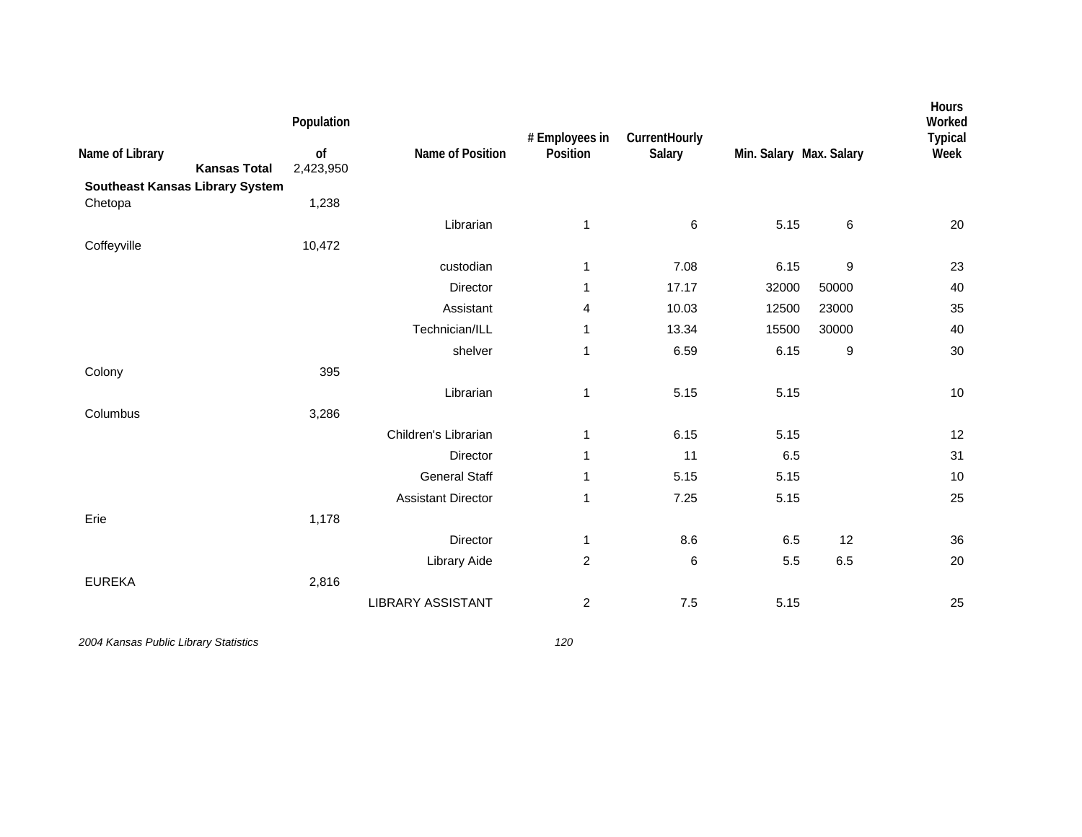| Name of Library                                   | <b>Kansas Total</b> | Population<br>of<br>2,423,950 | Name of Position          | # Employees in<br>Position | CurrentHourly<br>Salary | Min. Salary Max. Salary |                  | Hours<br>Worked<br><b>Typical</b><br>Week |
|---------------------------------------------------|---------------------|-------------------------------|---------------------------|----------------------------|-------------------------|-------------------------|------------------|-------------------------------------------|
| <b>Southeast Kansas Library System</b><br>Chetopa |                     | 1,238                         |                           |                            |                         |                         |                  |                                           |
|                                                   |                     |                               | Librarian                 | 1                          | 6                       | 5.15                    | 6                | 20                                        |
| Coffeyville                                       |                     | 10,472                        |                           |                            |                         |                         |                  |                                           |
|                                                   |                     |                               | custodian                 | 1                          | 7.08                    | 6.15                    | $\boldsymbol{9}$ | 23                                        |
|                                                   |                     |                               | Director                  | 1                          | 17.17                   | 32000                   | 50000            | 40                                        |
|                                                   |                     |                               | Assistant                 | 4                          | 10.03                   | 12500                   | 23000            | 35                                        |
|                                                   |                     |                               | Technician/ILL            | 1                          | 13.34                   | 15500                   | 30000            | 40                                        |
|                                                   |                     |                               | shelver                   | $\mathbf 1$                | 6.59                    | 6.15                    | 9                | 30                                        |
| Colony                                            |                     | 395                           |                           |                            |                         |                         |                  |                                           |
|                                                   |                     |                               | Librarian                 | 1                          | 5.15                    | 5.15                    |                  | 10                                        |
| Columbus                                          |                     | 3,286                         |                           |                            |                         |                         |                  |                                           |
|                                                   |                     |                               | Children's Librarian      | 1                          | 6.15                    | 5.15                    |                  | 12                                        |
|                                                   |                     |                               | Director                  | 1                          | 11                      | 6.5                     |                  | 31                                        |
|                                                   |                     |                               | <b>General Staff</b>      | 1                          | 5.15                    | 5.15                    |                  | 10                                        |
|                                                   |                     |                               | <b>Assistant Director</b> | 1                          | 7.25                    | 5.15                    |                  | 25                                        |
| Erie                                              |                     | 1,178                         |                           |                            |                         |                         |                  |                                           |
|                                                   |                     |                               | Director                  | 1                          | 8.6                     | 6.5                     | 12               | 36                                        |
|                                                   |                     |                               | Library Aide              | $\overline{c}$             | 6                       | 5.5                     | 6.5              | 20                                        |
| <b>EUREKA</b>                                     |                     | 2,816                         |                           |                            |                         |                         |                  |                                           |
|                                                   |                     |                               | <b>LIBRARY ASSISTANT</b>  | $\overline{c}$             | 7.5                     | 5.15                    |                  | 25                                        |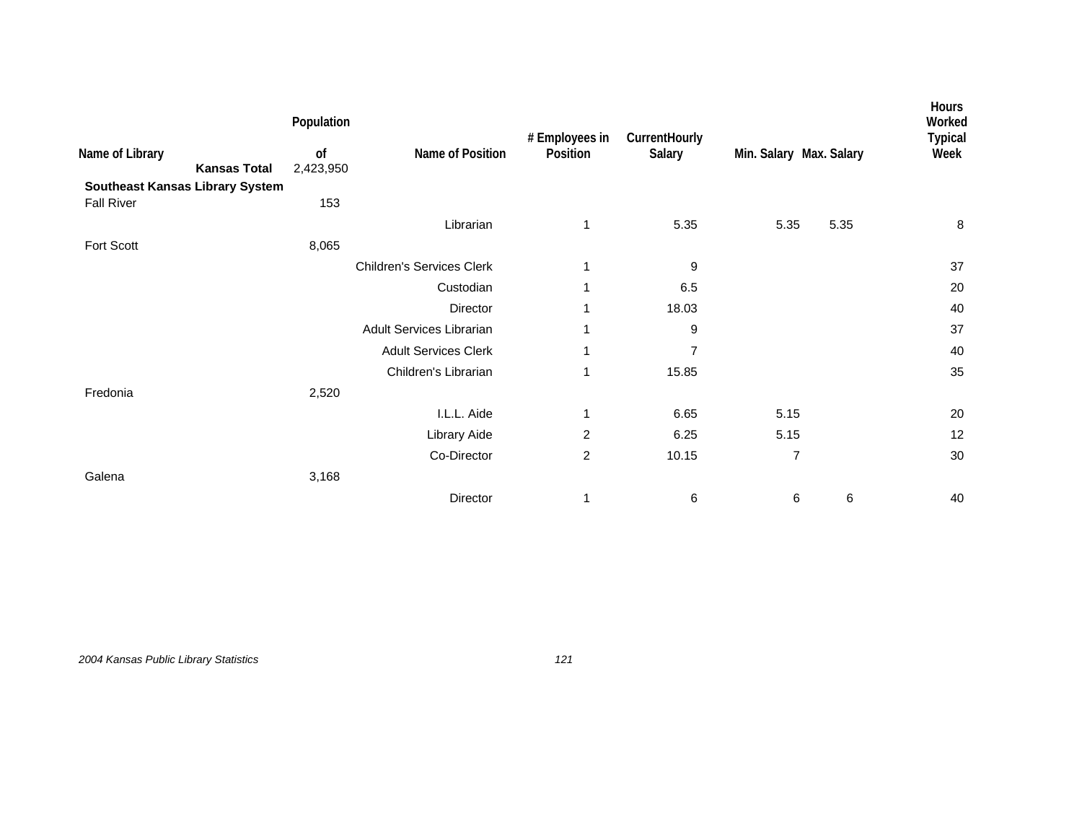|                                        | Population                             |                                  | # Employees in | CurrentHourly  |                         |      | Hours<br>Worked<br><b>Typical</b> |
|----------------------------------------|----------------------------------------|----------------------------------|----------------|----------------|-------------------------|------|-----------------------------------|
| Name of Library                        | of<br><b>Kansas Total</b><br>2,423,950 | Name of Position                 | Position       | Salary         | Min. Salary Max. Salary |      | Week                              |
| <b>Southeast Kansas Library System</b> |                                        |                                  |                |                |                         |      |                                   |
| <b>Fall River</b>                      | 153                                    |                                  |                |                |                         |      |                                   |
|                                        |                                        | Librarian                        | 1              | 5.35           | 5.35                    | 5.35 | 8                                 |
| Fort Scott                             | 8,065                                  |                                  |                |                |                         |      |                                   |
|                                        |                                        | <b>Children's Services Clerk</b> | 1              | 9              |                         |      | 37                                |
|                                        |                                        | Custodian                        | 1              | 6.5            |                         |      | 20                                |
|                                        |                                        | Director                         | 1              | 18.03          |                         |      | 40                                |
|                                        |                                        | Adult Services Librarian         | 1              | 9              |                         |      | 37                                |
|                                        |                                        | <b>Adult Services Clerk</b>      | 1              | $\overline{7}$ |                         |      | 40                                |
|                                        |                                        | Children's Librarian             | 1              | 15.85          |                         |      | 35                                |
| Fredonia                               | 2,520                                  |                                  |                |                |                         |      |                                   |
|                                        |                                        | I.L.L. Aide                      | 1              | 6.65           | 5.15                    |      | 20                                |
|                                        |                                        | Library Aide                     | 2              | 6.25           | 5.15                    |      | 12                                |
|                                        |                                        | Co-Director                      | $\overline{c}$ | 10.15          | $\overline{7}$          |      | 30                                |
| Galena                                 | 3,168                                  |                                  |                |                |                         |      |                                   |
|                                        |                                        | Director                         | 1              | 6              | 6                       | 6    | 40                                |
|                                        |                                        |                                  |                |                |                         |      |                                   |

*2004 Kansas Public Library Statistics 121*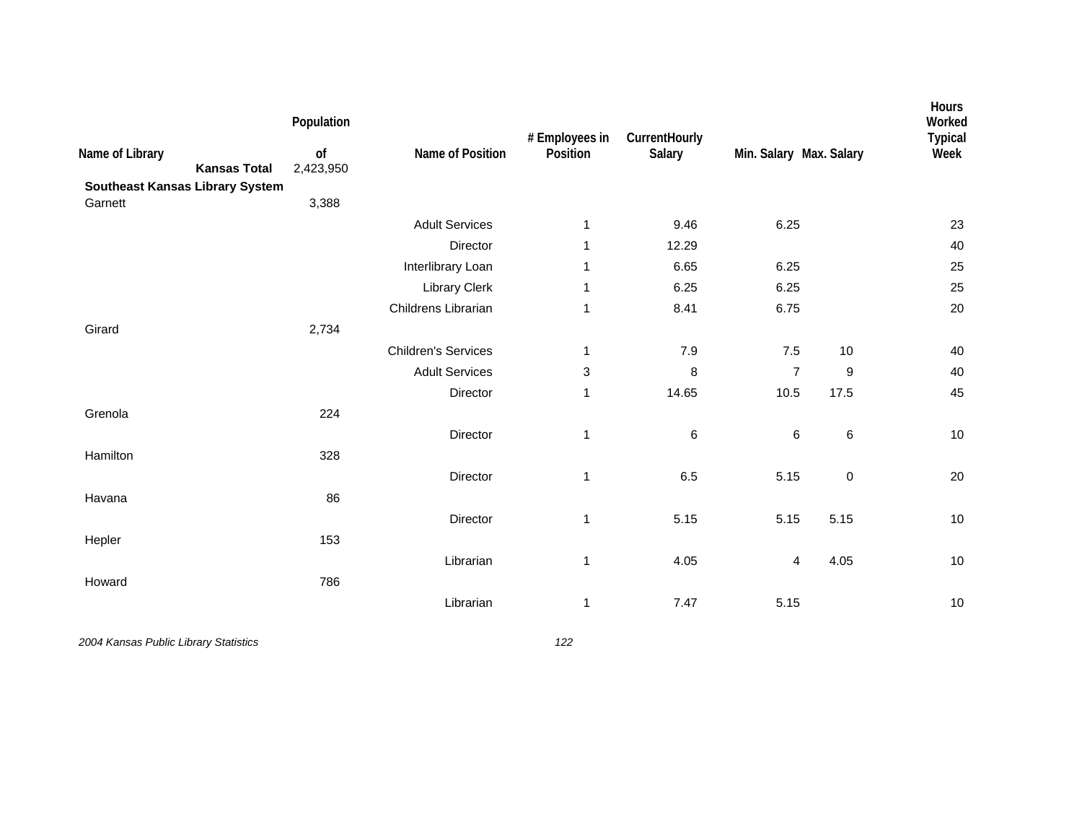| Name of Library<br><b>Southeast Kansas Library System</b> | <b>Kansas Total</b> | Population<br>of<br>2,423,950 | Name of Position           | # Employees in<br>Position | CurrentHourly<br>Salary | Min. Salary Max. Salary |           | Hours<br>Worked<br><b>Typical</b><br>Week |
|-----------------------------------------------------------|---------------------|-------------------------------|----------------------------|----------------------------|-------------------------|-------------------------|-----------|-------------------------------------------|
| Garnett                                                   |                     | 3,388                         |                            |                            |                         |                         |           |                                           |
|                                                           |                     |                               | <b>Adult Services</b>      | 1                          | 9.46                    | 6.25                    |           | 23                                        |
|                                                           |                     |                               | Director                   | 1                          | 12.29                   |                         |           | 40                                        |
|                                                           |                     |                               | Interlibrary Loan          | 1                          | 6.65                    | 6.25                    |           | 25                                        |
|                                                           |                     |                               | <b>Library Clerk</b>       | 1                          | 6.25                    | 6.25                    |           | 25                                        |
|                                                           |                     |                               | Childrens Librarian        | $\mathbf 1$                | 8.41                    | 6.75                    |           | 20                                        |
| Girard                                                    |                     | 2,734                         |                            |                            |                         |                         |           |                                           |
|                                                           |                     |                               | <b>Children's Services</b> | 1                          | 7.9                     | $7.5$                   | 10        | 40                                        |
|                                                           |                     |                               | <b>Adult Services</b>      | 3                          | 8                       | $\overline{7}$          | 9         | 40                                        |
|                                                           |                     |                               | Director                   | 1                          | 14.65                   | 10.5                    | 17.5      | 45                                        |
| Grenola                                                   |                     | 224                           |                            |                            |                         |                         |           |                                           |
|                                                           |                     |                               | Director                   | $\mathbf 1$                | 6                       | 6                       | $\,6$     | $10$                                      |
| Hamilton                                                  |                     | 328                           |                            |                            |                         |                         |           |                                           |
|                                                           |                     |                               | Director                   | 1                          | 6.5                     | 5.15                    | $\pmb{0}$ | 20                                        |
| Havana                                                    |                     | 86                            |                            |                            |                         |                         |           |                                           |
|                                                           |                     |                               | Director                   | $\mathbf 1$                | 5.15                    | 5.15                    | 5.15      | 10                                        |
| Hepler                                                    |                     | 153                           |                            |                            |                         |                         |           |                                           |
|                                                           |                     |                               | Librarian                  | $\mathbf 1$                | 4.05                    | 4                       | 4.05      | 10                                        |
| Howard                                                    |                     | 786                           |                            |                            |                         |                         |           |                                           |
|                                                           |                     |                               | Librarian                  | 1                          | 7.47                    | 5.15                    |           | 10                                        |
|                                                           |                     |                               |                            |                            |                         |                         |           |                                           |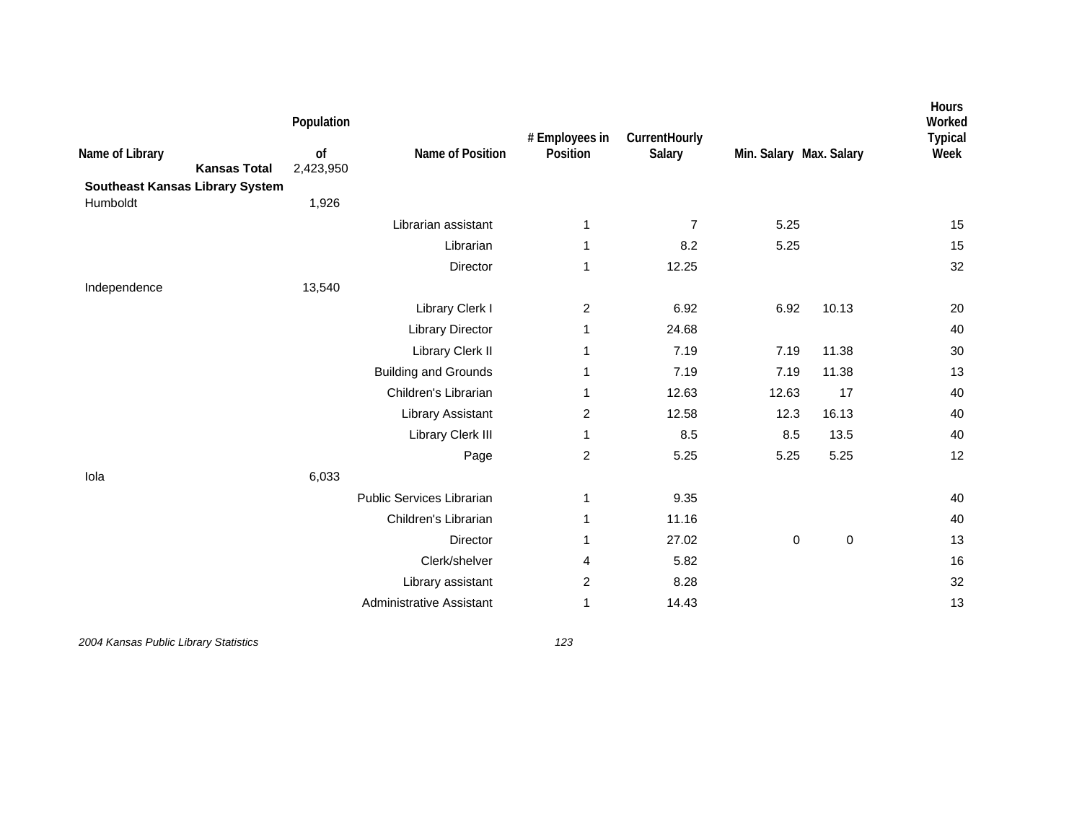| Name of Library<br><b>Kansas Total</b><br><b>Southeast Kansas Library System</b> | Population<br>of<br>2,423,950 | Name of Position                | # Employees in<br>Position | CurrentHourly<br>Salary | Min. Salary Max. Salary |           | Hours<br>Worked<br><b>Typical</b><br>Week |
|----------------------------------------------------------------------------------|-------------------------------|---------------------------------|----------------------------|-------------------------|-------------------------|-----------|-------------------------------------------|
| Humboldt                                                                         | 1,926                         |                                 |                            |                         |                         |           |                                           |
|                                                                                  |                               | Librarian assistant             | 1                          | 7                       | 5.25                    |           | 15                                        |
|                                                                                  |                               | Librarian                       | 1                          | 8.2                     | 5.25                    |           | 15                                        |
|                                                                                  |                               | Director                        | 1                          | 12.25                   |                         |           | 32                                        |
| Independence                                                                     | 13,540                        |                                 |                            |                         |                         |           |                                           |
|                                                                                  |                               | Library Clerk I                 | $\overline{c}$             | 6.92                    | 6.92                    | 10.13     | 20                                        |
|                                                                                  |                               | <b>Library Director</b>         | 1                          | 24.68                   |                         |           | 40                                        |
|                                                                                  |                               | Library Clerk II                | 1                          | 7.19                    | 7.19                    | 11.38     | 30                                        |
|                                                                                  |                               | <b>Building and Grounds</b>     | 1                          | 7.19                    | 7.19                    | 11.38     | 13                                        |
|                                                                                  |                               | Children's Librarian            | 1                          | 12.63                   | 12.63                   | 17        | 40                                        |
|                                                                                  |                               | <b>Library Assistant</b>        | $\overline{c}$             | 12.58                   | 12.3                    | 16.13     | 40                                        |
|                                                                                  |                               | Library Clerk III               | 1                          | 8.5                     | 8.5                     | 13.5      | 40                                        |
|                                                                                  |                               | Page                            | $\overline{c}$             | 5.25                    | 5.25                    | 5.25      | 12                                        |
| Iola                                                                             | 6,033                         |                                 |                            |                         |                         |           |                                           |
|                                                                                  |                               | Public Services Librarian       | 1                          | 9.35                    |                         |           | 40                                        |
|                                                                                  |                               | Children's Librarian            | 1                          | 11.16                   |                         |           | 40                                        |
|                                                                                  |                               | Director                        | 1                          | 27.02                   | $\pmb{0}$               | $\pmb{0}$ | 13                                        |
|                                                                                  |                               | Clerk/shelver                   | 4                          | 5.82                    |                         |           | 16                                        |
|                                                                                  |                               | Library assistant               | $\overline{c}$             | 8.28                    |                         |           | 32                                        |
|                                                                                  |                               | <b>Administrative Assistant</b> | $\mathbf 1$                | 14.43                   |                         |           | 13                                        |
|                                                                                  |                               |                                 |                            |                         |                         |           |                                           |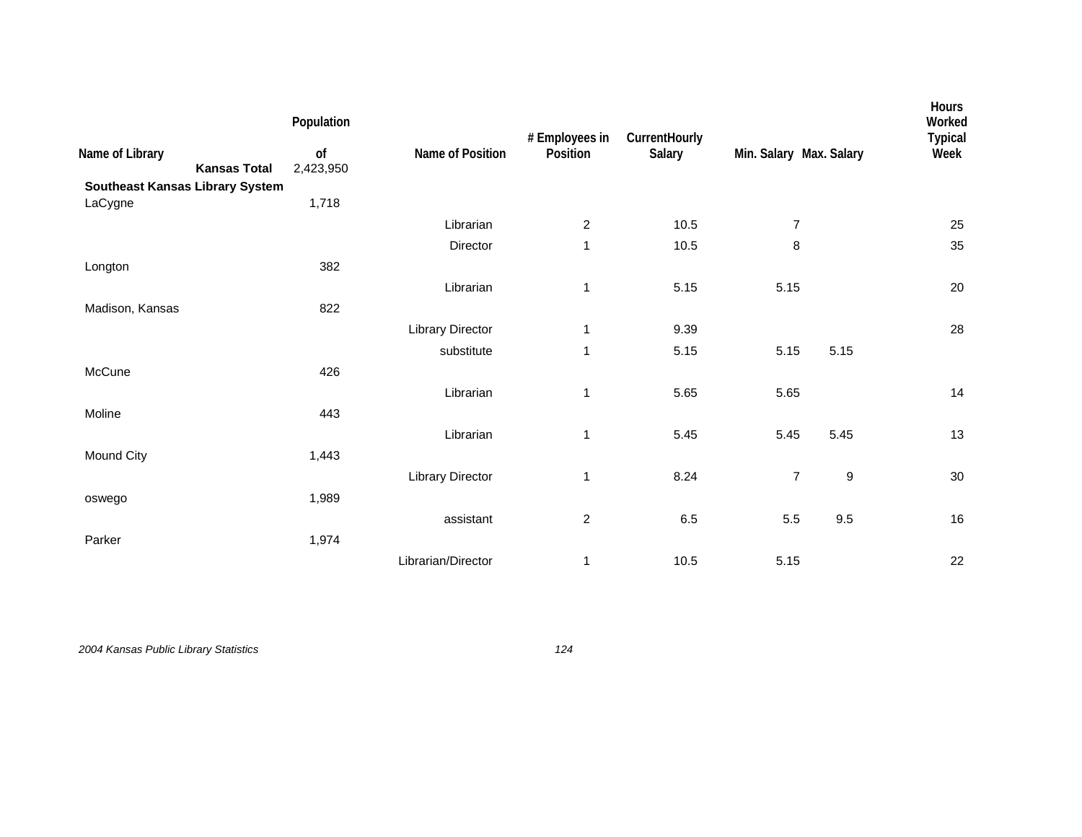|                                        |                     | Population |                         | # Employees in | CurrentHourly |                          |                  | Hours<br>Worked<br><b>Typical</b> |
|----------------------------------------|---------------------|------------|-------------------------|----------------|---------------|--------------------------|------------------|-----------------------------------|
| Name of Library                        |                     | of         | Name of Position        | Position       | Salary        | Min. Salary Max. Salary  |                  | Week                              |
|                                        | <b>Kansas Total</b> | 2,423,950  |                         |                |               |                          |                  |                                   |
| <b>Southeast Kansas Library System</b> |                     |            |                         |                |               |                          |                  |                                   |
| LaCygne                                |                     | 1,718      |                         |                |               |                          |                  |                                   |
|                                        |                     |            | Librarian               | $\overline{2}$ | 10.5          | $\overline{7}$           |                  | 25                                |
|                                        |                     |            | Director                | $\mathbf{1}$   | 10.5          | 8                        |                  | 35                                |
| Longton                                |                     | 382        |                         |                |               |                          |                  |                                   |
|                                        |                     |            | Librarian               | $\mathbf{1}$   | 5.15          | 5.15                     |                  | 20                                |
| Madison, Kansas                        |                     | 822        |                         |                |               |                          |                  |                                   |
|                                        |                     |            | <b>Library Director</b> | 1              | 9.39          |                          |                  | 28                                |
|                                        |                     |            | substitute              | 1              | 5.15          | 5.15                     | 5.15             |                                   |
| McCune                                 |                     | 426        |                         |                |               |                          |                  |                                   |
|                                        |                     |            | Librarian               | 1              | 5.65          | 5.65                     |                  | 14                                |
| Moline                                 |                     | 443        |                         |                |               |                          |                  |                                   |
|                                        |                     |            | Librarian               | 1              | 5.45          | 5.45                     | 5.45             | 13                                |
| Mound City                             |                     | 1,443      |                         |                |               |                          |                  |                                   |
|                                        |                     |            | Library Director        | 1              | 8.24          | $\overline{\mathcal{I}}$ | $\boldsymbol{9}$ | $30\,$                            |
| oswego                                 |                     | 1,989      |                         |                |               |                          |                  |                                   |
|                                        |                     |            | assistant               | $\overline{c}$ | 6.5           | 5.5                      | 9.5              | 16                                |
| Parker                                 |                     | 1,974      |                         |                |               |                          |                  |                                   |
|                                        |                     |            | Librarian/Director      | 1              | 10.5          | 5.15                     |                  | 22                                |
|                                        |                     |            |                         |                |               |                          |                  |                                   |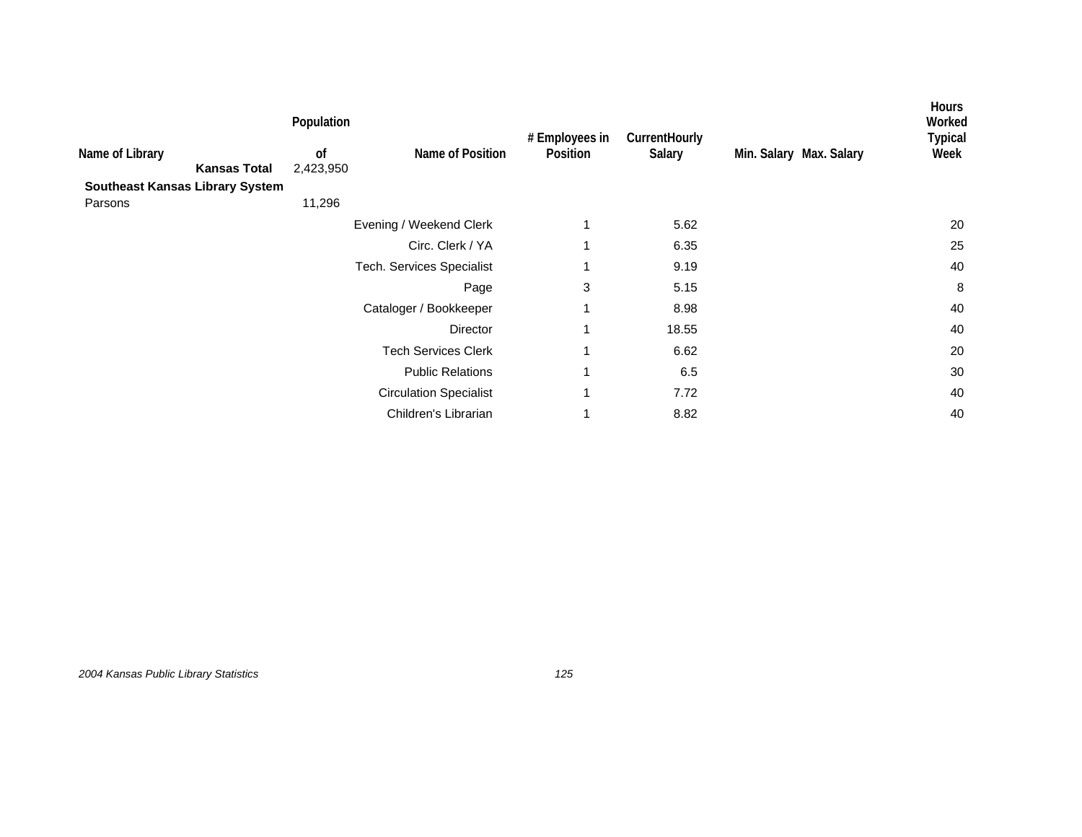|                                        |                     | Population      |                               | # Employees in | CurrentHourly |                         | <b>Hours</b><br>Worked<br><b>Typical</b> |
|----------------------------------------|---------------------|-----------------|-------------------------------|----------------|---------------|-------------------------|------------------------------------------|
| Name of Library                        | <b>Kansas Total</b> | of<br>2,423,950 | Name of Position              | Position       | Salary        | Min. Salary Max. Salary | Week                                     |
| <b>Southeast Kansas Library System</b> |                     |                 |                               |                |               |                         |                                          |
| Parsons                                |                     | 11,296          |                               |                |               |                         |                                          |
|                                        |                     |                 | Evening / Weekend Clerk       | 1              | 5.62          |                         | 20                                       |
|                                        |                     |                 | Circ. Clerk / YA              | 1              | 6.35          |                         | 25                                       |
|                                        |                     |                 | Tech. Services Specialist     |                | 9.19          |                         | 40                                       |
|                                        |                     |                 | Page                          | 3              | 5.15          |                         | 8                                        |
|                                        |                     |                 | Cataloger / Bookkeeper        | 1              | 8.98          |                         | 40                                       |
|                                        |                     |                 | Director                      | 1              | 18.55         |                         | 40                                       |
|                                        |                     |                 | <b>Tech Services Clerk</b>    | 1              | 6.62          |                         | 20                                       |
|                                        |                     |                 | <b>Public Relations</b>       | 1              | 6.5           |                         | 30                                       |
|                                        |                     |                 | <b>Circulation Specialist</b> | 1              | 7.72          |                         | 40                                       |
|                                        |                     |                 | Children's Librarian          |                | 8.82          |                         | 40                                       |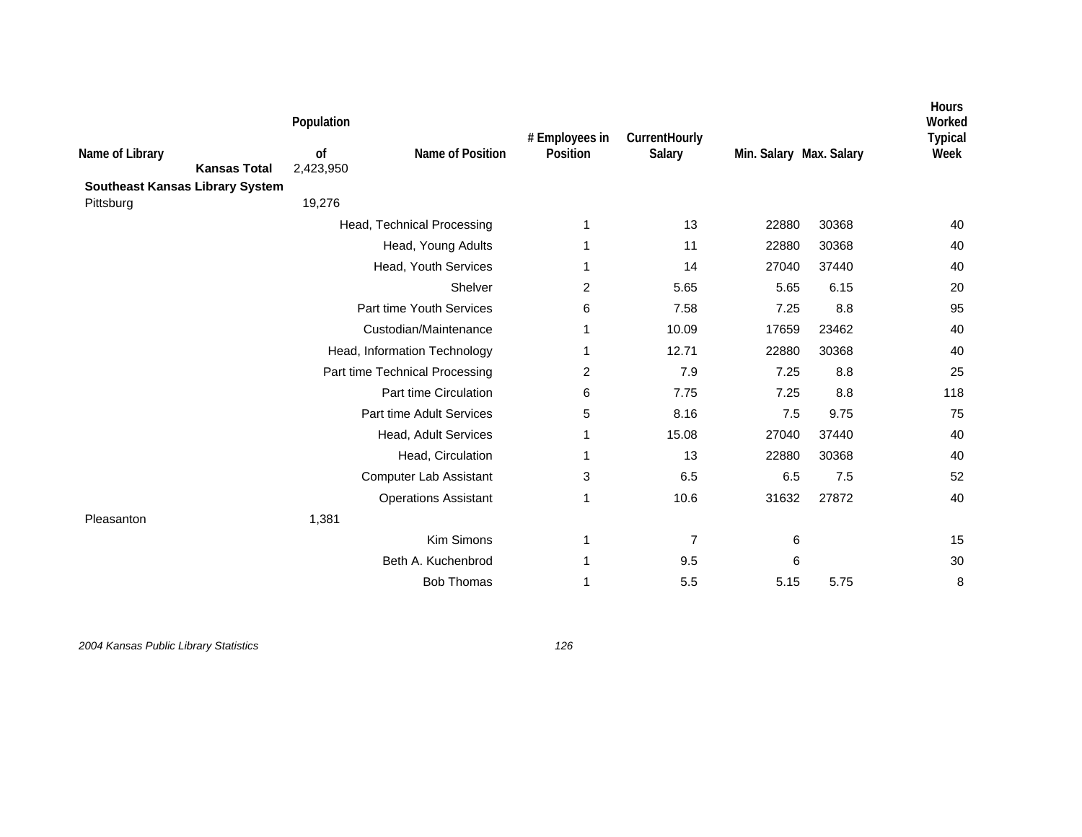| Name of Library                        | <b>Kansas Total</b> | Population<br>of<br>2,423,950 | Name of Position               | # Employees in<br>Position | CurrentHourly<br>Salary | Min. Salary Max. Salary |       | Hours<br>Worked<br><b>Typical</b><br>Week |
|----------------------------------------|---------------------|-------------------------------|--------------------------------|----------------------------|-------------------------|-------------------------|-------|-------------------------------------------|
| <b>Southeast Kansas Library System</b> |                     | 19,276                        |                                |                            |                         |                         |       |                                           |
| Pittsburg                              |                     |                               |                                |                            | 13                      |                         |       |                                           |
|                                        |                     |                               | Head, Technical Processing     | 1                          |                         | 22880                   | 30368 | 40                                        |
|                                        |                     |                               | Head, Young Adults             | 1                          | 11                      | 22880                   | 30368 | 40                                        |
|                                        |                     |                               | Head, Youth Services           | 1                          | 14                      | 27040                   | 37440 | 40                                        |
|                                        |                     |                               | Shelver                        | 2                          | 5.65                    | 5.65                    | 6.15  | 20                                        |
|                                        |                     |                               | Part time Youth Services       | 6                          | 7.58                    | 7.25                    | 8.8   | 95                                        |
|                                        |                     |                               | Custodian/Maintenance          | 1                          | 10.09                   | 17659                   | 23462 | 40                                        |
|                                        |                     |                               | Head, Information Technology   | 1                          | 12.71                   | 22880                   | 30368 | 40                                        |
|                                        |                     |                               | Part time Technical Processing | 2                          | 7.9                     | 7.25                    | 8.8   | 25                                        |
|                                        |                     |                               | Part time Circulation          | 6                          | 7.75                    | 7.25                    | 8.8   | 118                                       |
|                                        |                     |                               | Part time Adult Services       | 5                          | 8.16                    | 7.5                     | 9.75  | 75                                        |
|                                        |                     |                               | Head, Adult Services           | 1                          | 15.08                   | 27040                   | 37440 | 40                                        |
|                                        |                     |                               | Head, Circulation              | 1                          | 13                      | 22880                   | 30368 | 40                                        |
|                                        |                     |                               | <b>Computer Lab Assistant</b>  | 3                          | 6.5                     | 6.5                     | 7.5   | 52                                        |
|                                        |                     |                               | <b>Operations Assistant</b>    | 1                          | 10.6                    | 31632                   | 27872 | 40                                        |
| Pleasanton                             |                     | 1,381                         |                                |                            |                         |                         |       |                                           |
|                                        |                     |                               | Kim Simons                     | 1                          | 7                       | 6                       |       | 15                                        |
|                                        |                     |                               | Beth A. Kuchenbrod             | 1                          | 9.5                     | 6                       |       | 30                                        |
|                                        |                     |                               | <b>Bob Thomas</b>              | 1                          | 5.5                     | 5.15                    | 5.75  | 8                                         |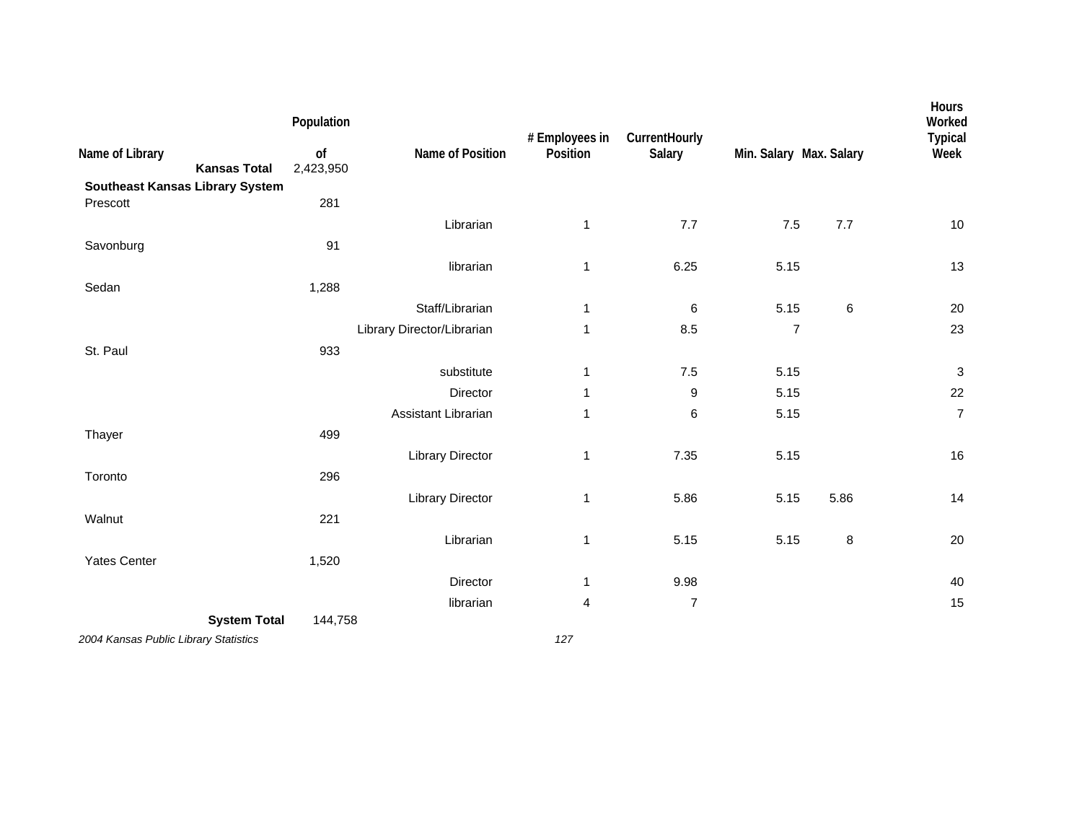|                                                    | Population      |                            | # Employees in | CurrentHourly  |                         |        | Hours<br>Worked<br><b>Typical</b> |
|----------------------------------------------------|-----------------|----------------------------|----------------|----------------|-------------------------|--------|-----------------------------------|
| Name of Library<br><b>Kansas Total</b>             | of<br>2,423,950 | Name of Position           | Position       | Salary         | Min. Salary Max. Salary |        | Week                              |
| <b>Southeast Kansas Library System</b><br>Prescott | 281             |                            |                |                |                         |        |                                   |
|                                                    |                 | Librarian                  | 1              | 7.7            | $7.5$                   | 7.7    | $10$                              |
| Savonburg                                          | 91              |                            |                |                |                         |        |                                   |
|                                                    |                 | librarian                  | 1              | 6.25           | 5.15                    |        | 13                                |
| Sedan                                              | 1,288           |                            |                |                |                         |        |                                   |
|                                                    |                 | Staff/Librarian            | 1              | 6              | 5.15                    | 6      | $20\,$                            |
|                                                    |                 | Library Director/Librarian | 1              | 8.5            | $\overline{7}$          |        | 23                                |
| St. Paul                                           | 933             |                            |                |                |                         |        |                                   |
|                                                    |                 | substitute                 | 1              | 7.5            | 5.15                    |        | $\ensuremath{\mathsf{3}}$         |
|                                                    |                 | Director                   | 1              | 9              | 5.15                    |        | 22                                |
|                                                    |                 | Assistant Librarian        | 1              | 6              | 5.15                    |        | $\overline{7}$                    |
| Thayer                                             | 499             |                            |                |                |                         |        |                                   |
|                                                    |                 | <b>Library Director</b>    | $\mathbf 1$    | 7.35           | 5.15                    |        | 16                                |
| Toronto                                            | 296             |                            |                |                |                         |        |                                   |
|                                                    |                 | <b>Library Director</b>    | 1              | 5.86           | 5.15                    | 5.86   | 14                                |
| Walnut                                             | 221             |                            |                |                |                         |        |                                   |
|                                                    |                 | Librarian                  | 1              | 5.15           | 5.15                    | $\, 8$ | 20                                |
| <b>Yates Center</b>                                | 1,520           |                            |                |                |                         |        |                                   |
|                                                    |                 | Director                   | 1              | 9.98           |                         |        | 40                                |
|                                                    |                 | librarian                  | 4              | $\overline{7}$ |                         |        | 15                                |
| <b>System Total</b>                                | 144,758         |                            |                |                |                         |        |                                   |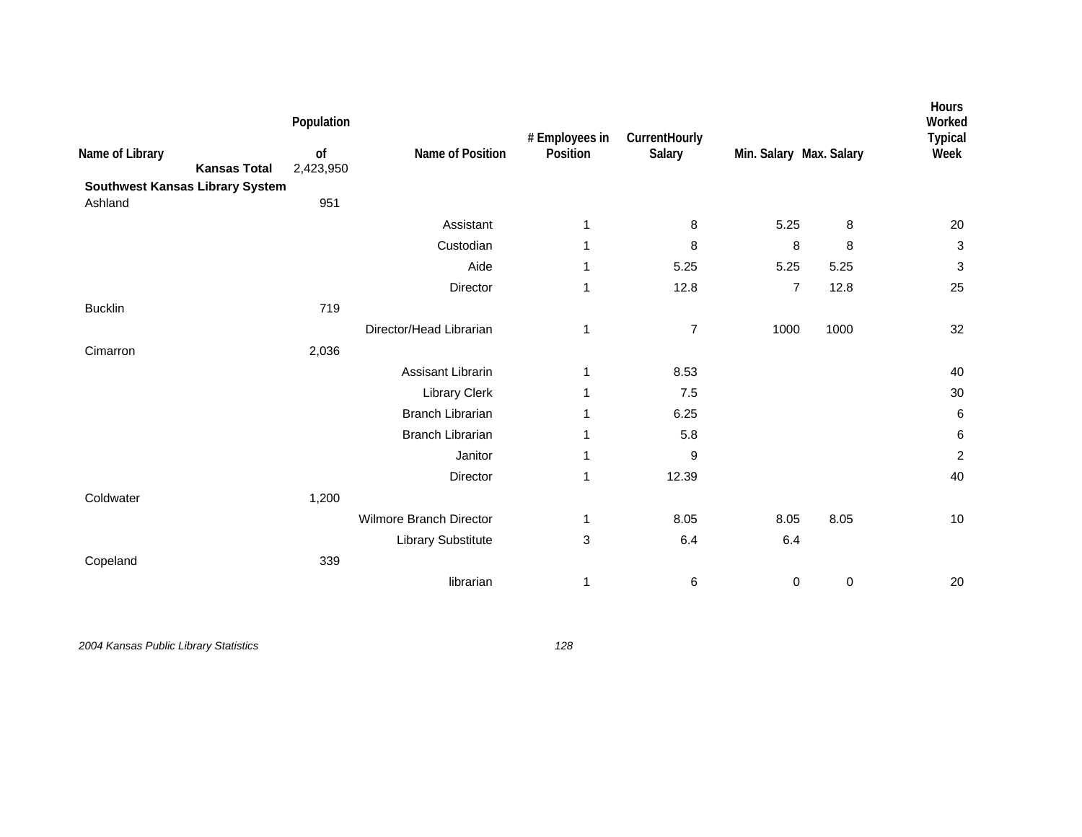| Name of Library<br>Southwest Kansas Library System | <b>Kansas Total</b> | Population<br>of<br>2,423,950 | Name of Position          | # Employees in<br>Position | CurrentHourly<br>Salary | Min. Salary Max. Salary |             | Hours<br>Worked<br><b>Typical</b><br>Week |
|----------------------------------------------------|---------------------|-------------------------------|---------------------------|----------------------------|-------------------------|-------------------------|-------------|-------------------------------------------|
| Ashland                                            |                     | 951                           |                           |                            |                         |                         |             |                                           |
|                                                    |                     |                               | Assistant                 | 1                          | 8                       | 5.25                    | 8           | 20                                        |
|                                                    |                     |                               | Custodian                 | 1                          | 8                       | 8                       | 8           | $\ensuremath{\mathsf{3}}$                 |
|                                                    |                     |                               | Aide                      | 1                          | 5.25                    | 5.25                    | 5.25        | 3                                         |
|                                                    |                     |                               | Director                  | 1                          | 12.8                    | $\overline{7}$          | 12.8        | 25                                        |
| <b>Bucklin</b>                                     |                     | 719                           |                           |                            |                         |                         |             |                                           |
|                                                    |                     |                               | Director/Head Librarian   | 1                          | $\overline{7}$          | 1000                    | 1000        | 32                                        |
| Cimarron                                           |                     | 2,036                         |                           |                            |                         |                         |             |                                           |
|                                                    |                     |                               | <b>Assisant Librarin</b>  | 1                          | 8.53                    |                         |             | 40                                        |
|                                                    |                     |                               | Library Clerk             | 1                          | 7.5                     |                         |             | 30                                        |
|                                                    |                     |                               | <b>Branch Librarian</b>   | 1                          | 6.25                    |                         |             | 6                                         |
|                                                    |                     |                               | <b>Branch Librarian</b>   | 1                          | 5.8                     |                         |             | 6                                         |
|                                                    |                     |                               | Janitor                   | 1                          | 9                       |                         |             | $\overline{c}$                            |
|                                                    |                     |                               | Director                  | 1                          | 12.39                   |                         |             | 40                                        |
| Coldwater                                          |                     | 1,200                         |                           |                            |                         |                         |             |                                           |
|                                                    |                     |                               | Wilmore Branch Director   | 1                          | 8.05                    | 8.05                    | 8.05        | 10                                        |
|                                                    |                     |                               | <b>Library Substitute</b> | 3                          | 6.4                     | 6.4                     |             |                                           |
| Copeland                                           |                     | 339                           |                           |                            |                         |                         |             |                                           |
|                                                    |                     |                               | librarian                 | 1                          | 6                       | $\mathbf 0$             | $\mathbf 0$ | 20                                        |
|                                                    |                     |                               |                           |                            |                         |                         |             |                                           |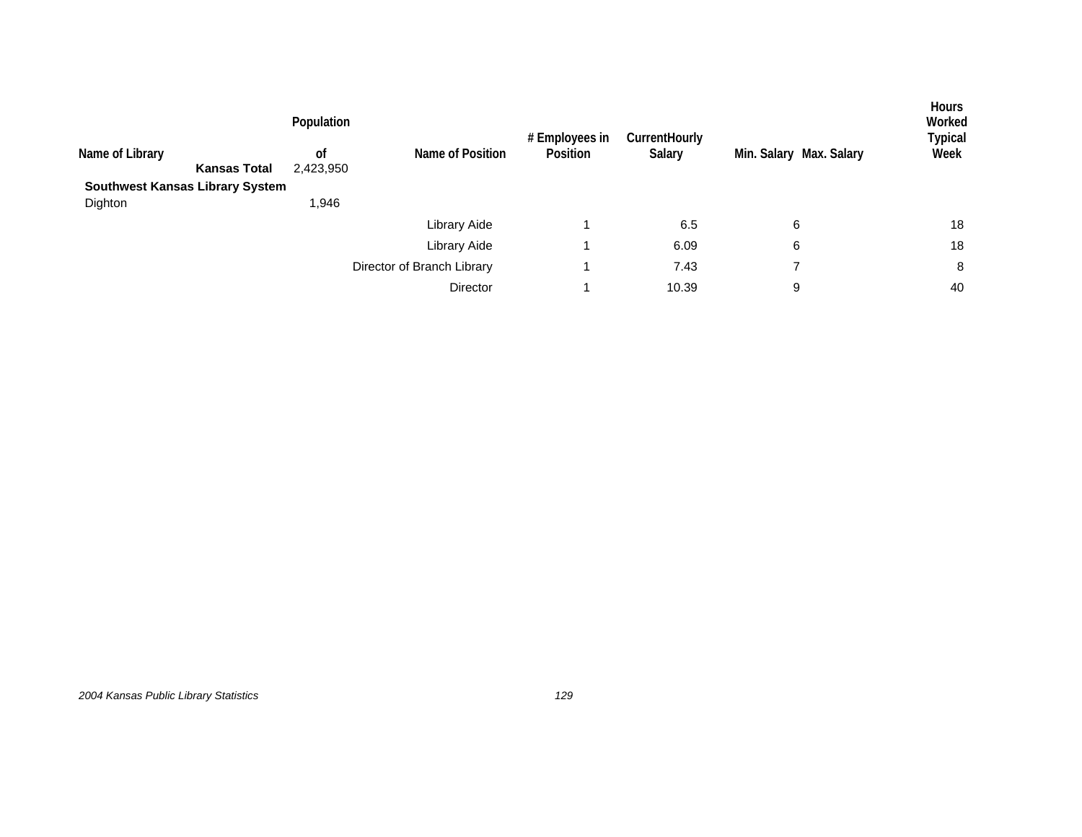|                                        |                     | Population      |                            | # Employees in<br>Position | <b>CurrentHourly</b> |                         | Hours<br>Worked<br>Typical |
|----------------------------------------|---------------------|-----------------|----------------------------|----------------------------|----------------------|-------------------------|----------------------------|
| Name of Library                        | <b>Kansas Total</b> | 0f<br>2,423,950 | Name of Position           |                            | Salary               | Min. Salary Max. Salary | Week                       |
| <b>Southwest Kansas Library System</b> |                     |                 |                            |                            |                      |                         |                            |
| Dighton                                |                     | 1,946           |                            |                            |                      |                         |                            |
|                                        |                     |                 | Library Aide               |                            | 6.5                  | 6                       | 18                         |
|                                        |                     |                 | Library Aide               |                            | 6.09                 | 6                       | 18                         |
|                                        |                     |                 | Director of Branch Library |                            | 7.43                 | ⇁                       | 8                          |
|                                        |                     |                 | Director                   |                            | 10.39                | 9                       | 40                         |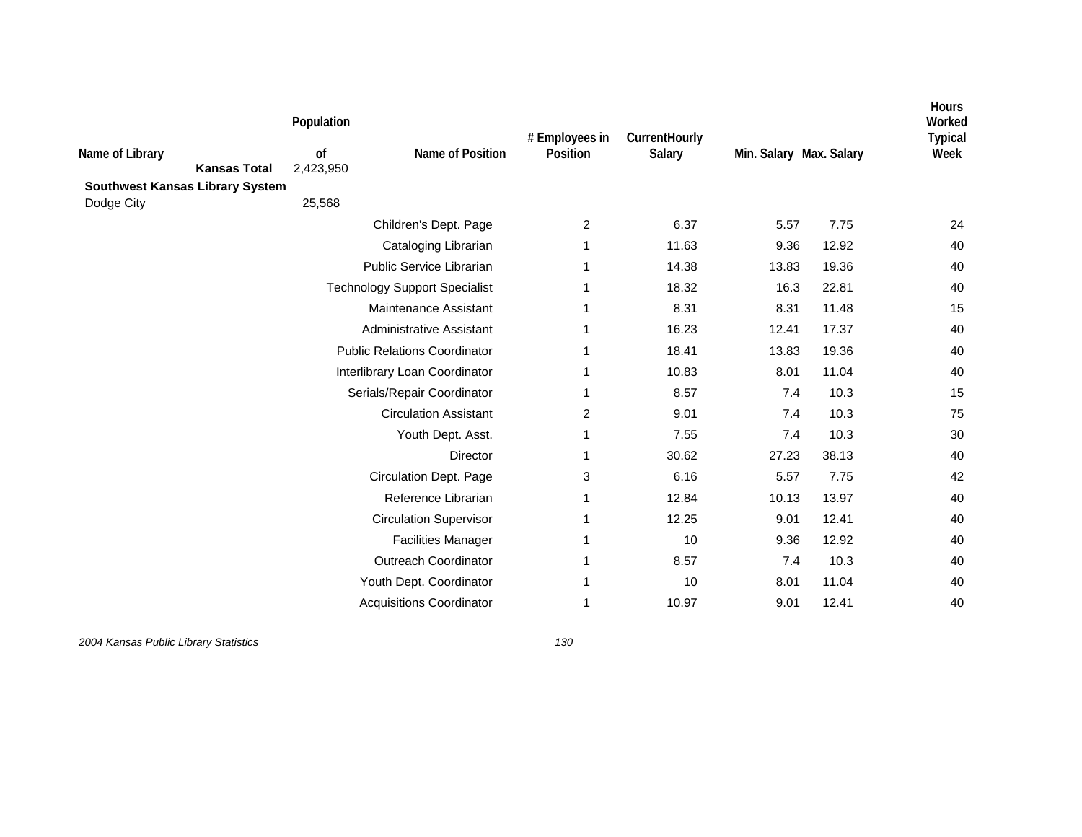| Name of Library | <b>Kansas Total</b><br>Southwest Kansas Library System | Population<br>0f<br>2,423,950 | Name of Position                     | # Employees in<br>Position | CurrentHourly<br>Salary | Min. Salary Max. Salary |       | <b>Hours</b><br>Worked<br><b>Typical</b><br>Week |
|-----------------|--------------------------------------------------------|-------------------------------|--------------------------------------|----------------------------|-------------------------|-------------------------|-------|--------------------------------------------------|
| Dodge City      |                                                        | 25,568                        |                                      |                            |                         |                         |       |                                                  |
|                 |                                                        |                               | Children's Dept. Page                | $\overline{2}$             | 6.37                    | 5.57                    | 7.75  | 24                                               |
|                 |                                                        |                               | Cataloging Librarian                 | 1                          | 11.63                   | 9.36                    | 12.92 | 40                                               |
|                 |                                                        |                               | Public Service Librarian             | 1                          | 14.38                   | 13.83                   | 19.36 | 40                                               |
|                 |                                                        |                               | <b>Technology Support Specialist</b> | 1                          | 18.32                   | 16.3                    | 22.81 | 40                                               |
|                 |                                                        |                               | Maintenance Assistant                | 1                          | 8.31                    | 8.31                    | 11.48 | 15                                               |
|                 |                                                        |                               | Administrative Assistant             | 1                          | 16.23                   | 12.41                   | 17.37 | 40                                               |
|                 |                                                        |                               | <b>Public Relations Coordinator</b>  | 1                          | 18.41                   | 13.83                   | 19.36 | 40                                               |
|                 |                                                        |                               | Interlibrary Loan Coordinator        | 1                          | 10.83                   | 8.01                    | 11.04 | 40                                               |
|                 |                                                        |                               | Serials/Repair Coordinator           | 1                          | 8.57                    | 7.4                     | 10.3  | 15                                               |
|                 |                                                        |                               | <b>Circulation Assistant</b>         | 2                          | 9.01                    | 7.4                     | 10.3  | 75                                               |
|                 |                                                        |                               | Youth Dept. Asst.                    | 1                          | 7.55                    | 7.4                     | 10.3  | 30                                               |
|                 |                                                        |                               | <b>Director</b>                      | 1                          | 30.62                   | 27.23                   | 38.13 | 40                                               |
|                 |                                                        |                               | Circulation Dept. Page               | 3                          | 6.16                    | 5.57                    | 7.75  | 42                                               |
|                 |                                                        |                               | Reference Librarian                  | 1                          | 12.84                   | 10.13                   | 13.97 | 40                                               |
|                 |                                                        |                               | <b>Circulation Supervisor</b>        | 1                          | 12.25                   | 9.01                    | 12.41 | 40                                               |
|                 |                                                        |                               | <b>Facilities Manager</b>            | 1                          | 10                      | 9.36                    | 12.92 | 40                                               |
|                 |                                                        |                               | <b>Outreach Coordinator</b>          | 1                          | 8.57                    | 7.4                     | 10.3  | 40                                               |
|                 |                                                        |                               | Youth Dept. Coordinator              | 1                          | 10                      | 8.01                    | 11.04 | 40                                               |
|                 |                                                        |                               | <b>Acquisitions Coordinator</b>      | 1                          | 10.97                   | 9.01                    | 12.41 | 40                                               |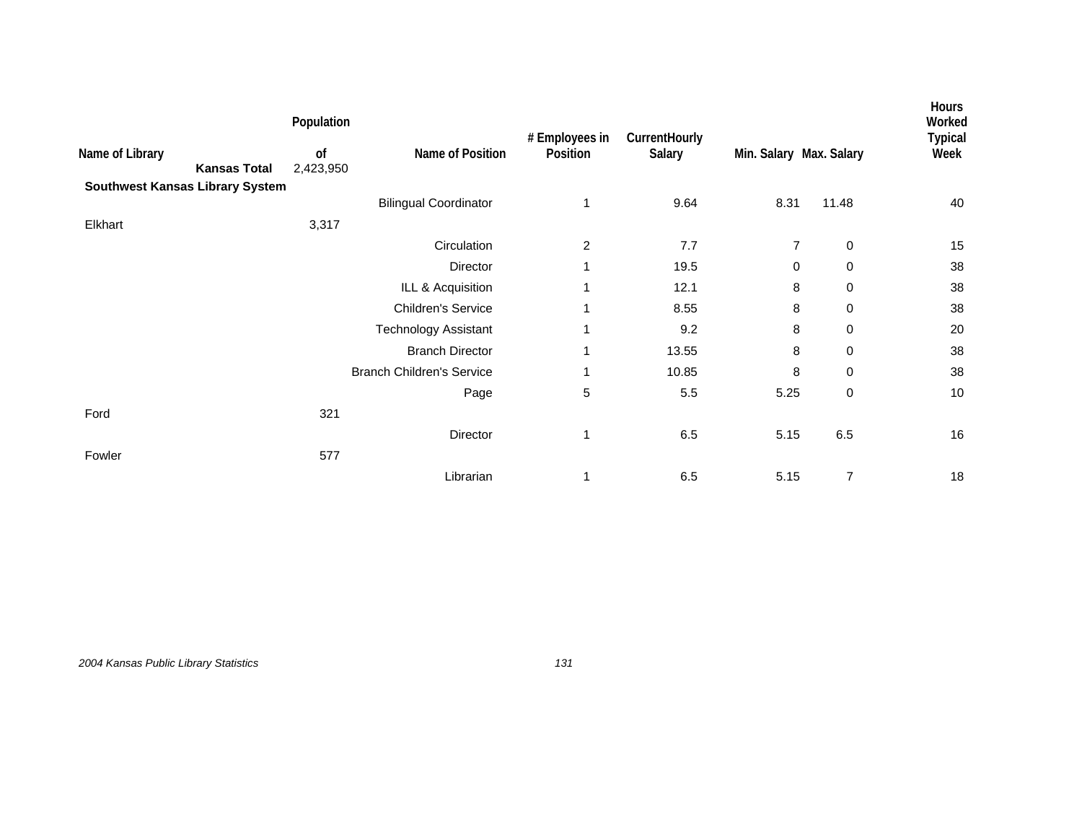|                 |                                        | Population      |                                  |                            |                         |                         |                | <b>Hours</b><br>Worked |
|-----------------|----------------------------------------|-----------------|----------------------------------|----------------------------|-------------------------|-------------------------|----------------|------------------------|
| Name of Library | <b>Kansas Total</b>                    | of<br>2,423,950 | Name of Position                 | # Employees in<br>Position | CurrentHourly<br>Salary | Min. Salary Max. Salary |                | <b>Typical</b><br>Week |
|                 | <b>Southwest Kansas Library System</b> |                 |                                  |                            |                         |                         |                |                        |
|                 |                                        |                 | <b>Bilingual Coordinator</b>     | 1                          | 9.64                    | 8.31                    | 11.48          | 40                     |
| Elkhart         |                                        | 3,317           |                                  |                            |                         |                         |                |                        |
|                 |                                        |                 | Circulation                      | $\overline{c}$             | 7.7                     | $\overline{7}$          | $\mathbf 0$    | 15                     |
|                 |                                        |                 | Director                         | 1                          | 19.5                    | $\mathbf 0$             | $\mathbf 0$    | 38                     |
|                 |                                        |                 | ILL & Acquisition                | 1                          | 12.1                    | 8                       | $\mathbf 0$    | 38                     |
|                 |                                        |                 | <b>Children's Service</b>        | 1                          | 8.55                    | 8                       | $\mathbf 0$    | 38                     |
|                 |                                        |                 | <b>Technology Assistant</b>      | 1                          | 9.2                     | 8                       | $\mathbf 0$    | 20                     |
|                 |                                        |                 | <b>Branch Director</b>           | 1                          | 13.55                   | 8                       | $\mathbf 0$    | 38                     |
|                 |                                        |                 | <b>Branch Children's Service</b> | 1                          | 10.85                   | 8                       | 0              | 38                     |
|                 |                                        |                 | Page                             | 5                          | 5.5                     | 5.25                    | $\pmb{0}$      | 10                     |
| Ford            |                                        | 321             |                                  |                            |                         |                         |                |                        |
|                 |                                        |                 | Director                         | 1                          | 6.5                     | 5.15                    | 6.5            | 16                     |
| Fowler          |                                        | 577             |                                  |                            |                         |                         |                |                        |
|                 |                                        |                 | Librarian                        | 1                          | 6.5                     | 5.15                    | $\overline{7}$ | $18$                   |

*2004 Kansas Public Library Statistics 131*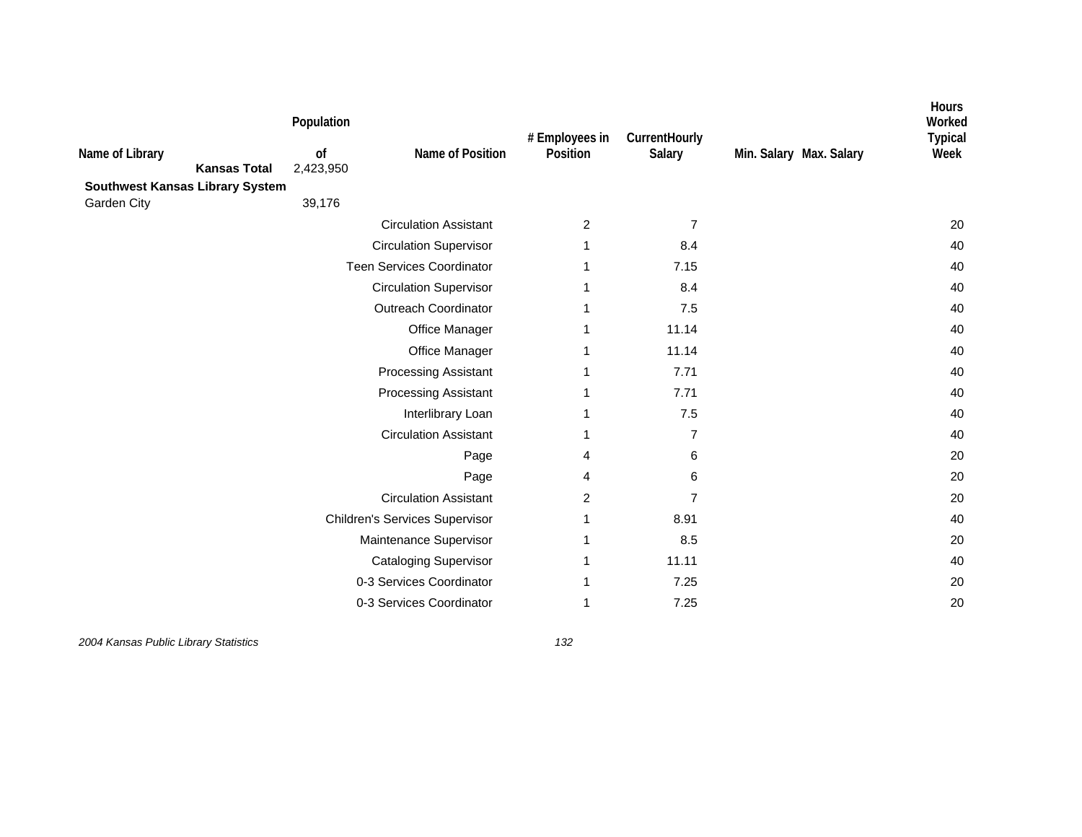| Name of Library<br><b>Southwest Kansas Library System</b> | <b>Kansas Total</b> | Population<br>of<br>2,423,950 | Name of Position                      | # Employees in<br>Position | CurrentHourly<br>Salary | Min. Salary Max. Salary | <b>Hours</b><br>Worked<br><b>Typical</b><br>Week |
|-----------------------------------------------------------|---------------------|-------------------------------|---------------------------------------|----------------------------|-------------------------|-------------------------|--------------------------------------------------|
| Garden City                                               |                     | 39,176                        |                                       |                            |                         |                         |                                                  |
|                                                           |                     |                               | <b>Circulation Assistant</b>          | 2                          | 7                       |                         | 20                                               |
|                                                           |                     |                               | <b>Circulation Supervisor</b>         |                            | 8.4                     |                         | 40                                               |
|                                                           |                     |                               | <b>Teen Services Coordinator</b>      |                            | 7.15                    |                         | 40                                               |
|                                                           |                     |                               | <b>Circulation Supervisor</b>         |                            | 8.4                     |                         | 40                                               |
|                                                           |                     |                               | Outreach Coordinator                  |                            | 7.5                     |                         | 40                                               |
|                                                           |                     |                               | Office Manager                        |                            | 11.14                   |                         | 40                                               |
|                                                           |                     |                               | Office Manager                        |                            | 11.14                   |                         | 40                                               |
|                                                           |                     |                               | Processing Assistant                  |                            | 7.71                    |                         | 40                                               |
|                                                           |                     |                               | <b>Processing Assistant</b>           |                            | 7.71                    |                         | 40                                               |
|                                                           |                     |                               | Interlibrary Loan                     |                            | $7.5$                   |                         | 40                                               |
|                                                           |                     |                               | <b>Circulation Assistant</b>          |                            | 7                       |                         | 40                                               |
|                                                           |                     |                               | Page                                  | 4                          | 6                       |                         | 20                                               |
|                                                           |                     |                               | Page                                  | 4                          | 6                       |                         | 20                                               |
|                                                           |                     |                               | <b>Circulation Assistant</b>          | 2                          | 7                       |                         | 20                                               |
|                                                           |                     |                               | <b>Children's Services Supervisor</b> |                            | 8.91                    |                         | 40                                               |
|                                                           |                     |                               | Maintenance Supervisor                |                            | 8.5                     |                         | 20                                               |
|                                                           |                     |                               | <b>Cataloging Supervisor</b>          |                            | 11.11                   |                         | 40                                               |
|                                                           |                     |                               | 0-3 Services Coordinator              |                            | 7.25                    |                         | 20                                               |
|                                                           |                     |                               | 0-3 Services Coordinator              |                            | 7.25                    |                         | 20                                               |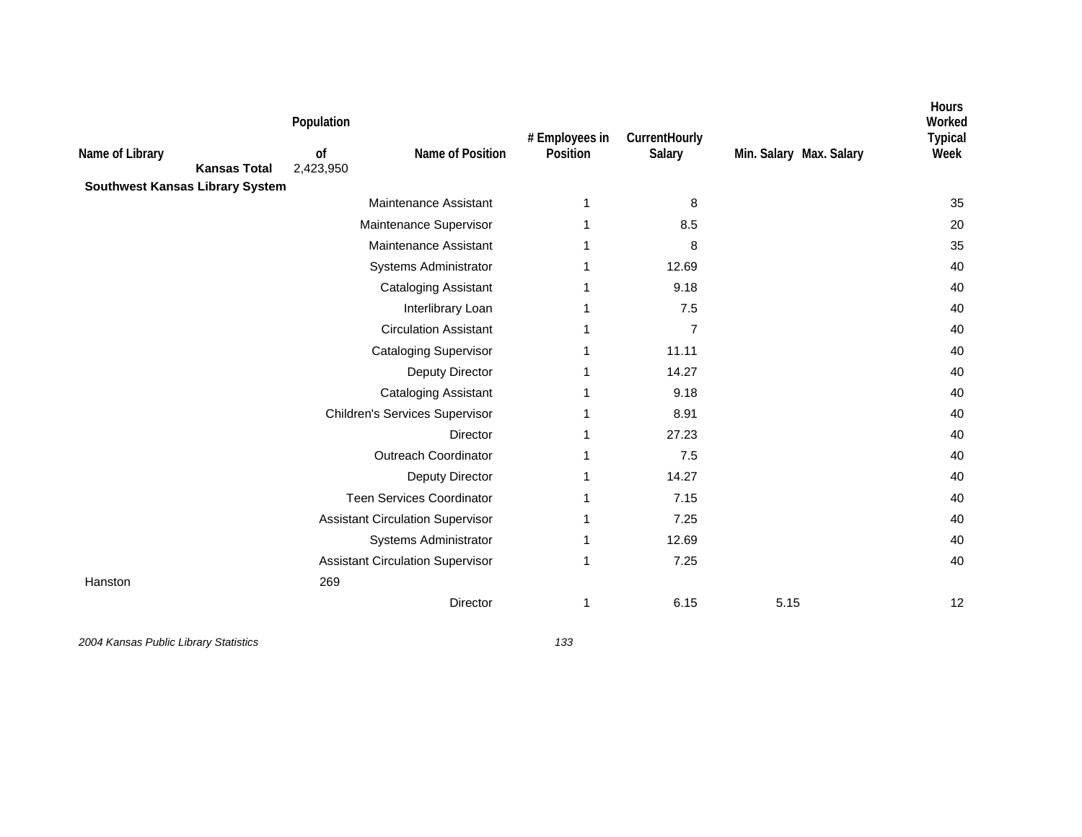| Name of Library                        | <b>Kansas Total</b> | Population<br>0f<br>2,423,950 | Name of Position                        | # Employees in<br>Position | CurrentHourly<br>Salary | Min. Salary Max. Salary | Hours<br>Worked<br><b>Typical</b><br>Week |
|----------------------------------------|---------------------|-------------------------------|-----------------------------------------|----------------------------|-------------------------|-------------------------|-------------------------------------------|
| <b>Southwest Kansas Library System</b> |                     |                               | Maintenance Assistant                   | 1                          | 8                       |                         | 35                                        |
|                                        |                     |                               | Maintenance Supervisor                  |                            | 8.5                     |                         | 20                                        |
|                                        |                     |                               | Maintenance Assistant                   |                            | 8                       |                         | 35                                        |
|                                        |                     |                               | Systems Administrator                   |                            | 12.69                   |                         | 40                                        |
|                                        |                     |                               | <b>Cataloging Assistant</b>             |                            | 9.18                    |                         | 40                                        |
|                                        |                     |                               | Interlibrary Loan                       |                            | 7.5                     |                         | 40                                        |
|                                        |                     |                               | <b>Circulation Assistant</b>            | 1                          | $\overline{7}$          |                         | 40                                        |
|                                        |                     |                               | <b>Cataloging Supervisor</b>            |                            | 11.11                   |                         | 40                                        |
|                                        |                     |                               | Deputy Director                         |                            | 14.27                   |                         | 40                                        |
|                                        |                     |                               | <b>Cataloging Assistant</b>             |                            | 9.18                    |                         | 40                                        |
|                                        |                     |                               | <b>Children's Services Supervisor</b>   |                            | 8.91                    |                         | 40                                        |
|                                        |                     |                               | Director                                |                            | 27.23                   |                         | 40                                        |
|                                        |                     |                               | <b>Outreach Coordinator</b>             |                            | 7.5                     |                         | 40                                        |
|                                        |                     |                               | Deputy Director                         |                            | 14.27                   |                         | 40                                        |
|                                        |                     |                               | <b>Teen Services Coordinator</b>        |                            | 7.15                    |                         | 40                                        |
|                                        |                     |                               | <b>Assistant Circulation Supervisor</b> |                            | 7.25                    |                         | 40                                        |
|                                        |                     |                               | Systems Administrator                   |                            | 12.69                   |                         | 40                                        |
|                                        |                     |                               | <b>Assistant Circulation Supervisor</b> |                            | 7.25                    |                         | 40                                        |
| Hanston                                |                     | 269                           |                                         |                            |                         |                         |                                           |
|                                        |                     |                               | Director                                | 1                          | 6.15                    | 5.15                    | 12                                        |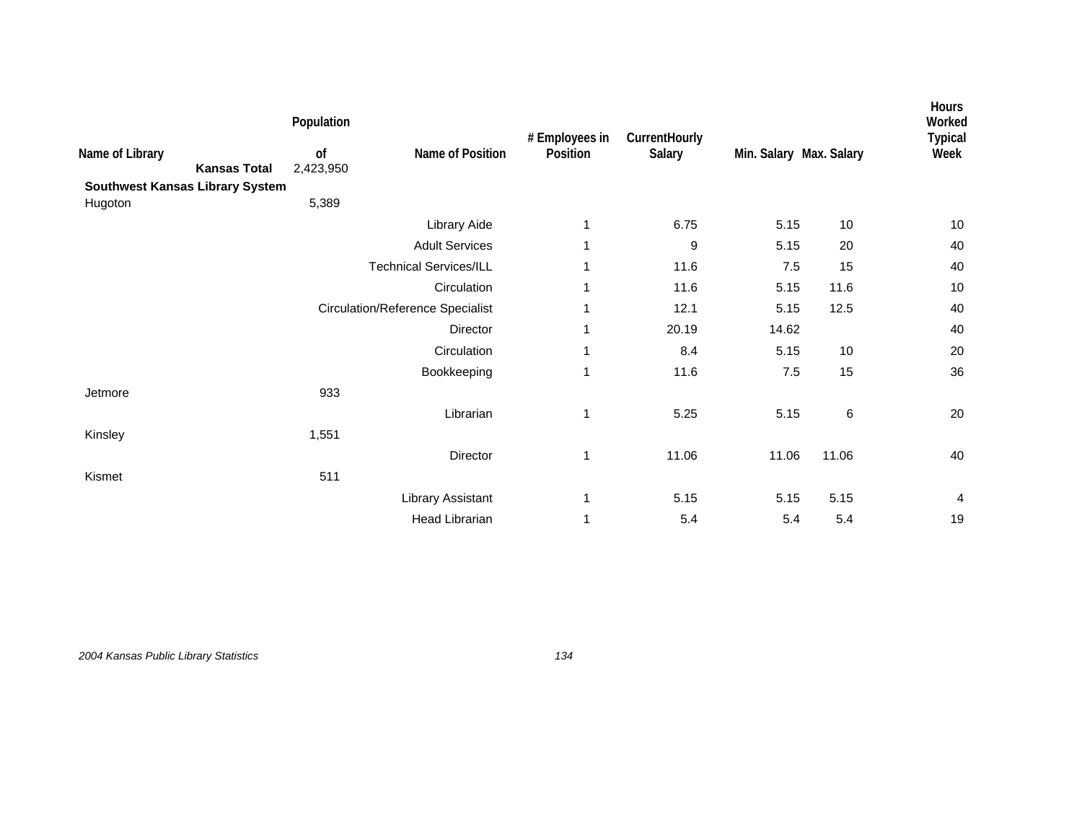|                                        | Population                             |                                         | # Employees in | CurrentHourly |                         |       | <b>Hours</b><br>Worked<br><b>Typical</b> |
|----------------------------------------|----------------------------------------|-----------------------------------------|----------------|---------------|-------------------------|-------|------------------------------------------|
| Name of Library                        | of<br>2,423,950<br><b>Kansas Total</b> | Name of Position                        | Position       | Salary        | Min. Salary Max. Salary |       | Week                                     |
| <b>Southwest Kansas Library System</b> |                                        |                                         |                |               |                         |       |                                          |
| Hugoton                                | 5,389                                  |                                         |                |               |                         |       |                                          |
|                                        |                                        | Library Aide                            | 1              | 6.75          | 5.15                    | 10    | $10$                                     |
|                                        |                                        | <b>Adult Services</b>                   | 1              | 9             | 5.15                    | 20    | 40                                       |
|                                        |                                        | <b>Technical Services/ILL</b>           | 1              | 11.6          | $7.5\,$                 | 15    | 40                                       |
|                                        |                                        | Circulation                             | $\mathbf 1$    | 11.6          | 5.15                    | 11.6  | 10                                       |
|                                        |                                        | <b>Circulation/Reference Specialist</b> | 1              | 12.1          | 5.15                    | 12.5  | 40                                       |
|                                        |                                        | Director                                | 1              | 20.19         | 14.62                   |       | 40                                       |
|                                        |                                        | Circulation                             | 1              | 8.4           | 5.15                    | 10    | 20                                       |
|                                        |                                        | Bookkeeping                             | 1              | 11.6          | 7.5                     | 15    | 36                                       |
| Jetmore                                | 933                                    |                                         |                |               |                         |       |                                          |
|                                        |                                        | Librarian                               | 1              | 5.25          | 5.15                    | 6     | 20                                       |
| Kinsley                                | 1,551                                  |                                         |                |               |                         |       |                                          |
|                                        |                                        | Director                                | 1              | 11.06         | 11.06                   | 11.06 | 40                                       |
| Kismet                                 | 511                                    |                                         |                |               |                         |       |                                          |
|                                        |                                        | Library Assistant                       | 1              | 5.15          | 5.15                    | 5.15  | 4                                        |
|                                        |                                        | <b>Head Librarian</b>                   | 1              | 5.4           | 5.4                     | 5.4   | 19                                       |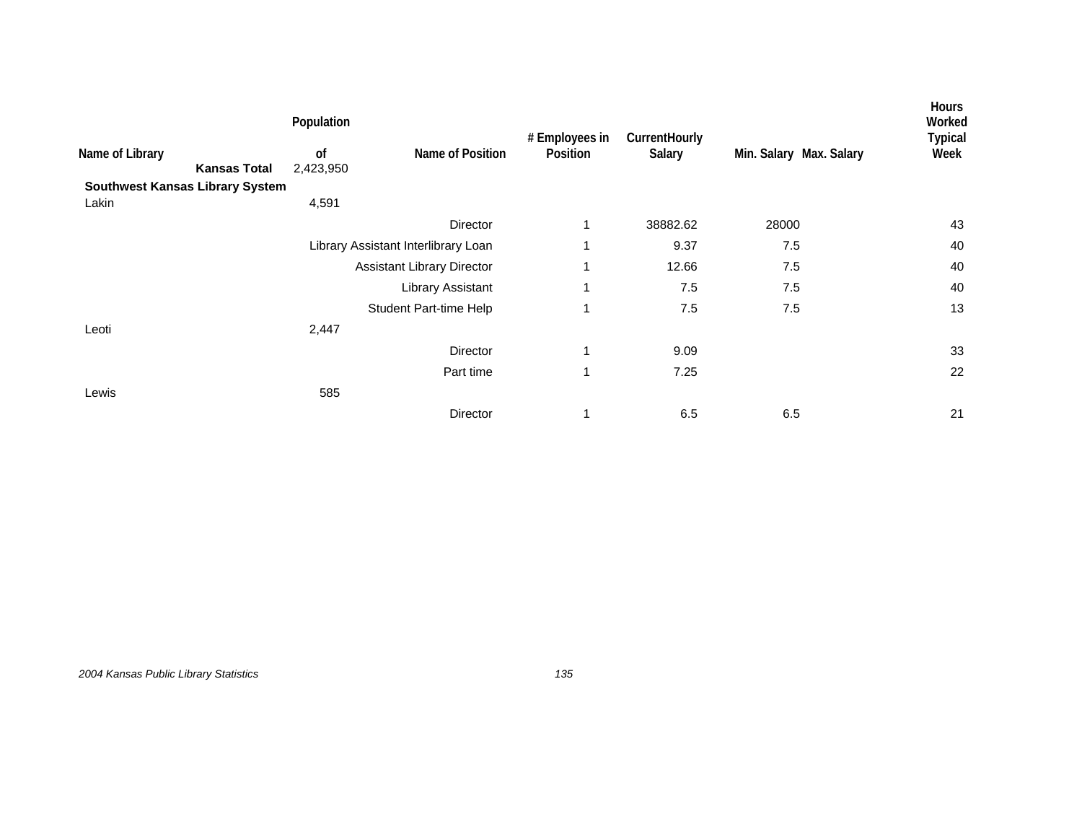|                     | Population      |                                        |                                                                                                    |                |                         | <b>Hours</b><br>Worked |
|---------------------|-----------------|----------------------------------------|----------------------------------------------------------------------------------------------------|----------------|-------------------------|------------------------|
| <b>Kansas Total</b> | of<br>2,423,950 | Name of Position                       | Position                                                                                           | Salary         | Min. Salary Max. Salary | <b>Typical</b><br>Week |
|                     |                 |                                        |                                                                                                    |                |                         |                        |
|                     | 4,591           |                                        |                                                                                                    |                |                         |                        |
|                     |                 | Director                               | 1                                                                                                  | 38882.62       | 28000                   | 43                     |
|                     |                 |                                        | 1                                                                                                  | 9.37           | 7.5                     | 40                     |
|                     |                 |                                        | 1                                                                                                  | 12.66          | 7.5                     | 40                     |
|                     |                 | Library Assistant                      | 1                                                                                                  | 7.5            | $7.5\,$                 | 40                     |
|                     |                 |                                        | 1                                                                                                  | 7.5            | $7.5\,$                 | 13                     |
|                     | 2,447           |                                        |                                                                                                    |                |                         |                        |
|                     |                 | Director                               | 1                                                                                                  | 9.09           |                         | 33                     |
|                     |                 | Part time                              | 1                                                                                                  | 7.25           |                         | 22                     |
|                     | 585             |                                        |                                                                                                    |                |                         |                        |
|                     |                 | Director                               | 1                                                                                                  | 6.5            | 6.5                     | 21                     |
|                     |                 | <b>Southwest Kansas Library System</b> | Library Assistant Interlibrary Loan<br><b>Assistant Library Director</b><br>Student Part-time Help | # Employees in | CurrentHourly           |                        |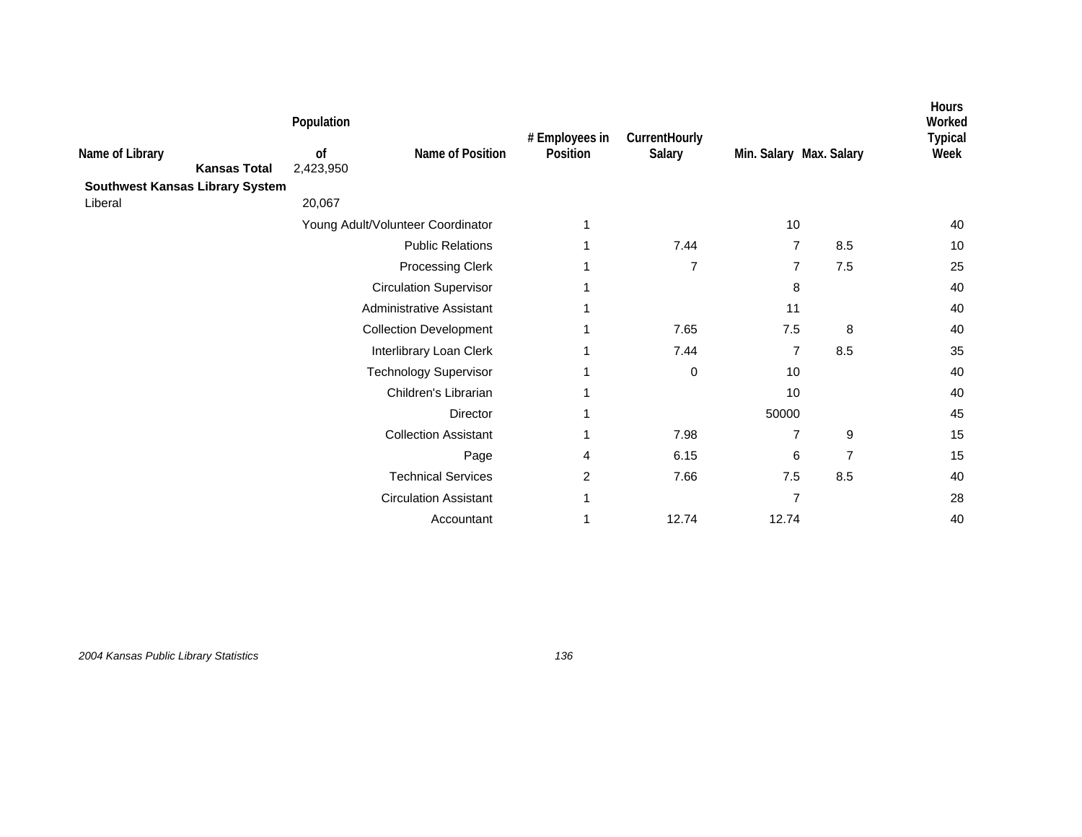|                                        | Population      |                                   | # Employees in | CurrentHourly  |                         |                | <b>Hours</b><br>Worked<br><b>Typical</b> |
|----------------------------------------|-----------------|-----------------------------------|----------------|----------------|-------------------------|----------------|------------------------------------------|
| Name of Library<br><b>Kansas Total</b> | of<br>2,423,950 | Name of Position                  | Position       | Salary         | Min. Salary Max. Salary |                | Week                                     |
| <b>Southwest Kansas Library System</b> |                 |                                   |                |                |                         |                |                                          |
| Liberal                                | 20,067          |                                   |                |                |                         |                |                                          |
|                                        |                 | Young Adult/Volunteer Coordinator | 1              |                | 10                      |                | 40                                       |
|                                        |                 | <b>Public Relations</b>           |                | 7.44           | $\overline{7}$          | 8.5            | 10                                       |
|                                        |                 | <b>Processing Clerk</b>           |                | $\overline{7}$ | $\overline{7}$          | $7.5\,$        | 25                                       |
|                                        |                 | <b>Circulation Supervisor</b>     | 1              |                | 8                       |                | 40                                       |
|                                        |                 | Administrative Assistant          |                |                | 11                      |                | 40                                       |
|                                        |                 | <b>Collection Development</b>     |                | 7.65           | 7.5                     | 8              | 40                                       |
|                                        |                 | Interlibrary Loan Clerk           |                | 7.44           | $\overline{7}$          | 8.5            | 35                                       |
|                                        |                 | <b>Technology Supervisor</b>      |                | 0              | 10                      |                | 40                                       |
|                                        |                 | Children's Librarian              |                |                | 10                      |                | 40                                       |
|                                        |                 | Director                          | 1              |                | 50000                   |                | 45                                       |
|                                        |                 | <b>Collection Assistant</b>       | 1              | 7.98           | $\overline{7}$          | 9              | 15                                       |
|                                        |                 | Page                              | 4              | 6.15           | 6                       | $\overline{7}$ | 15                                       |
|                                        |                 | <b>Technical Services</b>         | 2              | 7.66           | 7.5                     | 8.5            | 40                                       |
|                                        |                 | <b>Circulation Assistant</b>      | 1              |                | $\overline{7}$          |                | 28                                       |
|                                        |                 | Accountant                        |                | 12.74          | 12.74                   |                | 40                                       |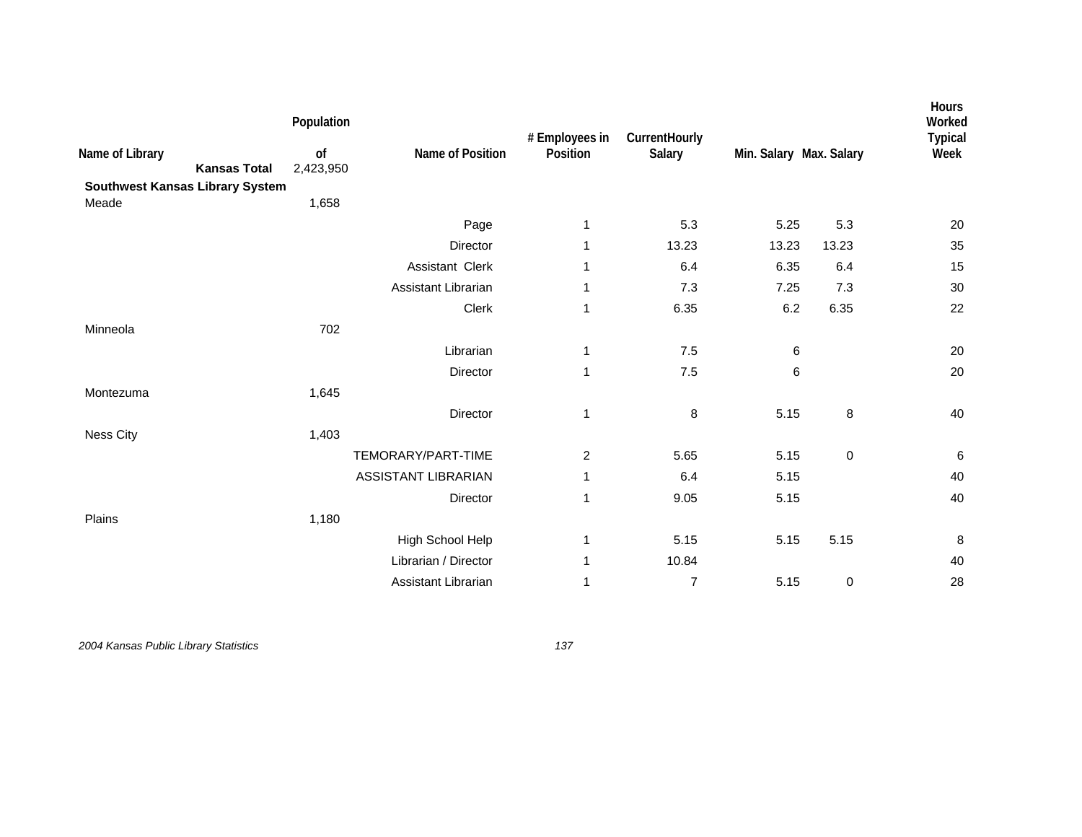| Name of Library<br><b>Kansas Total</b><br>Southwest Kansas Library System | Population<br>of<br>2,423,950 | Name of Position           | # Employees in<br>Position | CurrentHourly<br>Salary | Min. Salary Max. Salary |           | Hours<br>Worked<br><b>Typical</b><br>Week |
|---------------------------------------------------------------------------|-------------------------------|----------------------------|----------------------------|-------------------------|-------------------------|-----------|-------------------------------------------|
| Meade                                                                     | 1,658                         |                            |                            |                         |                         |           |                                           |
|                                                                           |                               | Page                       | 1                          | 5.3                     | 5.25                    | 5.3       | 20                                        |
|                                                                           |                               | Director                   | 1                          | 13.23                   | 13.23                   | 13.23     | 35                                        |
|                                                                           |                               | Assistant Clerk            | 1                          | 6.4                     | 6.35                    | 6.4       | 15                                        |
|                                                                           |                               | Assistant Librarian        | 1                          | 7.3                     | 7.25                    | 7.3       | 30                                        |
|                                                                           |                               | Clerk                      | 1                          | 6.35                    | 6.2                     | 6.35      | 22                                        |
| Minneola                                                                  | 702                           |                            |                            |                         |                         |           |                                           |
|                                                                           |                               | Librarian                  | 1                          | 7.5                     | 6                       |           | 20                                        |
|                                                                           |                               | Director                   | 1                          | 7.5                     | 6                       |           | 20                                        |
| Montezuma                                                                 | 1,645                         |                            |                            |                         |                         |           |                                           |
|                                                                           |                               | Director                   | 1                          | 8                       | 5.15                    | 8         | 40                                        |
| Ness City                                                                 | 1,403                         |                            |                            |                         |                         |           |                                           |
|                                                                           |                               | TEMORARY/PART-TIME         | $\overline{c}$             | 5.65                    | 5.15                    | $\pmb{0}$ | $\,6\,$                                   |
|                                                                           |                               | <b>ASSISTANT LIBRARIAN</b> | 1                          | 6.4                     | 5.15                    |           | 40                                        |
|                                                                           |                               | Director                   | 1                          | 9.05                    | 5.15                    |           | 40                                        |
| Plains                                                                    | 1,180                         |                            |                            |                         |                         |           |                                           |
|                                                                           |                               | High School Help           | 1                          | 5.15                    | 5.15                    | 5.15      | 8                                         |
|                                                                           |                               | Librarian / Director       | 1                          | 10.84                   |                         |           | 40                                        |
|                                                                           |                               | Assistant Librarian        | 1                          | $\overline{7}$          | 5.15                    | $\pmb{0}$ | 28                                        |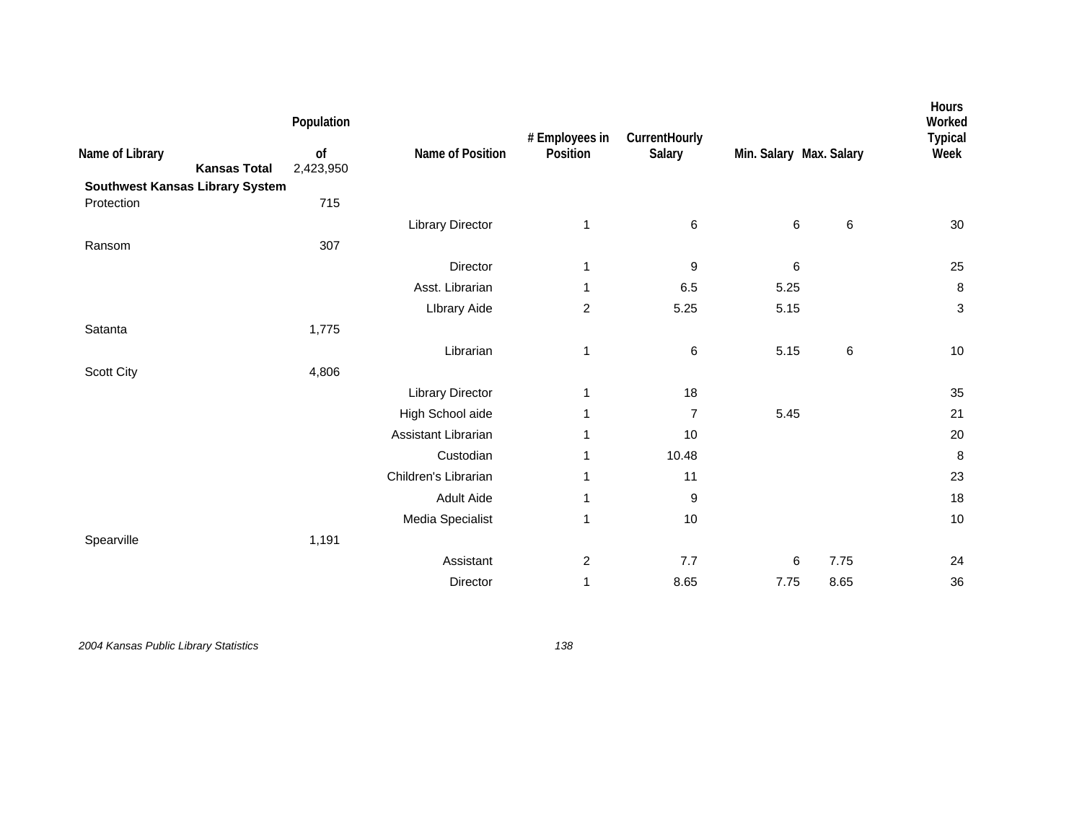| Name of Library<br><b>Kansas Total</b><br><b>Southwest Kansas Library System</b> | Population<br>of<br>2,423,950 | Name of Position        | # Employees in<br>Position | CurrentHourly<br>Salary | Min. Salary Max. Salary |       | Hours<br>Worked<br><b>Typical</b><br>Week |
|----------------------------------------------------------------------------------|-------------------------------|-------------------------|----------------------------|-------------------------|-------------------------|-------|-------------------------------------------|
| Protection                                                                       | 715                           |                         |                            |                         |                         |       |                                           |
|                                                                                  |                               | <b>Library Director</b> | 1                          | 6                       | 6                       | 6     | $30\,$                                    |
| Ransom                                                                           | 307                           |                         |                            |                         |                         |       |                                           |
|                                                                                  |                               | Director                | 1                          | 9                       | 6                       |       | 25                                        |
|                                                                                  |                               | Asst. Librarian         | 1                          | 6.5                     | 5.25                    |       | $\bf 8$                                   |
|                                                                                  |                               | <b>Library Aide</b>     | 2                          | 5.25                    | 5.15                    |       | $\ensuremath{\mathsf{3}}$                 |
| Satanta                                                                          | 1,775                         |                         |                            |                         |                         |       |                                           |
|                                                                                  |                               | Librarian               | 1                          | 6                       | 5.15                    | $\,6$ | $10$                                      |
| Scott City                                                                       | 4,806                         |                         |                            |                         |                         |       |                                           |
|                                                                                  |                               | <b>Library Director</b> | 1                          | 18                      |                         |       | 35                                        |
|                                                                                  |                               | High School aide        | 1                          | $\overline{7}$          | 5.45                    |       | 21                                        |
|                                                                                  |                               | Assistant Librarian     | 1                          | 10                      |                         |       | 20                                        |
|                                                                                  |                               | Custodian               | 1                          | 10.48                   |                         |       | 8                                         |
|                                                                                  |                               | Children's Librarian    | 1                          | 11                      |                         |       | 23                                        |
|                                                                                  |                               | <b>Adult Aide</b>       | 1                          | 9                       |                         |       | 18                                        |
|                                                                                  |                               | Media Specialist        | 1                          | $10$                    |                         |       | 10                                        |
| Spearville                                                                       | 1,191                         |                         |                            |                         |                         |       |                                           |
|                                                                                  |                               | Assistant               | $\overline{\mathbf{c}}$    | 7.7                     | 6                       | 7.75  | 24                                        |
|                                                                                  |                               | Director                | 1                          | 8.65                    | 7.75                    | 8.65  | 36                                        |